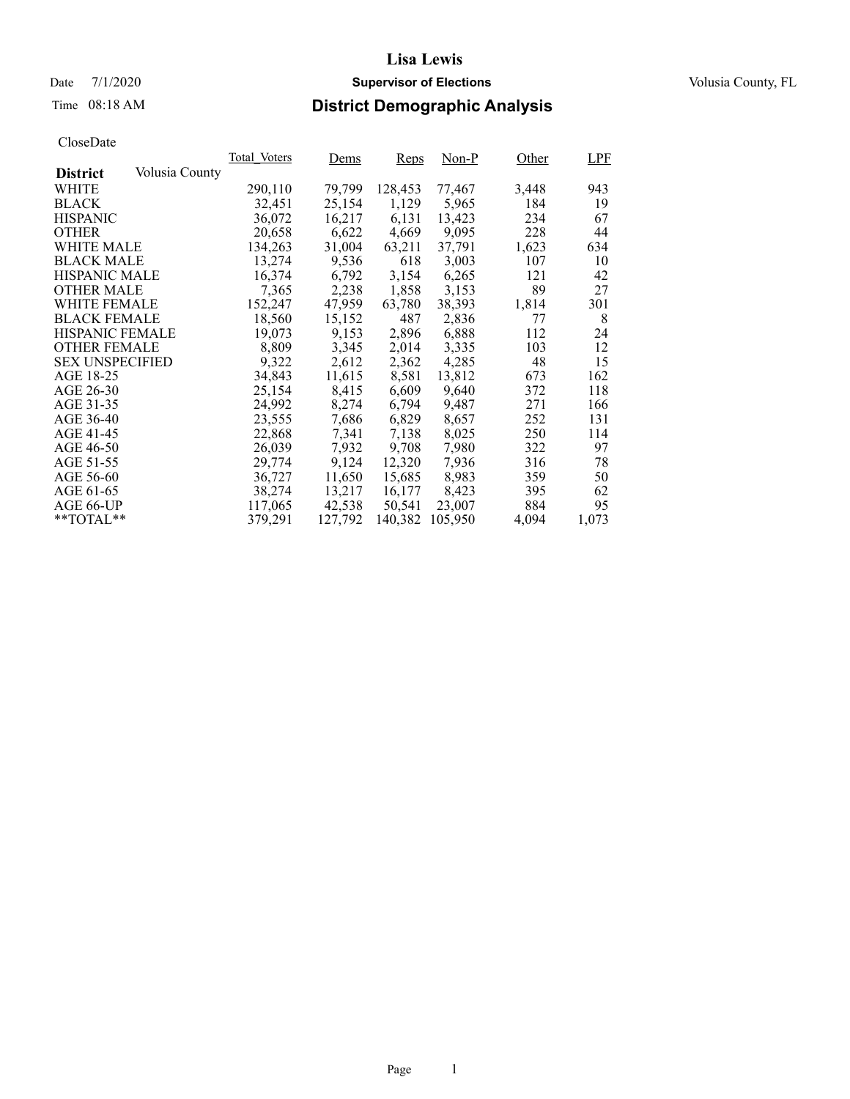Date 7/1/2020 **Supervisor of Elections Supervisor of Elections** Volusia County, FL

# Time 08:18 AM **District Demographic Analysis**

|                        |                | Total Voters | Dems    | Reps    | Non-P   | Other | <b>LPF</b> |
|------------------------|----------------|--------------|---------|---------|---------|-------|------------|
| <b>District</b>        | Volusia County |              |         |         |         |       |            |
| WHITE                  |                | 290,110      | 79,799  | 128,453 | 77,467  | 3,448 | 943        |
| <b>BLACK</b>           |                | 32,451       | 25,154  | 1,129   | 5,965   | 184   | 19         |
| <b>HISPANIC</b>        |                | 36,072       | 16,217  | 6,131   | 13,423  | 234   | 67         |
| <b>OTHER</b>           |                | 20,658       | 6,622   | 4,669   | 9,095   | 228   | 44         |
| WHITE MALE             |                | 134,263      | 31,004  | 63,211  | 37.791  | 1,623 | 634        |
| <b>BLACK MALE</b>      |                | 13,274       | 9,536   | 618     | 3,003   | 107   | 10         |
| <b>HISPANIC MALE</b>   |                | 16,374       | 6,792   | 3,154   | 6,265   | 121   | 42         |
| <b>OTHER MALE</b>      |                | 7,365        | 2,238   | 1,858   | 3,153   | 89    | 27         |
| <b>WHITE FEMALE</b>    |                | 152,247      | 47,959  | 63,780  | 38,393  | 1,814 | 301        |
| <b>BLACK FEMALE</b>    |                | 18,560       | 15,152  | 487     | 2,836   | 77    | 8          |
| <b>HISPANIC FEMALE</b> |                | 19,073       | 9,153   | 2,896   | 6,888   | 112   | 24         |
| <b>OTHER FEMALE</b>    |                | 8.809        | 3,345   | 2,014   | 3,335   | 103   | 12         |
| <b>SEX UNSPECIFIED</b> |                | 9,322        | 2,612   | 2,362   | 4,285   | 48    | 15         |
| AGE 18-25              |                | 34,843       | 11,615  | 8,581   | 13,812  | 673   | 162        |
| AGE 26-30              |                | 25,154       | 8,415   | 6,609   | 9.640   | 372   | 118        |
| AGE 31-35              |                | 24,992       | 8,274   | 6,794   | 9,487   | 271   | 166        |
| AGE 36-40              |                | 23,555       | 7,686   | 6,829   | 8,657   | 252   | 131        |
| AGE 41-45              |                | 22,868       | 7,341   | 7,138   | 8,025   | 250   | 114        |
| AGE 46-50              |                | 26,039       | 7,932   | 9,708   | 7,980   | 322   | 97         |
| AGE 51-55              |                | 29,774       | 9,124   | 12,320  | 7,936   | 316   | 78         |
| AGE 56-60              |                | 36,727       | 11,650  | 15,685  | 8,983   | 359   | 50         |
| AGE 61-65              |                | 38,274       | 13,217  | 16,177  | 8,423   | 395   | 62         |
| AGE 66-UP              |                | 117,065      | 42,538  | 50,541  | 23,007  | 884   | 95         |
| $*$ $TOTAL**$          |                | 379,291      | 127,792 | 140,382 | 105,950 | 4,094 | 1,073      |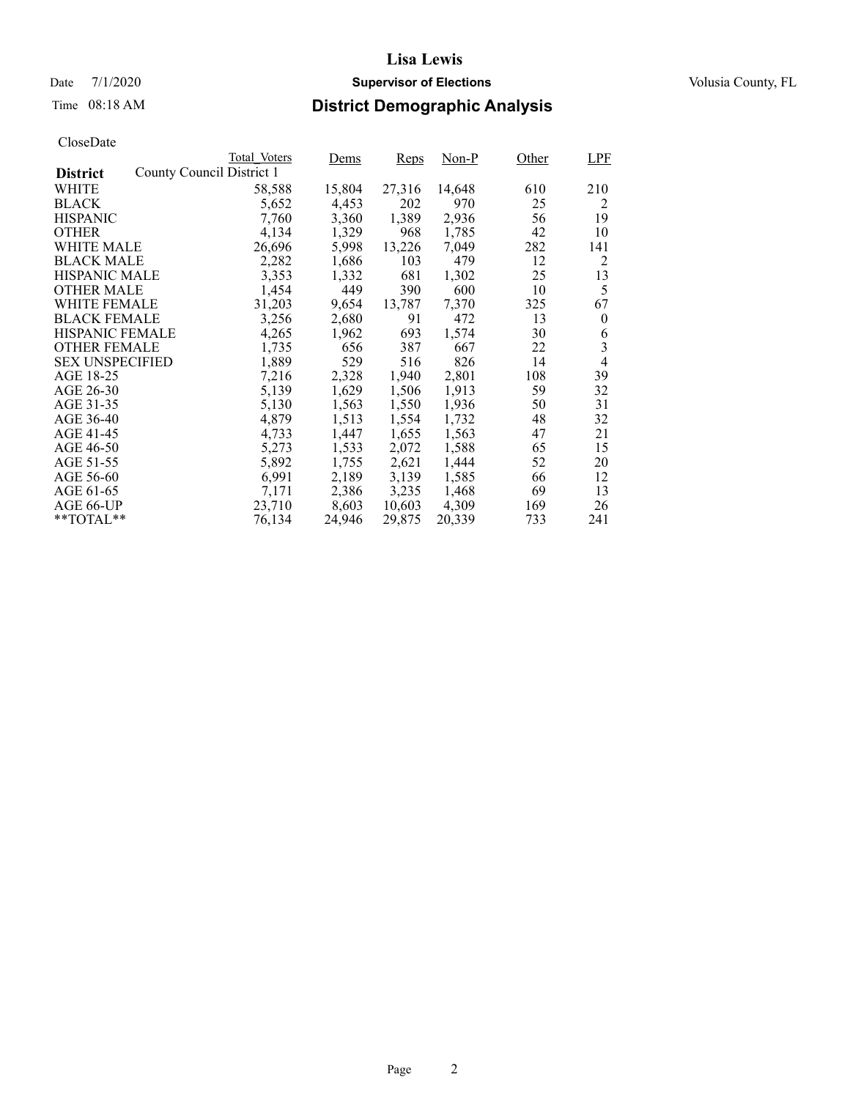## Date 7/1/2020 **Supervisor of Elections Supervisor of Elections** Volusia County, FL

# Time 08:18 AM **District Demographic Analysis**

|                        |                           | Total Voters | Dems   | Reps   | Non-P  | Other | <b>LPF</b> |
|------------------------|---------------------------|--------------|--------|--------|--------|-------|------------|
| <b>District</b>        | County Council District 1 |              |        |        |        |       |            |
| WHITE                  |                           | 58,588       | 15,804 | 27,316 | 14,648 | 610   | 210        |
| <b>BLACK</b>           |                           | 5,652        | 4,453  | 202    | 970    | 25    | 2          |
| <b>HISPANIC</b>        |                           | 7,760        | 3,360  | 1,389  | 2,936  | 56    | 19         |
| <b>OTHER</b>           |                           | 4,134        | 1,329  | 968    | 1,785  | 42    | 10         |
| WHITE MALE             |                           | 26,696       | 5,998  | 13,226 | 7.049  | 282   | 141        |
| <b>BLACK MALE</b>      |                           | 2,282        | 1,686  | 103    | 479    | 12    | 2          |
| <b>HISPANIC MALE</b>   |                           | 3,353        | 1,332  | 681    | 1,302  | 25    | 13         |
| <b>OTHER MALE</b>      |                           | 1,454        | 449    | 390    | 600    | 10    | 5          |
| <b>WHITE FEMALE</b>    |                           | 31,203       | 9,654  | 13,787 | 7,370  | 325   | 67         |
| <b>BLACK FEMALE</b>    |                           | 3,256        | 2,680  | 91     | 472    | 13    | $\theta$   |
| <b>HISPANIC FEMALE</b> |                           | 4,265        | 1,962  | 693    | 1,574  | 30    | 6          |
| <b>OTHER FEMALE</b>    |                           | 1,735        | 656    | 387    | 667    | 22    | 3          |
| <b>SEX UNSPECIFIED</b> |                           | 1,889        | 529    | 516    | 826    | 14    | 4          |
| AGE 18-25              |                           | 7,216        | 2,328  | 1,940  | 2,801  | 108   | 39         |
| AGE 26-30              |                           | 5,139        | 1,629  | 1,506  | 1,913  | 59    | 32         |
| AGE 31-35              |                           | 5,130        | 1,563  | 1,550  | 1,936  | 50    | 31         |
| AGE 36-40              |                           | 4,879        | 1,513  | 1,554  | 1,732  | 48    | 32         |
| AGE 41-45              |                           | 4,733        | 1,447  | 1,655  | 1,563  | 47    | 21         |
| AGE 46-50              |                           | 5,273        | 1,533  | 2,072  | 1,588  | 65    | 15         |
| AGE 51-55              |                           | 5,892        | 1,755  | 2,621  | 1,444  | 52    | 20         |
| AGE 56-60              |                           | 6,991        | 2,189  | 3,139  | 1,585  | 66    | 12         |
| AGE 61-65              |                           | 7,171        | 2,386  | 3,235  | 1,468  | 69    | 13         |
| AGE 66-UP              |                           | 23,710       | 8,603  | 10,603 | 4,309  | 169   | 26         |
| $*$ $TOTAL**$          |                           | 76,134       | 24,946 | 29,875 | 20,339 | 733   | 241        |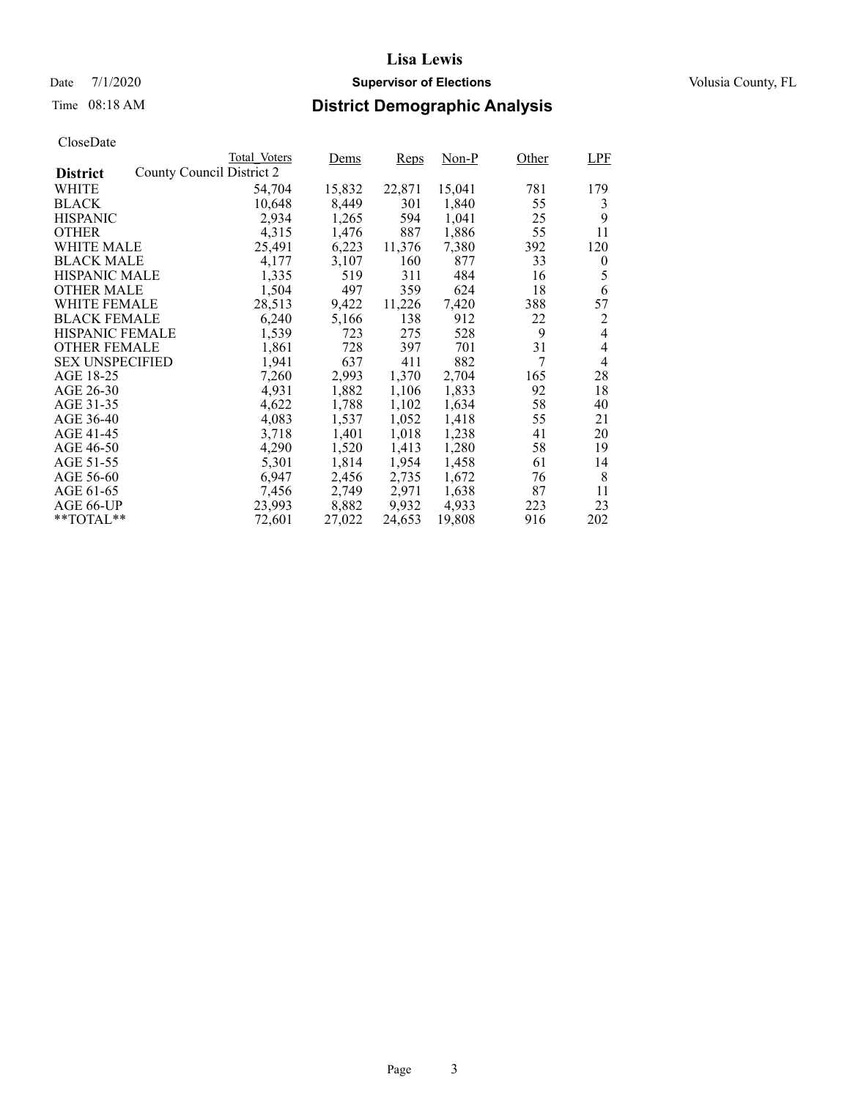### Date 7/1/2020 **Supervisor of Elections Supervisor of Elections** Volusia County, FL

# Time 08:18 AM **District Demographic Analysis**

|                        |                           | Total Voters | Dems   | <b>Reps</b> | Non-P  | Other | LPF            |
|------------------------|---------------------------|--------------|--------|-------------|--------|-------|----------------|
| <b>District</b>        | County Council District 2 |              |        |             |        |       |                |
| WHITE                  |                           | 54,704       | 15,832 | 22,871      | 15,041 | 781   | 179            |
| <b>BLACK</b>           |                           | 10,648       | 8,449  | 301         | 1,840  | 55    | 3              |
| <b>HISPANIC</b>        |                           | 2,934        | 1,265  | 594         | 1,041  | 25    | 9              |
| <b>OTHER</b>           |                           | 4,315        | 1,476  | 887         | 1,886  | 55    | 11             |
| WHITE MALE             |                           | 25,491       | 6,223  | 11,376      | 7,380  | 392   | 120            |
| <b>BLACK MALE</b>      |                           | 4,177        | 3,107  | 160         | 877    | 33    | $\theta$       |
| <b>HISPANIC MALE</b>   |                           | 1,335        | 519    | 311         | 484    | 16    | 5              |
| OTHER MALE             |                           | 1,504        | 497    | 359         | 624    | 18    | 6              |
| <b>WHITE FEMALE</b>    |                           | 28,513       | 9,422  | 11,226      | 7,420  | 388   | 57             |
| <b>BLACK FEMALE</b>    |                           | 6,240        | 5,166  | 138         | 912    | 22    | 2              |
| HISPANIC FEMALE        |                           | 1,539        | 723    | 275         | 528    | 9     | 4              |
| <b>OTHER FEMALE</b>    |                           | 1,861        | 728    | 397         | 701    | 31    | $\overline{4}$ |
| <b>SEX UNSPECIFIED</b> |                           | 1,941        | 637    | 411         | 882    | 7     | $\overline{4}$ |
| AGE 18-25              |                           | 7,260        | 2,993  | 1,370       | 2,704  | 165   | 28             |
| AGE 26-30              |                           | 4,931        | 1,882  | 1,106       | 1,833  | 92    | 18             |
| AGE 31-35              |                           | 4,622        | 1,788  | 1,102       | 1,634  | 58    | 40             |
| AGE 36-40              |                           | 4,083        | 1,537  | 1,052       | 1,418  | 55    | 21             |
| AGE 41-45              |                           | 3,718        | 1,401  | 1,018       | 1,238  | 41    | 20             |
| AGE 46-50              |                           | 4,290        | 1,520  | 1,413       | 1,280  | 58    | 19             |
| AGE 51-55              |                           | 5,301        | 1,814  | 1,954       | 1,458  | 61    | 14             |
| AGE 56-60              |                           | 6,947        | 2,456  | 2,735       | 1,672  | 76    | 8              |
| AGE 61-65              |                           | 7,456        | 2,749  | 2,971       | 1,638  | 87    | 11             |
| AGE 66-UP              |                           | 23,993       | 8,882  | 9,932       | 4,933  | 223   | 23             |
| $*$ $TOTAL**$          |                           | 72,601       | 27,022 | 24,653      | 19,808 | 916   | 202            |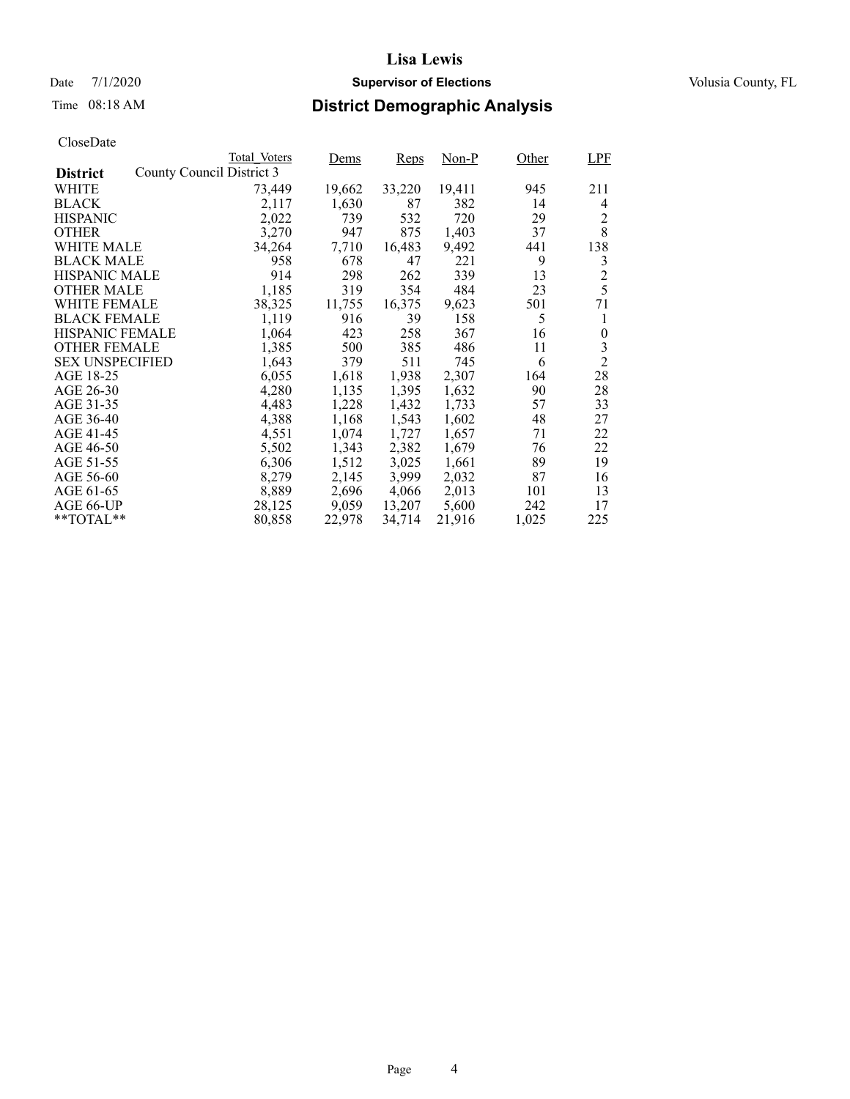### Date 7/1/2020 **Supervisor of Elections Supervisor of Elections** Volusia County, FL

# Time 08:18 AM **District Demographic Analysis**

|                        |                           | Total Voters | Dems   | <b>Reps</b> | Non-P  | Other | <b>LPF</b>     |
|------------------------|---------------------------|--------------|--------|-------------|--------|-------|----------------|
| <b>District</b>        | County Council District 3 |              |        |             |        |       |                |
| WHITE                  |                           | 73,449       | 19,662 | 33,220      | 19,411 | 945   | 211            |
| <b>BLACK</b>           |                           | 2,117        | 1,630  | 87          | 382    | 14    | 4              |
| <b>HISPANIC</b>        |                           | 2,022        | 739    | 532         | 720    | 29    | 2              |
| <b>OTHER</b>           |                           | 3,270        | 947    | 875         | 1,403  | 37    | 8              |
| WHITE MALE             |                           | 34,264       | 7,710  | 16,483      | 9,492  | 441   | 138            |
| <b>BLACK MALE</b>      |                           | 958          | 678    | 47          | 221    | 9     | 3              |
| <b>HISPANIC MALE</b>   |                           | 914          | 298    | 262         | 339    | 13    | $\overline{c}$ |
| <b>OTHER MALE</b>      |                           | 1,185        | 319    | 354         | 484    | 23    | 5              |
| <b>WHITE FEMALE</b>    |                           | 38,325       | 11,755 | 16,375      | 9,623  | 501   | 71             |
| <b>BLACK FEMALE</b>    |                           | 1,119        | 916    | 39          | 158    | 5     | 1              |
| <b>HISPANIC FEMALE</b> |                           | 1,064        | 423    | 258         | 367    | 16    | $\theta$       |
| <b>OTHER FEMALE</b>    |                           | 1,385        | 500    | 385         | 486    | 11    | 3              |
| <b>SEX UNSPECIFIED</b> |                           | 1,643        | 379    | 511         | 745    | 6     | $\overline{2}$ |
| AGE 18-25              |                           | 6,055        | 1,618  | 1,938       | 2,307  | 164   | 28             |
| AGE 26-30              |                           | 4,280        | 1,135  | 1,395       | 1,632  | 90    | 28             |
| AGE 31-35              |                           | 4,483        | 1,228  | 1,432       | 1,733  | 57    | 33             |
| AGE 36-40              |                           | 4,388        | 1,168  | 1,543       | 1,602  | 48    | 27             |
| AGE 41-45              |                           | 4,551        | 1,074  | 1,727       | 1,657  | 71    | 22             |
| AGE 46-50              |                           | 5,502        | 1,343  | 2,382       | 1,679  | 76    | 22             |
| AGE 51-55              |                           | 6,306        | 1,512  | 3,025       | 1,661  | 89    | 19             |
| AGE 56-60              |                           | 8,279        | 2,145  | 3,999       | 2,032  | 87    | 16             |
| AGE 61-65              |                           | 8,889        | 2,696  | 4,066       | 2,013  | 101   | 13             |
| AGE 66-UP              |                           | 28,125       | 9,059  | 13,207      | 5,600  | 242   | 17             |
| $*$ $TOTAL**$          |                           | 80,858       | 22,978 | 34,714      | 21,916 | 1,025 | 225            |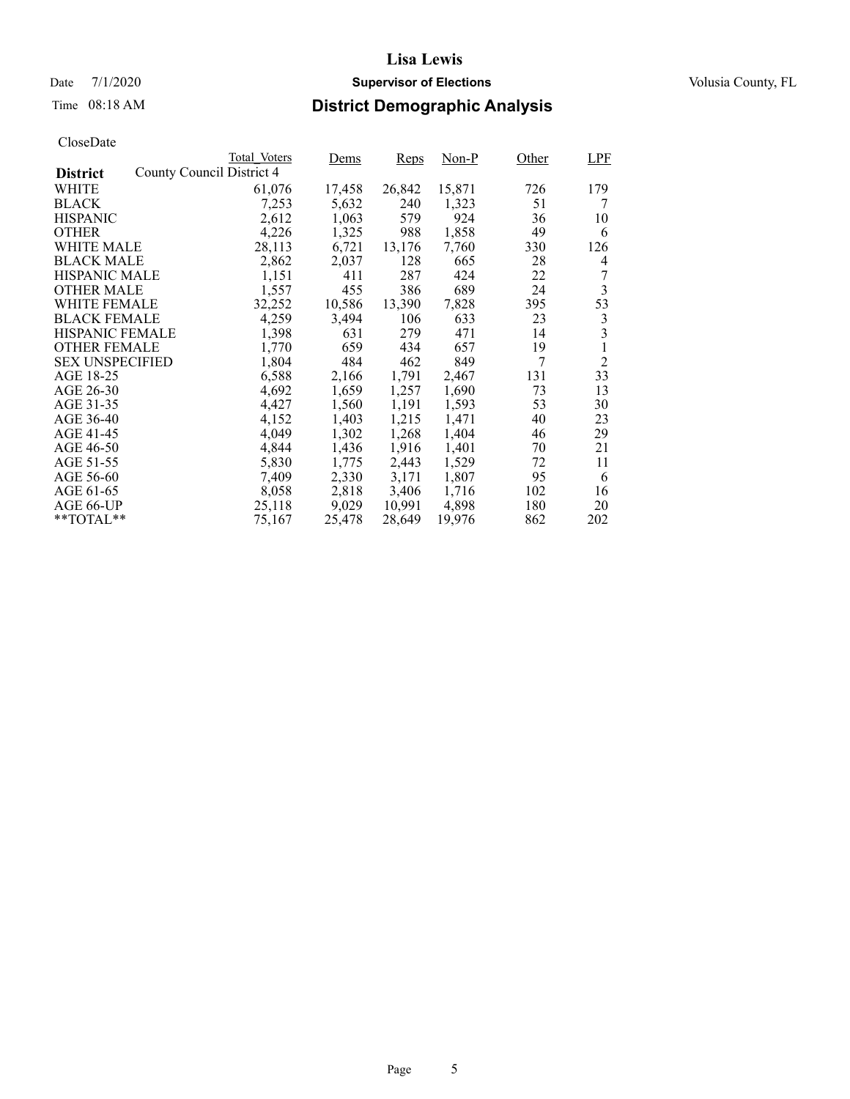### Date 7/1/2020 **Supervisor of Elections Supervisor of Elections** Volusia County, FL

# Time 08:18 AM **District Demographic Analysis**

|                        |                           | Total Voters | Dems   | Reps   | Non-P  | Other | LPF            |
|------------------------|---------------------------|--------------|--------|--------|--------|-------|----------------|
| <b>District</b>        | County Council District 4 |              |        |        |        |       |                |
| WHITE                  |                           | 61,076       | 17,458 | 26,842 | 15,871 | 726   | 179            |
| <b>BLACK</b>           |                           | 7,253        | 5,632  | 240    | 1,323  | 51    | 7              |
| <b>HISPANIC</b>        |                           | 2,612        | 1,063  | 579    | 924    | 36    | 10             |
| <b>OTHER</b>           |                           | 4,226        | 1,325  | 988    | 1,858  | 49    | 6              |
| WHITE MALE             |                           | 28,113       | 6,721  | 13,176 | 7,760  | 330   | 126            |
| <b>BLACK MALE</b>      |                           | 2,862        | 2,037  | 128    | 665    | 28    | 4              |
| <b>HISPANIC MALE</b>   |                           | 1,151        | 411    | 287    | 424    | 22    | 7              |
| <b>OTHER MALE</b>      |                           | 1,557        | 455    | 386    | 689    | 24    | 3              |
| <b>WHITE FEMALE</b>    |                           | 32,252       | 10,586 | 13,390 | 7,828  | 395   | 53             |
| <b>BLACK FEMALE</b>    |                           | 4,259        | 3,494  | 106    | 633    | 23    | 3              |
| <b>HISPANIC FEMALE</b> |                           | 1,398        | 631    | 279    | 471    | 14    | 3              |
| <b>OTHER FEMALE</b>    |                           | 1,770        | 659    | 434    | 657    | 19    | 1              |
| <b>SEX UNSPECIFIED</b> |                           | 1,804        | 484    | 462    | 849    | 7     | $\overline{2}$ |
| AGE 18-25              |                           | 6,588        | 2,166  | 1,791  | 2,467  | 131   | 33             |
| AGE 26-30              |                           | 4,692        | 1,659  | 1,257  | 1,690  | 73    | 13             |
| AGE 31-35              |                           | 4,427        | 1,560  | 1,191  | 1,593  | 53    | 30             |
| AGE 36-40              |                           | 4,152        | 1,403  | 1,215  | 1,471  | 40    | 23             |
| AGE 41-45              |                           | 4,049        | 1,302  | 1,268  | 1,404  | 46    | 29             |
| AGE 46-50              |                           | 4,844        | 1,436  | 1,916  | 1,401  | 70    | 21             |
| AGE 51-55              |                           | 5,830        | 1,775  | 2,443  | 1,529  | 72    | 11             |
| AGE 56-60              |                           | 7,409        | 2,330  | 3,171  | 1,807  | 95    | 6              |
| AGE 61-65              |                           | 8,058        | 2,818  | 3,406  | 1,716  | 102   | 16             |
| AGE 66-UP              |                           | 25,118       | 9,029  | 10,991 | 4,898  | 180   | 20             |
| $*$ $TOTAL**$          |                           | 75,167       | 25,478 | 28,649 | 19,976 | 862   | 202            |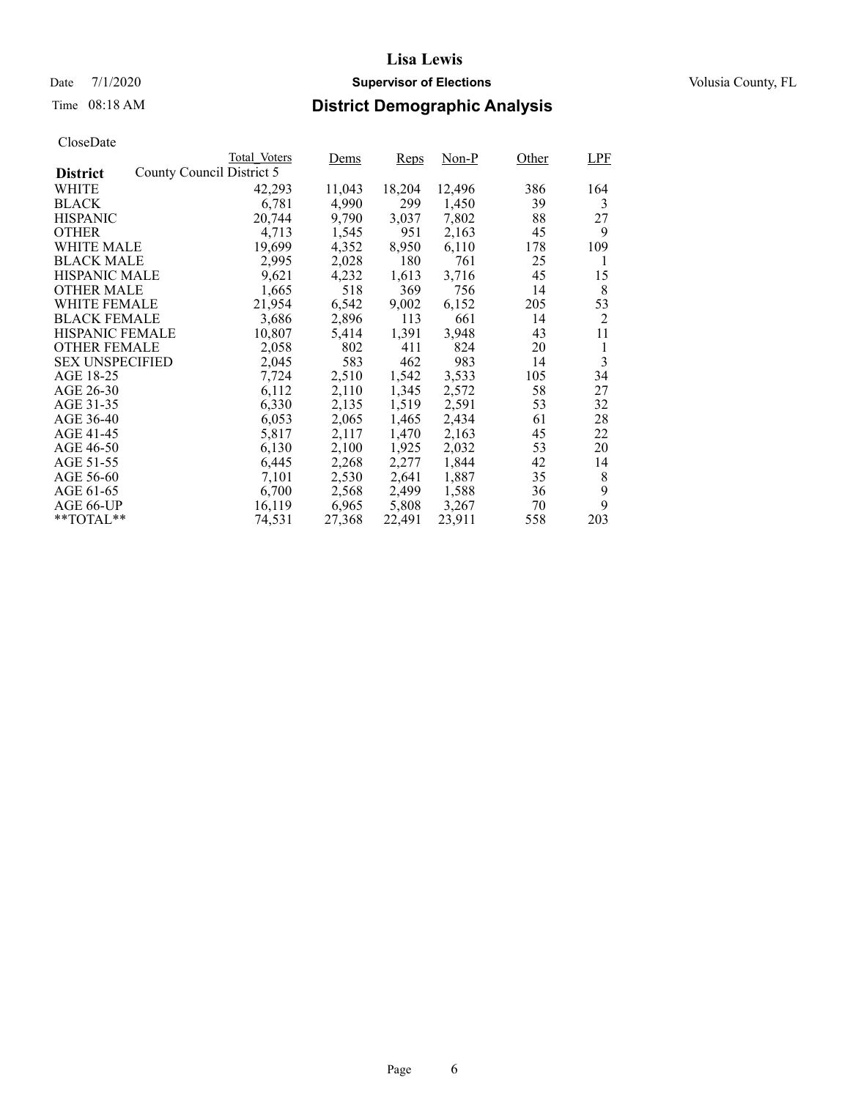### Date 7/1/2020 **Supervisor of Elections Supervisor of Elections** Volusia County, FL

# Time 08:18 AM **District Demographic Analysis**

|                        |                           | Total Voters | Dems   | <b>Reps</b> | Non-P  | Other | <b>LPF</b> |
|------------------------|---------------------------|--------------|--------|-------------|--------|-------|------------|
| <b>District</b>        | County Council District 5 |              |        |             |        |       |            |
| WHITE                  |                           | 42,293       | 11,043 | 18,204      | 12,496 | 386   | 164        |
| <b>BLACK</b>           |                           | 6,781        | 4,990  | 299         | 1,450  | 39    | 3          |
| <b>HISPANIC</b>        |                           | 20,744       | 9,790  | 3,037       | 7,802  | 88    | 27         |
| <b>OTHER</b>           |                           | 4,713        | 1,545  | 951         | 2,163  | 45    | 9          |
| WHITE MALE             |                           | 19,699       | 4,352  | 8,950       | 6,110  | 178   | 109        |
| <b>BLACK MALE</b>      |                           | 2,995        | 2,028  | 180         | 761    | 25    | 1          |
| <b>HISPANIC MALE</b>   |                           | 9,621        | 4,232  | 1,613       | 3,716  | 45    | 15         |
| <b>OTHER MALE</b>      |                           | 1,665        | 518    | 369         | 756    | 14    | 8          |
| <b>WHITE FEMALE</b>    |                           | 21,954       | 6,542  | 9,002       | 6,152  | 205   | 53         |
| <b>BLACK FEMALE</b>    |                           | 3,686        | 2,896  | 113         | 661    | 14    | 2          |
| <b>HISPANIC FEMALE</b> |                           | 10,807       | 5,414  | 1,391       | 3,948  | 43    | 11         |
| <b>OTHER FEMALE</b>    |                           | 2,058        | 802    | 411         | 824    | 20    | 1          |
| <b>SEX UNSPECIFIED</b> |                           | 2,045        | 583    | 462         | 983    | 14    | 3          |
| AGE 18-25              |                           | 7,724        | 2,510  | 1,542       | 3,533  | 105   | 34         |
| AGE 26-30              |                           | 6,112        | 2,110  | 1,345       | 2,572  | 58    | 27         |
| AGE 31-35              |                           | 6,330        | 2,135  | 1,519       | 2,591  | 53    | 32         |
| AGE 36-40              |                           | 6,053        | 2,065  | 1,465       | 2,434  | 61    | 28         |
| AGE 41-45              |                           | 5,817        | 2,117  | 1,470       | 2,163  | 45    | 22         |
| AGE 46-50              |                           | 6,130        | 2,100  | 1,925       | 2,032  | 53    | 20         |
| AGE 51-55              |                           | 6,445        | 2,268  | 2,277       | 1,844  | 42    | 14         |
| AGE 56-60              |                           | 7,101        | 2,530  | 2,641       | 1,887  | 35    | 8          |
| AGE 61-65              |                           | 6,700        | 2,568  | 2,499       | 1,588  | 36    | 9          |
| AGE 66-UP              |                           | 16,119       | 6,965  | 5,808       | 3,267  | 70    | 9          |
| $*$ $TOTAL**$          |                           | 74,531       | 27,368 | 22,491      | 23,911 | 558   | 203        |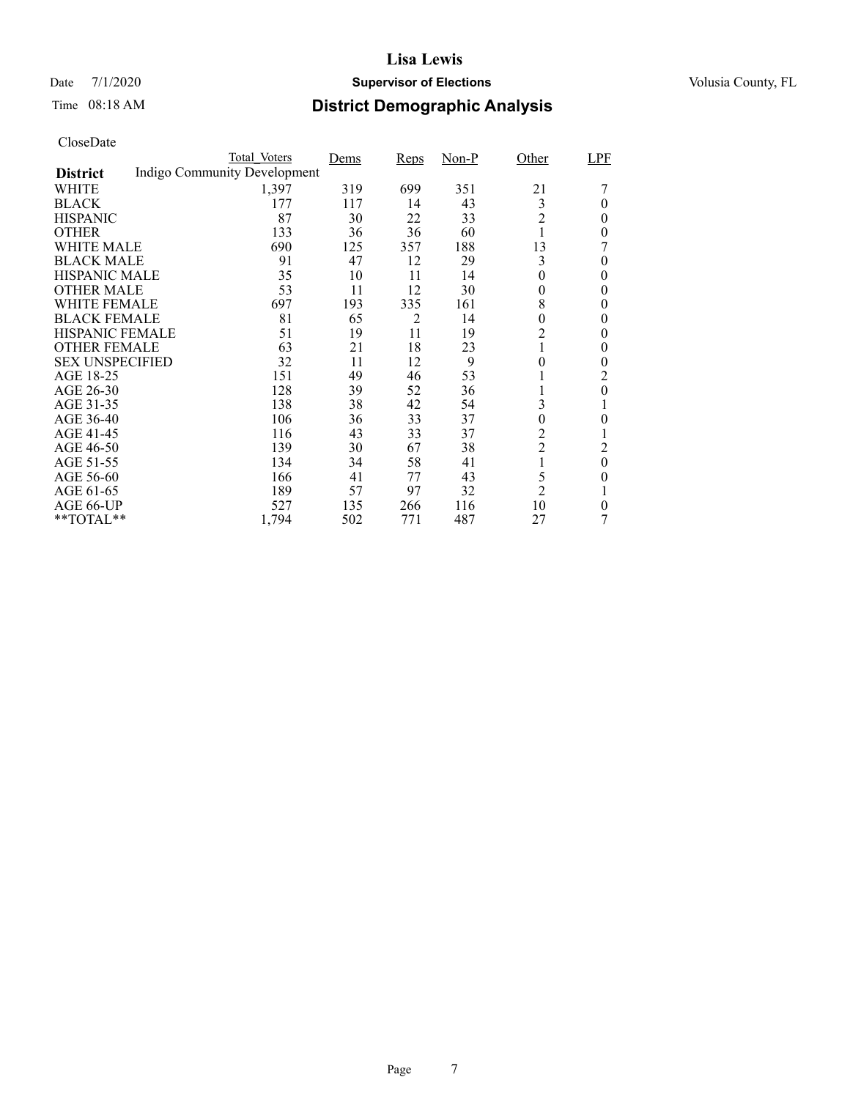### Date 7/1/2020 **Supervisor of Elections Supervisor of Elections** Volusia County, FL

# Time 08:18 AM **District Demographic Analysis**

|                        | Total Voters                 | Dems | <b>Reps</b> | $Non-P$ | Other            | LPF      |
|------------------------|------------------------------|------|-------------|---------|------------------|----------|
| <b>District</b>        | Indigo Community Development |      |             |         |                  |          |
| WHITE                  | 1,397                        | 319  | 699         | 351     | 21               |          |
| <b>BLACK</b>           | 177                          | 117  | 14          | 43      | 3                | 0        |
| <b>HISPANIC</b>        | 87                           | 30   | 22          | 33      | $\overline{2}$   | 0        |
| <b>OTHER</b>           | 133                          | 36   | 36          | 60      |                  | 0        |
| WHITE MALE             | 690                          | 125  | 357         | 188     | 13               |          |
| <b>BLACK MALE</b>      | 91                           | 47   | 12          | 29      | 3                | $\theta$ |
| <b>HISPANIC MALE</b>   | 35                           | 10   | 11          | 14      | $\theta$         | 0        |
| <b>OTHER MALE</b>      | 53                           | 11   | 12          | 30      | $\overline{0}$   | 0        |
| <b>WHITE FEMALE</b>    | 697                          | 193  | 335         | 161     | 8                | 0        |
| <b>BLACK FEMALE</b>    | 81                           | 65   | 2           | 14      | $\overline{0}$   | $\theta$ |
| <b>HISPANIC FEMALE</b> | 51                           | 19   | 11          | 19      | $\overline{c}$   | 0        |
| <b>OTHER FEMALE</b>    | 63                           | 21   | 18          | 23      |                  | 0        |
| <b>SEX UNSPECIFIED</b> | 32                           | 11   | 12          | 9       | 0                | 0        |
| AGE 18-25              | 151                          | 49   | 46          | 53      |                  | 2        |
| AGE 26-30              | 128                          | 39   | 52          | 36      |                  | $\theta$ |
| AGE 31-35              | 138                          | 38   | 42          | 54      | 3                |          |
| AGE 36-40              | 106                          | 36   | 33          | 37      | $\boldsymbol{0}$ | 0        |
| AGE 41-45              | 116                          | 43   | 33          | 37      | $\overline{c}$   |          |
| AGE 46-50              | 139                          | 30   | 67          | 38      | $\overline{c}$   | 2        |
| AGE 51-55              | 134                          | 34   | 58          | 41      | 1                | $\theta$ |
| AGE 56-60              | 166                          | 41   | 77          | 43      | 5                | 0        |
| AGE 61-65              | 189                          | 57   | 97          | 32      | $\overline{2}$   |          |
| AGE 66-UP              | 527                          | 135  | 266         | 116     | 10               | 0        |
| **TOTAL**              | 1,794                        | 502  | 771         | 487     | 27               |          |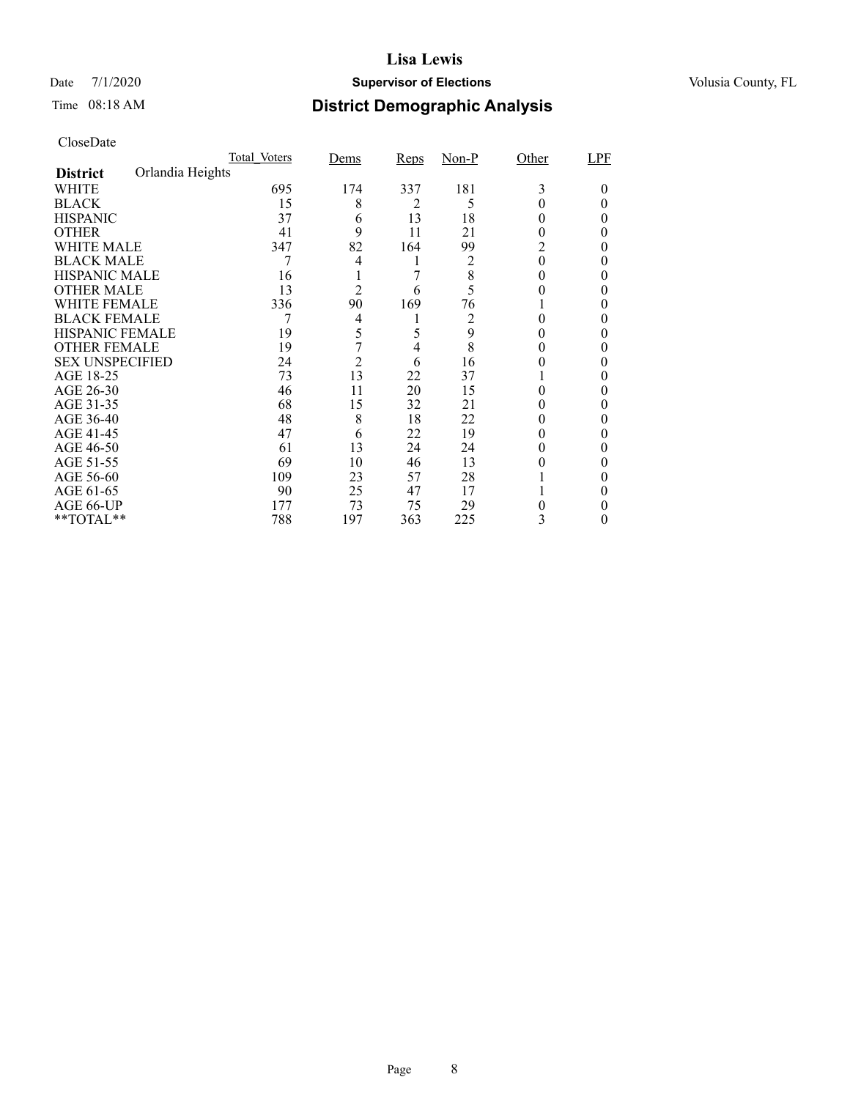### Date 7/1/2020 **Supervisor of Elections Supervisor of Elections** Volusia County, FL

# Time 08:18 AM **District Demographic Analysis**

|                        |                  | Total Voters | Dems           | <b>Reps</b> | $Non-P$ | Other    | LPF |
|------------------------|------------------|--------------|----------------|-------------|---------|----------|-----|
| <b>District</b>        | Orlandia Heights |              |                |             |         |          |     |
| WHITE                  |                  | 695          | 174            | 337         | 181     | 3        | 0   |
| <b>BLACK</b>           |                  | 15           | 8              | 2           | 5       |          |     |
| <b>HISPANIC</b>        |                  | 37           | 6              | 13          | 18      | 0        | 0   |
| <b>OTHER</b>           |                  | 41           | 9              | 11          | 21      | $_{0}$   |     |
| WHITE MALE             |                  | 347          | 82             | 164         | 99      | 2        |     |
| <b>BLACK MALE</b>      |                  |              | 4              | 1           | 2       | $\theta$ |     |
| <b>HISPANIC MALE</b>   |                  | 16           |                | 7           | 8       |          |     |
| <b>OTHER MALE</b>      |                  | 13           | $\overline{2}$ | 6           | 5       |          | 0   |
| WHITE FEMALE           |                  | 336          | 90             | 169         | 76      |          |     |
| <b>BLACK FEMALE</b>    |                  |              | 4              |             | 2       | 0        | 0   |
| <b>HISPANIC FEMALE</b> |                  | 19           | 5              | 5           | 9       |          |     |
| <b>OTHER FEMALE</b>    |                  | 19           | 7              | 4           | 8       | 0        |     |
| <b>SEX UNSPECIFIED</b> |                  | 24           | $\overline{c}$ | 6           | 16      |          |     |
| AGE 18-25              |                  | 73           | 13             | 22          | 37      |          |     |
| AGE 26-30              |                  | 46           | 11             | 20          | 15      | $_{0}$   | 0   |
| AGE 31-35              |                  | 68           | 15             | 32          | 21      |          |     |
| AGE 36-40              |                  | 48           | 8              | 18          | 22      |          | 0   |
| AGE 41-45              |                  | 47           | 6              | 22          | 19      |          |     |
| AGE 46-50              |                  | 61           | 13             | 24          | 24      | 0        | 0   |
| AGE 51-55              |                  | 69           | 10             | 46          | 13      |          |     |
| AGE 56-60              |                  | 109          | 23             | 57          | 28      |          |     |
| AGE 61-65              |                  | 90           | 25             | 47          | 17      |          |     |
| AGE 66-UP              |                  | 177          | 73             | 75          | 29      |          |     |
| **TOTAL**              |                  | 788          | 197            | 363         | 225     | 3        | 0   |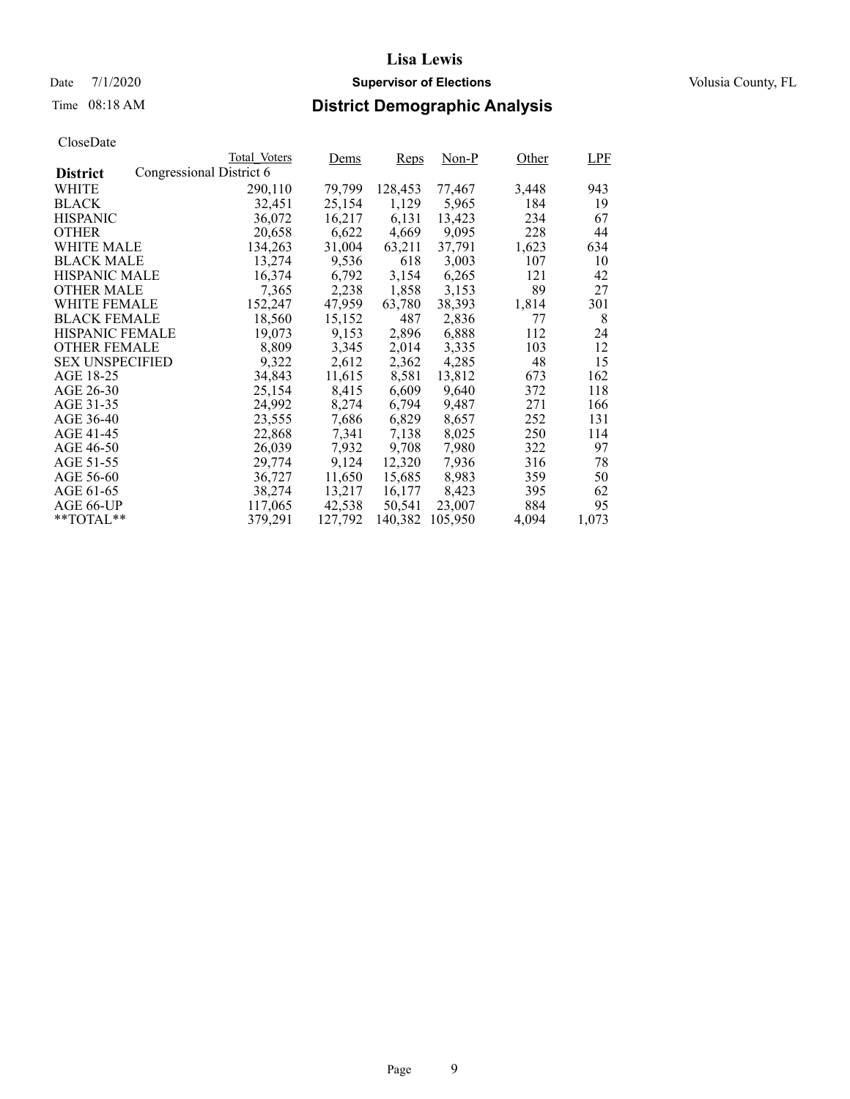### Date 7/1/2020 **Supervisor of Elections Supervisor of Elections** Volusia County, FL

# Time 08:18 AM **District Demographic Analysis**

|                        |                          | Total Voters | Dems    | Reps    | $Non-P$ | Other | LPF   |
|------------------------|--------------------------|--------------|---------|---------|---------|-------|-------|
| <b>District</b>        | Congressional District 6 |              |         |         |         |       |       |
| WHITE                  |                          | 290,110      | 79,799  | 128,453 | 77,467  | 3,448 | 943   |
| <b>BLACK</b>           |                          | 32,451       | 25,154  | 1,129   | 5,965   | 184   | 19    |
| <b>HISPANIC</b>        |                          | 36,072       | 16,217  | 6,131   | 13,423  | 234   | 67    |
| <b>OTHER</b>           |                          | 20,658       | 6,622   | 4,669   | 9,095   | 228   | 44    |
| WHITE MALE             |                          | 134,263      | 31,004  | 63,211  | 37.791  | 1,623 | 634   |
| <b>BLACK MALE</b>      |                          | 13,274       | 9,536   | 618     | 3,003   | 107   | 10    |
| <b>HISPANIC MALE</b>   |                          | 16,374       | 6,792   | 3,154   | 6,265   | 121   | 42    |
| <b>OTHER MALE</b>      |                          | 7,365        | 2,238   | 1,858   | 3,153   | 89    | 27    |
| <b>WHITE FEMALE</b>    |                          | 152,247      | 47,959  | 63,780  | 38,393  | 1,814 | 301   |
| <b>BLACK FEMALE</b>    |                          | 18,560       | 15,152  | 487     | 2,836   | 77    | 8     |
| <b>HISPANIC FEMALE</b> |                          | 19,073       | 9,153   | 2,896   | 6,888   | 112   | 24    |
| <b>OTHER FEMALE</b>    |                          | 8.809        | 3,345   | 2,014   | 3.335   | 103   | 12    |
| <b>SEX UNSPECIFIED</b> |                          | 9,322        | 2,612   | 2,362   | 4,285   | 48    | 15    |
| AGE 18-25              |                          | 34,843       | 11,615  | 8,581   | 13,812  | 673   | 162   |
| AGE 26-30              |                          | 25,154       | 8,415   | 6,609   | 9.640   | 372   | 118   |
| AGE 31-35              |                          | 24,992       | 8,274   | 6,794   | 9,487   | 271   | 166   |
| AGE 36-40              |                          | 23,555       | 7,686   | 6,829   | 8,657   | 252   | 131   |
| AGE 41-45              |                          | 22,868       | 7,341   | 7,138   | 8,025   | 250   | 114   |
| AGE 46-50              |                          | 26,039       | 7,932   | 9,708   | 7,980   | 322   | 97    |
| AGE 51-55              |                          | 29,774       | 9,124   | 12,320  | 7,936   | 316   | 78    |
| AGE 56-60              |                          | 36,727       | 11,650  | 15,685  | 8,983   | 359   | 50    |
| AGE 61-65              |                          | 38,274       | 13,217  | 16,177  | 8,423   | 395   | 62    |
| AGE 66-UP              |                          | 117,065      | 42,538  | 50,541  | 23,007  | 884   | 95    |
| $*$ $TOTAL**$          |                          | 379.291      | 127,792 | 140,382 | 105,950 | 4,094 | 1,073 |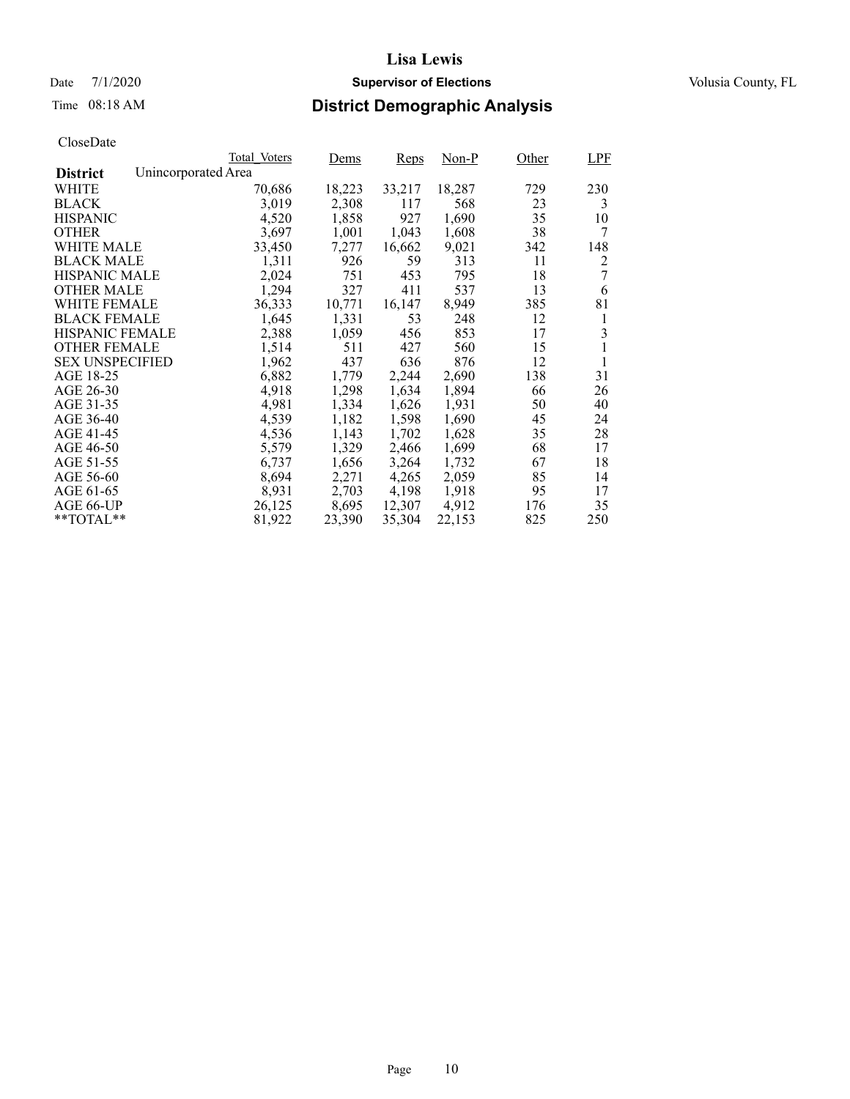### Date 7/1/2020 **Supervisor of Elections Supervisor of Elections** Volusia County, FL

# Time 08:18 AM **District Demographic Analysis**

|                        |                     | Total Voters | Dems   | Reps   | Non-P  | Other | LPF |
|------------------------|---------------------|--------------|--------|--------|--------|-------|-----|
| <b>District</b>        | Unincorporated Area |              |        |        |        |       |     |
| WHITE                  |                     | 70,686       | 18,223 | 33,217 | 18,287 | 729   | 230 |
| <b>BLACK</b>           |                     | 3,019        | 2,308  | 117    | 568    | 23    | 3   |
| <b>HISPANIC</b>        |                     | 4,520        | 1,858  | 927    | 1,690  | 35    | 10  |
| <b>OTHER</b>           |                     | 3,697        | 1,001  | 1,043  | 1,608  | 38    | 7   |
| WHITE MALE             |                     | 33,450       | 7,277  | 16,662 | 9,021  | 342   | 148 |
| <b>BLACK MALE</b>      |                     | 1,311        | 926    | 59     | 313    | 11    | 2   |
| <b>HISPANIC MALE</b>   |                     | 2,024        | 751    | 453    | 795    | 18    | 7   |
| <b>OTHER MALE</b>      |                     | 1,294        | 327    | 411    | 537    | 13    | 6   |
| <b>WHITE FEMALE</b>    |                     | 36,333       | 10,771 | 16,147 | 8,949  | 385   | 81  |
| <b>BLACK FEMALE</b>    |                     | 1,645        | 1,331  | 53     | 248    | 12    | 1   |
| <b>HISPANIC FEMALE</b> |                     | 2,388        | 1,059  | 456    | 853    | 17    | 3   |
| <b>OTHER FEMALE</b>    |                     | 1,514        | 511    | 427    | 560    | 15    | 1   |
| <b>SEX UNSPECIFIED</b> |                     | 1,962        | 437    | 636    | 876    | 12    | 1   |
| AGE 18-25              |                     | 6,882        | 1,779  | 2,244  | 2,690  | 138   | 31  |
| AGE 26-30              |                     | 4,918        | 1,298  | 1,634  | 1,894  | 66    | 26  |
| AGE 31-35              |                     | 4,981        | 1,334  | 1,626  | 1,931  | 50    | 40  |
| AGE 36-40              |                     | 4,539        | 1,182  | 1,598  | 1,690  | 45    | 24  |
| AGE 41-45              |                     | 4,536        | 1,143  | 1,702  | 1,628  | 35    | 28  |
| AGE 46-50              |                     | 5,579        | 1,329  | 2,466  | 1,699  | 68    | 17  |
| AGE 51-55              |                     | 6,737        | 1,656  | 3,264  | 1,732  | 67    | 18  |
| AGE 56-60              |                     | 8,694        | 2,271  | 4,265  | 2,059  | 85    | 14  |
| AGE 61-65              |                     | 8,931        | 2,703  | 4,198  | 1,918  | 95    | 17  |
| AGE 66-UP              |                     | 26,125       | 8,695  | 12,307 | 4,912  | 176   | 35  |
| $*$ $TOTAL**$          |                     | 81,922       | 23,390 | 35,304 | 22,153 | 825   | 250 |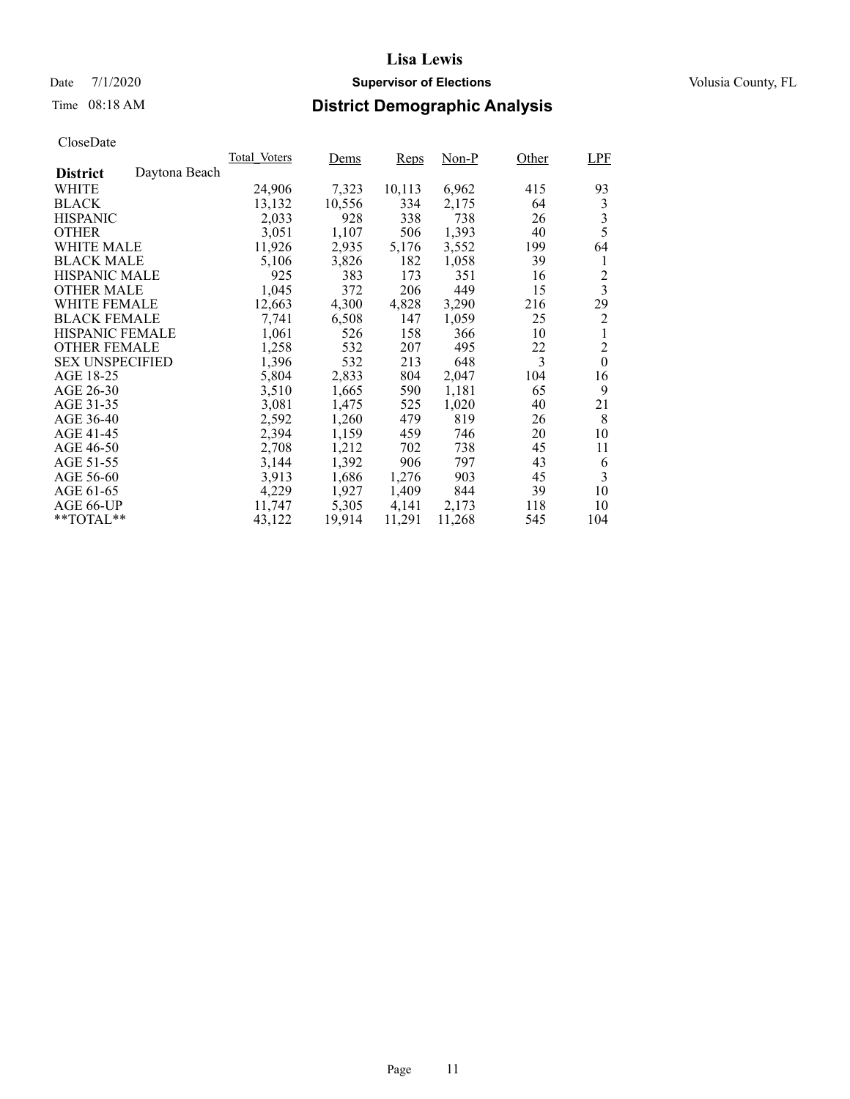Time 08:18 AM **District Demographic Analysis**

### **Lisa Lewis**

|                        |               | Total Voters | Dems   | Reps   | $Non-P$ | Other | LPF                     |
|------------------------|---------------|--------------|--------|--------|---------|-------|-------------------------|
| <b>District</b>        | Daytona Beach |              |        |        |         |       |                         |
| WHITE                  |               | 24,906       | 7,323  | 10,113 | 6,962   | 415   | 93                      |
| <b>BLACK</b>           |               | 13,132       | 10,556 | 334    | 2,175   | 64    | 3                       |
| <b>HISPANIC</b>        |               | 2,033        | 928    | 338    | 738     | 26    | 3                       |
| <b>OTHER</b>           |               | 3,051        | 1,107  | 506    | 1,393   | 40    | 5                       |
| <b>WHITE MALE</b>      |               | 11,926       | 2,935  | 5,176  | 3,552   | 199   | 64                      |
| <b>BLACK MALE</b>      |               | 5,106        | 3,826  | 182    | 1,058   | 39    | 1                       |
| <b>HISPANIC MALE</b>   |               | 925          | 383    | 173    | 351     | 16    | $\overline{c}$          |
| <b>OTHER MALE</b>      |               | 1,045        | 372    | 206    | 449     | 15    | $\overline{\mathbf{3}}$ |
| <b>WHITE FEMALE</b>    |               | 12,663       | 4,300  | 4,828  | 3,290   | 216   | 29                      |
| <b>BLACK FEMALE</b>    |               | 7,741        | 6,508  | 147    | 1,059   | 25    | $\overline{c}$          |
| <b>HISPANIC FEMALE</b> |               | 1,061        | 526    | 158    | 366     | 10    | 1                       |
| <b>OTHER FEMALE</b>    |               | 1,258        | 532    | 207    | 495     | 22    | $\overline{c}$          |
| <b>SEX UNSPECIFIED</b> |               | 1,396        | 532    | 213    | 648     | 3     | $\boldsymbol{0}$        |
| AGE 18-25              |               | 5,804        | 2,833  | 804    | 2,047   | 104   | 16                      |
| AGE 26-30              |               | 3,510        | 1,665  | 590    | 1,181   | 65    | 9                       |
| AGE 31-35              |               | 3,081        | 1,475  | 525    | 1,020   | 40    | 21                      |
| AGE 36-40              |               | 2,592        | 1,260  | 479    | 819     | 26    | 8                       |
| AGE 41-45              |               | 2,394        | 1,159  | 459    | 746     | 20    | 10                      |
| AGE 46-50              |               | 2,708        | 1,212  | 702    | 738     | 45    | 11                      |
| AGE 51-55              |               | 3,144        | 1,392  | 906    | 797     | 43    | 6                       |
| AGE 56-60              |               | 3,913        | 1,686  | 1,276  | 903     | 45    | 3                       |
| AGE 61-65              |               | 4,229        | 1,927  | 1,409  | 844     | 39    | 10                      |
| AGE 66-UP              |               | 11,747       | 5,305  | 4,141  | 2,173   | 118   | 10                      |
| **TOTAL**              |               | 43,122       | 19,914 | 11,291 | 11,268  | 545   | 104                     |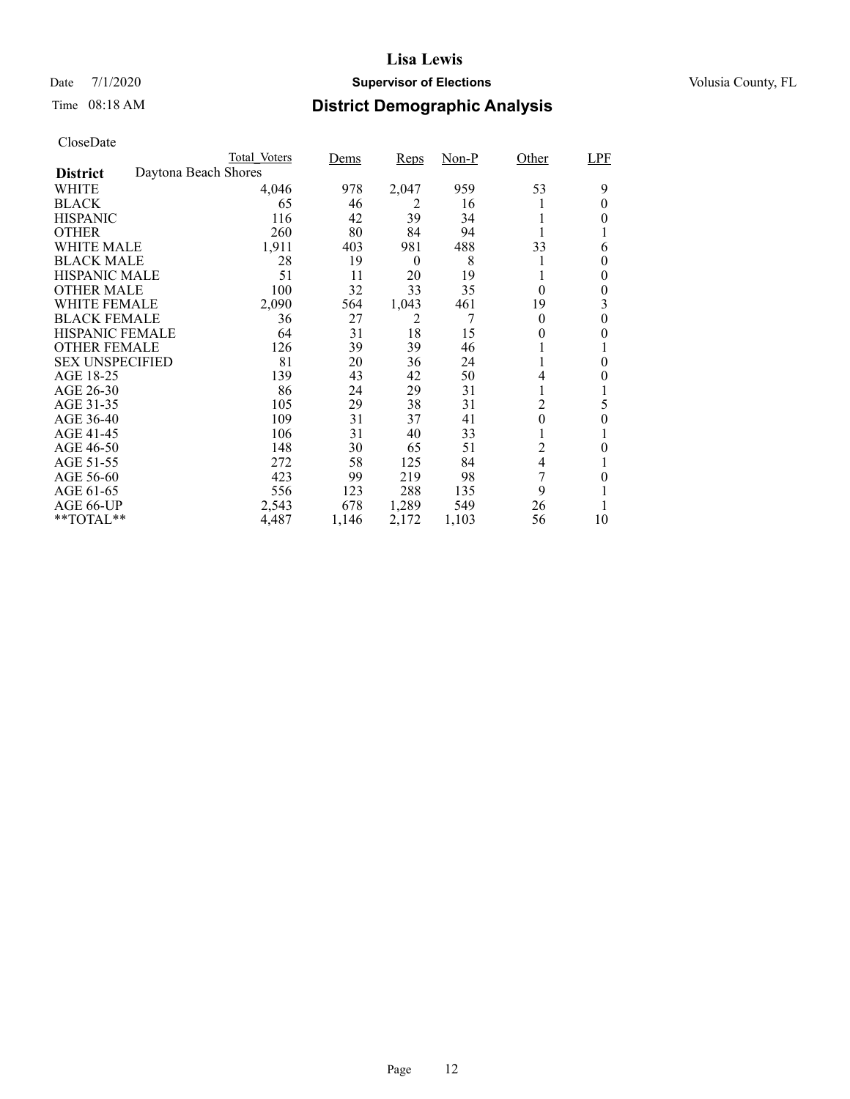### Date 7/1/2020 **Supervisor of Elections Supervisor of Elections** Volusia County, FL

# Time 08:18 AM **District Demographic Analysis**

|                        |                      | Total Voters | Dems  | <b>Reps</b>      | Non-P | Other            | LPF      |
|------------------------|----------------------|--------------|-------|------------------|-------|------------------|----------|
| <b>District</b>        | Daytona Beach Shores |              |       |                  |       |                  |          |
| WHITE                  |                      | 4,046        | 978   | 2,047            | 959   | 53               | 9        |
| <b>BLACK</b>           |                      | 65           | 46    | 2                | 16    |                  | 0        |
| <b>HISPANIC</b>        |                      | 116          | 42    | 39               | 34    |                  | $\theta$ |
| <b>OTHER</b>           |                      | 260          | 80    | 84               | 94    |                  |          |
| WHITE MALE             |                      | 1,911        | 403   | 981              | 488   | 33               | 6        |
| <b>BLACK MALE</b>      |                      | 28           | 19    | $\boldsymbol{0}$ | 8     |                  | $\theta$ |
| <b>HISPANIC MALE</b>   |                      | 51           | 11    | 20               | 19    |                  | 0        |
| <b>OTHER MALE</b>      |                      | 100          | 32    | 33               | 35    | $\theta$         | 0        |
| WHITE FEMALE           |                      | 2,090        | 564   | 1,043            | 461   | 19               | 3        |
| <b>BLACK FEMALE</b>    |                      | 36           | 27    | 2                | 7     | $\theta$         | $\theta$ |
| <b>HISPANIC FEMALE</b> |                      | 64           | 31    | 18               | 15    | 0                | 0        |
| <b>OTHER FEMALE</b>    |                      | 126          | 39    | 39               | 46    |                  |          |
| <b>SEX UNSPECIFIED</b> |                      | 81           | 20    | 36               | 24    |                  | $\theta$ |
| AGE 18-25              |                      | 139          | 43    | 42               | 50    | 4                | 0        |
| AGE 26-30              |                      | 86           | 24    | 29               | 31    |                  |          |
| AGE 31-35              |                      | 105          | 29    | 38               | 31    | $\overline{c}$   | 5        |
| AGE 36-40              |                      | 109          | 31    | 37               | 41    | $\boldsymbol{0}$ | $\theta$ |
| AGE 41-45              |                      | 106          | 31    | 40               | 33    |                  |          |
| AGE 46-50              |                      | 148          | 30    | 65               | 51    | $\overline{c}$   | 0        |
| AGE 51-55              |                      | 272          | 58    | 125              | 84    | 4                |          |
| AGE 56-60              |                      | 423          | 99    | 219              | 98    | 7                | 0        |
| AGE 61-65              |                      | 556          | 123   | 288              | 135   | 9                |          |
| AGE 66-UP              |                      | 2,543        | 678   | 1,289            | 549   | 26               |          |
| $*$ $TOTAL**$          |                      | 4,487        | 1,146 | 2,172            | 1,103 | 56               | 10       |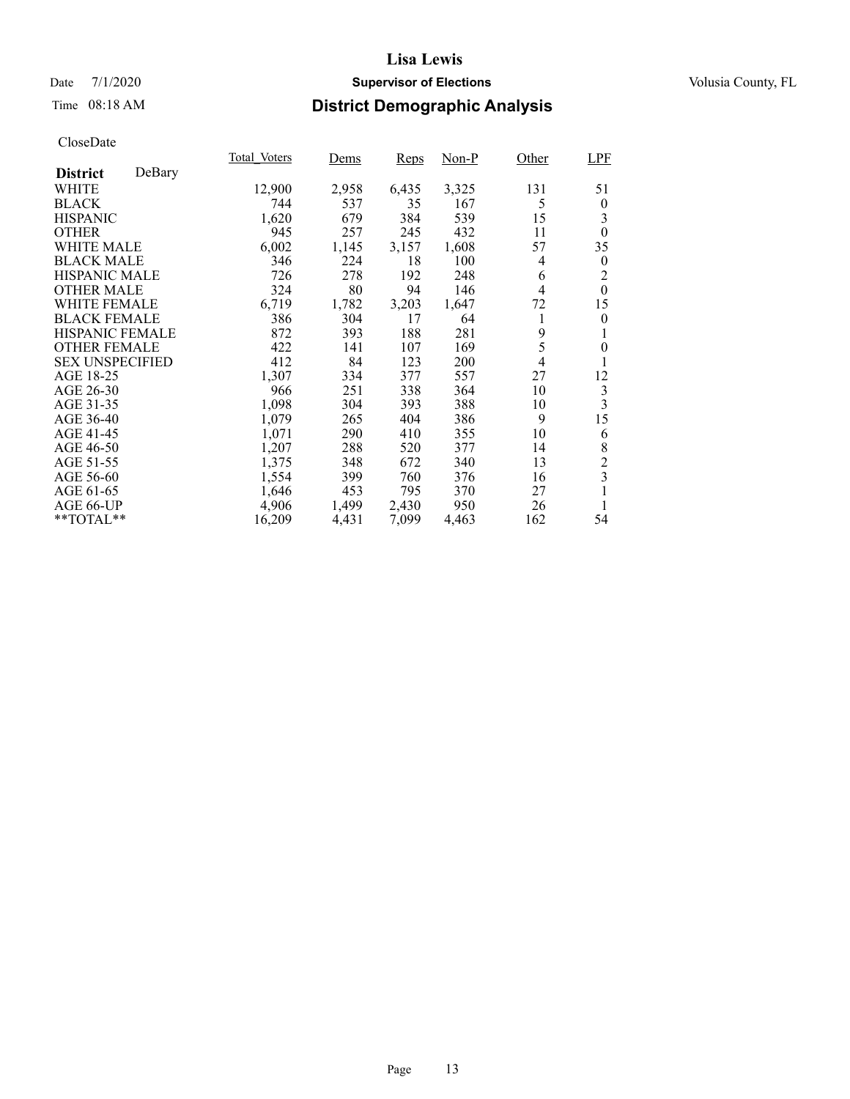### Date 7/1/2020 **Supervisor of Elections Supervisor of Elections** Volusia County, FL

# Time 08:18 AM **District Demographic Analysis**

|                        |        | Total Voters | Dems  | Reps  | Non-P | Other          | LPF              |
|------------------------|--------|--------------|-------|-------|-------|----------------|------------------|
| <b>District</b>        | DeBary |              |       |       |       |                |                  |
| WHITE                  |        | 12,900       | 2,958 | 6,435 | 3,325 | 131            | 51               |
| <b>BLACK</b>           |        | 744          | 537   | 35    | 167   | 5              | $\boldsymbol{0}$ |
| <b>HISPANIC</b>        |        | 1,620        | 679   | 384   | 539   | 15             | 3                |
| <b>OTHER</b>           |        | 945          | 257   | 245   | 432   | 11             | $\theta$         |
| WHITE MALE             |        | 6,002        | 1,145 | 3,157 | 1,608 | 57             | 35               |
| <b>BLACK MALE</b>      |        | 346          | 224   | 18    | 100   | 4              | $\boldsymbol{0}$ |
| <b>HISPANIC MALE</b>   |        | 726          | 278   | 192   | 248   | 6              | 2                |
| <b>OTHER MALE</b>      |        | 324          | 80    | 94    | 146   | 4              | $\theta$         |
| <b>WHITE FEMALE</b>    |        | 6,719        | 1,782 | 3,203 | 1,647 | 72             | 15               |
| <b>BLACK FEMALE</b>    |        | 386          | 304   | 17    | 64    | 1              | $\boldsymbol{0}$ |
| HISPANIC FEMALE        |        | 872          | 393   | 188   | 281   | 9              | 1                |
| <b>OTHER FEMALE</b>    |        | 422          | 141   | 107   | 169   | 5              | $\overline{0}$   |
| <b>SEX UNSPECIFIED</b> |        | 412          | 84    | 123   | 200   | $\overline{4}$ | 1                |
| AGE 18-25              |        | 1,307        | 334   | 377   | 557   | 27             | 12               |
| AGE 26-30              |        | 966          | 251   | 338   | 364   | 10             | 3                |
| AGE 31-35              |        | 1,098        | 304   | 393   | 388   | 10             | 3                |
| AGE 36-40              |        | 1,079        | 265   | 404   | 386   | 9              | 15               |
| AGE 41-45              |        | 1,071        | 290   | 410   | 355   | 10             | 6                |
| AGE 46-50              |        | 1,207        | 288   | 520   | 377   | 14             | 8                |
| AGE 51-55              |        | 1,375        | 348   | 672   | 340   | 13             | $\overline{c}$   |
| AGE 56-60              |        | 1,554        | 399   | 760   | 376   | 16             | 3                |
| AGE 61-65              |        | 1,646        | 453   | 795   | 370   | 27             | 1                |
| AGE 66-UP              |        | 4,906        | 1,499 | 2,430 | 950   | 26             | 1                |
| **TOTAL**              |        | 16,209       | 4,431 | 7,099 | 4,463 | 162            | 54               |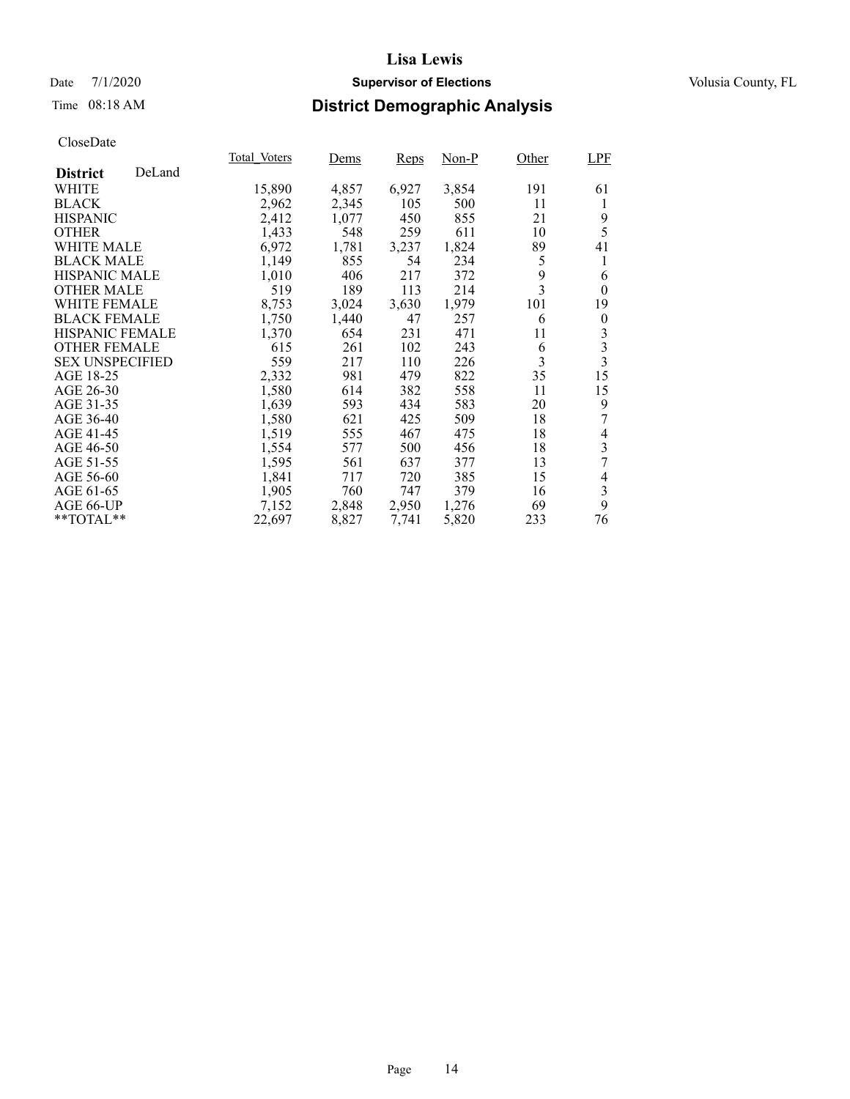### Date 7/1/2020 **Supervisor of Elections Supervisor of Elections** Volusia County, FL

## Time 08:18 AM **District Demographic Analysis**

|                        |        | Total Voters | Dems  | Reps  | Non-P | Other          | <b>LPF</b>     |
|------------------------|--------|--------------|-------|-------|-------|----------------|----------------|
| <b>District</b>        | DeLand |              |       |       |       |                |                |
| WHITE                  |        | 15,890       | 4,857 | 6,927 | 3,854 | 191            | 61             |
| <b>BLACK</b>           |        | 2,962        | 2,345 | 105   | 500   | 11             | 1              |
| <b>HISPANIC</b>        |        | 2,412        | 1,077 | 450   | 855   | 21             | 9              |
| <b>OTHER</b>           |        | 1,433        | 548   | 259   | 611   | 10             | 5              |
| WHITE MALE             |        | 6,972        | 1,781 | 3,237 | 1,824 | 89             | 41             |
| <b>BLACK MALE</b>      |        | 1,149        | 855   | 54    | 234   | 5              | 1              |
| <b>HISPANIC MALE</b>   |        | 1,010        | 406   | 217   | 372   | 9              | 6              |
| <b>OTHER MALE</b>      |        | 519          | 189   | 113   | 214   | $\overline{3}$ | $\theta$       |
| <b>WHITE FEMALE</b>    |        | 8,753        | 3,024 | 3,630 | 1,979 | 101            | 19             |
| <b>BLACK FEMALE</b>    |        | 1,750        | 1,440 | 47    | 257   | 6              | $\theta$       |
| HISPANIC FEMALE        |        | 1,370        | 654   | 231   | 471   | 11             | 3              |
| <b>OTHER FEMALE</b>    |        | 615          | 261   | 102   | 243   | 6              | 3              |
| <b>SEX UNSPECIFIED</b> |        | 559          | 217   | 110   | 226   | 3              | $\overline{3}$ |
| AGE 18-25              |        | 2,332        | 981   | 479   | 822   | 35             | 15             |
| AGE 26-30              |        | 1,580        | 614   | 382   | 558   | 11             | 15             |
| AGE 31-35              |        | 1,639        | 593   | 434   | 583   | 20             | 9              |
| AGE 36-40              |        | 1,580        | 621   | 425   | 509   | 18             |                |
| AGE 41-45              |        | 1,519        | 555   | 467   | 475   | 18             | 4              |
| AGE 46-50              |        | 1,554        | 577   | 500   | 456   | 18             | 3              |
| AGE 51-55              |        | 1,595        | 561   | 637   | 377   | 13             | 7              |
| AGE 56-60              |        | 1,841        | 717   | 720   | 385   | 15             | 4              |
| AGE 61-65              |        | 1,905        | 760   | 747   | 379   | 16             | $\mathfrak{Z}$ |
| AGE 66-UP              |        | 7,152        | 2,848 | 2,950 | 1,276 | 69             | 9              |
| **TOTAL**              |        | 22,697       | 8,827 | 7,741 | 5,820 | 233            | 76             |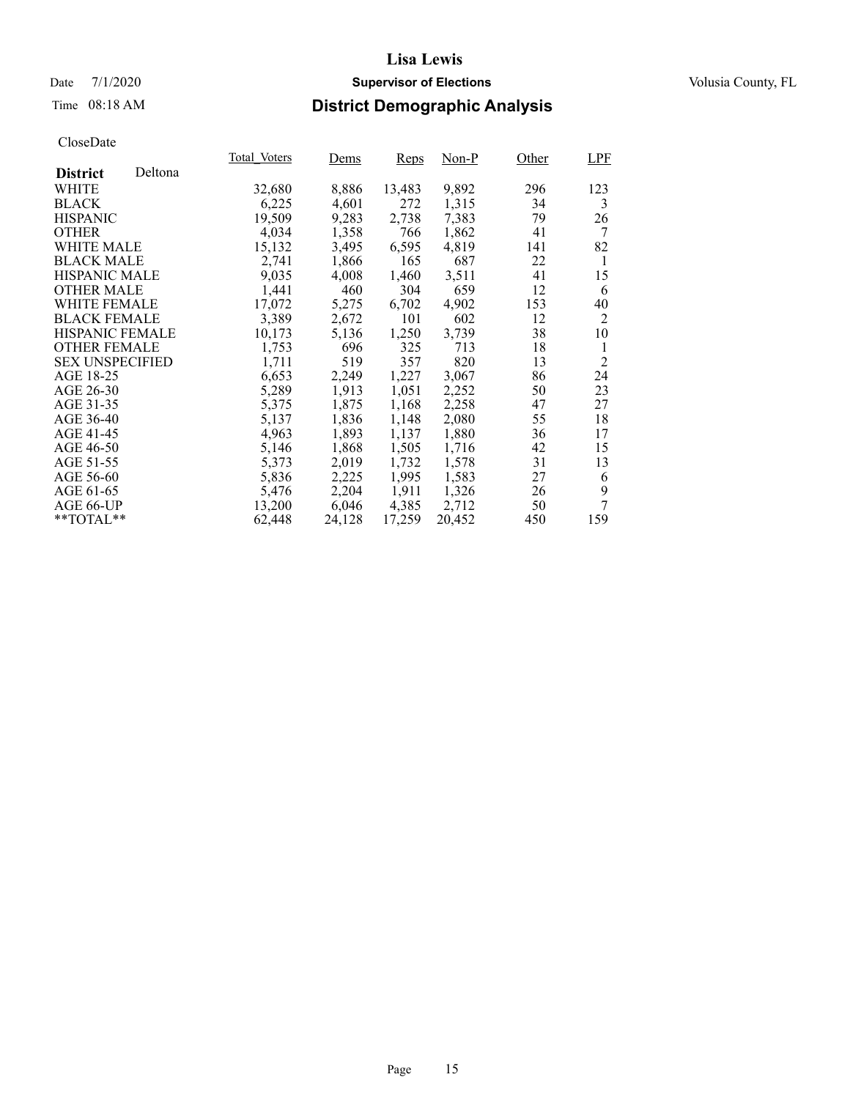### Date 7/1/2020 **Supervisor of Elections Supervisor of Elections** Volusia County, FL

# Time 08:18 AM **District Demographic Analysis**

|                        |         | Total Voters | Dems   | Reps   | Non-P  | Other | LPF            |
|------------------------|---------|--------------|--------|--------|--------|-------|----------------|
| <b>District</b>        | Deltona |              |        |        |        |       |                |
| WHITE                  |         | 32,680       | 8,886  | 13,483 | 9,892  | 296   | 123            |
| <b>BLACK</b>           |         | 6,225        | 4,601  | 272    | 1,315  | 34    | 3              |
| <b>HISPANIC</b>        |         | 19,509       | 9,283  | 2,738  | 7,383  | 79    | 26             |
| <b>OTHER</b>           |         | 4,034        | 1,358  | 766    | 1,862  | 41    | 7              |
| WHITE MALE             |         | 15,132       | 3,495  | 6,595  | 4,819  | 141   | 82             |
| <b>BLACK MALE</b>      |         | 2,741        | 1,866  | 165    | 687    | 22    | 1              |
| <b>HISPANIC MALE</b>   |         | 9,035        | 4,008  | 1,460  | 3,511  | 41    | 15             |
| <b>OTHER MALE</b>      |         | 1,441        | 460    | 304    | 659    | 12    | 6              |
| <b>WHITE FEMALE</b>    |         | 17,072       | 5,275  | 6,702  | 4,902  | 153   | 40             |
| <b>BLACK FEMALE</b>    |         | 3,389        | 2,672  | 101    | 602    | 12    | $\overline{2}$ |
| HISPANIC FEMALE        |         | 10,173       | 5,136  | 1,250  | 3,739  | 38    | 10             |
| <b>OTHER FEMALE</b>    |         | 1,753        | 696    | 325    | 713    | 18    | 1              |
| <b>SEX UNSPECIFIED</b> |         | 1,711        | 519    | 357    | 820    | 13    | $\overline{2}$ |
| AGE 18-25              |         | 6,653        | 2,249  | 1,227  | 3,067  | 86    | 24             |
| AGE 26-30              |         | 5,289        | 1,913  | 1,051  | 2,252  | 50    | 23             |
| AGE 31-35              |         | 5,375        | 1,875  | 1,168  | 2,258  | 47    | 27             |
| AGE 36-40              |         | 5,137        | 1,836  | 1,148  | 2,080  | 55    | 18             |
| AGE 41-45              |         | 4,963        | 1,893  | 1,137  | 1,880  | 36    | 17             |
| AGE 46-50              |         | 5,146        | 1,868  | 1,505  | 1,716  | 42    | 15             |
| AGE 51-55              |         | 5,373        | 2,019  | 1,732  | 1,578  | 31    | 13             |
| AGE 56-60              |         | 5,836        | 2,225  | 1,995  | 1,583  | 27    | 6              |
| AGE 61-65              |         | 5,476        | 2,204  | 1,911  | 1,326  | 26    | 9              |
| AGE 66-UP              |         | 13,200       | 6,046  | 4,385  | 2,712  | 50    | 7              |
| **TOTAL**              |         | 62,448       | 24,128 | 17,259 | 20,452 | 450   | 159            |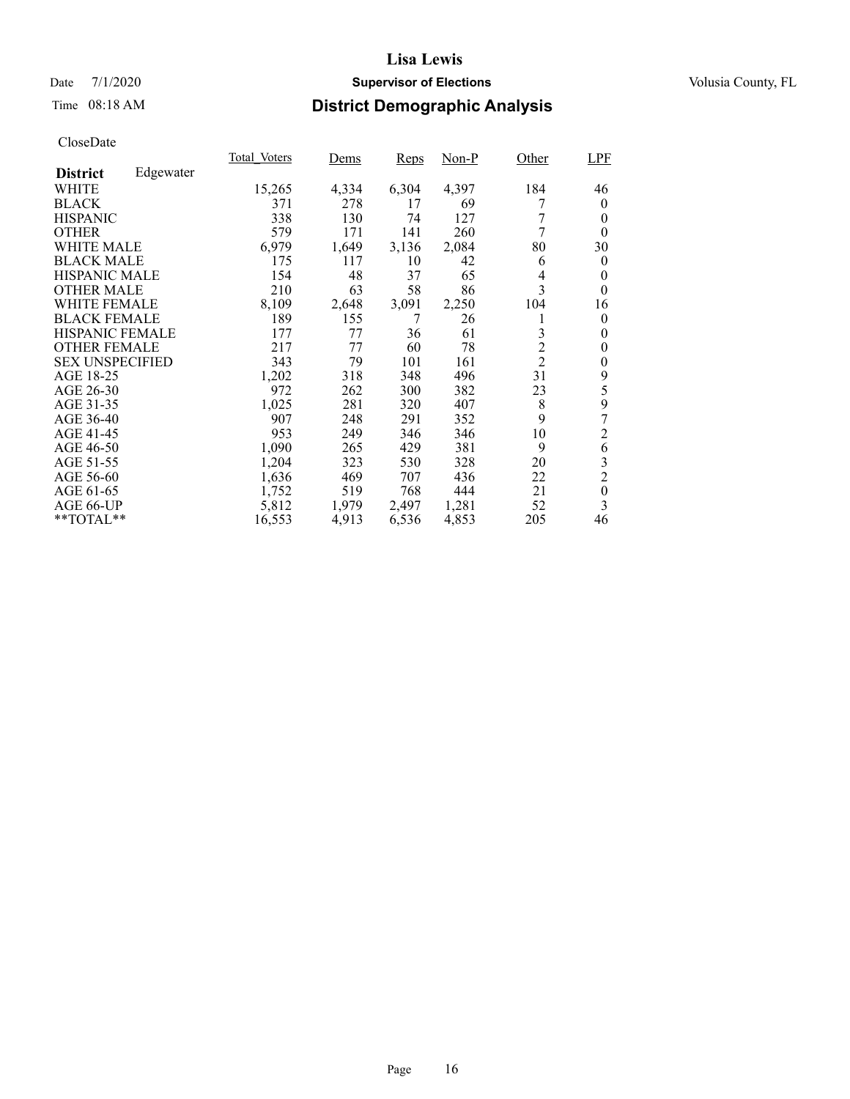### Date 7/1/2020 **Supervisor of Elections Supervisor of Elections** Volusia County, FL

# Time 08:18 AM **District Demographic Analysis**

|                        |           | Total Voters | Dems  | Reps  | Non-P | Other          | LPF              |
|------------------------|-----------|--------------|-------|-------|-------|----------------|------------------|
| <b>District</b>        | Edgewater |              |       |       |       |                |                  |
| WHITE                  |           | 15,265       | 4,334 | 6,304 | 4,397 | 184            | 46               |
| <b>BLACK</b>           |           | 371          | 278   | 17    | 69    |                | $\theta$         |
| <b>HISPANIC</b>        |           | 338          | 130   | 74    | 127   | 7              | 0                |
| <b>OTHER</b>           |           | 579          | 171   | 141   | 260   | 7              | $\theta$         |
| WHITE MALE             |           | 6,979        | 1,649 | 3,136 | 2,084 | 80             | 30               |
| <b>BLACK MALE</b>      |           | 175          | 117   | 10    | 42    | 6              | $\theta$         |
| <b>HISPANIC MALE</b>   |           | 154          | 48    | 37    | 65    | 4              | 0                |
| <b>OTHER MALE</b>      |           | 210          | 63    | 58    | 86    | 3              | 0                |
| <b>WHITE FEMALE</b>    |           | 8,109        | 2,648 | 3,091 | 2,250 | 104            | 16               |
| <b>BLACK FEMALE</b>    |           | 189          | 155   | 7     | 26    | 1              | $\theta$         |
| HISPANIC FEMALE        |           | 177          | 77    | 36    | 61    | 3              | 0                |
| <b>OTHER FEMALE</b>    |           | 217          | 77    | 60    | 78    | $\overline{c}$ | 0                |
| <b>SEX UNSPECIFIED</b> |           | 343          | 79    | 101   | 161   | $\overline{2}$ | $\overline{0}$   |
| AGE 18-25              |           | 1,202        | 318   | 348   | 496   | 31             | 9                |
| AGE 26-30              |           | 972          | 262   | 300   | 382   | 23             | 5                |
| AGE 31-35              |           | 1,025        | 281   | 320   | 407   | 8              | 9                |
| AGE 36-40              |           | 907          | 248   | 291   | 352   | 9              | 7                |
| AGE 41-45              |           | 953          | 249   | 346   | 346   | 10             | $\overline{c}$   |
| AGE 46-50              |           | 1,090        | 265   | 429   | 381   | 9              | 6                |
| AGE 51-55              |           | 1,204        | 323   | 530   | 328   | 20             | 3                |
| AGE 56-60              |           | 1,636        | 469   | 707   | 436   | 22             | $\overline{2}$   |
| AGE 61-65              |           | 1,752        | 519   | 768   | 444   | 21             | $\boldsymbol{0}$ |
| AGE 66-UP              |           | 5,812        | 1,979 | 2,497 | 1,281 | 52             | 3                |
| **TOTAL**              |           | 16,553       | 4,913 | 6,536 | 4,853 | 205            | 46               |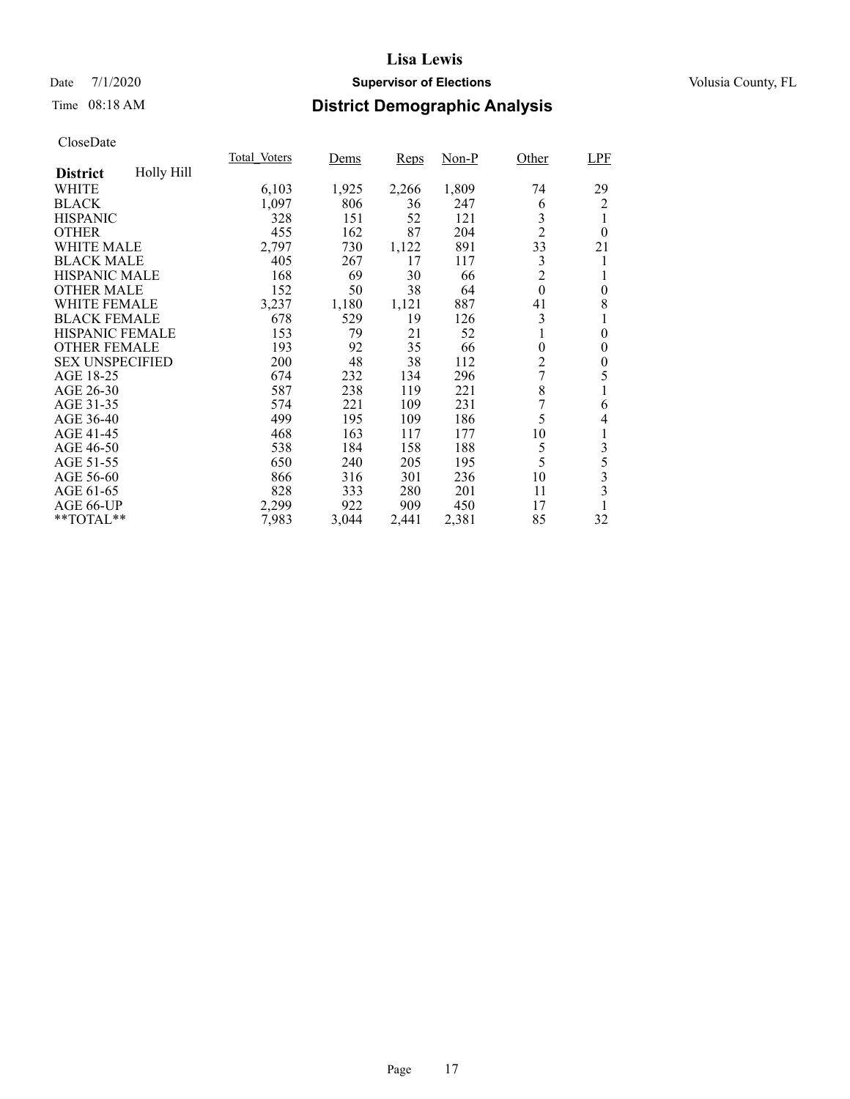### Date 7/1/2020 **Supervisor of Elections Supervisor of Elections** Volusia County, FL

# Time 08:18 AM **District Demographic Analysis**

|                        |            | Total Voters | Dems  | <b>Reps</b> | Non-P | Other          | <b>LPF</b>       |
|------------------------|------------|--------------|-------|-------------|-------|----------------|------------------|
| <b>District</b>        | Holly Hill |              |       |             |       |                |                  |
| WHITE                  |            | 6,103        | 1,925 | 2,266       | 1,809 | 74             | 29               |
| <b>BLACK</b>           |            | 1,097        | 806   | 36          | 247   | 6              | 2                |
| <b>HISPANIC</b>        |            | 328          | 151   | 52          | 121   | 3              |                  |
| <b>OTHER</b>           |            | 455          | 162   | 87          | 204   | $\overline{2}$ | $\theta$         |
| WHITE MALE             |            | 2,797        | 730   | 1,122       | 891   | 33             | 21               |
| <b>BLACK MALE</b>      |            | 405          | 267   | 17          | 117   | 3              | 1                |
| <b>HISPANIC MALE</b>   |            | 168          | 69    | 30          | 66    | $\overline{c}$ |                  |
| <b>OTHER MALE</b>      |            | 152          | 50    | 38          | 64    | $\theta$       | $\boldsymbol{0}$ |
| <b>WHITE FEMALE</b>    |            | 3,237        | 1,180 | 1,121       | 887   | 41             | 8                |
| <b>BLACK FEMALE</b>    |            | 678          | 529   | 19          | 126   | 3              |                  |
| HISPANIC FEMALE        |            | 153          | 79    | 21          | 52    | 1              | $\theta$         |
| <b>OTHER FEMALE</b>    |            | 193          | 92    | 35          | 66    | $\theta$       | 0                |
| <b>SEX UNSPECIFIED</b> |            | 200          | 48    | 38          | 112   | $\overline{2}$ | 0                |
| AGE 18-25              |            | 674          | 232   | 134         | 296   | 7              | 5                |
| AGE 26-30              |            | 587          | 238   | 119         | 221   | 8              |                  |
| AGE 31-35              |            | 574          | 221   | 109         | 231   | 7              | 6                |
| AGE 36-40              |            | 499          | 195   | 109         | 186   | 5              | 4                |
| AGE 41-45              |            | 468          | 163   | 117         | 177   | 10             | 1                |
| AGE 46-50              |            | 538          | 184   | 158         | 188   | 5              | 3                |
| AGE 51-55              |            | 650          | 240   | 205         | 195   | 5              | 5                |
| AGE 56-60              |            | 866          | 316   | 301         | 236   | 10             | 3                |
| AGE 61-65              |            | 828          | 333   | 280         | 201   | 11             | 3                |
| AGE 66-UP              |            | 2,299        | 922   | 909         | 450   | 17             |                  |
| **TOTAL**              |            | 7,983        | 3,044 | 2,441       | 2,381 | 85             | 32               |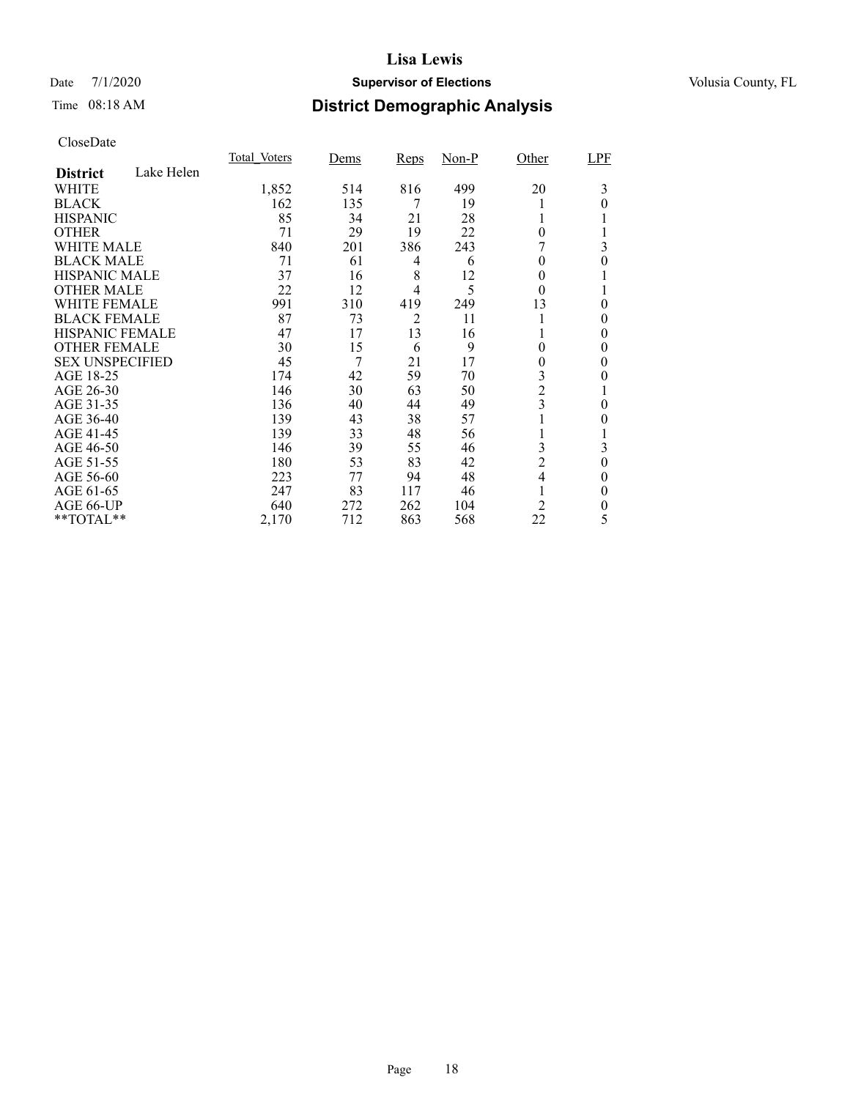### Date 7/1/2020 **Supervisor of Elections Supervisor of Elections** Volusia County, FL

# Time 08:18 AM **District Demographic Analysis**

|                        |            | Total Voters | Dems | <b>Reps</b> | $Non-P$ | Other          | LPF      |
|------------------------|------------|--------------|------|-------------|---------|----------------|----------|
| <b>District</b>        | Lake Helen |              |      |             |         |                |          |
| WHITE                  |            | 1,852        | 514  | 816         | 499     | 20             | 3        |
| <b>BLACK</b>           |            | 162          | 135  | 7           | 19      |                | 0        |
| <b>HISPANIC</b>        |            | 85           | 34   | 21          | 28      |                |          |
| <b>OTHER</b>           |            | 71           | 29   | 19          | 22      | $\theta$       |          |
| WHITE MALE             |            | 840          | 201  | 386         | 243     |                | 3        |
| <b>BLACK MALE</b>      |            | 71           | 61   | 4           | 6       | 0              | 0        |
| <b>HISPANIC MALE</b>   |            | 37           | 16   | 8           | 12      | 0              |          |
| <b>OTHER MALE</b>      |            | 22           | 12   | 4           | 5       | $\theta$       |          |
| <b>WHITE FEMALE</b>    |            | 991          | 310  | 419         | 249     | 13             | 0        |
| <b>BLACK FEMALE</b>    |            | 87           | 73   | 2           | 11      |                | 0        |
| <b>HISPANIC FEMALE</b> |            | 47           | 17   | 13          | 16      |                | 0        |
| <b>OTHER FEMALE</b>    |            | 30           | 15   | 6           | 9       | $\theta$       | 0        |
| <b>SEX UNSPECIFIED</b> |            | 45           | 7    | 21          | 17      | 0              | 0        |
| AGE 18-25              |            | 174          | 42   | 59          | 70      | 3              | 0        |
| AGE 26-30              |            | 146          | 30   | 63          | 50      | $\overline{2}$ |          |
| AGE 31-35              |            | 136          | 40   | 44          | 49      | 3              | 0        |
| AGE 36-40              |            | 139          | 43   | 38          | 57      |                | 0        |
| AGE 41-45              |            | 139          | 33   | 48          | 56      |                |          |
| AGE 46-50              |            | 146          | 39   | 55          | 46      | 3              | 3        |
| AGE 51-55              |            | 180          | 53   | 83          | 42      | $\overline{c}$ | $\theta$ |
| AGE 56-60              |            | 223          | 77   | 94          | 48      | 4              | 0        |
| AGE 61-65              |            | 247          | 83   | 117         | 46      |                | $\theta$ |
| AGE 66-UP              |            | 640          | 272  | 262         | 104     | 2              | 0        |
| **TOTAL**              |            | 2,170        | 712  | 863         | 568     | 22             | 5        |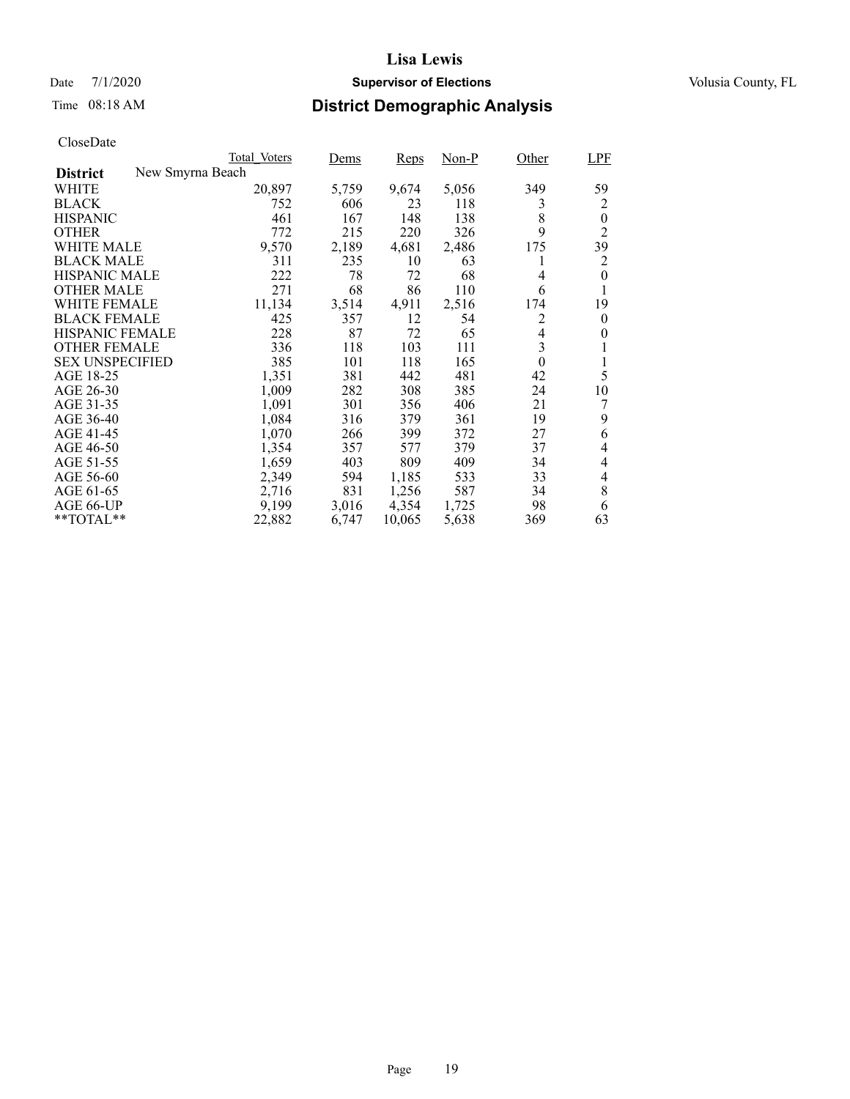### Date 7/1/2020 **Supervisor of Elections Supervisor of Elections** Volusia County, FL

# Time 08:18 AM **District Demographic Analysis**

|                                     | Total Voters | Dems  | <b>Reps</b> | $Non-P$ | Other          | <b>LPF</b> |
|-------------------------------------|--------------|-------|-------------|---------|----------------|------------|
| New Smyrna Beach<br><b>District</b> |              |       |             |         |                |            |
| WHITE                               | 20,897       | 5,759 | 9,674       | 5,056   | 349            | 59         |
| <b>BLACK</b>                        | 752          | 606   | 23          | 118     | 3              | 2          |
| <b>HISPANIC</b>                     | 461          | 167   | 148         | 138     | 8              | $\theta$   |
| <b>OTHER</b>                        | 772          | 215   | 220         | 326     | 9              | 2          |
| WHITE MALE                          | 9,570        | 2,189 | 4,681       | 2,486   | 175            | 39         |
| <b>BLACK MALE</b>                   | 311          | 235   | 10          | 63      | 1              | 2          |
| <b>HISPANIC MALE</b>                | 222          | 78    | 72          | 68      | 4              | 0          |
| <b>OTHER MALE</b>                   | 271          | 68    | 86          | 110     | 6              |            |
| WHITE FEMALE                        | 11,134       | 3,514 | 4,911       | 2,516   | 174            | 19         |
| <b>BLACK FEMALE</b>                 | 425          | 357   | 12          | 54      | 2              | $\theta$   |
| <b>HISPANIC FEMALE</b>              | 228          | 87    | 72          | 65      | $\overline{4}$ | 0          |
| <b>OTHER FEMALE</b>                 | 336          | 118   | 103         | 111     | 3              |            |
| <b>SEX UNSPECIFIED</b>              | 385          | 101   | 118         | 165     | $\theta$       | 1          |
| AGE 18-25                           | 1,351        | 381   | 442         | 481     | 42             | 5          |
| AGE 26-30                           | 1,009        | 282   | 308         | 385     | 24             | 10         |
| AGE 31-35                           | 1,091        | 301   | 356         | 406     | 21             |            |
| AGE 36-40                           | 1,084        | 316   | 379         | 361     | 19             | 9          |
| AGE 41-45                           | 1,070        | 266   | 399         | 372     | 27             | 6          |
| AGE 46-50                           | 1,354        | 357   | 577         | 379     | 37             | 4          |
| AGE 51-55                           | 1,659        | 403   | 809         | 409     | 34             | 4          |
| AGE 56-60                           | 2,349        | 594   | 1,185       | 533     | 33             | 4          |
| AGE 61-65                           | 2,716        | 831   | 1,256       | 587     | 34             | 8          |
| AGE 66-UP                           | 9,199        | 3,016 | 4,354       | 1,725   | 98             | 6          |
| $*$ TOTAL $*$                       | 22,882       | 6,747 | 10,065      | 5,638   | 369            | 63         |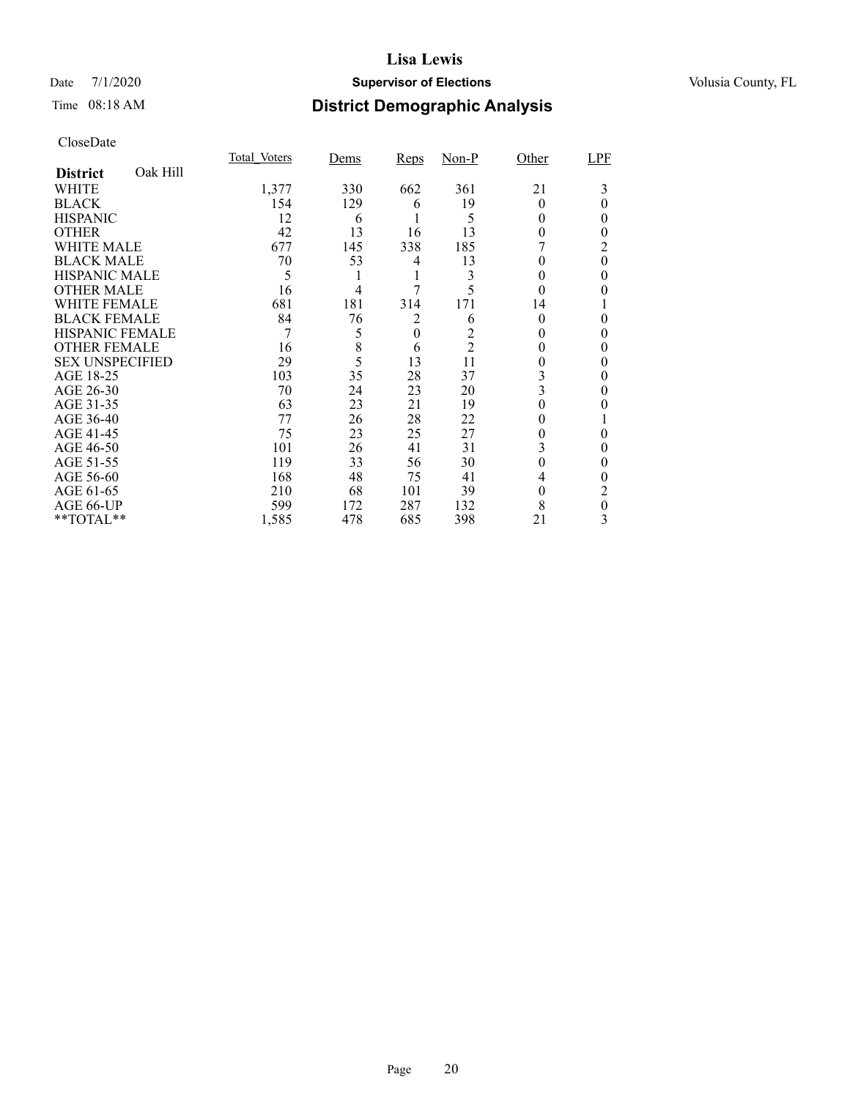### Date 7/1/2020 **Supervisor of Elections Supervisor of Elections** Volusia County, FL

# Time 08:18 AM **District Demographic Analysis**

|                        |          | Total Voters | Dems           | <b>Reps</b>      | $Non-P$        | Other    | LPF      |
|------------------------|----------|--------------|----------------|------------------|----------------|----------|----------|
| <b>District</b>        | Oak Hill |              |                |                  |                |          |          |
| WHITE                  |          | 1,377        | 330            | 662              | 361            | 21       | 3        |
| <b>BLACK</b>           |          | 154          | 129            | 6                | 19             | $\Omega$ | 0        |
| <b>HISPANIC</b>        |          | 12           | 6              |                  | 5              | 0        | 0        |
| <b>OTHER</b>           |          | 42           | 13             | 16               | 13             | 0        | 0        |
| WHITE MALE             |          | 677          | 145            | 338              | 185            |          | 2        |
| <b>BLACK MALE</b>      |          | 70           | 53             | 4                | 13             | 0        | $\theta$ |
| <b>HISPANIC MALE</b>   |          | 5            |                | 1                | 3              | 0        | 0        |
| <b>OTHER MALE</b>      |          | 16           | $\overline{4}$ | 7                | 5              | $\theta$ | 0        |
| <b>WHITE FEMALE</b>    |          | 681          | 181            | 314              | 171            | 14       |          |
| <b>BLACK FEMALE</b>    |          | 84           | 76             | 2                | 6              | $\Omega$ | 0        |
| <b>HISPANIC FEMALE</b> |          | 7            | 5              | $\boldsymbol{0}$ |                |          | 0        |
| <b>OTHER FEMALE</b>    |          | 16           | 8              | 6                | $\overline{2}$ | $\theta$ | 0        |
| <b>SEX UNSPECIFIED</b> |          | 29           | 5              | 13               | 11             | 0        | 0        |
| AGE 18-25              |          | 103          | 35             | 28               | 37             | 3        | 0        |
| AGE 26-30              |          | 70           | 24             | 23               | 20             | 3        | 0        |
| AGE 31-35              |          | 63           | 23             | 21               | 19             |          |          |
| AGE 36-40              |          | 77           | 26             | 28               | 22             | 0        |          |
| AGE 41-45              |          | 75           | 23             | 25               | 27             |          | 0        |
| AGE 46-50              |          | 101          | 26             | 41               | 31             | 3        | 0        |
| AGE 51-55              |          | 119          | 33             | 56               | 30             | $\theta$ | 0        |
| AGE 56-60              |          | 168          | 48             | 75               | 41             | 4        | 0        |
| AGE 61-65              |          | 210          | 68             | 101              | 39             | $\theta$ | 2        |
| AGE 66-UP              |          | 599          | 172            | 287              | 132            | 8        | 0        |
| **TOTAL**              |          | 1,585        | 478            | 685              | 398            | 21       | 3        |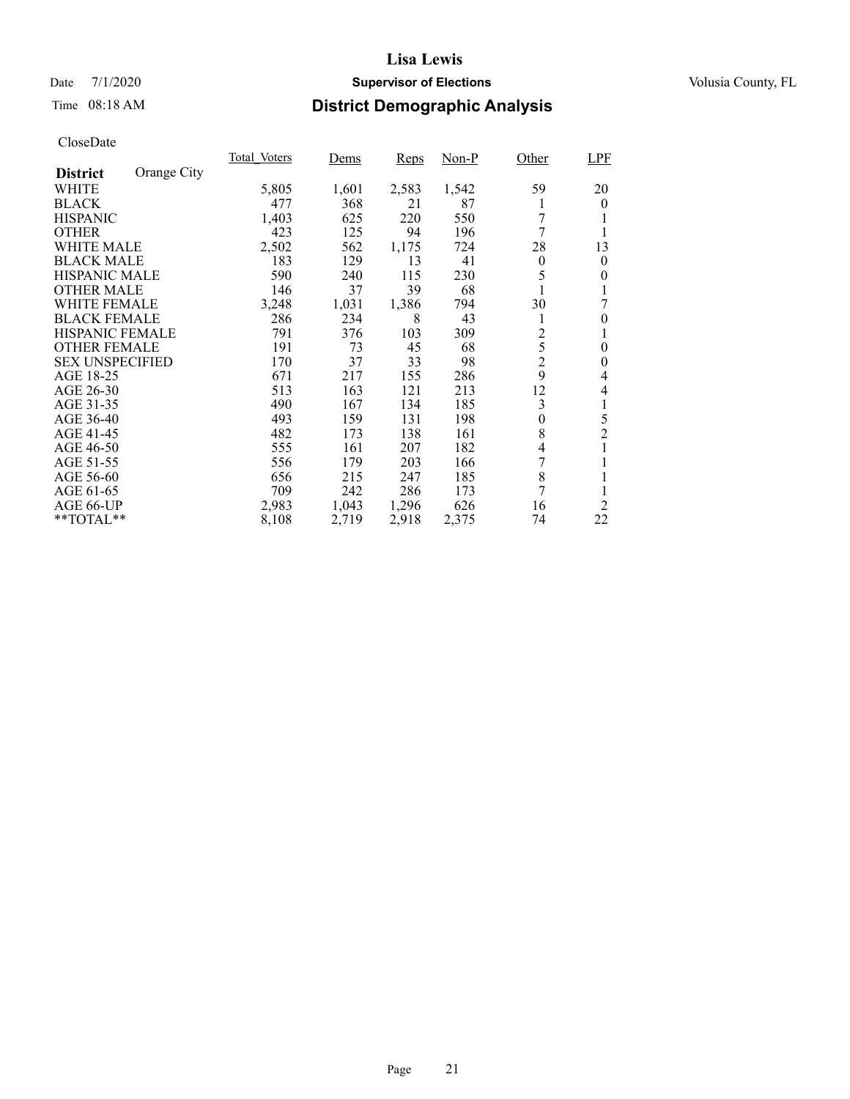### Date 7/1/2020 **Supervisor of Elections Supervisor of Elections** Volusia County, FL

# Time 08:18 AM **District Demographic Analysis**

|                        |             | Total Voters | Dems  | Reps  | Non-P | Other          | LPF            |
|------------------------|-------------|--------------|-------|-------|-------|----------------|----------------|
| <b>District</b>        | Orange City |              |       |       |       |                |                |
| WHITE                  |             | 5,805        | 1,601 | 2,583 | 1,542 | 59             | 20             |
| <b>BLACK</b>           |             | 477          | 368   | 21    | 87    | 1              | $\theta$       |
| <b>HISPANIC</b>        |             | 1,403        | 625   | 220   | 550   | 7              |                |
| <b>OTHER</b>           |             | 423          | 125   | 94    | 196   | 7              | 1              |
| WHITE MALE             |             | 2,502        | 562   | 1,175 | 724   | 28             | 13             |
| <b>BLACK MALE</b>      |             | 183          | 129   | 13    | 41    | $\theta$       | 0              |
| <b>HISPANIC MALE</b>   |             | 590          | 240   | 115   | 230   | 5              | 0              |
| <b>OTHER MALE</b>      |             | 146          | 37    | 39    | 68    |                |                |
| <b>WHITE FEMALE</b>    |             | 3,248        | 1,031 | 1,386 | 794   | 30             |                |
| <b>BLACK FEMALE</b>    |             | 286          | 234   | 8     | 43    | 1              | $\theta$       |
| HISPANIC FEMALE        |             | 791          | 376   | 103   | 309   | $\overline{c}$ | 1              |
| <b>OTHER FEMALE</b>    |             | 191          | 73    | 45    | 68    | 5              | 0              |
| <b>SEX UNSPECIFIED</b> |             | 170          | 37    | 33    | 98    | $\overline{c}$ | 0              |
| AGE 18-25              |             | 671          | 217   | 155   | 286   | 9              | 4              |
| AGE 26-30              |             | 513          | 163   | 121   | 213   | 12             | 4              |
| AGE 31-35              |             | 490          | 167   | 134   | 185   | 3              | 1              |
| AGE 36-40              |             | 493          | 159   | 131   | 198   | $\theta$       | 5              |
| AGE 41-45              |             | 482          | 173   | 138   | 161   | 8              | $\overline{2}$ |
| AGE 46-50              |             | 555          | 161   | 207   | 182   | 4              | 1              |
| AGE 51-55              |             | 556          | 179   | 203   | 166   | 7              |                |
| AGE 56-60              |             | 656          | 215   | 247   | 185   | 8              |                |
| AGE 61-65              |             | 709          | 242   | 286   | 173   | 7              | 1              |
| AGE 66-UP              |             | 2,983        | 1,043 | 1,296 | 626   | 16             | 2              |
| **TOTAL**              |             | 8,108        | 2,719 | 2,918 | 2,375 | 74             | 22             |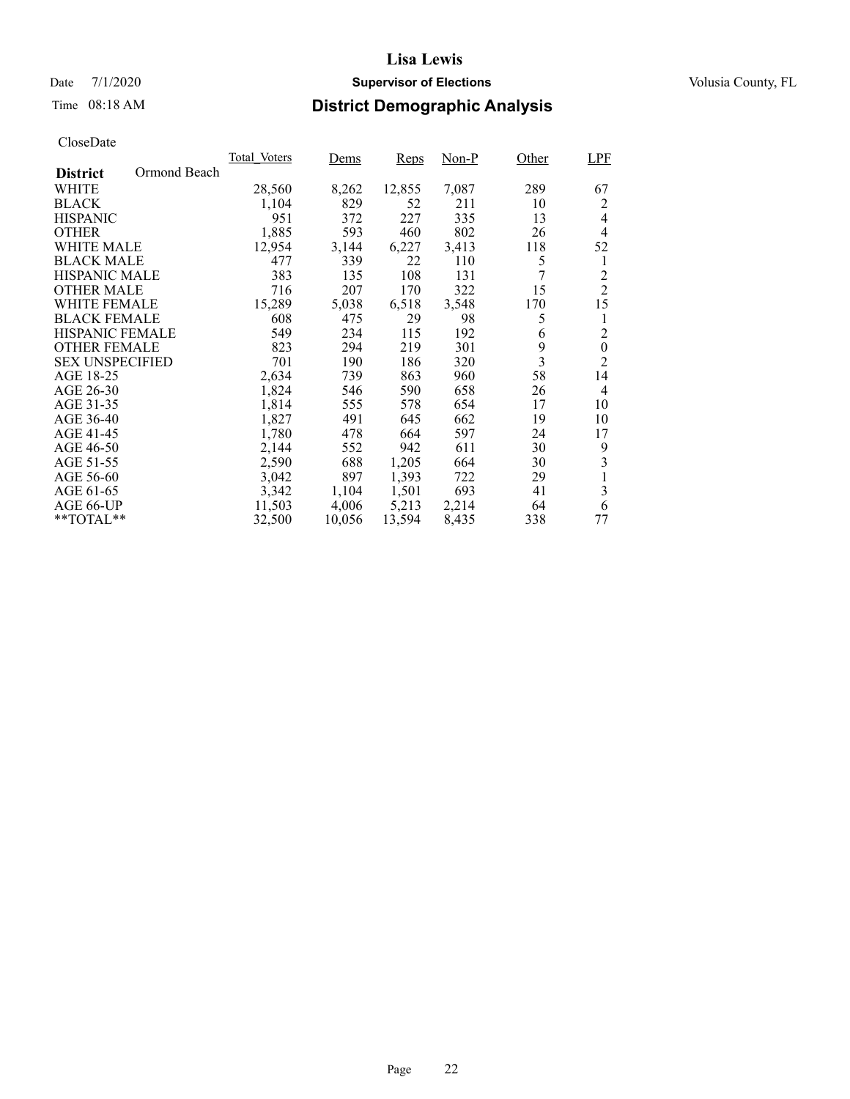### Date 7/1/2020 **Supervisor of Elections Supervisor of Elections** Volusia County, FL

# Time 08:18 AM **District Demographic Analysis**

|                        |              | Total Voters | Dems   | Reps   | Non-P | Other | <b>LPF</b>       |
|------------------------|--------------|--------------|--------|--------|-------|-------|------------------|
| <b>District</b>        | Ormond Beach |              |        |        |       |       |                  |
| WHITE                  |              | 28,560       | 8,262  | 12,855 | 7,087 | 289   | 67               |
| <b>BLACK</b>           |              | 1,104        | 829    | 52     | 211   | 10    | 2                |
| <b>HISPANIC</b>        |              | 951          | 372    | 227    | 335   | 13    | 4                |
| <b>OTHER</b>           |              | 1,885        | 593    | 460    | 802   | 26    | 4                |
| WHITE MALE             |              | 12,954       | 3,144  | 6,227  | 3,413 | 118   | 52               |
| <b>BLACK MALE</b>      |              | 477          | 339    | 22     | 110   | 5     | 1                |
| <b>HISPANIC MALE</b>   |              | 383          | 135    | 108    | 131   | 7     | 2                |
| <b>OTHER MALE</b>      |              | 716          | 207    | 170    | 322   | 15    | $\overline{2}$   |
| WHITE FEMALE           |              | 15,289       | 5,038  | 6,518  | 3.548 | 170   | 15               |
| <b>BLACK FEMALE</b>    |              | 608          | 475    | 29     | 98    | 5     | 1                |
| <b>HISPANIC FEMALE</b> |              | 549          | 234    | 115    | 192   | 6     | $\overline{2}$   |
| <b>OTHER FEMALE</b>    |              | 823          | 294    | 219    | 301   | 9     | $\boldsymbol{0}$ |
| <b>SEX UNSPECIFIED</b> |              | 701          | 190    | 186    | 320   | 3     | $\overline{2}$   |
| AGE 18-25              |              | 2,634        | 739    | 863    | 960   | 58    | 14               |
| AGE 26-30              |              | 1,824        | 546    | 590    | 658   | 26    | 4                |
| AGE 31-35              |              | 1,814        | 555    | 578    | 654   | 17    | 10               |
| AGE 36-40              |              | 1,827        | 491    | 645    | 662   | 19    | 10               |
| AGE 41-45              |              | 1,780        | 478    | 664    | 597   | 24    | 17               |
| AGE 46-50              |              | 2,144        | 552    | 942    | 611   | 30    | 9                |
| AGE 51-55              |              | 2,590        | 688    | 1,205  | 664   | 30    | 3                |
| AGE 56-60              |              | 3,042        | 897    | 1,393  | 722   | 29    | 1                |
| AGE 61-65              |              | 3,342        | 1,104  | 1,501  | 693   | 41    | 3                |
| AGE 66-UP              |              | 11,503       | 4,006  | 5,213  | 2,214 | 64    | 6                |
| $*$ $TOTAL**$          |              | 32,500       | 10,056 | 13,594 | 8,435 | 338   | 77               |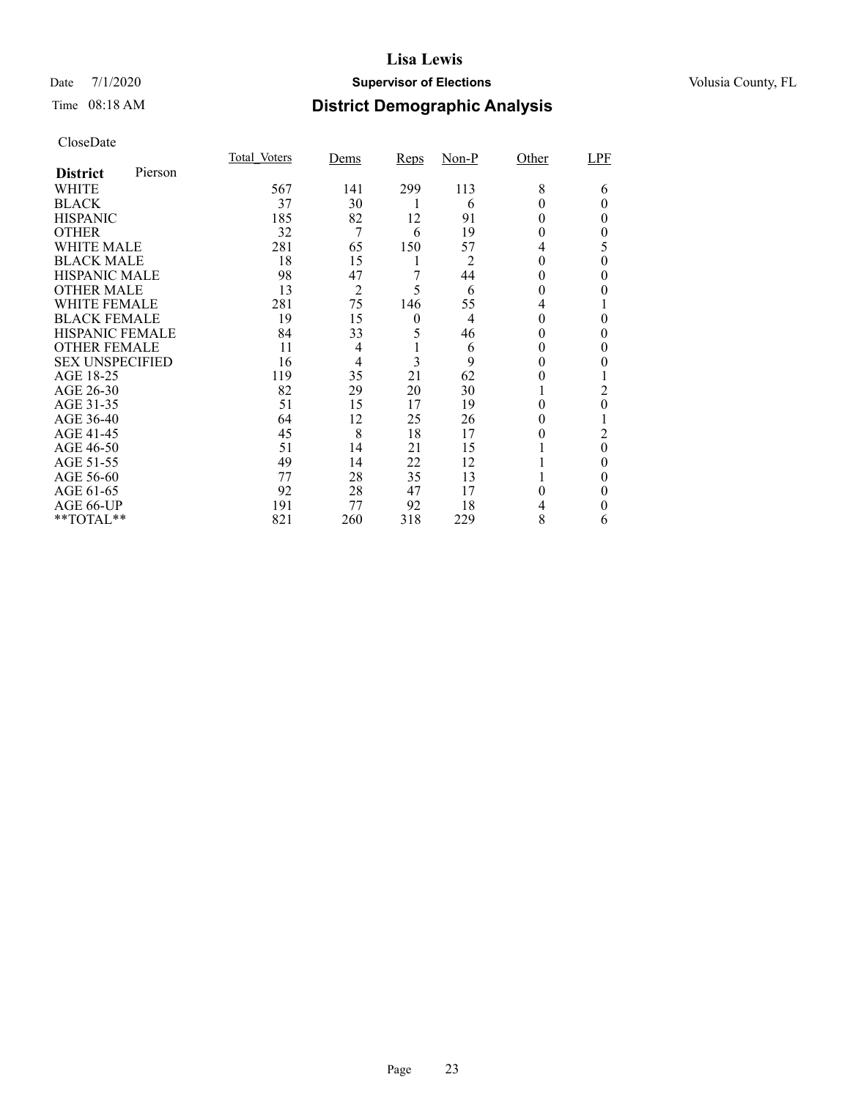### Date 7/1/2020 **Supervisor of Elections Supervisor of Elections** Volusia County, FL

# Time 08:18 AM **District Demographic Analysis**

|                        |         | Total Voters | Dems           | <b>Reps</b>    | $Non-P$        | Other | LPF      |
|------------------------|---------|--------------|----------------|----------------|----------------|-------|----------|
| <b>District</b>        | Pierson |              |                |                |                |       |          |
| WHITE                  |         | 567          | 141            | 299            | 113            | 8     | 6        |
| <b>BLACK</b>           |         | 37           | 30             |                | 6              |       | 0        |
| <b>HISPANIC</b>        |         | 185          | 82             | 12             | 91             | 0     | 0        |
| <b>OTHER</b>           |         | 32           | 7              | 6              | 19             | 0     | 0        |
| WHITE MALE             |         | 281          | 65             | 150            | 57             | 4     | 5        |
| <b>BLACK MALE</b>      |         | 18           | 15             | 1              | 2              | 0     | 0        |
| <b>HISPANIC MALE</b>   |         | 98           | 47             | 7              | 44             | 0     | 0        |
| <b>OTHER MALE</b>      |         | 13           | $\overline{2}$ | 5              | 6              | 0     | 0        |
| <b>WHITE FEMALE</b>    |         | 281          | 75             | 146            | 55             | 4     |          |
| <b>BLACK FEMALE</b>    |         | 19           | 15             | $\overline{0}$ | $\overline{4}$ | 0     | 0        |
| HISPANIC FEMALE        |         | 84           | 33             | 5              | 46             | 0     | 0        |
| <b>OTHER FEMALE</b>    |         | 11           | 4              |                | 6              | 0     | 0        |
| <b>SEX UNSPECIFIED</b> |         | 16           | 4              | 3              | 9              | 0     | 0        |
| AGE 18-25              |         | 119          | 35             | 21             | 62             | 0     |          |
| AGE 26-30              |         | 82           | 29             | 20             | 30             |       | 2        |
| AGE 31-35              |         | 51           | 15             | 17             | 19             | 0     | 0        |
| AGE 36-40              |         | 64           | 12             | 25             | 26             | 0     |          |
| AGE 41-45              |         | 45           | 8              | 18             | 17             |       | 2        |
| AGE 46-50              |         | 51           | 14             | 21             | 15             |       | $\theta$ |
| AGE 51-55              |         | 49           | 14             | 22             | 12             |       | 0        |
| AGE 56-60              |         | 77           | 28             | 35             | 13             |       | 0        |
| AGE 61-65              |         | 92           | 28             | 47             | 17             | 0     | 0        |
| AGE 66-UP              |         | 191          | 77             | 92             | 18             |       | 0        |
| **TOTAL**              |         | 821          | 260            | 318            | 229            | 8     | 6        |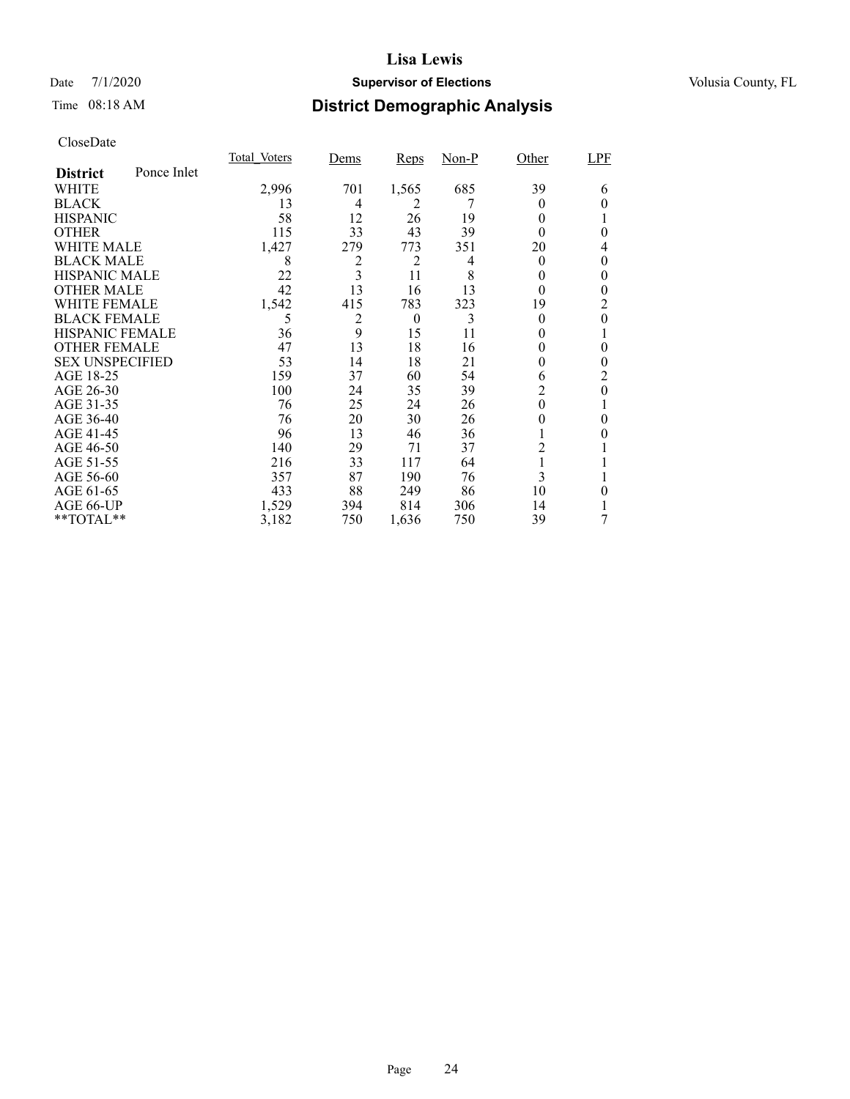### Date 7/1/2020 **Supervisor of Elections Supervisor of Elections** Volusia County, FL

# Time 08:18 AM **District Demographic Analysis**

|                        |             | <b>Total Voters</b> | Dems | <b>Reps</b> | $Non-P$ | Other          | LPF |
|------------------------|-------------|---------------------|------|-------------|---------|----------------|-----|
| <b>District</b>        | Ponce Inlet |                     |      |             |         |                |     |
| WHITE                  |             | 2,996               | 701  | 1,565       | 685     | 39             | 6   |
| <b>BLACK</b>           |             | 13                  | 4    | 2           |         | $_{0}$         | 0   |
| <b>HISPANIC</b>        |             | 58                  | 12   | 26          | 19      | $\Omega$       |     |
| <b>OTHER</b>           |             | 115                 | 33   | 43          | 39      | $\Omega$       | 0   |
| WHITE MALE             |             | 1,427               | 279  | 773         | 351     | 20             | 4   |
| <b>BLACK MALE</b>      |             | 8                   | 2    | 2           | 4       | $\theta$       | 0   |
| <b>HISPANIC MALE</b>   |             | 22                  | 3    | 11          | 8       | 0              | 0   |
| <b>OTHER MALE</b>      |             | 42                  | 13   | 16          | 13      | $\theta$       | 0   |
| <b>WHITE FEMALE</b>    |             | 1,542               | 415  | 783         | 323     | 19             | 2   |
| <b>BLACK FEMALE</b>    |             | 5                   | 2    | $\theta$    | 3       | $\theta$       | 0   |
| <b>HISPANIC FEMALE</b> |             | 36                  | 9    | 15          | 11      | $_{0}$         |     |
| <b>OTHER FEMALE</b>    |             | 47                  | 13   | 18          | 16      | $_{0}$         | 0   |
| <b>SEX UNSPECIFIED</b> |             | 53                  | 14   | 18          | 21      | $_{0}$         | 0   |
| AGE 18-25              |             | 159                 | 37   | 60          | 54      | 6              | 2   |
| AGE 26-30              |             | 100                 | 24   | 35          | 39      | $\overline{2}$ | 0   |
| AGE 31-35              |             | 76                  | 25   | 24          | 26      | $\theta$       |     |
| AGE 36-40              |             | 76                  | 20   | 30          | 26      | 0              | 0   |
| AGE 41-45              |             | 96                  | 13   | 46          | 36      |                |     |
| AGE 46-50              |             | 140                 | 29   | 71          | 37      | 2              |     |
| AGE 51-55              |             | 216                 | 33   | 117         | 64      | 1              |     |
| AGE 56-60              |             | 357                 | 87   | 190         | 76      | 3              |     |
| AGE 61-65              |             | 433                 | 88   | 249         | 86      | 10             | 0   |
| AGE 66-UP              |             | 1,529               | 394  | 814         | 306     | 14             |     |
| **TOTAL**              |             | 3,182               | 750  | 1,636       | 750     | 39             | 7   |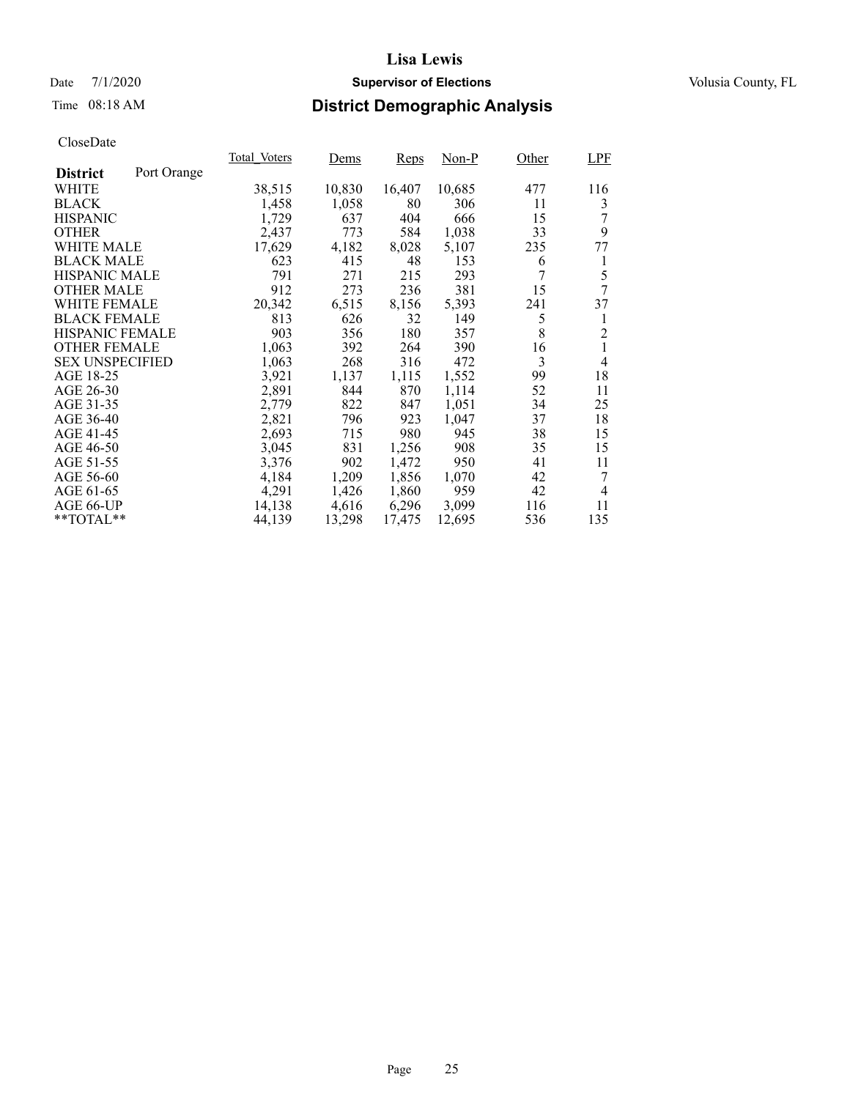### Date 7/1/2020 **Supervisor of Elections Supervisor of Elections** Volusia County, FL

# Time 08:18 AM **District Demographic Analysis**

|                        |             | Total Voters | <u>Dems</u> | Reps   | Non-P  | Other | <b>LPF</b>     |
|------------------------|-------------|--------------|-------------|--------|--------|-------|----------------|
| <b>District</b>        | Port Orange |              |             |        |        |       |                |
| WHITE                  |             | 38,515       | 10,830      | 16,407 | 10,685 | 477   | 116            |
| <b>BLACK</b>           |             | 1,458        | 1,058       | 80     | 306    | 11    | 3              |
| <b>HISPANIC</b>        |             | 1,729        | 637         | 404    | 666    | 15    |                |
| <b>OTHER</b>           |             | 2,437        | 773         | 584    | 1,038  | 33    | 9              |
| WHITE MALE             |             | 17,629       | 4,182       | 8,028  | 5,107  | 235   | 77             |
| <b>BLACK MALE</b>      |             | 623          | 415         | 48     | 153    | 6     | 1              |
| <b>HISPANIC MALE</b>   |             | 791          | 271         | 215    | 293    | 7     | 5              |
| <b>OTHER MALE</b>      |             | 912          | 273         | 236    | 381    | 15    | 7              |
| <b>WHITE FEMALE</b>    |             | 20,342       | 6,515       | 8,156  | 5,393  | 241   | 37             |
| <b>BLACK FEMALE</b>    |             | 813          | 626         | 32     | 149    | 5     | 1              |
| HISPANIC FEMALE        |             | 903          | 356         | 180    | 357    | 8     | $\overline{c}$ |
| <b>OTHER FEMALE</b>    |             | 1,063        | 392         | 264    | 390    | 16    | 1              |
| <b>SEX UNSPECIFIED</b> |             | 1,063        | 268         | 316    | 472    | 3     | 4              |
| AGE 18-25              |             | 3,921        | 1,137       | 1,115  | 1,552  | 99    | 18             |
| AGE 26-30              |             | 2,891        | 844         | 870    | 1,114  | 52    | 11             |
| AGE 31-35              |             | 2,779        | 822         | 847    | 1,051  | 34    | 25             |
| AGE 36-40              |             | 2,821        | 796         | 923    | 1,047  | 37    | 18             |
| AGE 41-45              |             | 2,693        | 715         | 980    | 945    | 38    | 15             |
| AGE 46-50              |             | 3,045        | 831         | 1,256  | 908    | 35    | 15             |
| AGE 51-55              |             | 3,376        | 902         | 1,472  | 950    | 41    | 11             |
| AGE 56-60              |             | 4,184        | 1,209       | 1,856  | 1,070  | 42    | 7              |
| AGE 61-65              |             | 4,291        | 1,426       | 1,860  | 959    | 42    | 4              |
| AGE 66-UP              |             | 14,138       | 4,616       | 6,296  | 3,099  | 116   | 11             |
| $*$ $TOTAL**$          |             | 44,139       | 13,298      | 17,475 | 12,695 | 536   | 135            |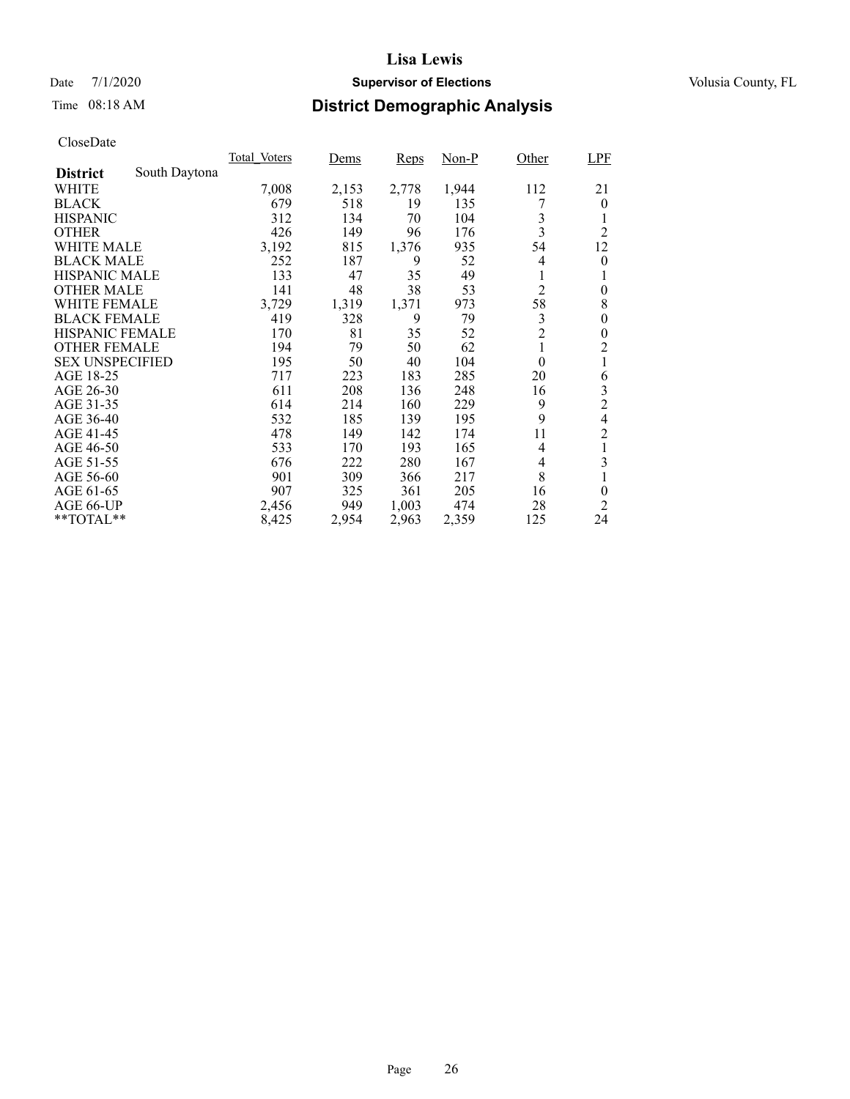### Date 7/1/2020 **Supervisor of Elections Supervisor of Elections** Volusia County, FL

# Time 08:18 AM **District Demographic Analysis**

|                        |               | Total Voters | Dems  | Reps  | $Non-P$ | Other          | <b>LPF</b>     |
|------------------------|---------------|--------------|-------|-------|---------|----------------|----------------|
| <b>District</b>        | South Daytona |              |       |       |         |                |                |
| WHITE                  |               | 7,008        | 2,153 | 2,778 | 1,944   | 112            | 21             |
| <b>BLACK</b>           |               | 679          | 518   | 19    | 135     |                | $\theta$       |
| <b>HISPANIC</b>        |               | 312          | 134   | 70    | 104     | 3              | 1              |
| <b>OTHER</b>           |               | 426          | 149   | 96    | 176     | 3              | $\overline{2}$ |
| WHITE MALE             |               | 3,192        | 815   | 1,376 | 935     | 54             | 12             |
| <b>BLACK MALE</b>      |               | 252          | 187   | 9     | 52      | 4              | 0              |
| <b>HISPANIC MALE</b>   |               | 133          | 47    | 35    | 49      | 1              | 1              |
| <b>OTHER MALE</b>      |               | 141          | 48    | 38    | 53      | $\overline{2}$ | $\theta$       |
| WHITE FEMALE           |               | 3,729        | 1,319 | 1,371 | 973     | 58             | 8              |
| <b>BLACK FEMALE</b>    |               | 419          | 328   | 9     | 79      | 3              | 0              |
| <b>HISPANIC FEMALE</b> |               | 170          | 81    | 35    | 52      | $\overline{2}$ | 0              |
| <b>OTHER FEMALE</b>    |               | 194          | 79    | 50    | 62      | 1              | $\overline{2}$ |
| <b>SEX UNSPECIFIED</b> |               | 195          | 50    | 40    | 104     | $\theta$       | 1              |
| AGE 18-25              |               | 717          | 223   | 183   | 285     | 20             | 6              |
| AGE 26-30              |               | 611          | 208   | 136   | 248     | 16             | 3              |
| AGE 31-35              |               | 614          | 214   | 160   | 229     | 9              | $\overline{c}$ |
| AGE 36-40              |               | 532          | 185   | 139   | 195     | 9              | 4              |
| AGE 41-45              |               | 478          | 149   | 142   | 174     | 11             | $\overline{c}$ |
| AGE 46-50              |               | 533          | 170   | 193   | 165     | 4              | 1              |
| AGE 51-55              |               | 676          | 222   | 280   | 167     | 4              | 3              |
| AGE 56-60              |               | 901          | 309   | 366   | 217     | 8              | 1              |
| AGE 61-65              |               | 907          | 325   | 361   | 205     | 16             | $\theta$       |
| AGE 66-UP              |               | 2,456        | 949   | 1,003 | 474     | 28             | 2              |
| $*$ $TOTAL**$          |               | 8,425        | 2,954 | 2,963 | 2,359   | 125            | 24             |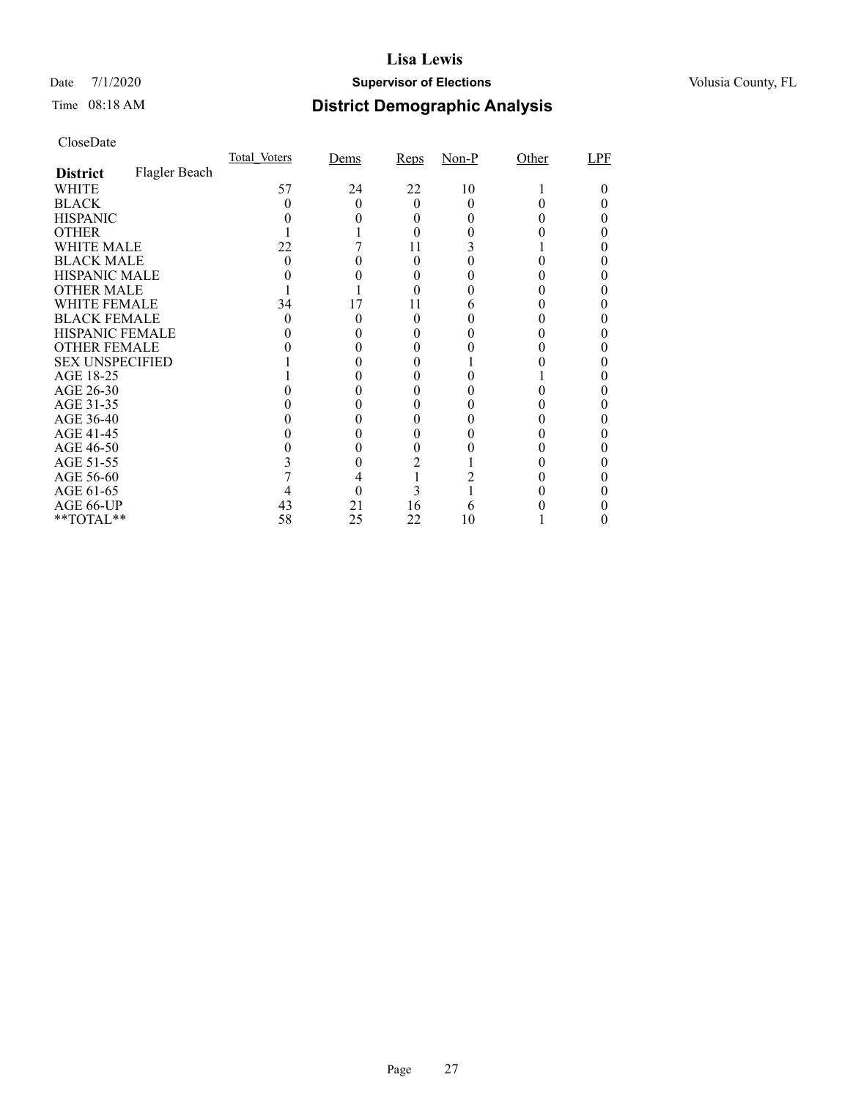### Date 7/1/2020 **Supervisor of Elections Supervisor of Elections** Volusia County, FL

# Time 08:18 AM **District Demographic Analysis**

|                        |               | Total Voters | Dems | Reps | $Non-P$ | Other | LPF |
|------------------------|---------------|--------------|------|------|---------|-------|-----|
| <b>District</b>        | Flagler Beach |              |      |      |         |       |     |
| WHITE                  |               | 57           | 24   | 22   | 10      |       |     |
| <b>BLACK</b>           |               |              |      | 0    |         |       |     |
| <b>HISPANIC</b>        |               |              |      | 0    |         |       |     |
| <b>OTHER</b>           |               |              |      |      |         |       |     |
| WHITE MALE             |               | 22           |      | 11   |         |       |     |
| <b>BLACK MALE</b>      |               |              |      | 0    |         |       |     |
| <b>HISPANIC MALE</b>   |               |              |      |      |         |       |     |
| <b>OTHER MALE</b>      |               |              |      |      |         |       |     |
| WHITE FEMALE           |               | 34           | 17   | 11   |         |       |     |
| <b>BLACK FEMALE</b>    |               | 0            |      | 0    |         |       |     |
| <b>HISPANIC FEMALE</b> |               |              |      |      |         |       |     |
| <b>OTHER FEMALE</b>    |               |              |      |      |         |       |     |
| <b>SEX UNSPECIFIED</b> |               |              |      |      |         |       |     |
| AGE 18-25              |               |              |      |      |         |       |     |
| AGE 26-30              |               |              |      |      |         |       |     |
| AGE 31-35              |               |              |      |      |         |       |     |
| AGE 36-40              |               |              |      |      |         |       |     |
| AGE 41-45              |               |              |      |      |         |       |     |
| AGE 46-50              |               |              |      |      |         |       |     |
| AGE 51-55              |               |              |      | 2    |         |       |     |
| AGE 56-60              |               |              |      |      |         |       |     |
| AGE 61-65              |               |              |      | 3    |         |       |     |
| AGE 66-UP              |               | 43           | 21   | 16   |         |       |     |
| $*$ $TOTAL**$          |               | 58           | 25   | 22   | 10      |       |     |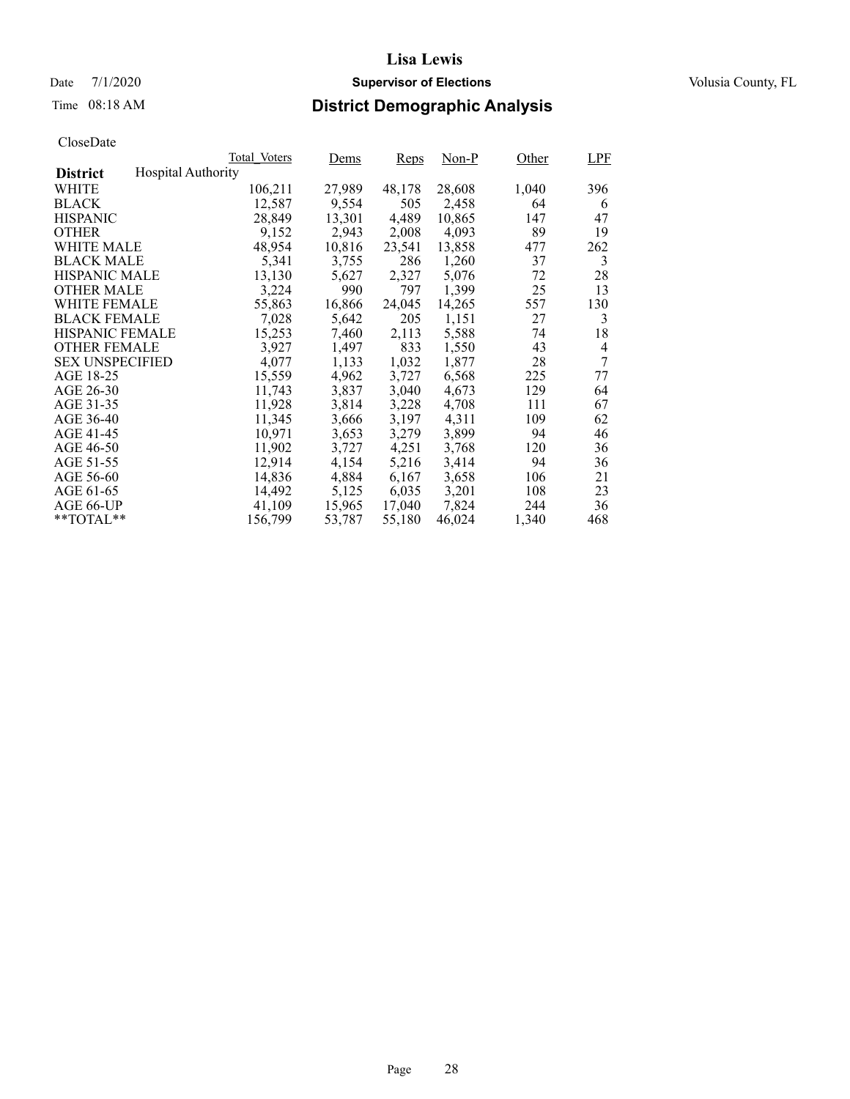# Time 08:18 AM **District Demographic Analysis**

|                        |                           | Total Voters | Dems   | Reps   | $Non-P$ | Other | <b>LPF</b> |
|------------------------|---------------------------|--------------|--------|--------|---------|-------|------------|
| <b>District</b>        | <b>Hospital Authority</b> |              |        |        |         |       |            |
| WHITE                  |                           | 106,211      | 27,989 | 48,178 | 28,608  | 1,040 | 396        |
| <b>BLACK</b>           |                           | 12,587       | 9,554  | 505    | 2,458   | 64    | 6          |
| <b>HISPANIC</b>        |                           | 28,849       | 13,301 | 4,489  | 10,865  | 147   | 47         |
| <b>OTHER</b>           |                           | 9,152        | 2,943  | 2,008  | 4,093   | 89    | 19         |
| WHITE MALE             |                           | 48,954       | 10,816 | 23,541 | 13,858  | 477   | 262        |
| <b>BLACK MALE</b>      |                           | 5,341        | 3,755  | 286    | 1,260   | 37    | 3          |
| <b>HISPANIC MALE</b>   |                           | 13,130       | 5,627  | 2,327  | 5,076   | 72    | 28         |
| <b>OTHER MALE</b>      |                           | 3,224        | 990    | 797    | 1,399   | 25    | 13         |
| <b>WHITE FEMALE</b>    |                           | 55,863       | 16,866 | 24,045 | 14,265  | 557   | 130        |
| <b>BLACK FEMALE</b>    |                           | 7,028        | 5,642  | 205    | 1,151   | 27    | 3          |
| <b>HISPANIC FEMALE</b> |                           | 15,253       | 7,460  | 2,113  | 5,588   | 74    | 18         |
| <b>OTHER FEMALE</b>    |                           | 3.927        | 1,497  | 833    | 1,550   | 43    | 4          |
| <b>SEX UNSPECIFIED</b> |                           | 4,077        | 1,133  | 1,032  | 1,877   | 28    | 7          |
| AGE 18-25              |                           | 15,559       | 4,962  | 3,727  | 6,568   | 225   | 77         |
| AGE 26-30              |                           | 11.743       | 3,837  | 3,040  | 4,673   | 129   | 64         |
| AGE 31-35              |                           | 11,928       | 3,814  | 3,228  | 4,708   | 111   | 67         |
| AGE 36-40              |                           | 11,345       | 3,666  | 3,197  | 4,311   | 109   | 62         |
| AGE 41-45              |                           | 10,971       | 3,653  | 3,279  | 3,899   | 94    | 46         |
| AGE 46-50              |                           | 11,902       | 3,727  | 4,251  | 3,768   | 120   | 36         |
| AGE 51-55              |                           | 12,914       | 4,154  | 5,216  | 3,414   | 94    | 36         |
| AGE 56-60              |                           | 14,836       | 4,884  | 6,167  | 3,658   | 106   | 21         |
| AGE 61-65              |                           | 14,492       | 5,125  | 6,035  | 3,201   | 108   | 23         |
| AGE 66-UP              |                           | 41,109       | 15,965 | 17,040 | 7,824   | 244   | 36         |
| $*$ $TOTAL**$          |                           | 156,799      | 53,787 | 55,180 | 46,024  | 1,340 | 468        |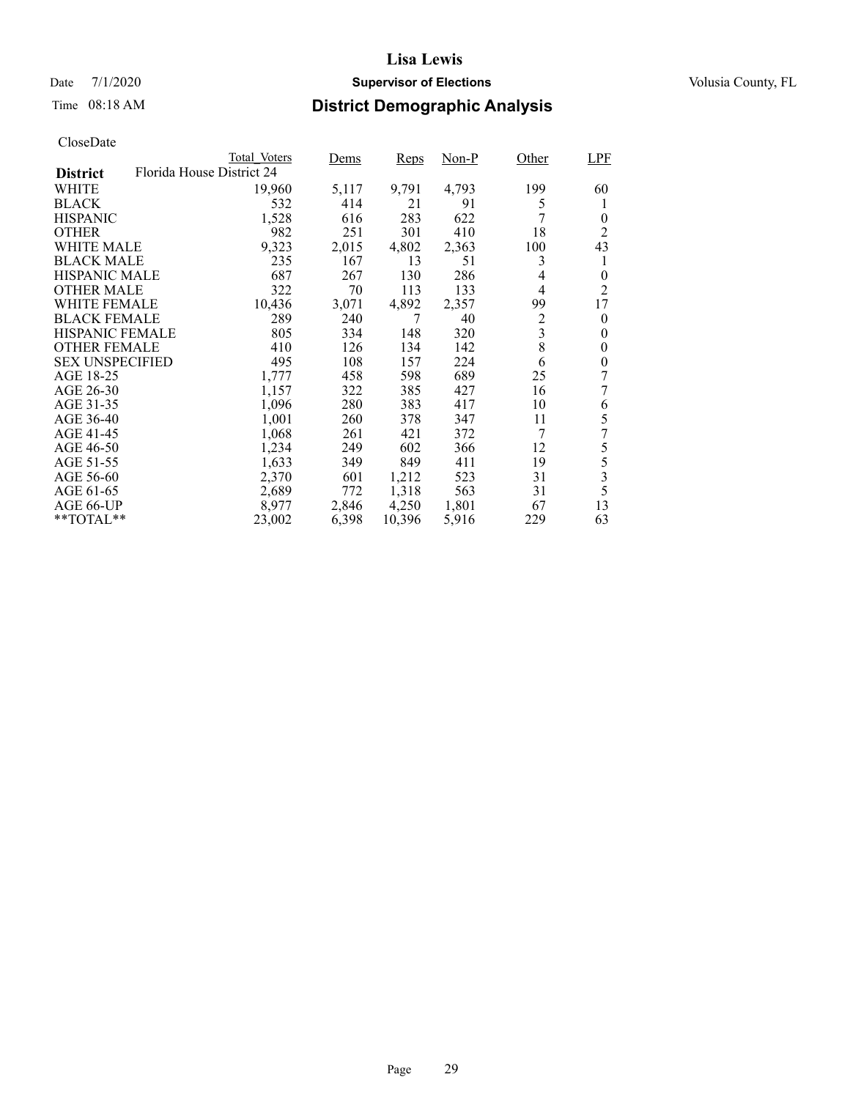### Date 7/1/2020 **Supervisor of Elections Supervisor of Elections** Volusia County, FL

## Time 08:18 AM **District Demographic Analysis**

|                        |                           | Total Voters | Dems  | <b>Reps</b> | Non-P | Other          | LPF            |
|------------------------|---------------------------|--------------|-------|-------------|-------|----------------|----------------|
| <b>District</b>        | Florida House District 24 |              |       |             |       |                |                |
| WHITE                  |                           | 19,960       | 5,117 | 9,791       | 4,793 | 199            | 60             |
| <b>BLACK</b>           |                           | 532          | 414   | 21          | 91    | 5              | 1              |
| <b>HISPANIC</b>        |                           | 1,528        | 616   | 283         | 622   |                | $\theta$       |
| <b>OTHER</b>           |                           | 982          | 251   | 301         | 410   | 18             | 2              |
| WHITE MALE             |                           | 9,323        | 2,015 | 4,802       | 2,363 | 100            | 43             |
| <b>BLACK MALE</b>      |                           | 235          | 167   | 13          | 51    | 3              | 1              |
| <b>HISPANIC MALE</b>   |                           | 687          | 267   | 130         | 286   | 4              | $\overline{0}$ |
| <b>OTHER MALE</b>      |                           | 322          | 70    | 113         | 133   | 4              | 2              |
| WHITE FEMALE           |                           | 10,436       | 3,071 | 4,892       | 2,357 | 99             | 17             |
| <b>BLACK FEMALE</b>    |                           | 289          | 240   | 7           | 40    | $\overline{c}$ | $\theta$       |
| HISPANIC FEMALE        |                           | 805          | 334   | 148         | 320   | 3              | 0              |
| <b>OTHER FEMALE</b>    |                           | 410          | 126   | 134         | 142   | 8              | 0              |
| <b>SEX UNSPECIFIED</b> |                           | 495          | 108   | 157         | 224   | 6              | 0              |
| AGE 18-25              |                           | 1,777        | 458   | 598         | 689   | 25             | 7              |
| AGE 26-30              |                           | 1,157        | 322   | 385         | 427   | 16             | 7              |
| AGE 31-35              |                           | 1,096        | 280   | 383         | 417   | 10             | 6              |
| AGE 36-40              |                           | 1,001        | 260   | 378         | 347   | 11             | 5              |
| AGE 41-45              |                           | 1,068        | 261   | 421         | 372   | 7              | 7              |
| AGE 46-50              |                           | 1,234        | 249   | 602         | 366   | 12             | 5              |
| AGE 51-55              |                           | 1,633        | 349   | 849         | 411   | 19             | 5              |
| AGE 56-60              |                           | 2,370        | 601   | 1,212       | 523   | 31             | 3              |
| AGE 61-65              |                           | 2,689        | 772   | 1,318       | 563   | 31             | 5              |
| AGE 66-UP              |                           | 8,977        | 2,846 | 4,250       | 1,801 | 67             | 13             |
| $*$ $*$ TOTAL $*$ $*$  |                           | 23,002       | 6,398 | 10,396      | 5,916 | 229            | 63             |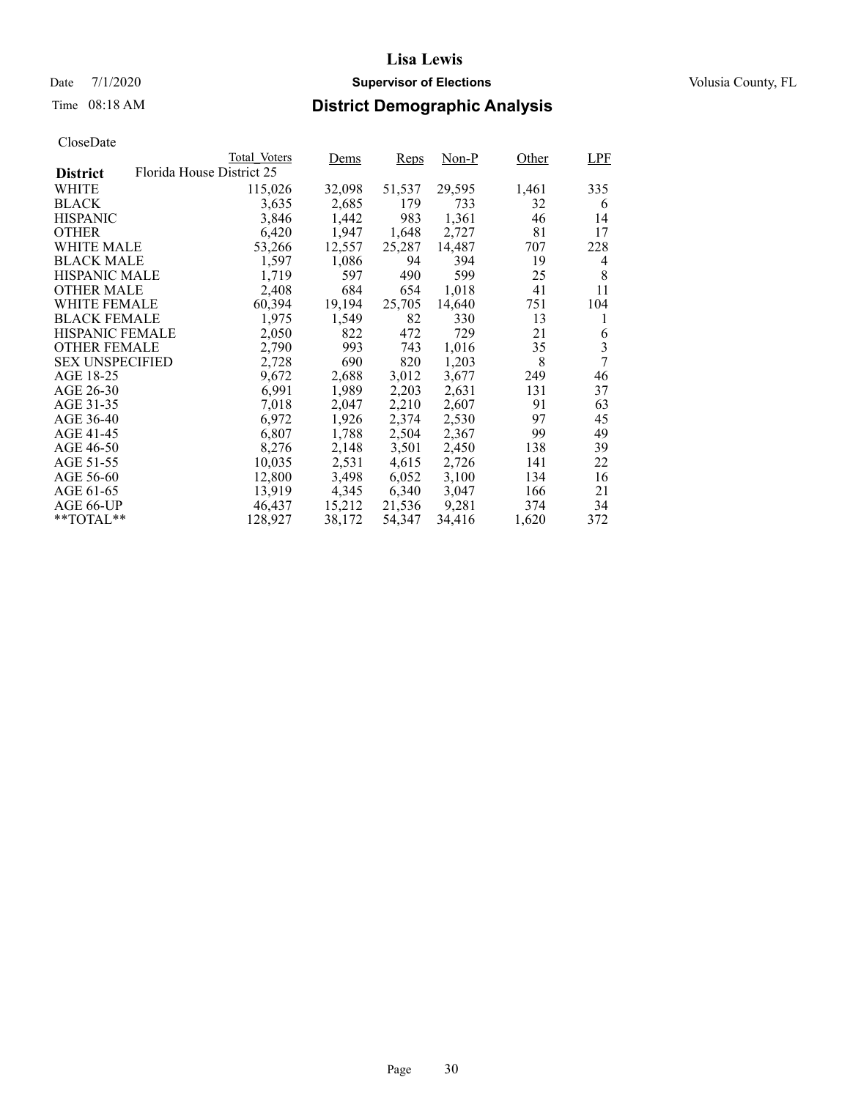### Date 7/1/2020 **Supervisor of Elections Supervisor of Elections** Volusia County, FL

# Time 08:18 AM **District Demographic Analysis**

|                        |                           | Total Voters | <u>Dems</u> | Reps   | Non-P  | Other | LPF                     |
|------------------------|---------------------------|--------------|-------------|--------|--------|-------|-------------------------|
| <b>District</b>        | Florida House District 25 |              |             |        |        |       |                         |
| WHITE                  |                           | 115,026      | 32,098      | 51,537 | 29,595 | 1,461 | 335                     |
| <b>BLACK</b>           |                           | 3,635        | 2,685       | 179    | 733    | 32    | 6                       |
| <b>HISPANIC</b>        |                           | 3,846        | 1,442       | 983    | 1,361  | 46    | 14                      |
| <b>OTHER</b>           |                           | 6,420        | 1,947       | 1,648  | 2,727  | 81    | 17                      |
| WHITE MALE             |                           | 53,266       | 12,557      | 25,287 | 14,487 | 707   | 228                     |
| <b>BLACK MALE</b>      |                           | 1,597        | 1,086       | 94     | 394    | 19    | 4                       |
| <b>HISPANIC MALE</b>   |                           | 1,719        | 597         | 490    | 599    | 25    | 8                       |
| <b>OTHER MALE</b>      |                           | 2,408        | 684         | 654    | 1,018  | 41    | 11                      |
| <b>WHITE FEMALE</b>    |                           | 60,394       | 19,194      | 25,705 | 14,640 | 751   | 104                     |
| <b>BLACK FEMALE</b>    |                           | 1,975        | 1,549       | 82     | 330    | 13    | 1                       |
| HISPANIC FEMALE        |                           | 2,050        | 822         | 472    | 729    | 21    | 6                       |
| <b>OTHER FEMALE</b>    |                           | 2,790        | 993         | 743    | 1.016  | 35    | $\overline{\mathbf{3}}$ |
| <b>SEX UNSPECIFIED</b> |                           | 2,728        | 690         | 820    | 1,203  | 8     | 7                       |
| AGE 18-25              |                           | 9,672        | 2,688       | 3,012  | 3,677  | 249   | 46                      |
| AGE 26-30              |                           | 6,991        | 1,989       | 2,203  | 2,631  | 131   | 37                      |
| AGE 31-35              |                           | 7,018        | 2,047       | 2,210  | 2,607  | 91    | 63                      |
| AGE 36-40              |                           | 6,972        | 1,926       | 2,374  | 2,530  | 97    | 45                      |
| AGE 41-45              |                           | 6,807        | 1,788       | 2,504  | 2,367  | 99    | 49                      |
| AGE 46-50              |                           | 8,276        | 2,148       | 3,501  | 2,450  | 138   | 39                      |
| AGE 51-55              |                           | 10,035       | 2,531       | 4,615  | 2,726  | 141   | 22                      |
| AGE 56-60              |                           | 12,800       | 3,498       | 6,052  | 3,100  | 134   | 16                      |
| AGE 61-65              |                           | 13,919       | 4,345       | 6,340  | 3,047  | 166   | 21                      |
| AGE 66-UP              |                           | 46,437       | 15,212      | 21,536 | 9,281  | 374   | 34                      |
| $*$ TOTAL $*$          |                           | 128,927      | 38,172      | 54,347 | 34,416 | 1,620 | 372                     |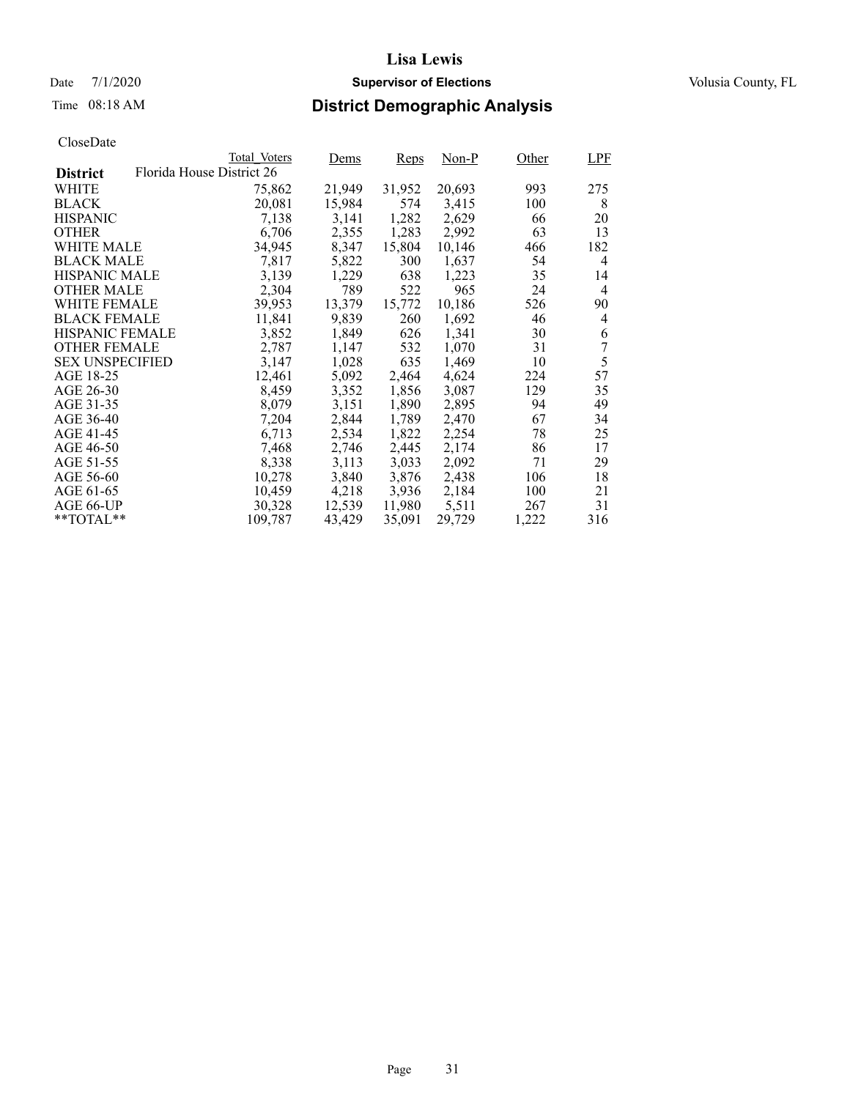### Date 7/1/2020 **Supervisor of Elections Supervisor of Elections** Volusia County, FL

# Time 08:18 AM **District Demographic Analysis**

|                        |                           | Total Voters | Dems   | <b>Reps</b> | Non-P  | Other | <b>LPF</b> |
|------------------------|---------------------------|--------------|--------|-------------|--------|-------|------------|
| <b>District</b>        | Florida House District 26 |              |        |             |        |       |            |
| WHITE                  |                           | 75,862       | 21,949 | 31,952      | 20,693 | 993   | 275        |
| <b>BLACK</b>           |                           | 20,081       | 15,984 | 574         | 3,415  | 100   | 8          |
| <b>HISPANIC</b>        |                           | 7,138        | 3,141  | 1,282       | 2,629  | 66    | 20         |
| <b>OTHER</b>           |                           | 6,706        | 2,355  | 1,283       | 2,992  | 63    | 13         |
| WHITE MALE             |                           | 34,945       | 8,347  | 15,804      | 10.146 | 466   | 182        |
| <b>BLACK MALE</b>      |                           | 7,817        | 5,822  | 300         | 1,637  | 54    | 4          |
| <b>HISPANIC MALE</b>   |                           | 3,139        | 1,229  | 638         | 1,223  | 35    | 14         |
| OTHER MALE             |                           | 2,304        | 789    | 522         | 965    | 24    | 4          |
| <b>WHITE FEMALE</b>    |                           | 39,953       | 13,379 | 15,772      | 10,186 | 526   | 90         |
| <b>BLACK FEMALE</b>    |                           | 11,841       | 9,839  | 260         | 1,692  | 46    | 4          |
| HISPANIC FEMALE        |                           | 3,852        | 1,849  | 626         | 1,341  | 30    | 6          |
| <b>OTHER FEMALE</b>    |                           | 2,787        | 1,147  | 532         | 1,070  | 31    | 7          |
| <b>SEX UNSPECIFIED</b> |                           | 3,147        | 1,028  | 635         | 1,469  | 10    | 5          |
| AGE 18-25              |                           | 12,461       | 5,092  | 2,464       | 4,624  | 224   | 57         |
| AGE 26-30              |                           | 8,459        | 3,352  | 1,856       | 3,087  | 129   | 35         |
| AGE 31-35              |                           | 8,079        | 3,151  | 1,890       | 2,895  | 94    | 49         |
| AGE 36-40              |                           | 7,204        | 2,844  | 1,789       | 2,470  | 67    | 34         |
| AGE 41-45              |                           | 6,713        | 2,534  | 1,822       | 2,254  | 78    | 25         |
| AGE 46-50              |                           | 7,468        | 2,746  | 2,445       | 2,174  | 86    | 17         |
| AGE 51-55              |                           | 8,338        | 3,113  | 3,033       | 2,092  | 71    | 29         |
| AGE 56-60              |                           | 10,278       | 3,840  | 3,876       | 2,438  | 106   | 18         |
| AGE 61-65              |                           | 10,459       | 4,218  | 3,936       | 2,184  | 100   | 21         |
| AGE 66-UP              |                           | 30,328       | 12,539 | 11,980      | 5,511  | 267   | 31         |
| $*$ TOTAL $*$          |                           | 109,787      | 43,429 | 35,091      | 29,729 | 1,222 | 316        |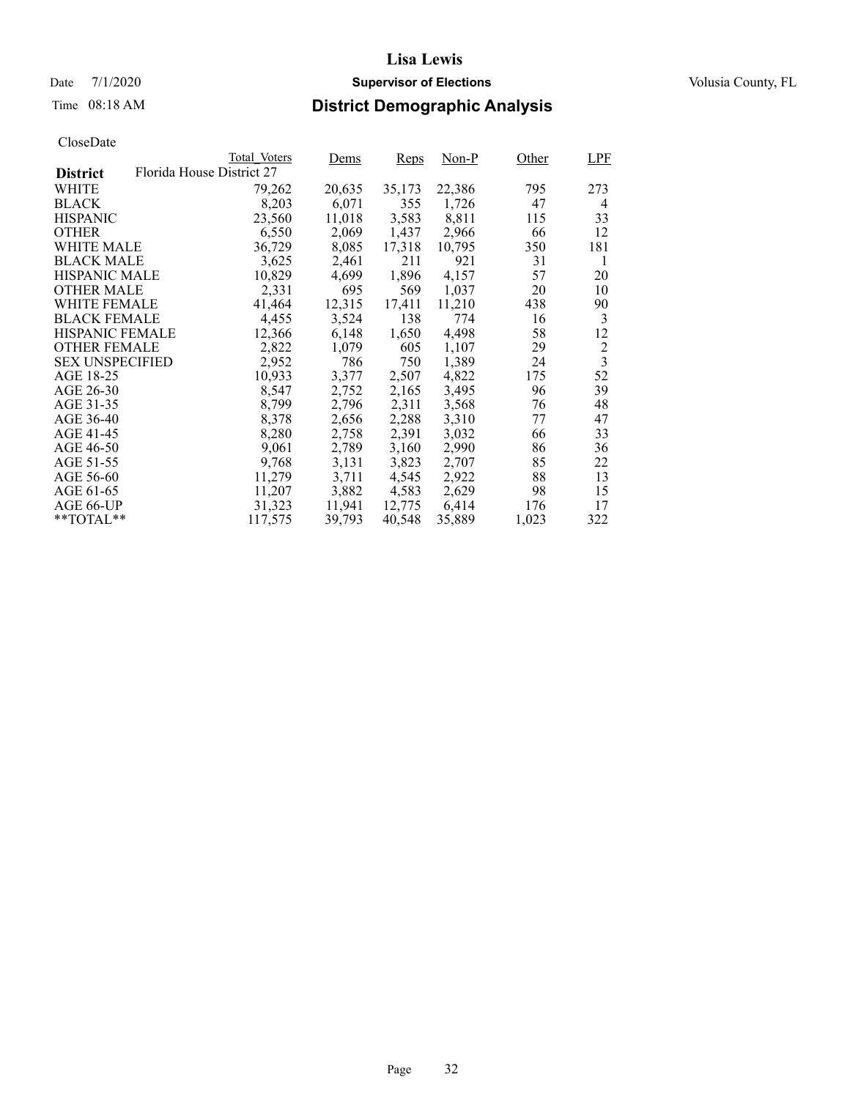### Date 7/1/2020 **Supervisor of Elections Supervisor of Elections** Volusia County, FL

# Time 08:18 AM **District Demographic Analysis**

|                        |                           | Total Voters | Dems   | Reps   | Non-P  | Other | <b>LPF</b>              |
|------------------------|---------------------------|--------------|--------|--------|--------|-------|-------------------------|
| <b>District</b>        | Florida House District 27 |              |        |        |        |       |                         |
| WHITE                  |                           | 79,262       | 20,635 | 35,173 | 22,386 | 795   | 273                     |
| <b>BLACK</b>           |                           | 8,203        | 6,071  | 355    | 1,726  | 47    | 4                       |
| <b>HISPANIC</b>        |                           | 23,560       | 11,018 | 3,583  | 8,811  | 115   | 33                      |
| <b>OTHER</b>           |                           | 6,550        | 2,069  | 1,437  | 2,966  | 66    | 12                      |
| WHITE MALE             |                           | 36,729       | 8,085  | 17,318 | 10.795 | 350   | 181                     |
| <b>BLACK MALE</b>      |                           | 3,625        | 2,461  | 211    | 921    | 31    | 1                       |
| <b>HISPANIC MALE</b>   |                           | 10,829       | 4,699  | 1,896  | 4,157  | 57    | 20                      |
| <b>OTHER MALE</b>      |                           | 2,331        | 695    | 569    | 1,037  | 20    | 10                      |
| <b>WHITE FEMALE</b>    |                           | 41,464       | 12,315 | 17,411 | 11,210 | 438   | 90                      |
| <b>BLACK FEMALE</b>    |                           | 4,455        | 3,524  | 138    | 774    | 16    | 3                       |
| HISPANIC FEMALE        |                           | 12,366       | 6,148  | 1,650  | 4,498  | 58    | 12                      |
| <b>OTHER FEMALE</b>    |                           | 2,822        | 1,079  | 605    | 1,107  | 29    | $\overline{2}$          |
| <b>SEX UNSPECIFIED</b> |                           | 2,952        | 786    | 750    | 1,389  | 24    | $\overline{\mathbf{3}}$ |
| AGE 18-25              |                           | 10,933       | 3,377  | 2,507  | 4,822  | 175   | 52                      |
| AGE 26-30              |                           | 8,547        | 2,752  | 2,165  | 3,495  | 96    | 39                      |
| AGE 31-35              |                           | 8,799        | 2,796  | 2,311  | 3,568  | 76    | 48                      |
| AGE 36-40              |                           | 8,378        | 2,656  | 2,288  | 3,310  | 77    | 47                      |
| AGE 41-45              |                           | 8,280        | 2,758  | 2,391  | 3,032  | 66    | 33                      |
| AGE 46-50              |                           | 9,061        | 2,789  | 3,160  | 2,990  | 86    | 36                      |
| AGE 51-55              |                           | 9,768        | 3,131  | 3,823  | 2,707  | 85    | 22                      |
| AGE 56-60              |                           | 11,279       | 3.711  | 4,545  | 2,922  | 88    | 13                      |
| AGE 61-65              |                           | 11,207       | 3,882  | 4,583  | 2,629  | 98    | 15                      |
| AGE 66-UP              |                           | 31,323       | 11,941 | 12,775 | 6,414  | 176   | 17                      |
| $*$ $TOTAL**$          |                           | 117,575      | 39,793 | 40,548 | 35,889 | 1,023 | 322                     |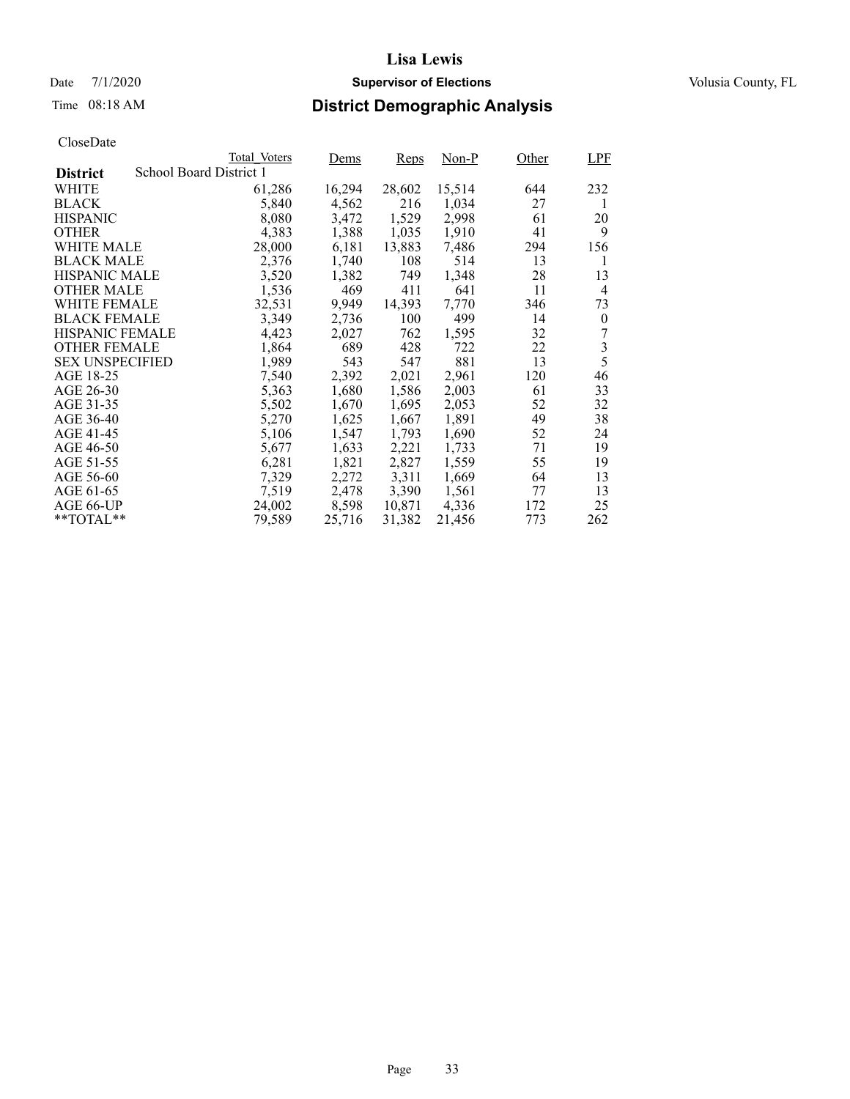### Date 7/1/2020 **Supervisor of Elections Supervisor of Elections** Volusia County, FL

# Time 08:18 AM **District Demographic Analysis**

|                        |                         | Total Voters | Dems   | <b>Reps</b> | Non-P  | Other | <b>LPF</b> |
|------------------------|-------------------------|--------------|--------|-------------|--------|-------|------------|
| <b>District</b>        | School Board District 1 |              |        |             |        |       |            |
| WHITE                  |                         | 61,286       | 16,294 | 28,602      | 15,514 | 644   | 232        |
| <b>BLACK</b>           |                         | 5,840        | 4,562  | 216         | 1,034  | 27    | 1          |
| <b>HISPANIC</b>        |                         | 8,080        | 3,472  | 1,529       | 2,998  | 61    | 20         |
| <b>OTHER</b>           |                         | 4,383        | 1,388  | 1,035       | 1,910  | 41    | 9          |
| WHITE MALE             |                         | 28,000       | 6,181  | 13,883      | 7,486  | 294   | 156        |
| <b>BLACK MALE</b>      |                         | 2,376        | 1,740  | 108         | 514    | 13    | 1          |
| <b>HISPANIC MALE</b>   |                         | 3,520        | 1,382  | 749         | 1,348  | 28    | 13         |
| OTHER MALE             |                         | 1,536        | 469    | 411         | 641    | 11    | 4          |
| <b>WHITE FEMALE</b>    |                         | 32,531       | 9,949  | 14,393      | 7,770  | 346   | 73         |
| <b>BLACK FEMALE</b>    |                         | 3,349        | 2,736  | 100         | 499    | 14    | $\theta$   |
| HISPANIC FEMALE        |                         | 4,423        | 2,027  | 762         | 1,595  | 32    | 7          |
| <b>OTHER FEMALE</b>    |                         | 1,864        | 689    | 428         | 722    | 22    | 3          |
| <b>SEX UNSPECIFIED</b> |                         | 1,989        | 543    | 547         | 881    | 13    | 5          |
| AGE 18-25              |                         | 7,540        | 2,392  | 2,021       | 2,961  | 120   | 46         |
| AGE 26-30              |                         | 5,363        | 1,680  | 1,586       | 2,003  | 61    | 33         |
| AGE 31-35              |                         | 5,502        | 1,670  | 1,695       | 2,053  | 52    | 32         |
| AGE 36-40              |                         | 5,270        | 1,625  | 1,667       | 1,891  | 49    | 38         |
| AGE 41-45              |                         | 5,106        | 1,547  | 1,793       | 1,690  | 52    | 24         |
| AGE 46-50              |                         | 5,677        | 1,633  | 2,221       | 1,733  | 71    | 19         |
| AGE 51-55              |                         | 6,281        | 1,821  | 2,827       | 1,559  | 55    | 19         |
| AGE 56-60              |                         | 7,329        | 2,272  | 3,311       | 1,669  | 64    | 13         |
| AGE 61-65              |                         | 7,519        | 2,478  | 3,390       | 1,561  | 77    | 13         |
| AGE 66-UP              |                         | 24,002       | 8,598  | 10,871      | 4,336  | 172   | 25         |
| $*$ $TOTAL**$          |                         | 79,589       | 25,716 | 31,382      | 21,456 | 773   | 262        |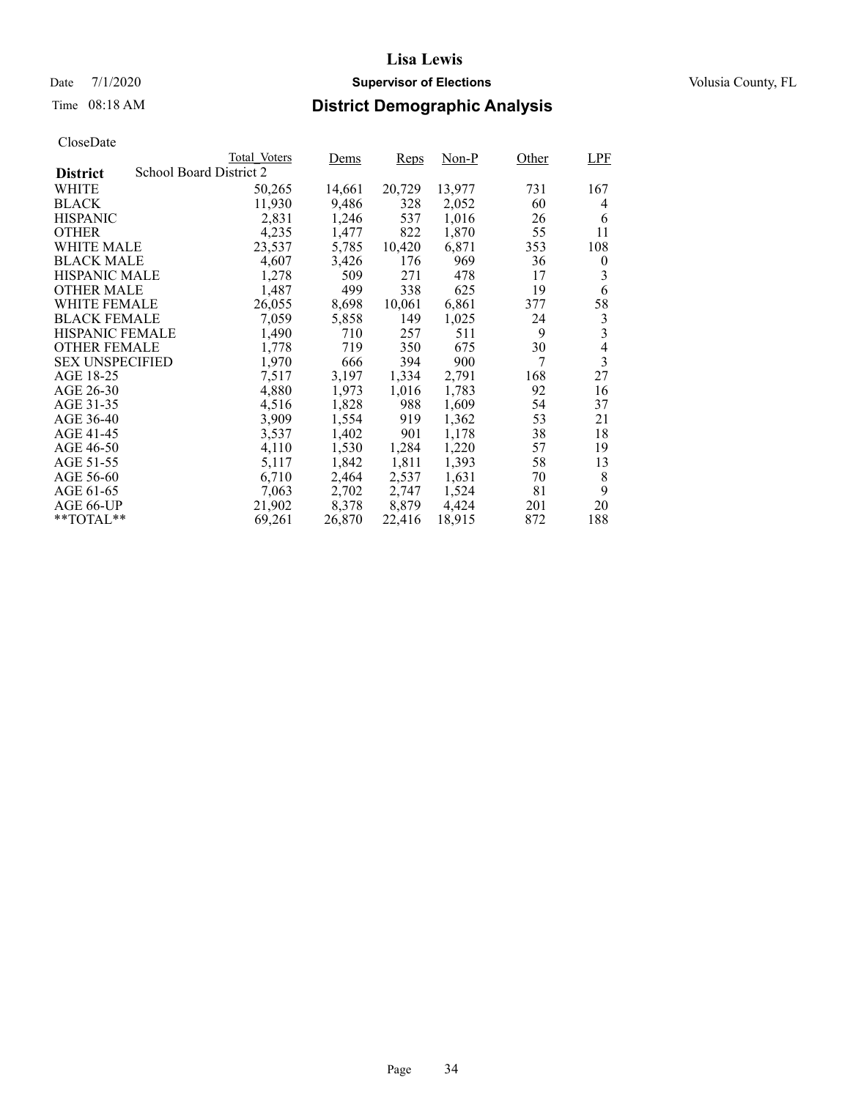### Date 7/1/2020 **Supervisor of Elections Supervisor of Elections** Volusia County, FL

# Time 08:18 AM **District Demographic Analysis**

|                        |                         | Total Voters | Dems   | Reps   | Non-P  | Other | <b>LPF</b>     |
|------------------------|-------------------------|--------------|--------|--------|--------|-------|----------------|
| <b>District</b>        | School Board District 2 |              |        |        |        |       |                |
| WHITE                  |                         | 50,265       | 14,661 | 20,729 | 13,977 | 731   | 167            |
| <b>BLACK</b>           |                         | 11,930       | 9,486  | 328    | 2,052  | 60    | 4              |
| <b>HISPANIC</b>        |                         | 2,831        | 1,246  | 537    | 1,016  | 26    | 6              |
| <b>OTHER</b>           |                         | 4,235        | 1,477  | 822    | 1,870  | 55    | 11             |
| WHITE MALE             |                         | 23,537       | 5,785  | 10,420 | 6,871  | 353   | 108            |
| <b>BLACK MALE</b>      |                         | 4,607        | 3,426  | 176    | 969    | 36    | $\overline{0}$ |
| <b>HISPANIC MALE</b>   |                         | 1,278        | 509    | 271    | 478    | 17    | 3              |
| <b>OTHER MALE</b>      |                         | 1,487        | 499    | 338    | 625    | 19    | 6              |
| <b>WHITE FEMALE</b>    |                         | 26,055       | 8,698  | 10,061 | 6,861  | 377   | 58             |
| <b>BLACK FEMALE</b>    |                         | 7,059        | 5,858  | 149    | 1,025  | 24    | 3              |
| <b>HISPANIC FEMALE</b> |                         | 1,490        | 710    | 257    | 511    | 9     | 3              |
| <b>OTHER FEMALE</b>    |                         | 1,778        | 719    | 350    | 675    | 30    | $\overline{4}$ |
| <b>SEX UNSPECIFIED</b> |                         | 1,970        | 666    | 394    | 900    | 7     | 3              |
| AGE 18-25              |                         | 7,517        | 3,197  | 1,334  | 2,791  | 168   | 27             |
| AGE 26-30              |                         | 4,880        | 1,973  | 1,016  | 1,783  | 92    | 16             |
| AGE 31-35              |                         | 4,516        | 1,828  | 988    | 1,609  | 54    | 37             |
| AGE 36-40              |                         | 3,909        | 1,554  | 919    | 1,362  | 53    | 21             |
| AGE 41-45              |                         | 3,537        | 1,402  | 901    | 1,178  | 38    | 18             |
| AGE 46-50              |                         | 4,110        | 1,530  | 1,284  | 1,220  | 57    | 19             |
| AGE 51-55              |                         | 5,117        | 1,842  | 1,811  | 1,393  | 58    | 13             |
| AGE 56-60              |                         | 6,710        | 2,464  | 2,537  | 1,631  | 70    | 8              |
| AGE 61-65              |                         | 7,063        | 2,702  | 2,747  | 1,524  | 81    | 9              |
| AGE 66-UP              |                         | 21,902       | 8,378  | 8,879  | 4,424  | 201   | 20             |
| $*$ $TOTAL**$          |                         | 69,261       | 26,870 | 22,416 | 18,915 | 872   | 188            |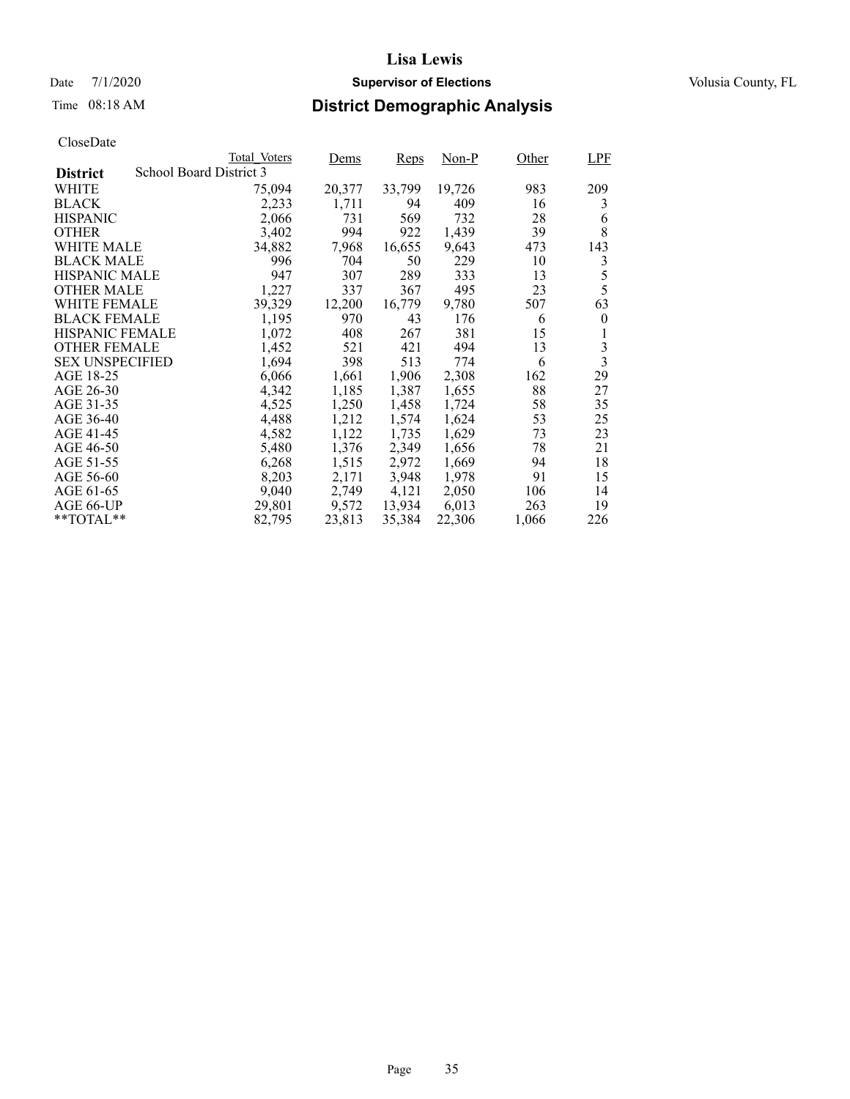### Date 7/1/2020 **Supervisor of Elections Supervisor of Elections** Volusia County, FL

# Time 08:18 AM **District Demographic Analysis**

|                        |                         | Total Voters | Dems   | Reps   | Non-P  | Other | LPF                     |
|------------------------|-------------------------|--------------|--------|--------|--------|-------|-------------------------|
| <b>District</b>        | School Board District 3 |              |        |        |        |       |                         |
| WHITE                  |                         | 75,094       | 20,377 | 33,799 | 19,726 | 983   | 209                     |
| <b>BLACK</b>           |                         | 2,233        | 1,711  | 94     | 409    | 16    | 3                       |
| <b>HISPANIC</b>        |                         | 2,066        | 731    | 569    | 732    | 28    | 6                       |
| <b>OTHER</b>           |                         | 3,402        | 994    | 922    | 1,439  | 39    | 8                       |
| WHITE MALE             |                         | 34,882       | 7,968  | 16,655 | 9,643  | 473   | 143                     |
| <b>BLACK MALE</b>      |                         | 996          | 704    | 50     | 229    | 10    | 3                       |
| <b>HISPANIC MALE</b>   |                         | 947          | 307    | 289    | 333    | 13    | 5                       |
| <b>OTHER MALE</b>      |                         | 1,227        | 337    | 367    | 495    | 23    | 5                       |
| <b>WHITE FEMALE</b>    |                         | 39,329       | 12,200 | 16,779 | 9,780  | 507   | 63                      |
| <b>BLACK FEMALE</b>    |                         | 1,195        | 970    | 43     | 176    | 6     | $\theta$                |
| <b>HISPANIC FEMALE</b> |                         | 1,072        | 408    | 267    | 381    | 15    |                         |
| <b>OTHER FEMALE</b>    |                         | 1,452        | 521    | 421    | 494    | 13    | 3                       |
| <b>SEX UNSPECIFIED</b> |                         | 1,694        | 398    | 513    | 774    | 6     | $\overline{\mathbf{3}}$ |
| AGE 18-25              |                         | 6,066        | 1,661  | 1,906  | 2,308  | 162   | 29                      |
| AGE 26-30              |                         | 4,342        | 1,185  | 1,387  | 1,655  | 88    | 27                      |
| AGE 31-35              |                         | 4,525        | 1,250  | 1,458  | 1,724  | 58    | 35                      |
| AGE 36-40              |                         | 4,488        | 1,212  | 1,574  | 1,624  | 53    | 25                      |
| AGE 41-45              |                         | 4,582        | 1,122  | 1,735  | 1,629  | 73    | 23                      |
| AGE 46-50              |                         | 5,480        | 1,376  | 2,349  | 1,656  | 78    | 21                      |
| AGE 51-55              |                         | 6,268        | 1,515  | 2,972  | 1,669  | 94    | 18                      |
| AGE 56-60              |                         | 8,203        | 2,171  | 3,948  | 1,978  | 91    | 15                      |
| AGE 61-65              |                         | 9,040        | 2,749  | 4,121  | 2,050  | 106   | 14                      |
| AGE 66-UP              |                         | 29,801       | 9,572  | 13,934 | 6,013  | 263   | 19                      |
| $*$ $TOTAL**$          |                         | 82,795       | 23,813 | 35,384 | 22,306 | 1,066 | 226                     |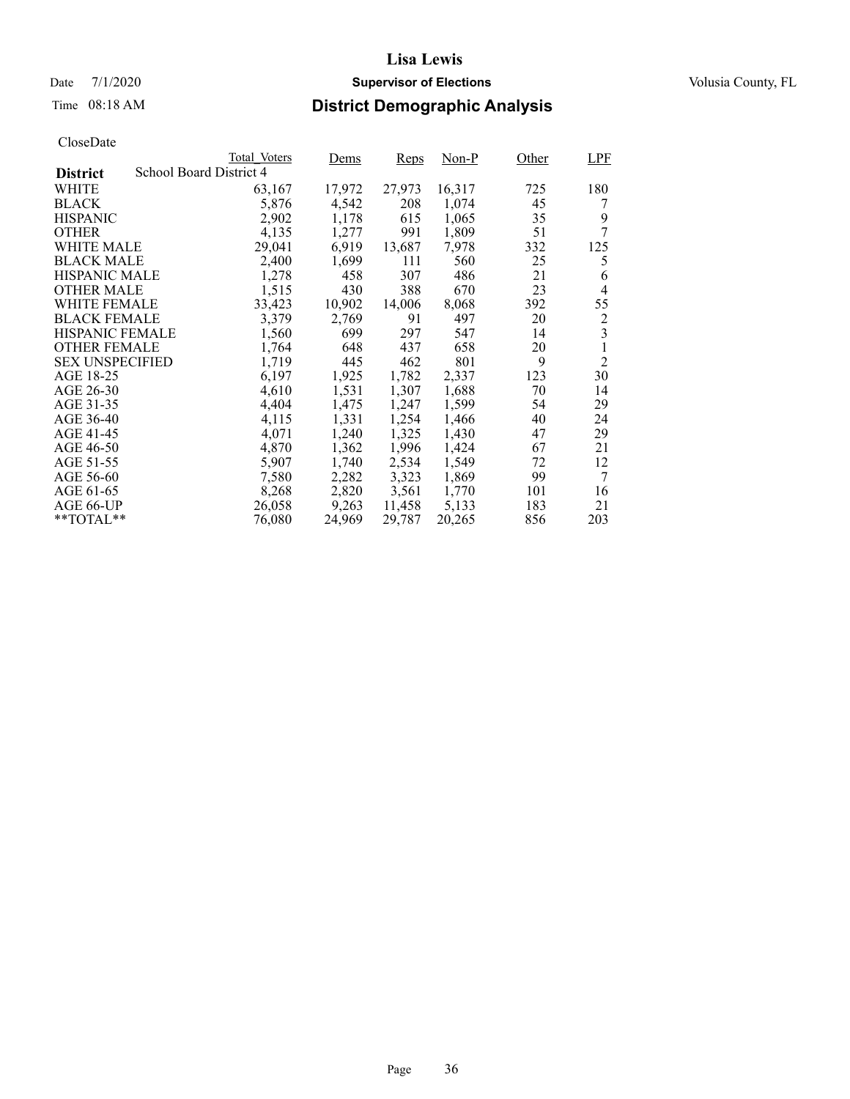### Date 7/1/2020 **Supervisor of Elections Supervisor of Elections** Volusia County, FL

# Time 08:18 AM **District Demographic Analysis**

|                        |                         | Total Voters | Dems   | Reps   | Non-P  | Other | <b>LPF</b>     |
|------------------------|-------------------------|--------------|--------|--------|--------|-------|----------------|
| <b>District</b>        | School Board District 4 |              |        |        |        |       |                |
| WHITE                  |                         | 63,167       | 17,972 | 27,973 | 16,317 | 725   | 180            |
| <b>BLACK</b>           |                         | 5,876        | 4,542  | 208    | 1,074  | 45    | 7              |
| <b>HISPANIC</b>        |                         | 2,902        | 1,178  | 615    | 1,065  | 35    | 9              |
| <b>OTHER</b>           |                         | 4,135        | 1,277  | 991    | 1,809  | 51    | 7              |
| WHITE MALE             |                         | 29,041       | 6,919  | 13,687 | 7,978  | 332   | 125            |
| <b>BLACK MALE</b>      |                         | 2,400        | 1,699  | 111    | 560    | 25    | 5              |
| <b>HISPANIC MALE</b>   |                         | 1,278        | 458    | 307    | 486    | 21    | 6              |
| <b>OTHER MALE</b>      |                         | 1,515        | 430    | 388    | 670    | 23    | 4              |
| <b>WHITE FEMALE</b>    |                         | 33,423       | 10,902 | 14,006 | 8,068  | 392   | 55             |
| <b>BLACK FEMALE</b>    |                         | 3,379        | 2,769  | 91     | 497    | 20    | $\overline{c}$ |
| <b>HISPANIC FEMALE</b> |                         | 1,560        | 699    | 297    | 547    | 14    | 3              |
| <b>OTHER FEMALE</b>    |                         | 1,764        | 648    | 437    | 658    | 20    | 1              |
| <b>SEX UNSPECIFIED</b> |                         | 1,719        | 445    | 462    | 801    | 9     | $\overline{2}$ |
| AGE 18-25              |                         | 6,197        | 1,925  | 1,782  | 2,337  | 123   | 30             |
| AGE 26-30              |                         | 4,610        | 1,531  | 1,307  | 1,688  | 70    | 14             |
| AGE 31-35              |                         | 4,404        | 1,475  | 1,247  | 1,599  | 54    | 29             |
| AGE 36-40              |                         | 4,115        | 1,331  | 1,254  | 1,466  | 40    | 24             |
| AGE 41-45              |                         | 4,071        | 1,240  | 1,325  | 1,430  | 47    | 29             |
| AGE 46-50              |                         | 4,870        | 1,362  | 1,996  | 1,424  | 67    | 21             |
| AGE 51-55              |                         | 5,907        | 1,740  | 2,534  | 1,549  | 72    | 12             |
| AGE 56-60              |                         | 7,580        | 2,282  | 3,323  | 1,869  | 99    | 7              |
| AGE 61-65              |                         | 8,268        | 2,820  | 3,561  | 1,770  | 101   | 16             |
| AGE 66-UP              |                         | 26,058       | 9,263  | 11,458 | 5,133  | 183   | 21             |
| $*$ $TOTAL**$          |                         | 76,080       | 24,969 | 29,787 | 20,265 | 856   | 203            |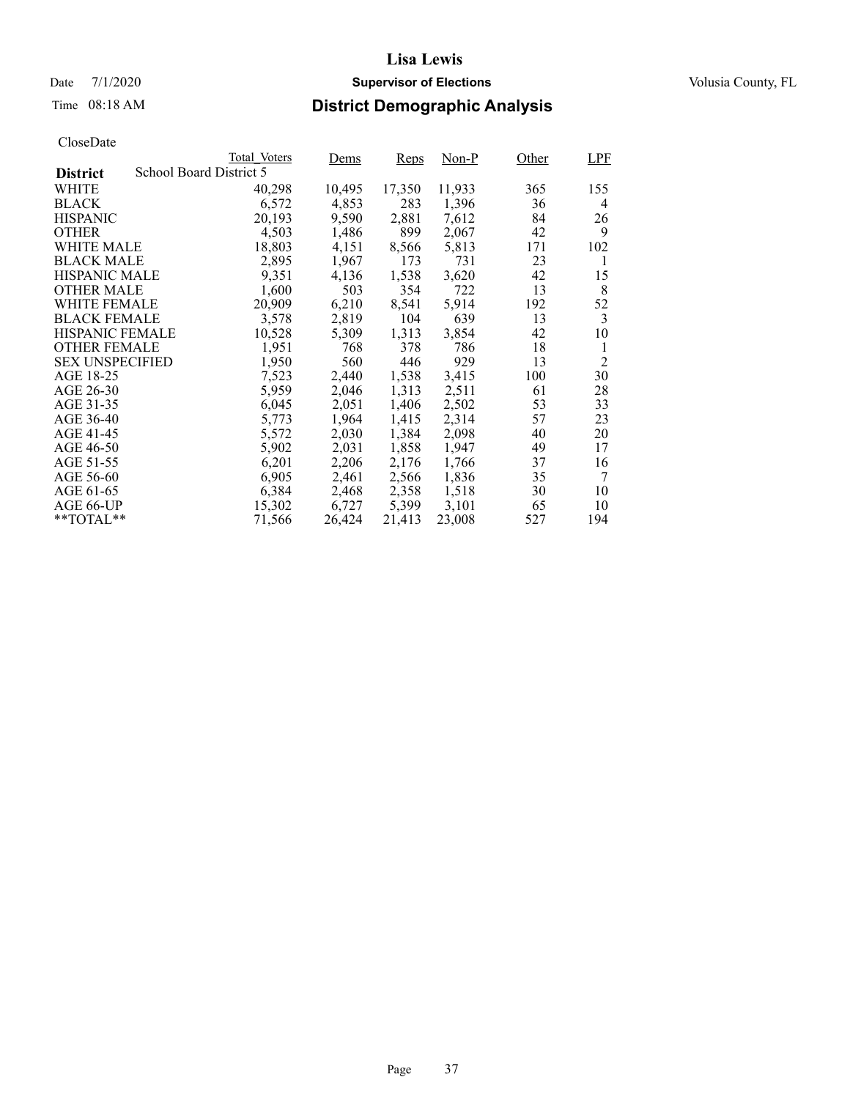## Date 7/1/2020 **Supervisor of Elections Supervisor of Elections** Volusia County, FL

# Time 08:18 AM **District Demographic Analysis**

|                        |                         | Total Voters | Dems   | Reps   | Non-P  | Other | <b>LPF</b>     |
|------------------------|-------------------------|--------------|--------|--------|--------|-------|----------------|
| <b>District</b>        | School Board District 5 |              |        |        |        |       |                |
| WHITE                  |                         | 40,298       | 10,495 | 17,350 | 11,933 | 365   | 155            |
| <b>BLACK</b>           |                         | 6,572        | 4,853  | 283    | 1,396  | 36    | 4              |
| <b>HISPANIC</b>        |                         | 20,193       | 9,590  | 2,881  | 7,612  | 84    | 26             |
| <b>OTHER</b>           |                         | 4,503        | 1,486  | 899    | 2,067  | 42    | 9              |
| WHITE MALE             |                         | 18,803       | 4,151  | 8,566  | 5,813  | 171   | 102            |
| <b>BLACK MALE</b>      |                         | 2,895        | 1,967  | 173    | 731    | 23    | 1              |
| <b>HISPANIC MALE</b>   |                         | 9,351        | 4,136  | 1,538  | 3,620  | 42    | 15             |
| <b>OTHER MALE</b>      |                         | 1,600        | 503    | 354    | 722    | 13    | 8              |
| <b>WHITE FEMALE</b>    |                         | 20,909       | 6,210  | 8,541  | 5,914  | 192   | 52             |
| <b>BLACK FEMALE</b>    |                         | 3,578        | 2,819  | 104    | 639    | 13    | 3              |
| <b>HISPANIC FEMALE</b> |                         | 10,528       | 5,309  | 1,313  | 3,854  | 42    | 10             |
| <b>OTHER FEMALE</b>    |                         | 1,951        | 768    | 378    | 786    | 18    | 1              |
| <b>SEX UNSPECIFIED</b> |                         | 1,950        | 560    | 446    | 929    | 13    | $\overline{2}$ |
| AGE 18-25              |                         | 7,523        | 2,440  | 1,538  | 3,415  | 100   | 30             |
| AGE 26-30              |                         | 5,959        | 2,046  | 1,313  | 2,511  | 61    | 28             |
| AGE 31-35              |                         | 6,045        | 2,051  | 1,406  | 2,502  | 53    | 33             |
| AGE 36-40              |                         | 5,773        | 1,964  | 1,415  | 2,314  | 57    | 23             |
| AGE 41-45              |                         | 5,572        | 2,030  | 1,384  | 2,098  | 40    | 20             |
| AGE 46-50              |                         | 5,902        | 2,031  | 1,858  | 1,947  | 49    | 17             |
| AGE 51-55              |                         | 6,201        | 2,206  | 2,176  | 1,766  | 37    | 16             |
| AGE 56-60              |                         | 6,905        | 2,461  | 2,566  | 1,836  | 35    | 7              |
| AGE 61-65              |                         | 6,384        | 2,468  | 2,358  | 1,518  | 30    | 10             |
| AGE 66-UP              |                         | 15,302       | 6,727  | 5,399  | 3,101  | 65    | 10             |
| $*$ $TOTAL**$          |                         | 71,566       | 26,424 | 21,413 | 23,008 | 527   | 194            |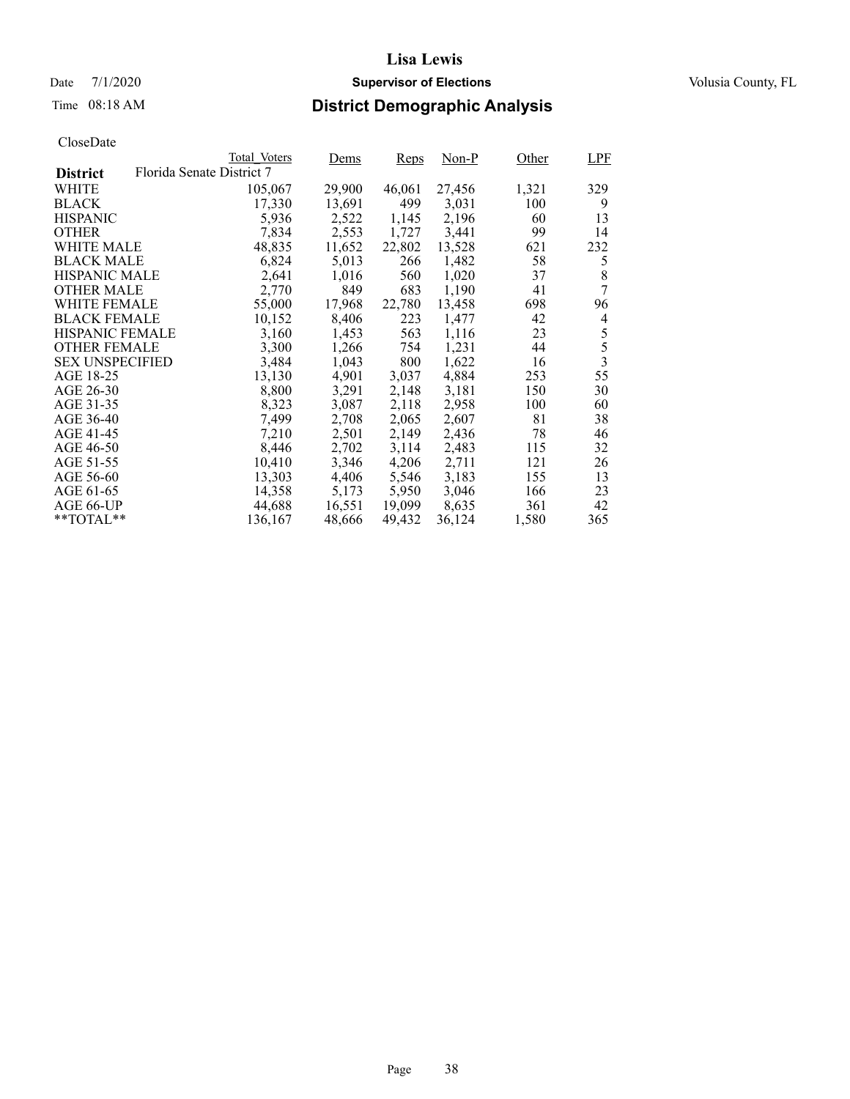## Date 7/1/2020 **Supervisor of Elections Supervisor of Elections** Volusia County, FL

# Time 08:18 AM **District Demographic Analysis**

|                        |                           | Total Voters | Dems   | Reps   | $Non-P$ | Other | LPF            |
|------------------------|---------------------------|--------------|--------|--------|---------|-------|----------------|
| <b>District</b>        | Florida Senate District 7 |              |        |        |         |       |                |
| WHITE                  |                           | 105,067      | 29,900 | 46,061 | 27,456  | 1,321 | 329            |
| <b>BLACK</b>           |                           | 17,330       | 13,691 | 499    | 3,031   | 100   | 9              |
| <b>HISPANIC</b>        |                           | 5,936        | 2,522  | 1,145  | 2,196   | 60    | 13             |
| <b>OTHER</b>           |                           | 7,834        | 2,553  | 1,727  | 3,441   | 99    | 14             |
| WHITE MALE             |                           | 48,835       | 11,652 | 22,802 | 13,528  | 621   | 232            |
| <b>BLACK MALE</b>      |                           | 6,824        | 5,013  | 266    | 1,482   | 58    | 5              |
| <b>HISPANIC MALE</b>   |                           | 2,641        | 1,016  | 560    | 1,020   | 37    | 8              |
| <b>OTHER MALE</b>      |                           | 2,770        | 849    | 683    | 1,190   | 41    | 7              |
| WHITE FEMALE           |                           | 55,000       | 17,968 | 22,780 | 13,458  | 698   | 96             |
| <b>BLACK FEMALE</b>    |                           | 10,152       | 8,406  | 223    | 1,477   | 42    | 4              |
| <b>HISPANIC FEMALE</b> |                           | 3,160        | 1,453  | 563    | 1,116   | 23    | 5              |
| <b>OTHER FEMALE</b>    |                           | 3,300        | 1,266  | 754    | 1,231   | 44    | 5              |
| <b>SEX UNSPECIFIED</b> |                           | 3,484        | 1,043  | 800    | 1,622   | 16    | $\overline{3}$ |
| AGE 18-25              |                           | 13,130       | 4,901  | 3,037  | 4,884   | 253   | 55             |
| AGE 26-30              |                           | 8,800        | 3,291  | 2,148  | 3.181   | 150   | 30             |
| AGE 31-35              |                           | 8,323        | 3,087  | 2,118  | 2,958   | 100   | 60             |
| AGE 36-40              |                           | 7,499        | 2,708  | 2,065  | 2,607   | 81    | 38             |
| AGE 41-45              |                           | 7,210        | 2,501  | 2,149  | 2,436   | 78    | 46             |
| AGE 46-50              |                           | 8,446        | 2,702  | 3,114  | 2,483   | 115   | 32             |
| AGE 51-55              |                           | 10,410       | 3,346  | 4,206  | 2,711   | 121   | 26             |
| AGE 56-60              |                           | 13,303       | 4,406  | 5,546  | 3,183   | 155   | 13             |
| AGE 61-65              |                           | 14,358       | 5,173  | 5,950  | 3,046   | 166   | 23             |
| AGE 66-UP              |                           | 44,688       | 16,551 | 19,099 | 8,635   | 361   | 42             |
| $*$ $TOTAL**$          |                           | 136,167      | 48,666 | 49.432 | 36,124  | 1,580 | 365            |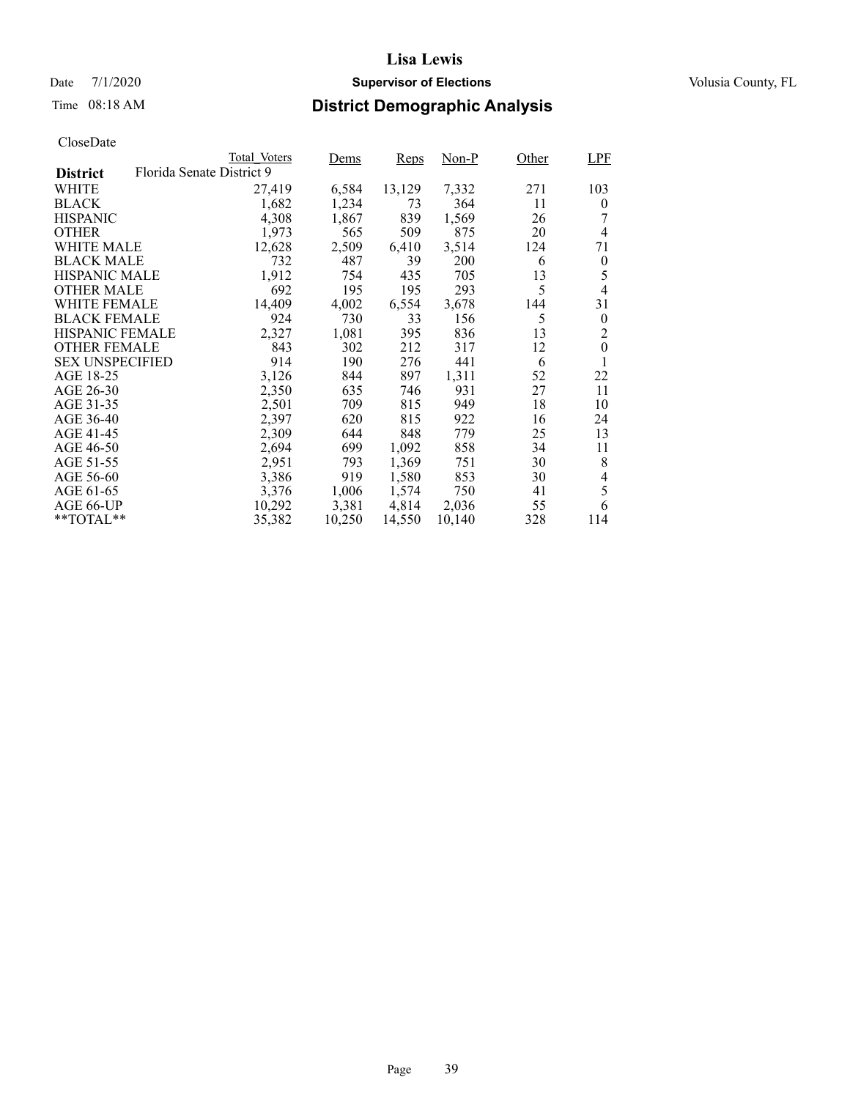## Date 7/1/2020 **Supervisor of Elections Supervisor of Elections** Volusia County, FL

# Time 08:18 AM **District Demographic Analysis**

|                        |                           | Total Voters | Dems   | Reps   | Non-P  | Other | LPF              |
|------------------------|---------------------------|--------------|--------|--------|--------|-------|------------------|
| <b>District</b>        | Florida Senate District 9 |              |        |        |        |       |                  |
| WHITE                  |                           | 27,419       | 6,584  | 13,129 | 7,332  | 271   | 103              |
| <b>BLACK</b>           |                           | 1,682        | 1,234  | 73     | 364    | 11    | $\overline{0}$   |
| <b>HISPANIC</b>        |                           | 4,308        | 1,867  | 839    | 1,569  | 26    |                  |
| <b>OTHER</b>           |                           | 1,973        | 565    | 509    | 875    | 20    | $\overline{4}$   |
| WHITE MALE             |                           | 12,628       | 2,509  | 6,410  | 3,514  | 124   | 71               |
| <b>BLACK MALE</b>      |                           | 732          | 487    | 39     | 200    | 6     | $\boldsymbol{0}$ |
| <b>HISPANIC MALE</b>   |                           | 1,912        | 754    | 435    | 705    | 13    | 5                |
| <b>OTHER MALE</b>      |                           | 692          | 195    | 195    | 293    | 5     | $\overline{4}$   |
| WHITE FEMALE           |                           | 14.409       | 4,002  | 6,554  | 3,678  | 144   | 31               |
| <b>BLACK FEMALE</b>    |                           | 924          | 730    | 33     | 156    | 5     | $\theta$         |
| <b>HISPANIC FEMALE</b> |                           | 2,327        | 1,081  | 395    | 836    | 13    | $\overline{2}$   |
| <b>OTHER FEMALE</b>    |                           | 843          | 302    | 212    | 317    | 12    | $\overline{0}$   |
| <b>SEX UNSPECIFIED</b> |                           | 914          | 190    | 276    | 441    | 6     |                  |
| AGE 18-25              |                           | 3,126        | 844    | 897    | 1,311  | 52    | 22               |
| AGE 26-30              |                           | 2,350        | 635    | 746    | 931    | 27    | 11               |
| AGE 31-35              |                           | 2,501        | 709    | 815    | 949    | 18    | 10               |
| AGE 36-40              |                           | 2,397        | 620    | 815    | 922    | 16    | 24               |
| AGE 41-45              |                           | 2,309        | 644    | 848    | 779    | 25    | 13               |
| AGE 46-50              |                           | 2,694        | 699    | 1,092  | 858    | 34    | 11               |
| AGE 51-55              |                           | 2,951        | 793    | 1,369  | 751    | 30    | 8                |
| AGE 56-60              |                           | 3,386        | 919    | 1,580  | 853    | 30    | 4                |
| AGE 61-65              |                           | 3,376        | 1,006  | 1,574  | 750    | 41    | 5                |
| AGE 66-UP              |                           | 10,292       | 3,381  | 4,814  | 2,036  | 55    | 6                |
| $*$ $TOTAL**$          |                           | 35,382       | 10,250 | 14,550 | 10,140 | 328   | 114              |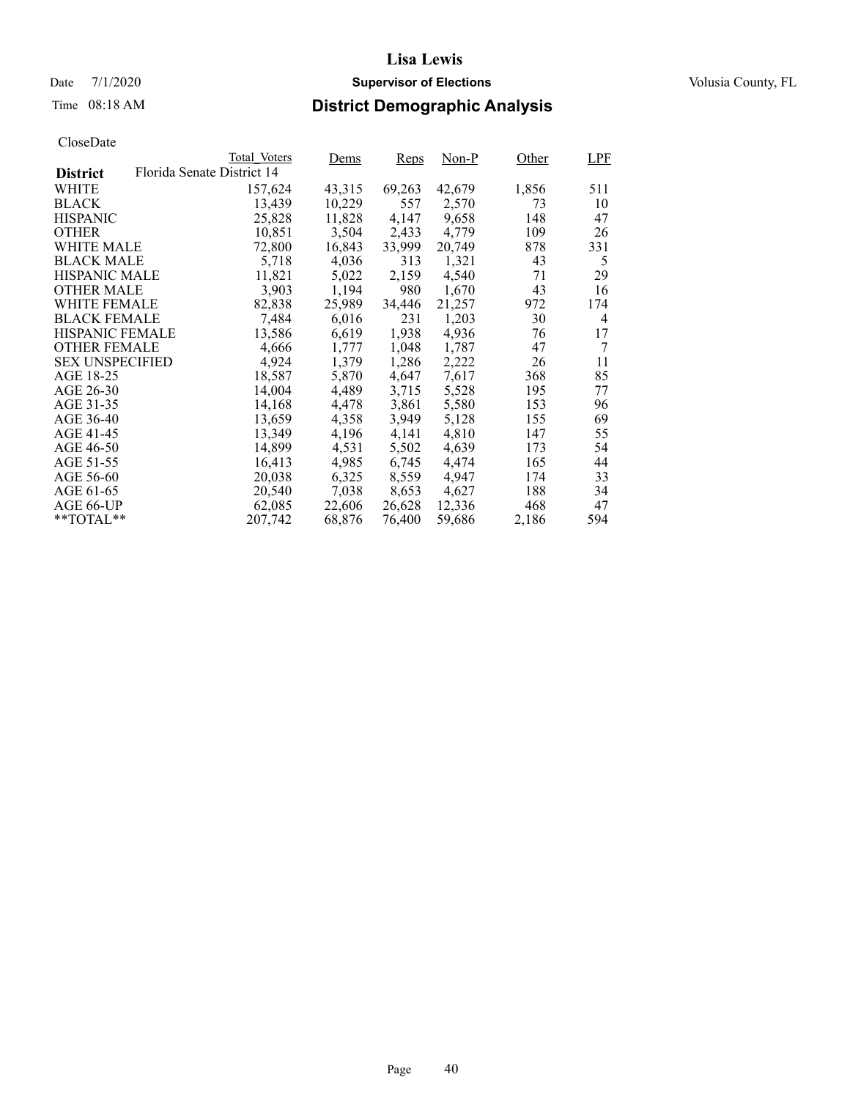## Date 7/1/2020 **Supervisor of Elections Supervisor of Elections** Volusia County, FL

# Time 08:18 AM **District Demographic Analysis**

|                        |                            | Total Voters | Dems   | Reps   | Non-P  | Other | <b>LPF</b>     |
|------------------------|----------------------------|--------------|--------|--------|--------|-------|----------------|
| <b>District</b>        | Florida Senate District 14 |              |        |        |        |       |                |
| WHITE                  |                            | 157,624      | 43,315 | 69,263 | 42,679 | 1,856 | 511            |
| <b>BLACK</b>           |                            | 13,439       | 10,229 | 557    | 2,570  | 73    | 10             |
| <b>HISPANIC</b>        |                            | 25,828       | 11,828 | 4,147  | 9,658  | 148   | 47             |
| <b>OTHER</b>           |                            | 10,851       | 3,504  | 2,433  | 4,779  | 109   | 26             |
| WHITE MALE             |                            | 72,800       | 16,843 | 33,999 | 20,749 | 878   | 331            |
| <b>BLACK MALE</b>      |                            | 5,718        | 4,036  | 313    | 1,321  | 43    | 5              |
| <b>HISPANIC MALE</b>   |                            | 11,821       | 5,022  | 2,159  | 4,540  | 71    | 29             |
| <b>OTHER MALE</b>      |                            | 3,903        | 1,194  | 980    | 1,670  | 43    | 16             |
| <b>WHITE FEMALE</b>    |                            | 82,838       | 25,989 | 34,446 | 21,257 | 972   | 174            |
| <b>BLACK FEMALE</b>    |                            | 7,484        | 6,016  | 231    | 1,203  | 30    | $\overline{4}$ |
| <b>HISPANIC FEMALE</b> |                            | 13,586       | 6,619  | 1,938  | 4,936  | 76    | 17             |
| <b>OTHER FEMALE</b>    |                            | 4,666        | 1,777  | 1,048  | 1.787  | 47    | 7              |
| <b>SEX UNSPECIFIED</b> |                            | 4,924        | 1,379  | 1,286  | 2,222  | 26    | 11             |
| AGE 18-25              |                            | 18,587       | 5,870  | 4,647  | 7,617  | 368   | 85             |
| AGE 26-30              |                            | 14,004       | 4,489  | 3,715  | 5,528  | 195   | 77             |
| AGE 31-35              |                            | 14,168       | 4,478  | 3,861  | 5,580  | 153   | 96             |
| AGE 36-40              |                            | 13,659       | 4,358  | 3,949  | 5,128  | 155   | 69             |
| AGE 41-45              |                            | 13,349       | 4,196  | 4,141  | 4,810  | 147   | 55             |
| AGE 46-50              |                            | 14,899       | 4,531  | 5,502  | 4,639  | 173   | 54             |
| AGE 51-55              |                            | 16,413       | 4,985  | 6,745  | 4,474  | 165   | 44             |
| AGE 56-60              |                            | 20,038       | 6,325  | 8,559  | 4.947  | 174   | 33             |
| AGE 61-65              |                            | 20,540       | 7,038  | 8,653  | 4,627  | 188   | 34             |
| AGE 66-UP              |                            | 62,085       | 22,606 | 26,628 | 12,336 | 468   | 47             |
| $*$ $TOTAL**$          |                            | 207.742      | 68,876 | 76,400 | 59,686 | 2,186 | 594            |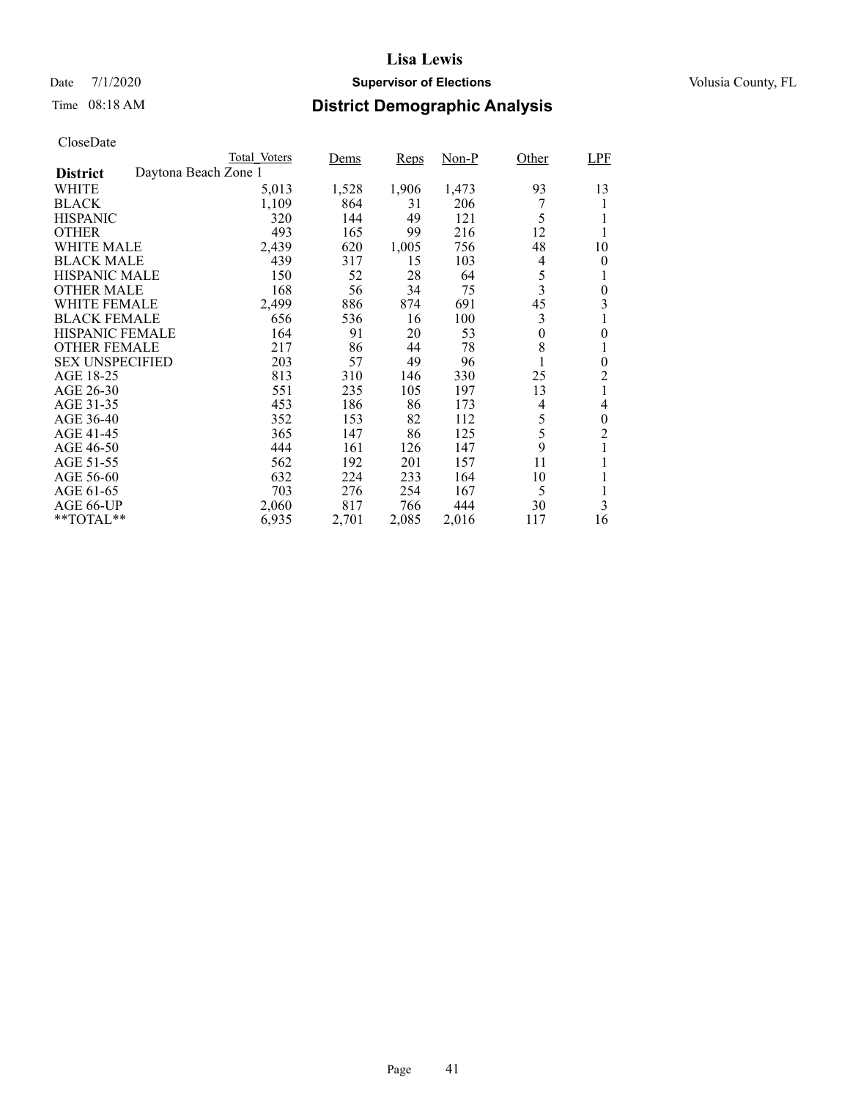## Date 7/1/2020 **Supervisor of Elections Supervisor of Elections** Volusia County, FL

# Time 08:18 AM **District Demographic Analysis**

|                        |                      | Total Voters | Dems  | Reps  | $Non-P$ | Other    | <b>LPF</b>     |
|------------------------|----------------------|--------------|-------|-------|---------|----------|----------------|
| <b>District</b>        | Daytona Beach Zone 1 |              |       |       |         |          |                |
| WHITE                  |                      | 5,013        | 1,528 | 1,906 | 1,473   | 93       | 13             |
| <b>BLACK</b>           |                      | 1,109        | 864   | 31    | 206     |          | 1              |
| <b>HISPANIC</b>        |                      | 320          | 144   | 49    | 121     | 5        | 1              |
| <b>OTHER</b>           |                      | 493          | 165   | 99    | 216     | 12       | 1              |
| WHITE MALE             |                      | 2,439        | 620   | 1,005 | 756     | 48       | 10             |
| <b>BLACK MALE</b>      |                      | 439          | 317   | 15    | 103     | 4        | 0              |
| <b>HISPANIC MALE</b>   |                      | 150          | 52    | 28    | 64      | 5        | 1              |
| <b>OTHER MALE</b>      |                      | 168          | 56    | 34    | 75      | 3        | 0              |
| WHITE FEMALE           |                      | 2,499        | 886   | 874   | 691     | 45       | 3              |
| <b>BLACK FEMALE</b>    |                      | 656          | 536   | 16    | 100     | 3        | 1              |
| HISPANIC FEMALE        |                      | 164          | 91    | 20    | 53      | $\theta$ | 0              |
| <b>OTHER FEMALE</b>    |                      | 217          | 86    | 44    | 78      | 8        | 1              |
| <b>SEX UNSPECIFIED</b> |                      | 203          | 57    | 49    | 96      | 1        | $\overline{0}$ |
| AGE 18-25              |                      | 813          | 310   | 146   | 330     | 25       | 2              |
| AGE 26-30              |                      | 551          | 235   | 105   | 197     | 13       | 1              |
| AGE 31-35              |                      | 453          | 186   | 86    | 173     | 4        | 4              |
| AGE 36-40              |                      | 352          | 153   | 82    | 112     | 5        | 0              |
| AGE 41-45              |                      | 365          | 147   | 86    | 125     | 5        | $\overline{c}$ |
| AGE 46-50              |                      | 444          | 161   | 126   | 147     | 9        | 1              |
| AGE 51-55              |                      | 562          | 192   | 201   | 157     | 11       | 1              |
| AGE 56-60              |                      | 632          | 224   | 233   | 164     | 10       |                |
| AGE 61-65              |                      | 703          | 276   | 254   | 167     | 5        | 1              |
| AGE 66-UP              |                      | 2,060        | 817   | 766   | 444     | 30       | 3              |
| **TOTAL**              |                      | 6,935        | 2,701 | 2,085 | 2,016   | 117      | 16             |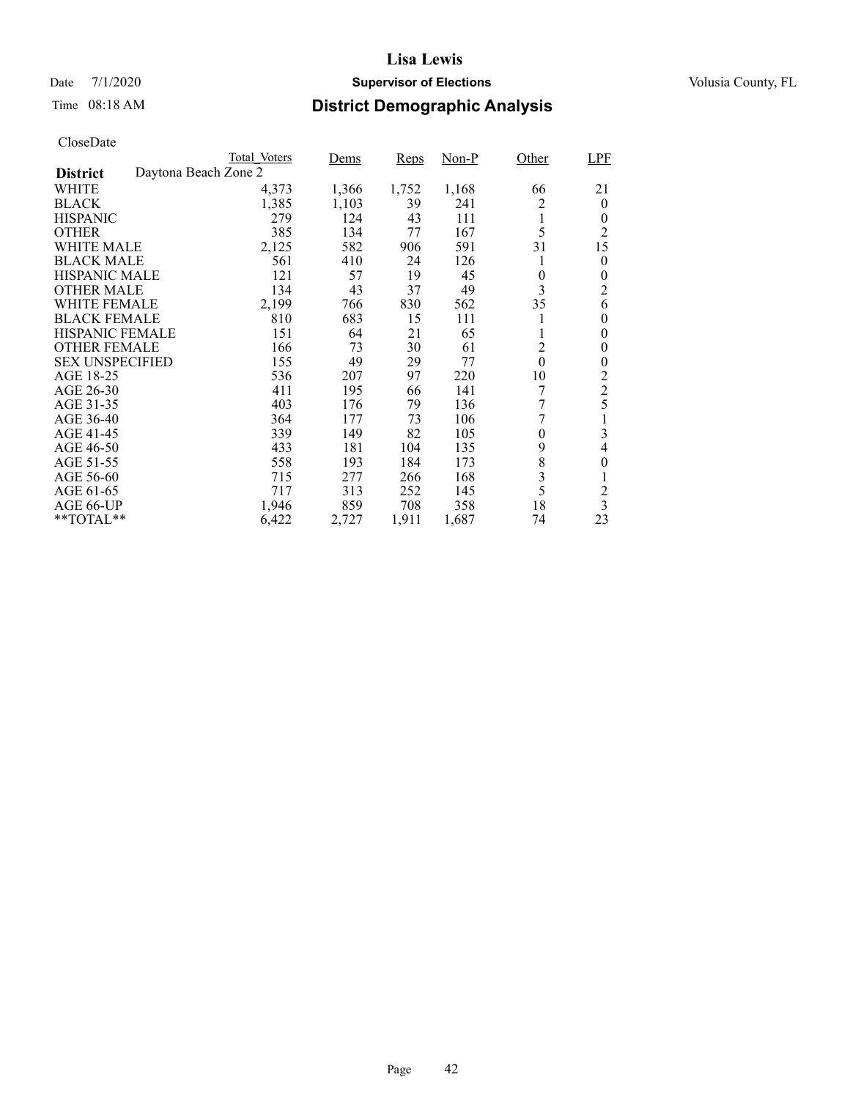## Date 7/1/2020 **Supervisor of Elections Supervisor of Elections** Volusia County, FL

# Time 08:18 AM **District Demographic Analysis**

|                        |                      | Total Voters | Dems  | Reps  | Non-P | Other          | LPF                     |
|------------------------|----------------------|--------------|-------|-------|-------|----------------|-------------------------|
| <b>District</b>        | Daytona Beach Zone 2 |              |       |       |       |                |                         |
| WHITE                  |                      | 4,373        | 1,366 | 1,752 | 1,168 | 66             | 21                      |
| <b>BLACK</b>           |                      | 1,385        | 1,103 | 39    | 241   | 2              | $\overline{0}$          |
| <b>HISPANIC</b>        |                      | 279          | 124   | 43    | 111   | 1              | 0                       |
| <b>OTHER</b>           |                      | 385          | 134   | 77    | 167   | 5              | 2                       |
| WHITE MALE             |                      | 2,125        | 582   | 906   | 591   | 31             | 15                      |
| <b>BLACK MALE</b>      |                      | 561          | 410   | 24    | 126   | 1              | 0                       |
| <b>HISPANIC MALE</b>   |                      | 121          | 57    | 19    | 45    | 0              | 0                       |
| <b>OTHER MALE</b>      |                      | 134          | 43    | 37    | 49    | 3              | $\overline{2}$          |
| <b>WHITE FEMALE</b>    |                      | 2,199        | 766   | 830   | 562   | 35             | 6                       |
| <b>BLACK FEMALE</b>    |                      | 810          | 683   | 15    | 111   | 1              | 0                       |
| <b>HISPANIC FEMALE</b> |                      | 151          | 64    | 21    | 65    | 1              | 0                       |
| <b>OTHER FEMALE</b>    |                      | 166          | 73    | 30    | 61    | $\overline{2}$ | 0                       |
| <b>SEX UNSPECIFIED</b> |                      | 155          | 49    | 29    | 77    | $\theta$       | 0                       |
| AGE 18-25              |                      | 536          | 207   | 97    | 220   | 10             | 2                       |
| AGE 26-30              |                      | 411          | 195   | 66    | 141   |                | $\overline{c}$          |
| AGE 31-35              |                      | 403          | 176   | 79    | 136   | 7              | 5                       |
| AGE 36-40              |                      | 364          | 177   | 73    | 106   | 7              |                         |
| AGE 41-45              |                      | 339          | 149   | 82    | 105   | 0              | 3                       |
| AGE 46-50              |                      | 433          | 181   | 104   | 135   | 9              | 4                       |
| AGE 51-55              |                      | 558          | 193   | 184   | 173   | 8              | $\overline{0}$          |
| AGE 56-60              |                      | 715          | 277   | 266   | 168   | 3              | 1                       |
| AGE 61-65              |                      | 717          | 313   | 252   | 145   | 5              | $\overline{c}$          |
| AGE 66-UP              |                      | 1,946        | 859   | 708   | 358   | 18             | $\overline{\mathbf{3}}$ |
| $*$ $TOTAL**$          |                      | 6,422        | 2,727 | 1,911 | 1,687 | 74             | 23                      |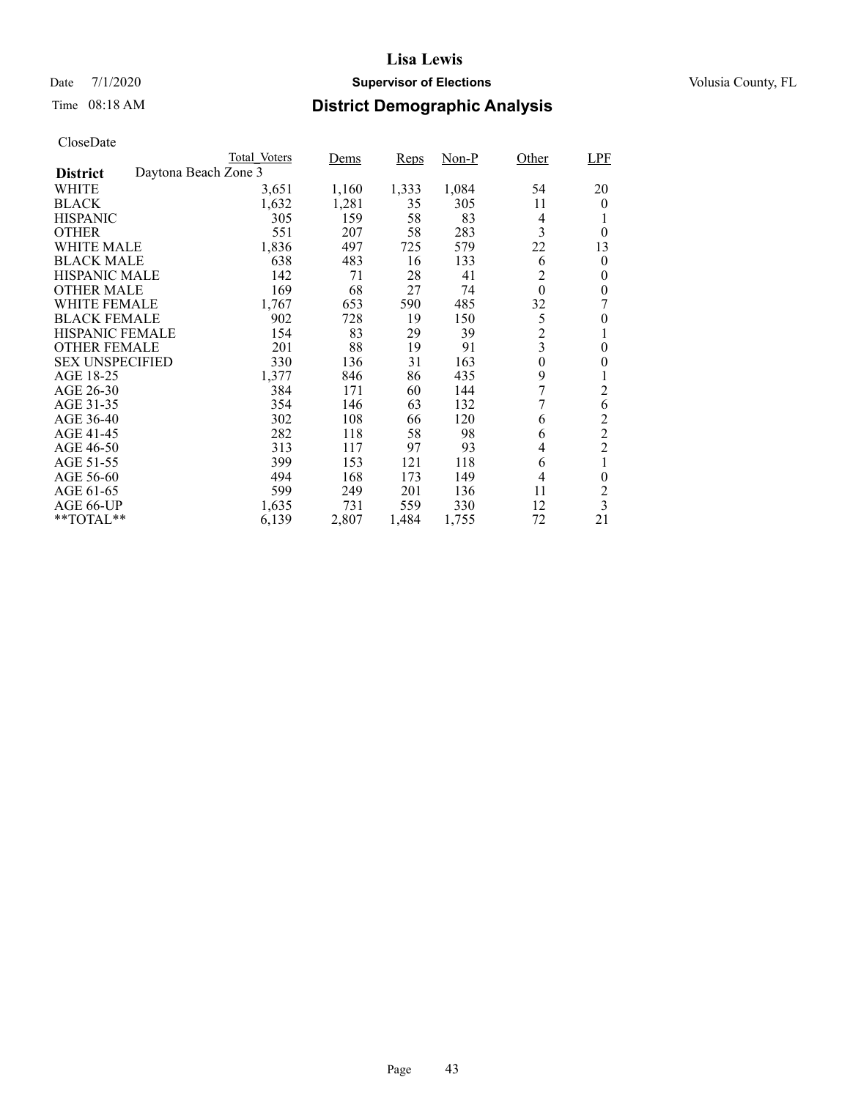## Date 7/1/2020 **Supervisor of Elections Supervisor of Elections** Volusia County, FL

# Time 08:18 AM **District Demographic Analysis**

|                        |                      | Total Voters | Dems  | Reps  | Non-P | Other                   | LPF                     |
|------------------------|----------------------|--------------|-------|-------|-------|-------------------------|-------------------------|
| <b>District</b>        | Daytona Beach Zone 3 |              |       |       |       |                         |                         |
| WHITE                  |                      | 3,651        | 1,160 | 1,333 | 1,084 | 54                      | 20                      |
| <b>BLACK</b>           |                      | 1,632        | 1,281 | 35    | 305   | 11                      | $\theta$                |
| <b>HISPANIC</b>        |                      | 305          | 159   | 58    | 83    | 4                       |                         |
| <b>OTHER</b>           |                      | 551          | 207   | 58    | 283   | 3                       | $\theta$                |
| WHITE MALE             |                      | 1,836        | 497   | 725   | 579   | 22                      | 13                      |
| <b>BLACK MALE</b>      |                      | 638          | 483   | 16    | 133   | 6                       | 0                       |
| <b>HISPANIC MALE</b>   |                      | 142          | 71    | 28    | 41    | $\overline{c}$          | $\theta$                |
| <b>OTHER MALE</b>      |                      | 169          | 68    | 27    | 74    | $\theta$                | $\theta$                |
| <b>WHITE FEMALE</b>    |                      | 1,767        | 653   | 590   | 485   | 32                      |                         |
| <b>BLACK FEMALE</b>    |                      | 902          | 728   | 19    | 150   | 5                       | 0                       |
| <b>HISPANIC FEMALE</b> |                      | 154          | 83    | 29    | 39    | $\overline{c}$          | 1                       |
| <b>OTHER FEMALE</b>    |                      | 201          | 88    | 19    | 91    | $\overline{\mathbf{3}}$ | 0                       |
| <b>SEX UNSPECIFIED</b> |                      | 330          | 136   | 31    | 163   | $\boldsymbol{0}$        | 0                       |
| AGE 18-25              |                      | 1,377        | 846   | 86    | 435   | 9                       |                         |
| AGE 26-30              |                      | 384          | 171   | 60    | 144   | 7                       | 2                       |
| AGE 31-35              |                      | 354          | 146   | 63    | 132   | 7                       | 6                       |
| AGE 36-40              |                      | 302          | 108   | 66    | 120   | 6                       | $\overline{c}$          |
| AGE 41-45              |                      | 282          | 118   | 58    | 98    | 6                       | $\overline{c}$          |
| AGE 46-50              |                      | 313          | 117   | 97    | 93    | 4                       | $\overline{c}$          |
| AGE 51-55              |                      | 399          | 153   | 121   | 118   | 6                       |                         |
| AGE 56-60              |                      | 494          | 168   | 173   | 149   | 4                       | $\overline{0}$          |
| AGE 61-65              |                      | 599          | 249   | 201   | 136   | 11                      | $\overline{c}$          |
| AGE 66-UP              |                      | 1,635        | 731   | 559   | 330   | 12                      | $\overline{\mathbf{3}}$ |
| $*$ $*$ TOTAL $*$ $*$  |                      | 6,139        | 2,807 | 1,484 | 1,755 | 72                      | 21                      |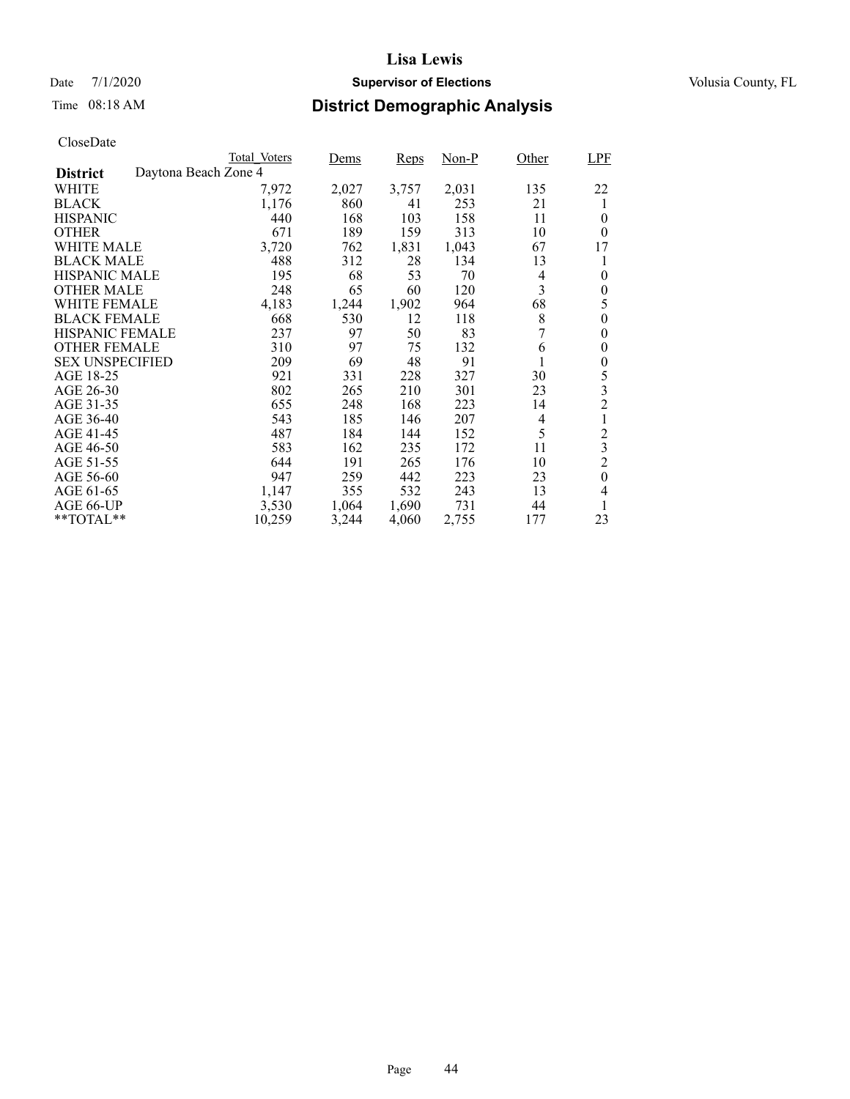## Date 7/1/2020 **Supervisor of Elections Supervisor of Elections** Volusia County, FL

# Time 08:18 AM **District Demographic Analysis**

|                        |                      | <b>Total Voters</b> | Dems  | Reps  | Non-P | Other | <b>LPF</b>     |
|------------------------|----------------------|---------------------|-------|-------|-------|-------|----------------|
| <b>District</b>        | Daytona Beach Zone 4 |                     |       |       |       |       |                |
| WHITE                  |                      | 7,972               | 2,027 | 3,757 | 2,031 | 135   | 22             |
| <b>BLACK</b>           |                      | 1,176               | 860   | 41    | 253   | 21    | 1              |
| <b>HISPANIC</b>        |                      | 440                 | 168   | 103   | 158   | 11    | $\theta$       |
| <b>OTHER</b>           |                      | 671                 | 189   | 159   | 313   | 10    | $\theta$       |
| WHITE MALE             |                      | 3,720               | 762   | 1,831 | 1,043 | 67    | 17             |
| <b>BLACK MALE</b>      |                      | 488                 | 312   | 28    | 134   | 13    | 1              |
| <b>HISPANIC MALE</b>   |                      | 195                 | 68    | 53    | 70    | 4     | $\theta$       |
| <b>OTHER MALE</b>      |                      | 248                 | 65    | 60    | 120   | 3     | 0              |
| <b>WHITE FEMALE</b>    |                      | 4,183               | 1,244 | 1,902 | 964   | 68    | 5              |
| <b>BLACK FEMALE</b>    |                      | 668                 | 530   | 12    | 118   | 8     | 0              |
| HISPANIC FEMALE        |                      | 237                 | 97    | 50    | 83    | 7     | 0              |
| <b>OTHER FEMALE</b>    |                      | 310                 | 97    | 75    | 132   | 6     | 0              |
| <b>SEX UNSPECIFIED</b> |                      | 209                 | 69    | 48    | 91    |       | 0              |
| AGE 18-25              |                      | 921                 | 331   | 228   | 327   | 30    | 5              |
| AGE 26-30              |                      | 802                 | 265   | 210   | 301   | 23    | 3              |
| AGE 31-35              |                      | 655                 | 248   | 168   | 223   | 14    | $\overline{c}$ |
| AGE 36-40              |                      | 543                 | 185   | 146   | 207   | 4     |                |
| AGE 41-45              |                      | 487                 | 184   | 144   | 152   | 5     | $\overline{c}$ |
| AGE 46-50              |                      | 583                 | 162   | 235   | 172   | 11    | 3              |
| AGE 51-55              |                      | 644                 | 191   | 265   | 176   | 10    | $\overline{2}$ |
| AGE 56-60              |                      | 947                 | 259   | 442   | 223   | 23    | $\theta$       |
| AGE 61-65              |                      | 1,147               | 355   | 532   | 243   | 13    | 4              |
| AGE 66-UP              |                      | 3,530               | 1,064 | 1,690 | 731   | 44    |                |
| $*$ $TOTAL**$          |                      | 10,259              | 3,244 | 4,060 | 2,755 | 177   | 23             |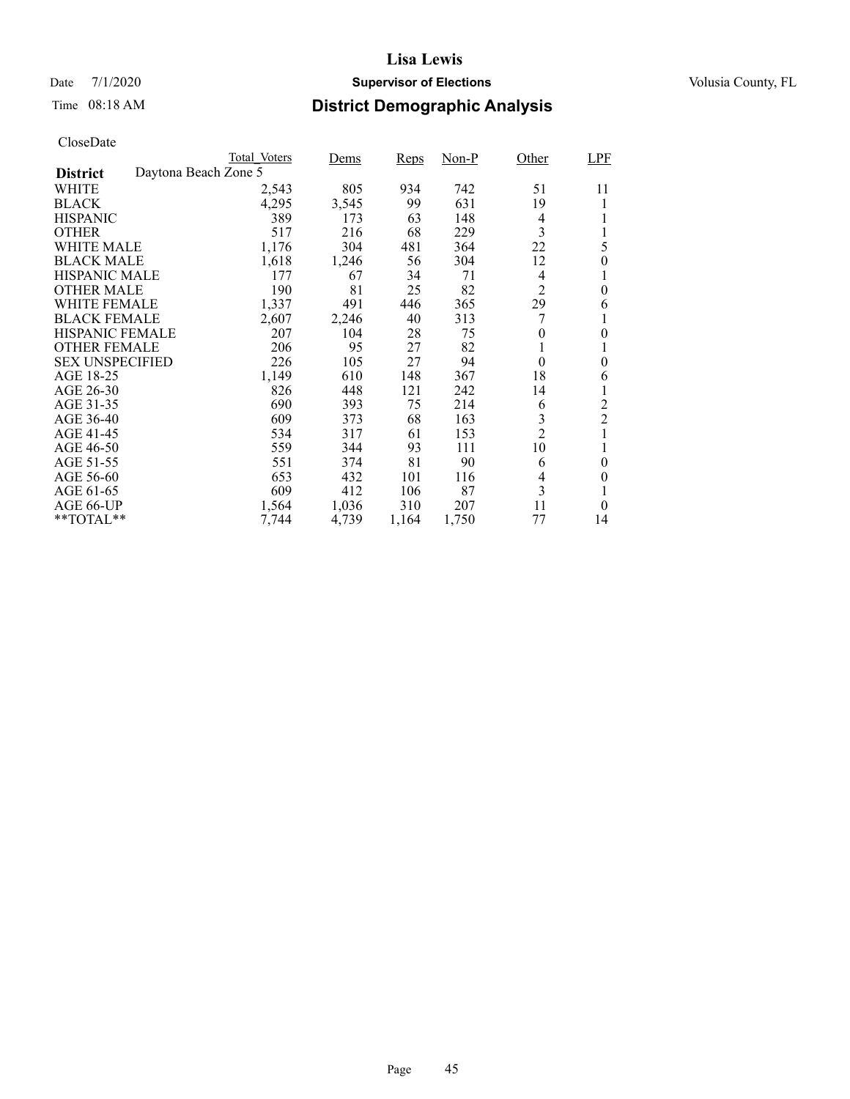## Date 7/1/2020 **Supervisor of Elections Supervisor of Elections** Volusia County, FL

# Time 08:18 AM **District Demographic Analysis**

|                        |                      | Total Voters | Dems  | <b>Reps</b> | Non-P | Other          | LPF            |
|------------------------|----------------------|--------------|-------|-------------|-------|----------------|----------------|
| <b>District</b>        | Daytona Beach Zone 5 |              |       |             |       |                |                |
| WHITE                  |                      | 2,543        | 805   | 934         | 742   | 51             | 11             |
| <b>BLACK</b>           |                      | 4,295        | 3,545 | 99          | 631   | 19             |                |
| <b>HISPANIC</b>        |                      | 389          | 173   | 63          | 148   | 4              |                |
| <b>OTHER</b>           |                      | 517          | 216   | 68          | 229   | 3              | 1              |
| WHITE MALE             |                      | 1,176        | 304   | 481         | 364   | 22             | 5              |
| <b>BLACK MALE</b>      |                      | 1,618        | 1,246 | 56          | 304   | 12             | $\theta$       |
| <b>HISPANIC MALE</b>   |                      | 177          | 67    | 34          | 71    | 4              |                |
| <b>OTHER MALE</b>      |                      | 190          | 81    | 25          | 82    | 2              | $\theta$       |
| WHITE FEMALE           |                      | 1,337        | 491   | 446         | 365   | 29             | 6              |
| <b>BLACK FEMALE</b>    |                      | 2,607        | 2,246 | 40          | 313   | 7              |                |
| <b>HISPANIC FEMALE</b> |                      | 207          | 104   | 28          | 75    | $\theta$       | $\theta$       |
| <b>OTHER FEMALE</b>    |                      | 206          | 95    | 27          | 82    |                | 1              |
| <b>SEX UNSPECIFIED</b> |                      | 226          | 105   | 27          | 94    | $\theta$       | $\theta$       |
| AGE 18-25              |                      | 1,149        | 610   | 148         | 367   | 18             | 6              |
| AGE 26-30              |                      | 826          | 448   | 121         | 242   | 14             | 1              |
| AGE 31-35              |                      | 690          | 393   | 75          | 214   | 6              | $\overline{c}$ |
| AGE 36-40              |                      | 609          | 373   | 68          | 163   | 3              | $\overline{2}$ |
| AGE 41-45              |                      | 534          | 317   | 61          | 153   | $\overline{2}$ | $\mathbf{1}$   |
| AGE 46-50              |                      | 559          | 344   | 93          | 111   | 10             |                |
| AGE 51-55              |                      | 551          | 374   | 81          | 90    | 6              | $\theta$       |
| AGE 56-60              |                      | 653          | 432   | 101         | 116   | 4              | 0              |
| AGE 61-65              |                      | 609          | 412   | 106         | 87    | 3              | 1              |
| AGE 66-UP              |                      | 1,564        | 1,036 | 310         | 207   | 11             | $\theta$       |
| $*$ $TOTAL**$          |                      | 7,744        | 4,739 | 1,164       | 1,750 | 77             | 14             |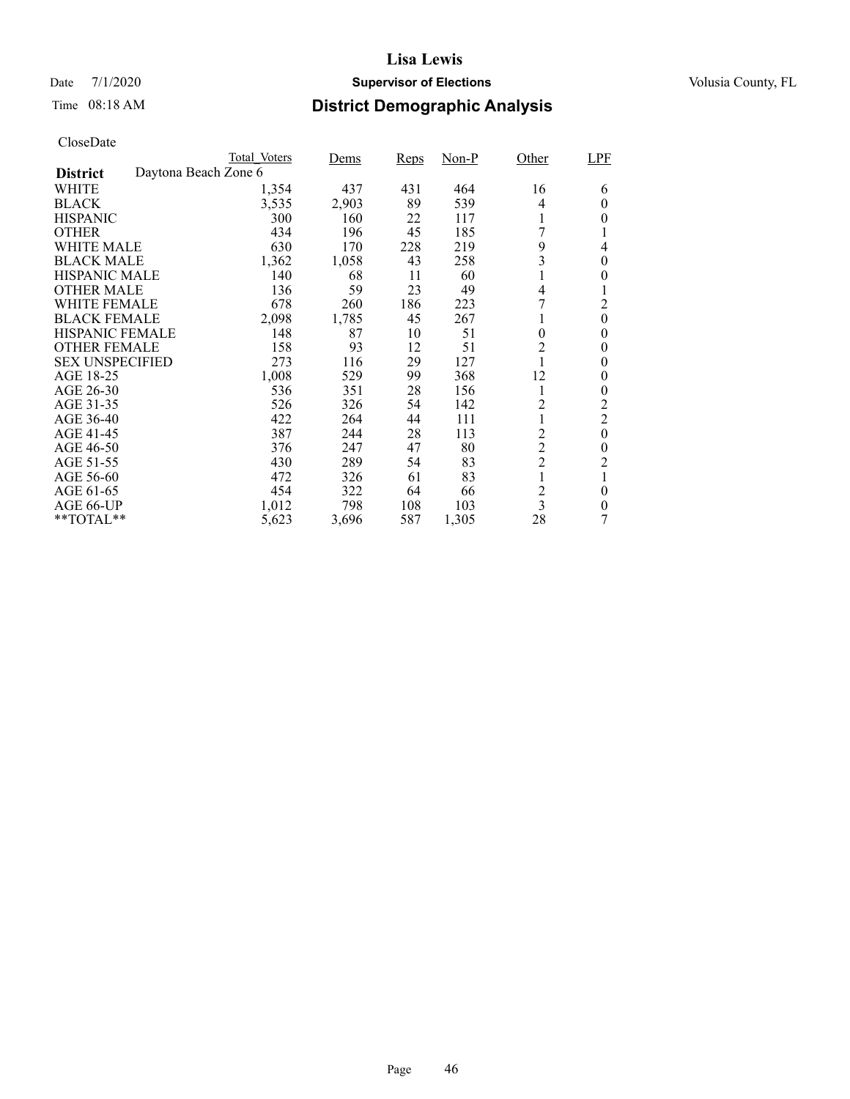## Date 7/1/2020 **Supervisor of Elections Supervisor of Elections** Volusia County, FL

# Time 08:18 AM **District Demographic Analysis**

|                                         | Total Voters | Dems  | <b>Reps</b> | Non-P | Other                   | LPF            |
|-----------------------------------------|--------------|-------|-------------|-------|-------------------------|----------------|
| Daytona Beach Zone 6<br><b>District</b> |              |       |             |       |                         |                |
| WHITE                                   | 1,354        | 437   | 431         | 464   | 16                      | 6              |
| <b>BLACK</b>                            | 3,535        | 2,903 | 89          | 539   | 4                       | $\theta$       |
| <b>HISPANIC</b>                         | 300          | 160   | 22          | 117   |                         | 0              |
| <b>OTHER</b>                            | 434          | 196   | 45          | 185   | 7                       | T              |
| WHITE MALE                              | 630          | 170   | 228         | 219   | 9                       | 4              |
| <b>BLACK MALE</b>                       | 1,362        | 1,058 | 43          | 258   | 3                       | $\theta$       |
| <b>HISPANIC MALE</b>                    | 140          | 68    | 11          | 60    |                         | 0              |
| <b>OTHER MALE</b>                       | 136          | 59    | 23          | 49    | 4                       | 1              |
| WHITE FEMALE                            | 678          | 260   | 186         | 223   | 7                       | $\overline{2}$ |
| <b>BLACK FEMALE</b>                     | 2,098        | 1,785 | 45          | 267   |                         | $\theta$       |
| <b>HISPANIC FEMALE</b>                  | 148          | 87    | 10          | 51    | $\theta$                | $\overline{0}$ |
| <b>OTHER FEMALE</b>                     | 158          | 93    | 12          | 51    | 2                       | 0              |
| <b>SEX UNSPECIFIED</b>                  | 273          | 116   | 29          | 127   |                         | $\theta$       |
| AGE 18-25                               | 1,008        | 529   | 99          | 368   | 12                      | 0              |
| AGE 26-30                               | 536          | 351   | 28          | 156   | 1                       | $\overline{0}$ |
| AGE 31-35                               | 526          | 326   | 54          | 142   | $\overline{c}$          | $\overline{c}$ |
| AGE 36-40                               | 422          | 264   | 44          | 111   |                         | $\overline{2}$ |
| AGE 41-45                               | 387          | 244   | 28          | 113   | $\overline{2}$          | $\theta$       |
| AGE 46-50                               | 376          | 247   | 47          | 80    | $\overline{c}$          | $\theta$       |
| AGE 51-55                               | 430          | 289   | 54          | 83    | $\overline{2}$          | 2              |
| AGE 56-60                               | 472          | 326   | 61          | 83    | 1                       | 1              |
| AGE 61-65                               | 454          | 322   | 64          | 66    | $\overline{\mathbf{c}}$ | $\theta$       |
| AGE 66-UP                               | 1,012        | 798   | 108         | 103   | 3                       | $\theta$       |
| $*$ $TOTAL**$                           | 5,623        | 3,696 | 587         | 1,305 | 28                      | 7              |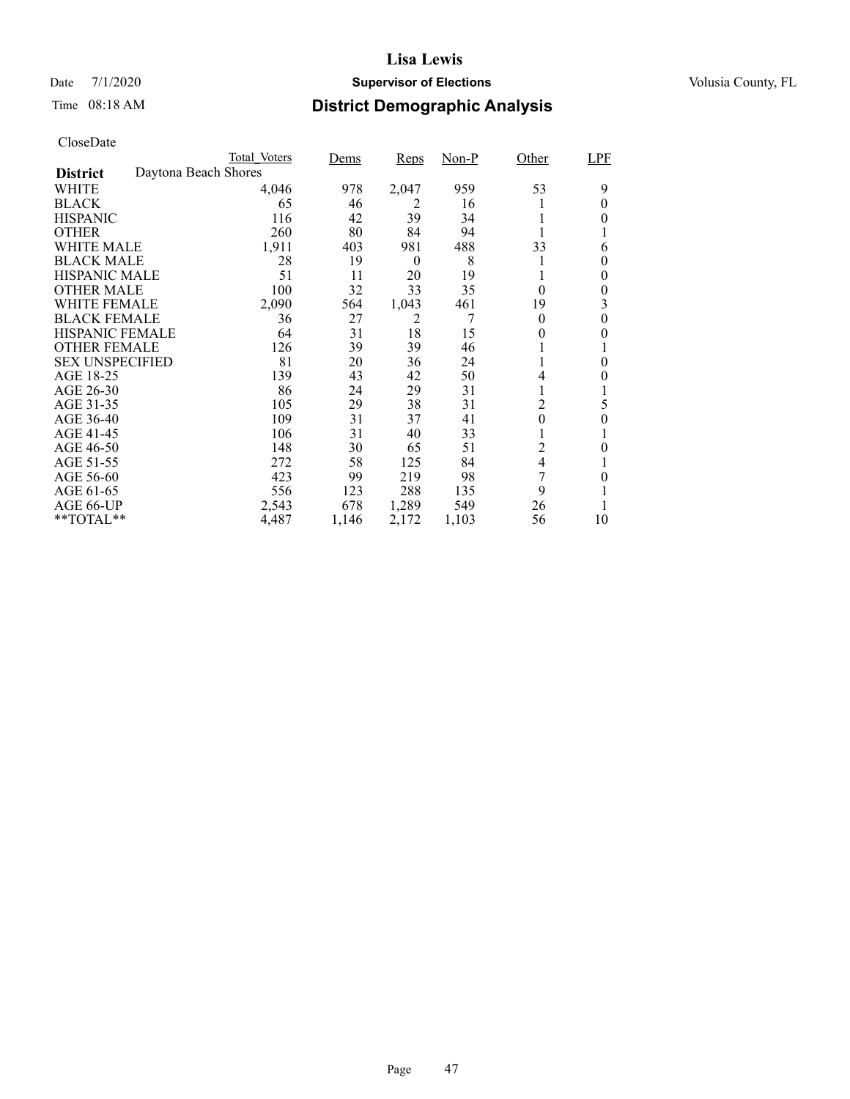## Date 7/1/2020 **Supervisor of Elections Supervisor of Elections** Volusia County, FL

# Time 08:18 AM **District Demographic Analysis**

|                        |                      | Total Voters | Dems  | <b>Reps</b>      | Non-P | Other            | LPF      |
|------------------------|----------------------|--------------|-------|------------------|-------|------------------|----------|
| <b>District</b>        | Daytona Beach Shores |              |       |                  |       |                  |          |
| WHITE                  |                      | 4,046        | 978   | 2,047            | 959   | 53               | 9        |
| <b>BLACK</b>           |                      | 65           | 46    | 2                | 16    |                  | 0        |
| <b>HISPANIC</b>        |                      | 116          | 42    | 39               | 34    |                  | $\theta$ |
| <b>OTHER</b>           |                      | 260          | 80    | 84               | 94    |                  |          |
| WHITE MALE             |                      | 1,911        | 403   | 981              | 488   | 33               | 6        |
| <b>BLACK MALE</b>      |                      | 28           | 19    | $\boldsymbol{0}$ | 8     |                  | $\theta$ |
| <b>HISPANIC MALE</b>   |                      | 51           | 11    | 20               | 19    |                  | 0        |
| <b>OTHER MALE</b>      |                      | 100          | 32    | 33               | 35    | $\theta$         | 0        |
| WHITE FEMALE           |                      | 2,090        | 564   | 1,043            | 461   | 19               | 3        |
| <b>BLACK FEMALE</b>    |                      | 36           | 27    | 2                | 7     | $\theta$         | $\theta$ |
| <b>HISPANIC FEMALE</b> |                      | 64           | 31    | 18               | 15    | 0                | 0        |
| <b>OTHER FEMALE</b>    |                      | 126          | 39    | 39               | 46    |                  |          |
| <b>SEX UNSPECIFIED</b> |                      | 81           | 20    | 36               | 24    |                  | $\theta$ |
| AGE 18-25              |                      | 139          | 43    | 42               | 50    | 4                | 0        |
| AGE 26-30              |                      | 86           | 24    | 29               | 31    |                  |          |
| AGE 31-35              |                      | 105          | 29    | 38               | 31    | $\overline{c}$   | 5        |
| AGE 36-40              |                      | 109          | 31    | 37               | 41    | $\boldsymbol{0}$ | $\theta$ |
| AGE 41-45              |                      | 106          | 31    | 40               | 33    |                  |          |
| AGE 46-50              |                      | 148          | 30    | 65               | 51    | $\overline{c}$   | 0        |
| AGE 51-55              |                      | 272          | 58    | 125              | 84    | 4                |          |
| AGE 56-60              |                      | 423          | 99    | 219              | 98    | 7                | 0        |
| AGE 61-65              |                      | 556          | 123   | 288              | 135   | 9                |          |
| AGE 66-UP              |                      | 2,543        | 678   | 1,289            | 549   | 26               |          |
| $*$ $TOTAL**$          |                      | 4,487        | 1,146 | 2,172            | 1,103 | 56               | 10       |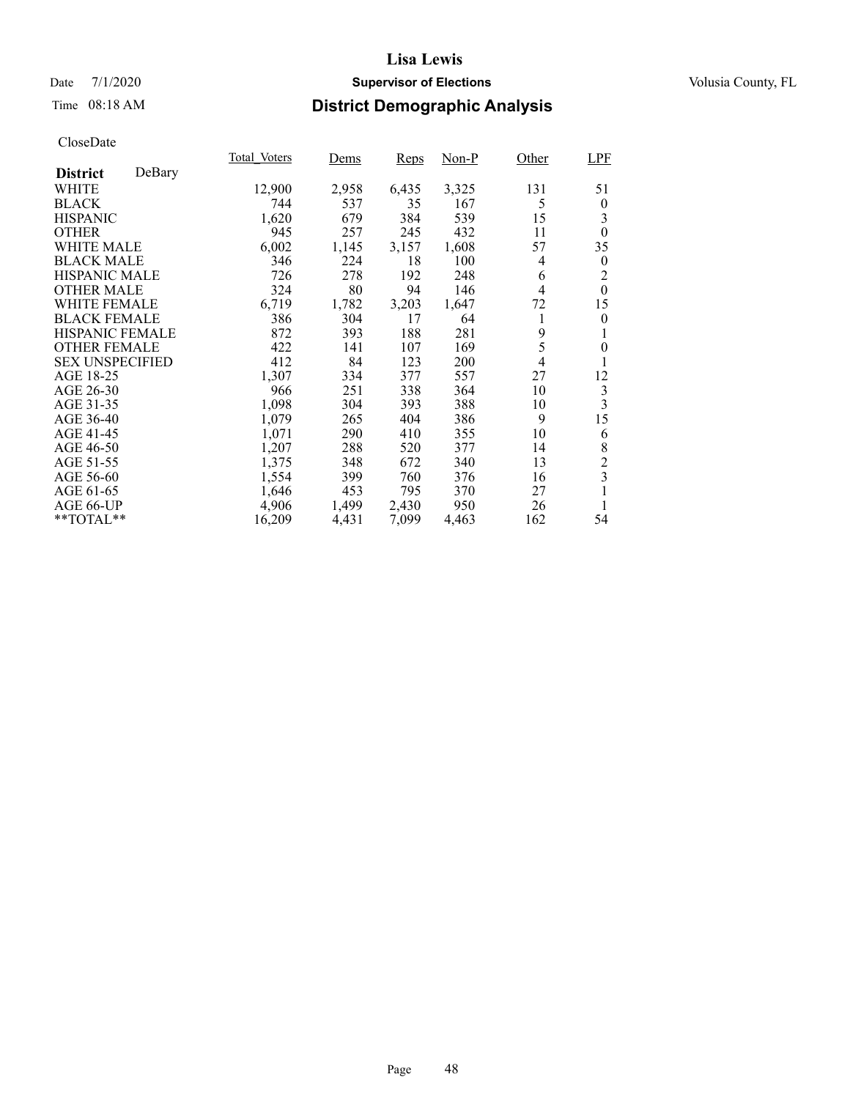## Date 7/1/2020 **Supervisor of Elections Supervisor of Elections** Volusia County, FL

# Time 08:18 AM **District Demographic Analysis**

|                        |        | Total Voters | <u>Dems</u> | Reps  | Non-P | Other | <b>LPF</b>              |
|------------------------|--------|--------------|-------------|-------|-------|-------|-------------------------|
| <b>District</b>        | DeBary |              |             |       |       |       |                         |
| WHITE                  |        | 12,900       | 2,958       | 6,435 | 3,325 | 131   | 51                      |
| <b>BLACK</b>           |        | 744          | 537         | 35    | 167   | 5     | $\boldsymbol{0}$        |
| <b>HISPANIC</b>        |        | 1,620        | 679         | 384   | 539   | 15    | 3                       |
| <b>OTHER</b>           |        | 945          | 257         | 245   | 432   | 11    | $\theta$                |
| WHITE MALE             |        | 6,002        | 1,145       | 3,157 | 1,608 | 57    | 35                      |
| <b>BLACK MALE</b>      |        | 346          | 224         | 18    | 100   | 4     | $\theta$                |
| <b>HISPANIC MALE</b>   |        | 726          | 278         | 192   | 248   | 6     | 2                       |
| <b>OTHER MALE</b>      |        | 324          | 80          | 94    | 146   | 4     | $\theta$                |
| WHITE FEMALE           |        | 6,719        | 1,782       | 3,203 | 1,647 | 72    | 15                      |
| <b>BLACK FEMALE</b>    |        | 386          | 304         | 17    | 64    | 1     | $\theta$                |
| <b>HISPANIC FEMALE</b> |        | 872          | 393         | 188   | 281   | 9     |                         |
| <b>OTHER FEMALE</b>    |        | 422          | 141         | 107   | 169   | 5     | $\overline{0}$          |
| <b>SEX UNSPECIFIED</b> |        | 412          | 84          | 123   | 200   | 4     | 1                       |
| AGE 18-25              |        | 1,307        | 334         | 377   | 557   | 27    | 12                      |
| AGE 26-30              |        | 966          | 251         | 338   | 364   | 10    | $\mathfrak{Z}$          |
| AGE 31-35              |        | 1,098        | 304         | 393   | 388   | 10    | 3                       |
| AGE 36-40              |        | 1,079        | 265         | 404   | 386   | 9     | 15                      |
| AGE 41-45              |        | 1,071        | 290         | 410   | 355   | 10    | 6                       |
| AGE 46-50              |        | 1,207        | 288         | 520   | 377   | 14    | 8                       |
| AGE 51-55              |        | 1,375        | 348         | 672   | 340   | 13    | $\overline{c}$          |
| AGE 56-60              |        | 1,554        | 399         | 760   | 376   | 16    | $\overline{\mathbf{3}}$ |
| AGE 61-65              |        | 1,646        | 453         | 795   | 370   | 27    | 1                       |
| AGE 66-UP              |        | 4,906        | 1,499       | 2,430 | 950   | 26    | 1                       |
| **TOTAL**              |        | 16,209       | 4,431       | 7,099 | 4,463 | 162   | 54                      |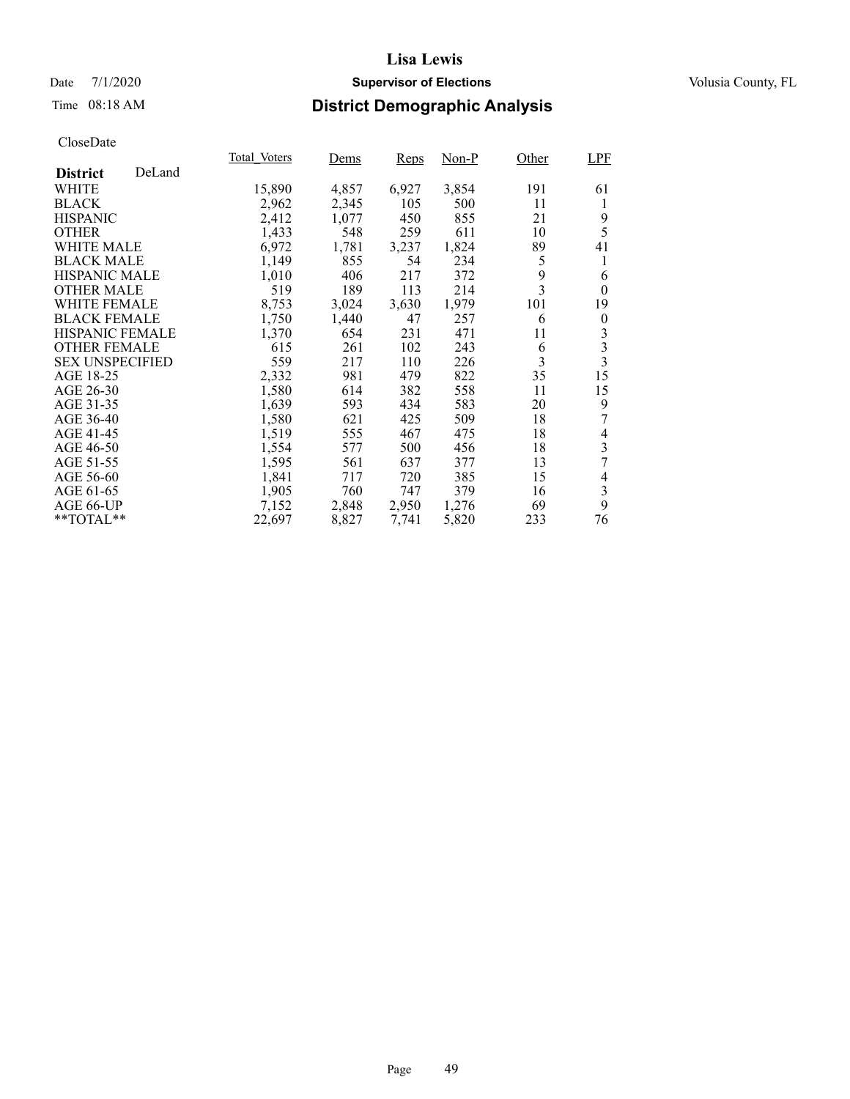## Date 7/1/2020 **Supervisor of Elections Supervisor of Elections** Volusia County, FL

## Time 08:18 AM **District Demographic Analysis**

|                        |        | Total Voters | Dems  | Reps  | $Non-P$ | Other | LPF                     |
|------------------------|--------|--------------|-------|-------|---------|-------|-------------------------|
| <b>District</b>        | DeLand |              |       |       |         |       |                         |
| WHITE                  |        | 15,890       | 4,857 | 6,927 | 3,854   | 191   | 61                      |
| <b>BLACK</b>           |        | 2,962        | 2,345 | 105   | 500     | 11    | 1                       |
| <b>HISPANIC</b>        |        | 2,412        | 1,077 | 450   | 855     | 21    | 9                       |
| <b>OTHER</b>           |        | 1,433        | 548   | 259   | 611     | 10    | 5                       |
| <b>WHITE MALE</b>      |        | 6,972        | 1,781 | 3,237 | 1,824   | 89    | 41                      |
| <b>BLACK MALE</b>      |        | 1,149        | 855   | 54    | 234     | 5     | 1                       |
| <b>HISPANIC MALE</b>   |        | 1,010        | 406   | 217   | 372     | 9     | 6                       |
| <b>OTHER MALE</b>      |        | 519          | 189   | 113   | 214     | 3     | $\theta$                |
| <b>WHITE FEMALE</b>    |        | 8,753        | 3,024 | 3,630 | 1,979   | 101   | 19                      |
| <b>BLACK FEMALE</b>    |        | 1,750        | 1,440 | 47    | 257     | 6     | $\theta$                |
| <b>HISPANIC FEMALE</b> |        | 1,370        | 654   | 231   | 471     | 11    | 3                       |
| <b>OTHER FEMALE</b>    |        | 615          | 261   | 102   | 243     | 6     | 3                       |
| <b>SEX UNSPECIFIED</b> |        | 559          | 217   | 110   | 226     | 3     | $\overline{\mathbf{3}}$ |
| AGE 18-25              |        | 2,332        | 981   | 479   | 822     | 35    | 15                      |
| AGE 26-30              |        | 1,580        | 614   | 382   | 558     | 11    | 15                      |
| AGE 31-35              |        | 1,639        | 593   | 434   | 583     | 20    | 9                       |
| AGE 36-40              |        | 1,580        | 621   | 425   | 509     | 18    |                         |
| AGE 41-45              |        | 1,519        | 555   | 467   | 475     | 18    | 4                       |
| AGE 46-50              |        | 1,554        | 577   | 500   | 456     | 18    | 3                       |
| AGE 51-55              |        | 1,595        | 561   | 637   | 377     | 13    | 7                       |
| AGE 56-60              |        | 1,841        | 717   | 720   | 385     | 15    | 4                       |
| AGE 61-65              |        | 1,905        | 760   | 747   | 379     | 16    | 3                       |
| AGE 66-UP              |        | 7,152        | 2,848 | 2,950 | 1,276   | 69    | 9                       |
| **TOTAL**              |        | 22,697       | 8,827 | 7,741 | 5,820   | 233   | 76                      |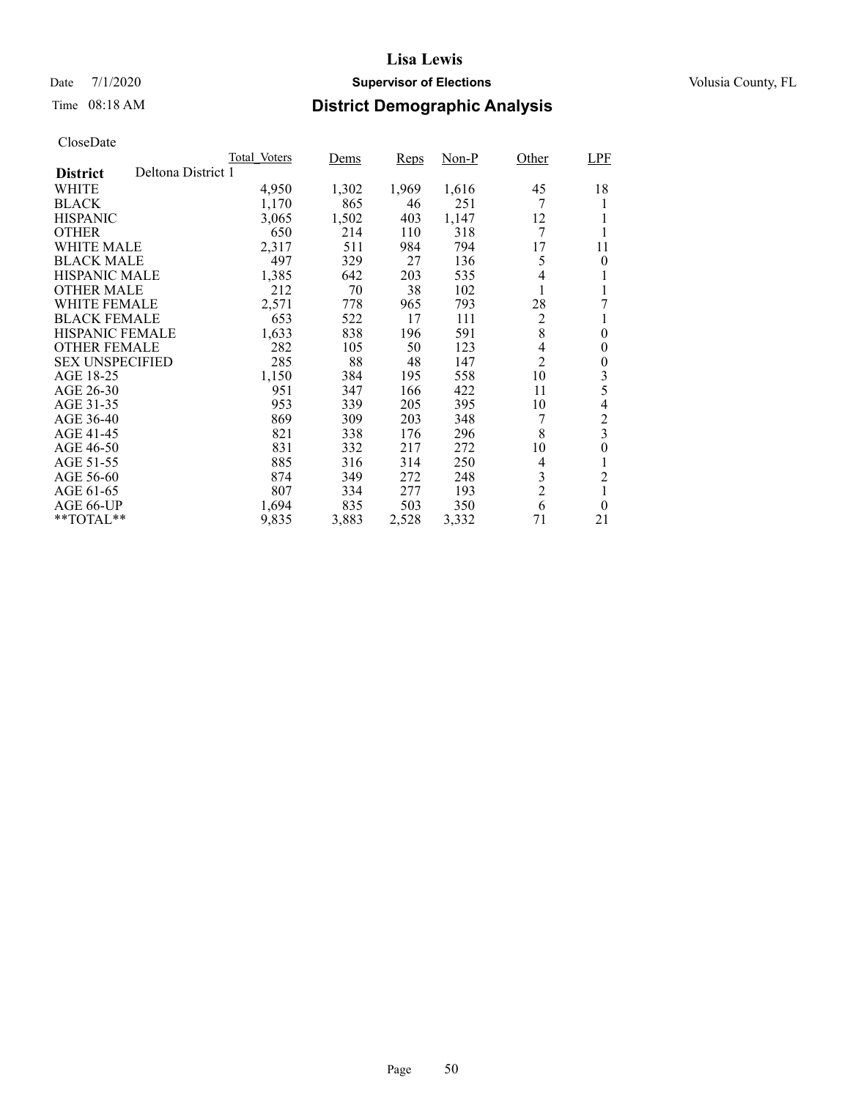## Date 7/1/2020 **Supervisor of Elections Supervisor of Elections** Volusia County, FL

# Time 08:18 AM **District Demographic Analysis**

|                        |                    | Total Voters | Dems  | Reps  | Non-P | Other          | <b>LPF</b>       |
|------------------------|--------------------|--------------|-------|-------|-------|----------------|------------------|
| <b>District</b>        | Deltona District 1 |              |       |       |       |                |                  |
| WHITE                  |                    | 4,950        | 1,302 | 1,969 | 1,616 | 45             | 18               |
| <b>BLACK</b>           |                    | 1,170        | 865   | 46    | 251   |                |                  |
| <b>HISPANIC</b>        |                    | 3,065        | 1,502 | 403   | 1,147 | 12             |                  |
| <b>OTHER</b>           |                    | 650          | 214   | 110   | 318   | 7              |                  |
| WHITE MALE             |                    | 2,317        | 511   | 984   | 794   | 17             | 11               |
| <b>BLACK MALE</b>      |                    | 497          | 329   | 27    | 136   | 5              | $\theta$         |
| <b>HISPANIC MALE</b>   |                    | 1,385        | 642   | 203   | 535   | 4              |                  |
| <b>OTHER MALE</b>      |                    | 212          | 70    | 38    | 102   |                |                  |
| WHITE FEMALE           |                    | 2,571        | 778   | 965   | 793   | 28             | 7                |
| <b>BLACK FEMALE</b>    |                    | 653          | 522   | 17    | 111   | $\overline{c}$ |                  |
| <b>HISPANIC FEMALE</b> |                    | 1,633        | 838   | 196   | 591   | 8              | $\theta$         |
| <b>OTHER FEMALE</b>    |                    | 282          | 105   | 50    | 123   | 4              | $\boldsymbol{0}$ |
| <b>SEX UNSPECIFIED</b> |                    | 285          | 88    | 48    | 147   | $\overline{2}$ | $\boldsymbol{0}$ |
| AGE 18-25              |                    | 1,150        | 384   | 195   | 558   | 10             | 3                |
| AGE 26-30              |                    | 951          | 347   | 166   | 422   | 11             | 5                |
| AGE 31-35              |                    | 953          | 339   | 205   | 395   | 10             | 4                |
| AGE 36-40              |                    | 869          | 309   | 203   | 348   |                | 2                |
| AGE 41-45              |                    | 821          | 338   | 176   | 296   | 8              | 3                |
| AGE 46-50              |                    | 831          | 332   | 217   | 272   | 10             | $\overline{0}$   |
| AGE 51-55              |                    | 885          | 316   | 314   | 250   | 4              | 1                |
| AGE 56-60              |                    | 874          | 349   | 272   | 248   | 3              | 2                |
| AGE 61-65              |                    | 807          | 334   | 277   | 193   | $\overline{c}$ | 1                |
| AGE 66-UP              |                    | 1,694        | 835   | 503   | 350   | 6              | $\theta$         |
| $*$ $TOTAL**$          |                    | 9,835        | 3,883 | 2,528 | 3.332 | 71             | 21               |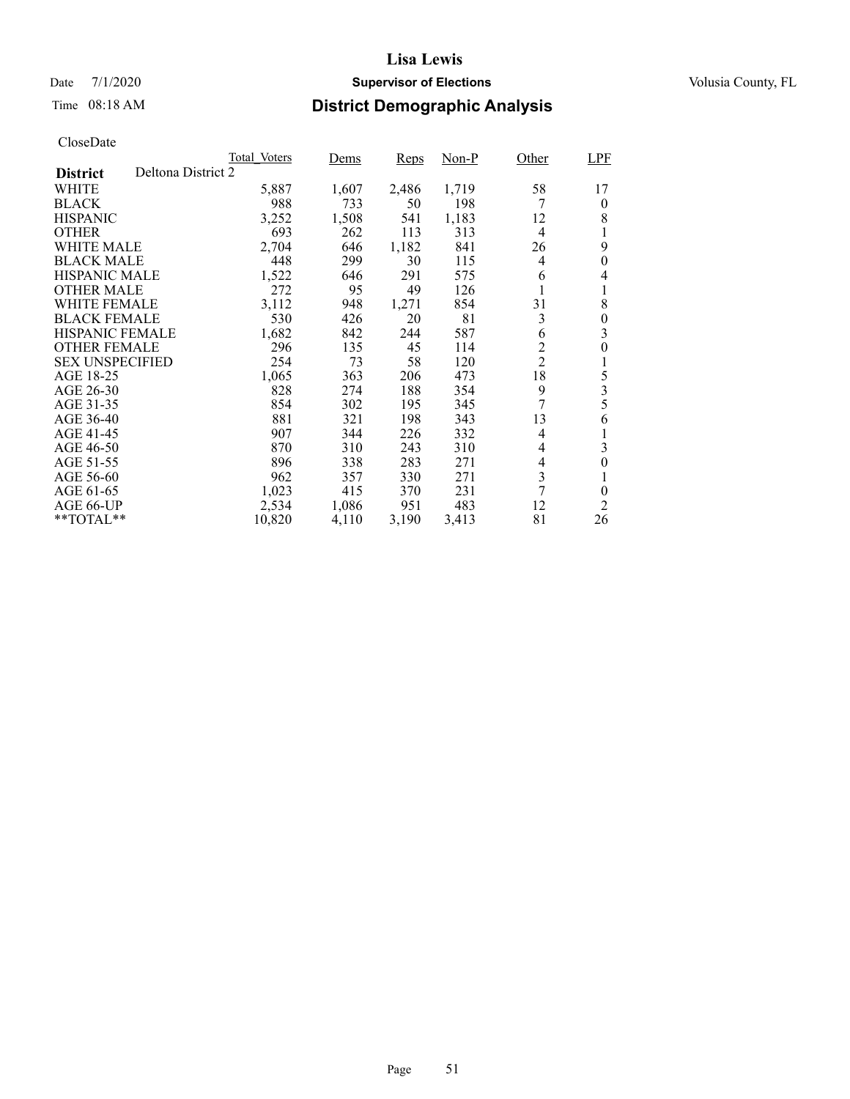## Date 7/1/2020 **Supervisor of Elections Supervisor of Elections** Volusia County, FL

# Time 08:18 AM **District Demographic Analysis**

|                        |                    | Total Voters | Dems  | Reps  | Non-P | Other          | <b>LPF</b>       |
|------------------------|--------------------|--------------|-------|-------|-------|----------------|------------------|
| <b>District</b>        | Deltona District 2 |              |       |       |       |                |                  |
| WHITE                  |                    | 5,887        | 1,607 | 2,486 | 1,719 | 58             | 17               |
| <b>BLACK</b>           |                    | 988          | 733   | 50    | 198   | 7              | $\theta$         |
| <b>HISPANIC</b>        |                    | 3,252        | 1,508 | 541   | 1,183 | 12             | 8                |
| <b>OTHER</b>           |                    | 693          | 262   | 113   | 313   | 4              | 1                |
| <b>WHITE MALE</b>      |                    | 2,704        | 646   | 1,182 | 841   | 26             | 9                |
| <b>BLACK MALE</b>      |                    | 448          | 299   | 30    | 115   | 4              | $\overline{0}$   |
| <b>HISPANIC MALE</b>   |                    | 1,522        | 646   | 291   | 575   | 6              | 4                |
| <b>OTHER MALE</b>      |                    | 272          | 95    | 49    | 126   |                |                  |
| WHITE FEMALE           |                    | 3,112        | 948   | 1,271 | 854   | 31             | 8                |
| <b>BLACK FEMALE</b>    |                    | 530          | 426   | 20    | 81    | 3              | $\theta$         |
| <b>HISPANIC FEMALE</b> |                    | 1,682        | 842   | 244   | 587   | 6              | 3                |
| <b>OTHER FEMALE</b>    |                    | 296          | 135   | 45    | 114   | 2              | 0                |
| <b>SEX UNSPECIFIED</b> |                    | 254          | 73    | 58    | 120   | $\overline{2}$ | 1                |
| AGE 18-25              |                    | 1,065        | 363   | 206   | 473   | 18             | 5                |
| AGE 26-30              |                    | 828          | 274   | 188   | 354   | 9              | 3                |
| AGE 31-35              |                    | 854          | 302   | 195   | 345   | 7              | 5                |
| AGE 36-40              |                    | 881          | 321   | 198   | 343   | 13             | 6                |
| AGE 41-45              |                    | 907          | 344   | 226   | 332   | 4              | 1                |
| AGE 46-50              |                    | 870          | 310   | 243   | 310   | 4              | 3                |
| AGE 51-55              |                    | 896          | 338   | 283   | 271   | 4              | $\boldsymbol{0}$ |
| AGE 56-60              |                    | 962          | 357   | 330   | 271   | 3              |                  |
| AGE 61-65              |                    | 1,023        | 415   | 370   | 231   | 7              | $\theta$         |
| AGE 66-UP              |                    | 2,534        | 1,086 | 951   | 483   | 12             | $\overline{2}$   |
| **TOTAL**              |                    | 10,820       | 4,110 | 3,190 | 3,413 | 81             | 26               |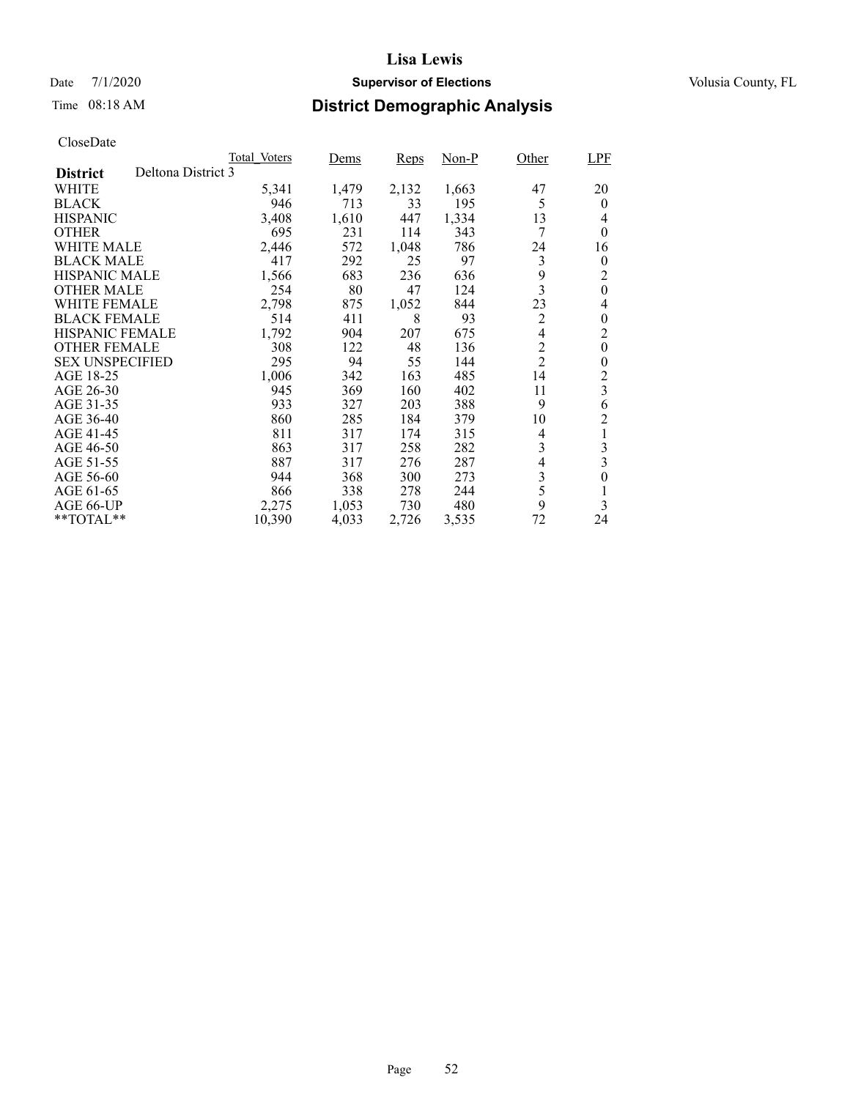## Date 7/1/2020 **Supervisor of Elections Supervisor of Elections** Volusia County, FL

# Time 08:18 AM **District Demographic Analysis**

|                        |                    | Total Voters | Dems  | Reps  | Non-P | Other          | <b>LPF</b>       |
|------------------------|--------------------|--------------|-------|-------|-------|----------------|------------------|
| <b>District</b>        | Deltona District 3 |              |       |       |       |                |                  |
| WHITE                  |                    | 5,341        | 1,479 | 2,132 | 1,663 | 47             | 20               |
| <b>BLACK</b>           |                    | 946          | 713   | 33    | 195   | 5              | $\theta$         |
| <b>HISPANIC</b>        |                    | 3,408        | 1,610 | 447   | 1,334 | 13             | 4                |
| <b>OTHER</b>           |                    | 695          | 231   | 114   | 343   | 7              | $\theta$         |
| WHITE MALE             |                    | 2,446        | 572   | 1,048 | 786   | 24             | 16               |
| <b>BLACK MALE</b>      |                    | 417          | 292   | 25    | 97    | 3              | 0                |
| <b>HISPANIC MALE</b>   |                    | 1,566        | 683   | 236   | 636   | 9              | 2                |
| <b>OTHER MALE</b>      |                    | 254          | 80    | 47    | 124   | 3              | $\boldsymbol{0}$ |
| WHITE FEMALE           |                    | 2,798        | 875   | 1,052 | 844   | 23             | 4                |
| <b>BLACK FEMALE</b>    |                    | 514          | 411   | 8     | 93    | $\overline{2}$ | $\theta$         |
| <b>HISPANIC FEMALE</b> |                    | 1,792        | 904   | 207   | 675   | $\overline{4}$ | $\overline{c}$   |
| <b>OTHER FEMALE</b>    |                    | 308          | 122   | 48    | 136   | $\overline{c}$ | $\overline{0}$   |
| <b>SEX UNSPECIFIED</b> |                    | 295          | 94    | 55    | 144   | $\overline{2}$ | $\overline{0}$   |
| AGE 18-25              |                    | 1,006        | 342   | 163   | 485   | 14             | 2                |
| AGE 26-30              |                    | 945          | 369   | 160   | 402   | 11             | 3                |
| AGE 31-35              |                    | 933          | 327   | 203   | 388   | 9              | 6                |
| AGE 36-40              |                    | 860          | 285   | 184   | 379   | 10             | $\overline{c}$   |
| AGE 41-45              |                    | 811          | 317   | 174   | 315   | 4              | 1                |
| AGE 46-50              |                    | 863          | 317   | 258   | 282   | 3              | 3                |
| AGE 51-55              |                    | 887          | 317   | 276   | 287   | 4              | 3                |
| AGE 56-60              |                    | 944          | 368   | 300   | 273   | $\mathfrak{Z}$ | 0                |
| AGE 61-65              |                    | 866          | 338   | 278   | 244   | 5              | 1                |
| AGE 66-UP              |                    | 2,275        | 1,053 | 730   | 480   | 9              | 3                |
| **TOTAL**              |                    | 10,390       | 4,033 | 2,726 | 3,535 | 72             | 24               |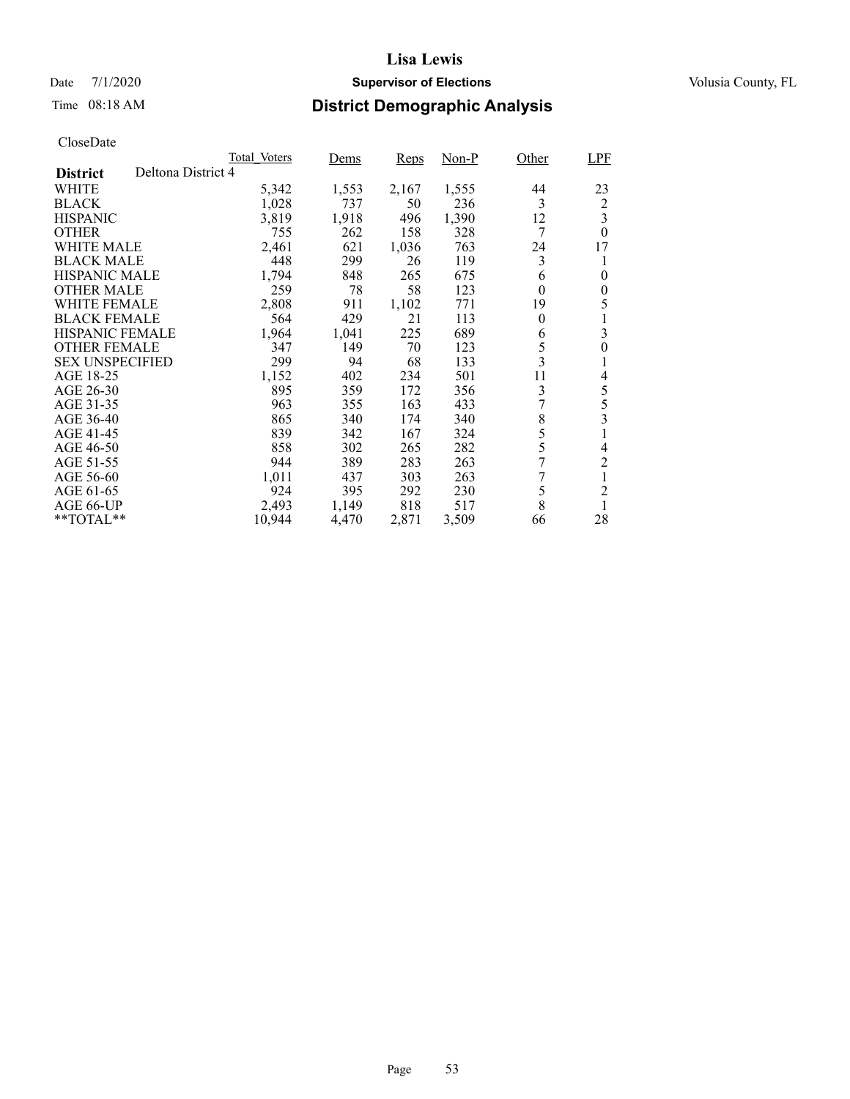# Date 7/1/2020 **Supervisor of Elections** Volusia County, FL

# Time 08:18 AM **District Demographic Analysis**

|                        | Total Voters       | Dems       | Reps  | Non-P | Other                   | LPF            |
|------------------------|--------------------|------------|-------|-------|-------------------------|----------------|
| <b>District</b>        | Deltona District 4 |            |       |       |                         |                |
| WHITE                  | 5,342              | 1,553      | 2,167 | 1,555 | 44                      | 23             |
| <b>BLACK</b>           | 1,028              | 737        | 50    | 236   | 3                       | $\overline{c}$ |
| <b>HISPANIC</b>        | 3,819              | 1,918      | 496   | 1,390 | 12                      | 3              |
| <b>OTHER</b>           |                    | 262<br>755 | 158   | 328   | 7                       | $\theta$       |
| <b>WHITE MALE</b>      | 2,461              | 621        | 1,036 | 763   | 24                      | 17             |
| <b>BLACK MALE</b>      |                    | 299<br>448 | 26    | 119   | 3                       | 1              |
| <b>HISPANIC MALE</b>   | 1,794              | 848        | 265   | 675   | 6                       | 0              |
| <b>OTHER MALE</b>      |                    | 259<br>78  | 58    | 123   | 0                       | 0              |
| WHITE FEMALE           | 2,808              | 911        | 1,102 | 771   | 19                      | 5              |
| <b>BLACK FEMALE</b>    |                    | 564<br>429 | 21    | 113   | $\theta$                | 1              |
| HISPANIC FEMALE        | 1,964              | 1,041      | 225   | 689   | 6                       | 3              |
| <b>OTHER FEMALE</b>    |                    | 149<br>347 | 70    | 123   | 5                       | $\theta$       |
| <b>SEX UNSPECIFIED</b> |                    | 299<br>94  | 68    | 133   | $\overline{\mathbf{3}}$ | 1              |
| AGE 18-25              | 1,152              | 402        | 234   | 501   | 11                      | 4              |
| AGE 26-30              |                    | 895<br>359 | 172   | 356   | 3                       | 5              |
| AGE 31-35              |                    | 963<br>355 | 163   | 433   |                         | 5              |
| AGE 36-40              |                    | 865<br>340 | 174   | 340   | 8                       | 3              |
| AGE 41-45              |                    | 839<br>342 | 167   | 324   | 5                       | 1              |
| AGE 46-50              |                    | 858<br>302 | 265   | 282   | 5                       | 4              |
| AGE 51-55              |                    | 944<br>389 | 283   | 263   | 7                       | $\overline{c}$ |
| AGE 56-60              | 1,011              | 437        | 303   | 263   | 7                       |                |
| AGE 61-65              |                    | 924<br>395 | 292   | 230   | 5                       | $\overline{c}$ |
| AGE 66-UP              | 2,493              | 1,149      | 818   | 517   | 8                       | 1              |
| $*$ $*$ TOTAL $*$ $*$  | 10,944             | 4,470      | 2,871 | 3,509 | 66                      | 28             |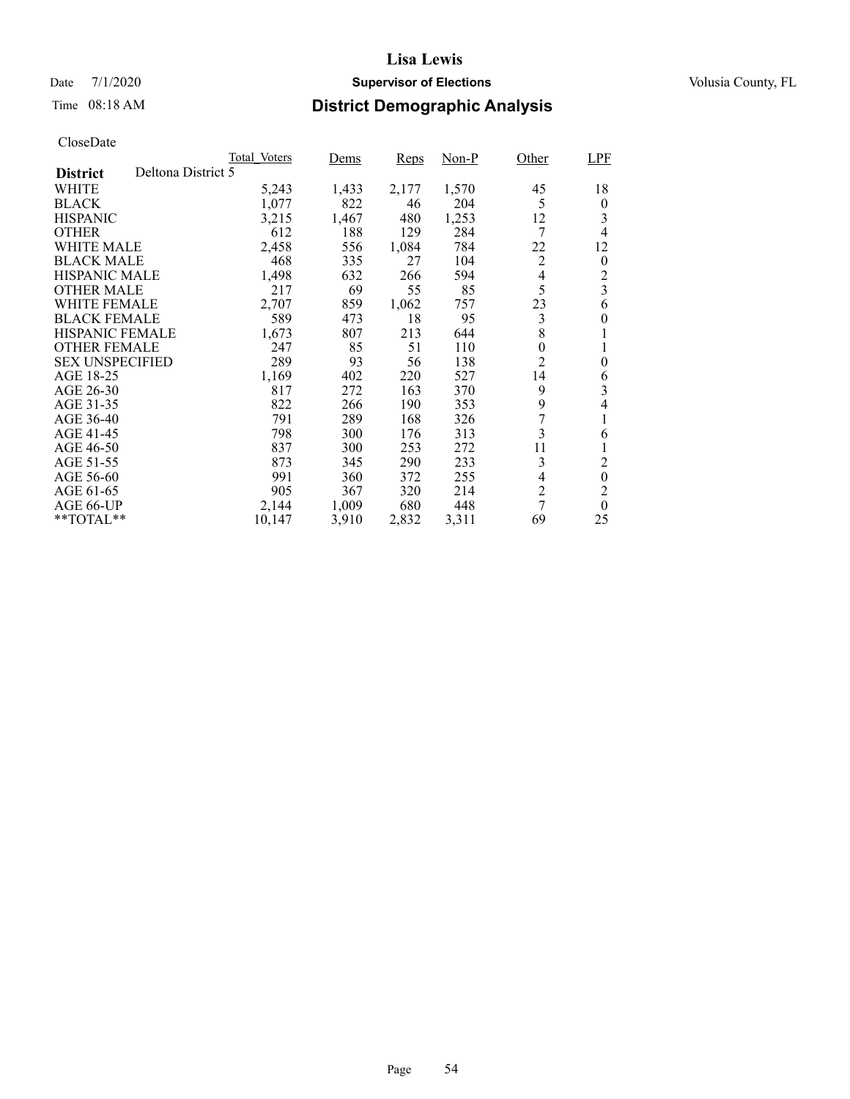## Date 7/1/2020 **Supervisor of Elections Supervisor of Elections** Volusia County, FL

# Time 08:18 AM **District Demographic Analysis**

|                        |                    | Total Voters | Dems  | Reps  | Non-P | Other          | <b>LPF</b>       |
|------------------------|--------------------|--------------|-------|-------|-------|----------------|------------------|
| <b>District</b>        | Deltona District 5 |              |       |       |       |                |                  |
| WHITE                  |                    | 5,243        | 1,433 | 2,177 | 1,570 | 45             | 18               |
| <b>BLACK</b>           |                    | 1,077        | 822   | 46    | 204   | 5              | $\boldsymbol{0}$ |
| <b>HISPANIC</b>        |                    | 3,215        | 1,467 | 480   | 1,253 | 12             | 3                |
| <b>OTHER</b>           |                    | 612          | 188   | 129   | 284   | 7              | 4                |
| WHITE MALE             |                    | 2,458        | 556   | 1,084 | 784   | 22             | 12               |
| <b>BLACK MALE</b>      |                    | 468          | 335   | 27    | 104   | 2              | $\theta$         |
| <b>HISPANIC MALE</b>   |                    | 1,498        | 632   | 266   | 594   | 4              | $\overline{c}$   |
| <b>OTHER MALE</b>      |                    | 217          | 69    | 55    | 85    | 5              | 3                |
| WHITE FEMALE           |                    | 2,707        | 859   | 1,062 | 757   | 23             | 6                |
| <b>BLACK FEMALE</b>    |                    | 589          | 473   | 18    | 95    | 3              | $\theta$         |
| <b>HISPANIC FEMALE</b> |                    | 1,673        | 807   | 213   | 644   | 8              |                  |
| <b>OTHER FEMALE</b>    |                    | 247          | 85    | 51    | 110   | $\overline{0}$ |                  |
| <b>SEX UNSPECIFIED</b> |                    | 289          | 93    | 56    | 138   | $\overline{2}$ | $\overline{0}$   |
| AGE 18-25              |                    | 1,169        | 402   | 220   | 527   | 14             | 6                |
| AGE 26-30              |                    | 817          | 272   | 163   | 370   | 9              | 3                |
| AGE 31-35              |                    | 822          | 266   | 190   | 353   | 9              | 4                |
| AGE 36-40              |                    | 791          | 289   | 168   | 326   |                |                  |
| AGE 41-45              |                    | 798          | 300   | 176   | 313   | 3              | 6                |
| AGE 46-50              |                    | 837          | 300   | 253   | 272   | 11             |                  |
| AGE 51-55              |                    | 873          | 345   | 290   | 233   | 3              | 2                |
| AGE 56-60              |                    | 991          | 360   | 372   | 255   | 4              | $\mathbf{0}$     |
| AGE 61-65              |                    | 905          | 367   | 320   | 214   | 2              | $\overline{2}$   |
| AGE 66-UP              |                    | 2,144        | 1,009 | 680   | 448   | 7              | $\theta$         |
| **TOTAL**              |                    | 10,147       | 3,910 | 2,832 | 3,311 | 69             | 25               |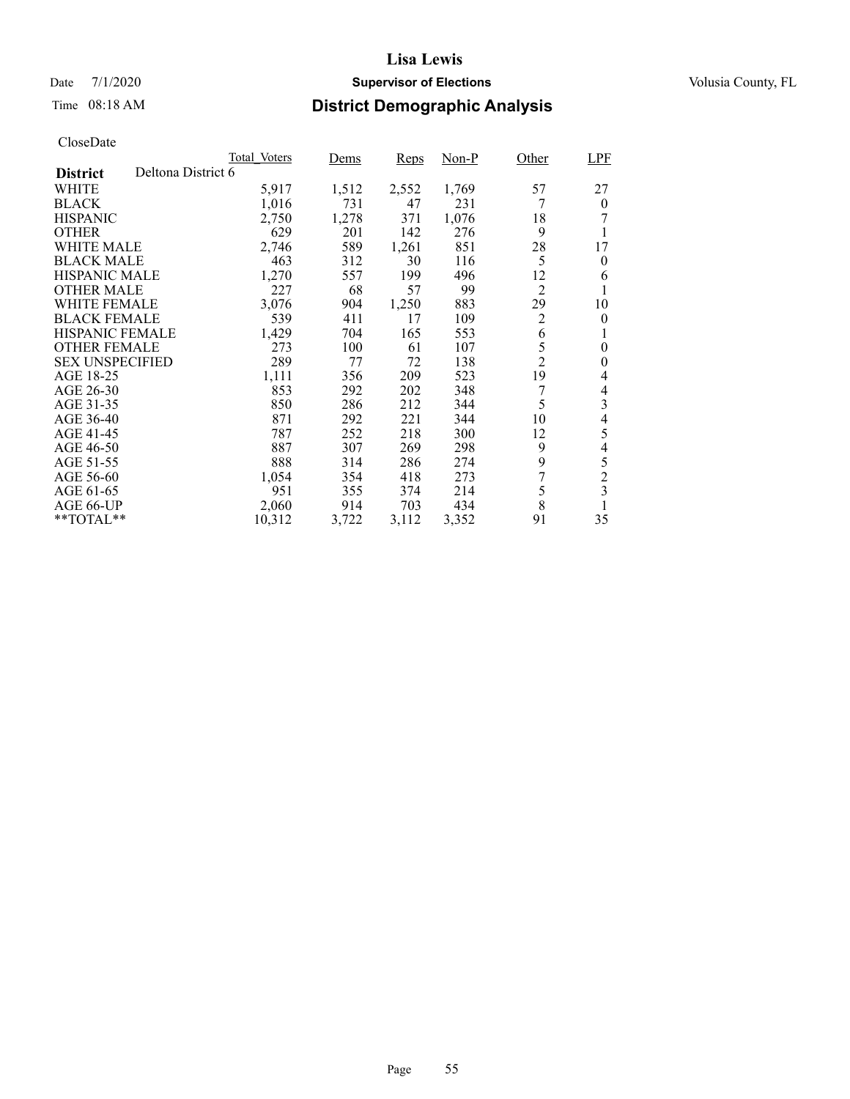## Date 7/1/2020 **Supervisor of Elections Supervisor of Elections** Volusia County, FL

# Time 08:18 AM **District Demographic Analysis**

|                        |                    | Total Voters | Dems  | Reps  | Non-P | Other          | <b>LPF</b>       |
|------------------------|--------------------|--------------|-------|-------|-------|----------------|------------------|
| <b>District</b>        | Deltona District 6 |              |       |       |       |                |                  |
| WHITE                  |                    | 5,917        | 1,512 | 2,552 | 1,769 | 57             | 27               |
| <b>BLACK</b>           |                    | 1,016        | 731   | 47    | 231   | 7              | $\overline{0}$   |
| <b>HISPANIC</b>        |                    | 2,750        | 1,278 | 371   | 1,076 | 18             |                  |
| <b>OTHER</b>           |                    | 629          | 201   | 142   | 276   | 9              |                  |
| WHITE MALE             |                    | 2,746        | 589   | 1,261 | 851   | 28             | 17               |
| <b>BLACK MALE</b>      |                    | 463          | 312   | 30    | 116   | 5              | $\bf{0}$         |
| <b>HISPANIC MALE</b>   |                    | 1,270        | 557   | 199   | 496   | 12             | 6                |
| <b>OTHER MALE</b>      |                    | 227          | 68    | 57    | 99    | $\overline{2}$ |                  |
| <b>WHITE FEMALE</b>    |                    | 3,076        | 904   | 1,250 | 883   | 29             | 10               |
| <b>BLACK FEMALE</b>    |                    | 539          | 411   | 17    | 109   | $\overline{2}$ | $\theta$         |
| <b>HISPANIC FEMALE</b> |                    | 1,429        | 704   | 165   | 553   | 6              | 1                |
| <b>OTHER FEMALE</b>    |                    | 273          | 100   | 61    | 107   | 5              | $\boldsymbol{0}$ |
| <b>SEX UNSPECIFIED</b> |                    | 289          | 77    | 72    | 138   | $\overline{2}$ | 0                |
| AGE 18-25              |                    | 1,111        | 356   | 209   | 523   | 19             | 4                |
| AGE 26-30              |                    | 853          | 292   | 202   | 348   | 7              | 4                |
| AGE 31-35              |                    | 850          | 286   | 212   | 344   | 5              | 3                |
| AGE 36-40              |                    | 871          | 292   | 221   | 344   | 10             | 4                |
| AGE 41-45              |                    | 787          | 252   | 218   | 300   | 12             | 5                |
| AGE 46-50              |                    | 887          | 307   | 269   | 298   | 9              | $\overline{4}$   |
| AGE 51-55              |                    | 888          | 314   | 286   | 274   | 9              | 5                |
| AGE 56-60              |                    | 1,054        | 354   | 418   | 273   | 7              | $\overline{c}$   |
| AGE 61-65              |                    | 951          | 355   | 374   | 214   | 5              | 3                |
| AGE 66-UP              |                    | 2,060        | 914   | 703   | 434   | 8              |                  |
| $*$ TOTAL $*$          |                    | 10,312       | 3,722 | 3,112 | 3.352 | 91             | 35               |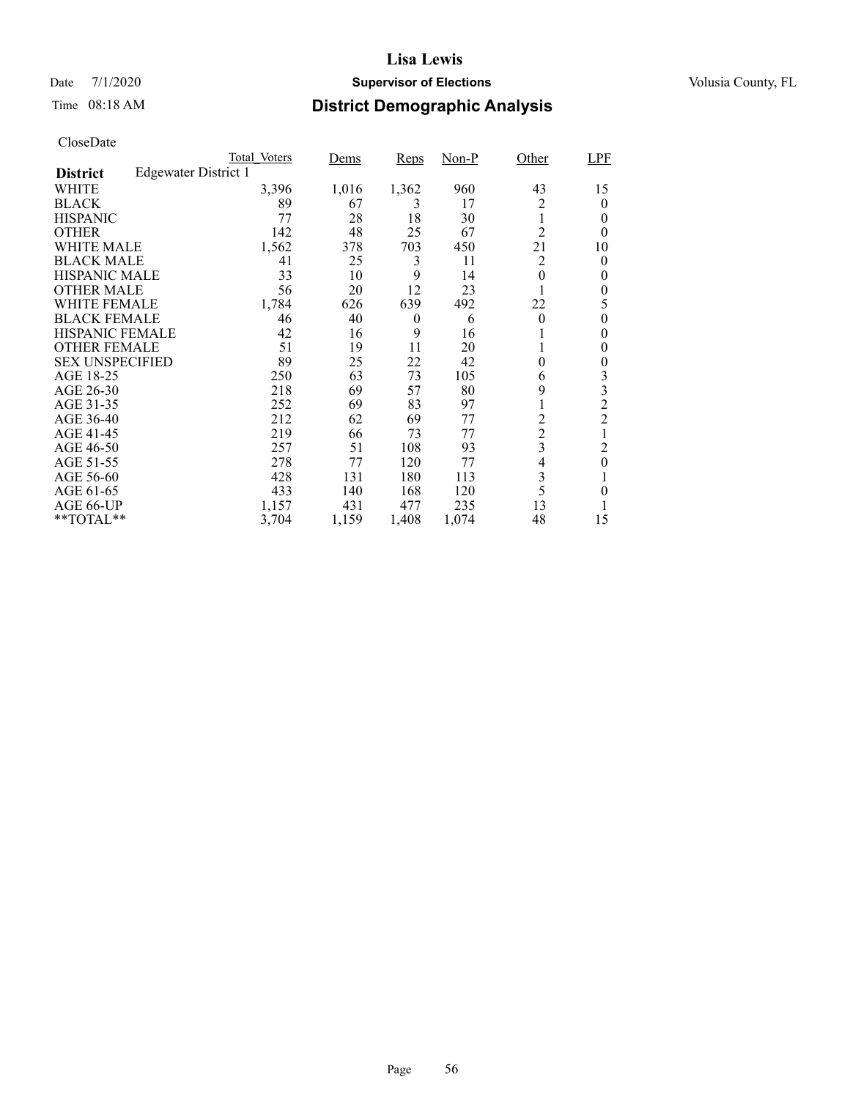## Date 7/1/2020 **Supervisor of Elections Supervisor of Elections** Volusia County, FL

# Time 08:18 AM **District Demographic Analysis**

|                        |                             | Total Voters | <u>Dems</u> | Reps     | $Non-P$ | Other          | <b>LPF</b>     |
|------------------------|-----------------------------|--------------|-------------|----------|---------|----------------|----------------|
| <b>District</b>        | <b>Edgewater District 1</b> |              |             |          |         |                |                |
| WHITE                  |                             | 3,396        | 1,016       | 1,362    | 960     | 43             | 15             |
| <b>BLACK</b>           |                             | 89           | 67          | 3        | 17      | 2              | 0              |
| <b>HISPANIC</b>        |                             | 77           | 28          | 18       | 30      | 1              | 0              |
| <b>OTHER</b>           |                             | 142          | 48          | 25       | 67      | $\overline{2}$ | 0              |
| WHITE MALE             |                             | 1,562        | 378         | 703      | 450     | 21             | 10             |
| <b>BLACK MALE</b>      |                             | 41           | 25          | 3        | 11      | $\overline{2}$ | 0              |
| <b>HISPANIC MALE</b>   |                             | 33           | 10          | 9        | 14      | 0              | 0              |
| <b>OTHER MALE</b>      |                             | 56           | 20          | 12       | 23      | 1              | 0              |
| WHITE FEMALE           |                             | 1,784        | 626         | 639      | 492     | 22             | 5              |
| <b>BLACK FEMALE</b>    |                             | 46           | 40          | $\theta$ | 6       | $\theta$       | 0              |
| <b>HISPANIC FEMALE</b> |                             | 42           | 16          | 9        | 16      |                | 0              |
| <b>OTHER FEMALE</b>    |                             | 51           | 19          | 11       | 20      | 1              | 0              |
| <b>SEX UNSPECIFIED</b> |                             | 89           | 25          | 22       | 42      | 0              | 0              |
| AGE 18-25              |                             | 250          | 63          | 73       | 105     | 6              | 3              |
| AGE 26-30              |                             | 218          | 69          | 57       | 80      | 9              | 3              |
| AGE 31-35              |                             | 252          | 69          | 83       | 97      |                | $\overline{c}$ |
| AGE 36-40              |                             | 212          | 62          | 69       | 77      | 2              | $\overline{c}$ |
| AGE 41-45              |                             | 219          | 66          | 73       | 77      | $\overline{c}$ |                |
| AGE 46-50              |                             | 257          | 51          | 108      | 93      | 3              | 2              |
| AGE 51-55              |                             | 278          | 77          | 120      | 77      | 4              | $\theta$       |
| AGE 56-60              |                             | 428          | 131         | 180      | 113     | 3              |                |
| AGE 61-65              |                             | 433          | 140         | 168      | 120     | 5              | 0              |
| AGE 66-UP              |                             | 1,157        | 431         | 477      | 235     | 13             |                |
| **TOTAL**              |                             | 3,704        | 1,159       | 1,408    | 1,074   | 48             | 15             |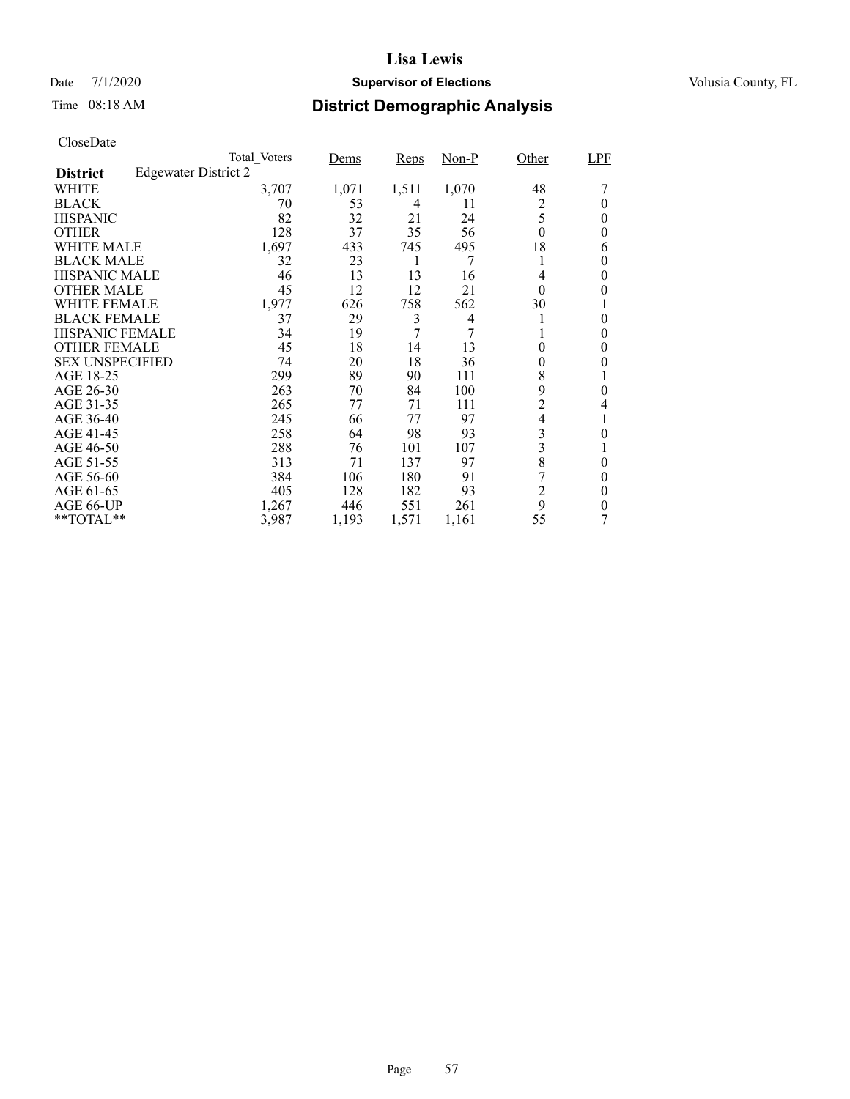## Date 7/1/2020 **Supervisor of Elections Supervisor of Elections** Volusia County, FL

# Time 08:18 AM **District Demographic Analysis**

|                        |                             | Total Voters | Dems  | Reps  | $Non-P$ | Other          | LPF      |
|------------------------|-----------------------------|--------------|-------|-------|---------|----------------|----------|
| <b>District</b>        | <b>Edgewater District 2</b> |              |       |       |         |                |          |
| WHITE                  |                             | 3,707        | 1,071 | 1,511 | 1,070   | 48             |          |
| <b>BLACK</b>           |                             | 70           | 53    | 4     | 11      | 2              | 0        |
| <b>HISPANIC</b>        |                             | 82           | 32    | 21    | 24      | 5              | 0        |
| <b>OTHER</b>           |                             | 128          | 37    | 35    | 56      | $\theta$       | 0        |
| WHITE MALE             |                             | 1,697        | 433   | 745   | 495     | 18             | 6        |
| <b>BLACK MALE</b>      |                             | 32           | 23    | 1     | 7       |                | 0        |
| <b>HISPANIC MALE</b>   |                             | 46           | 13    | 13    | 16      | 4              | $\theta$ |
| <b>OTHER MALE</b>      |                             | 45           | 12    | 12    | 21      | $\theta$       | 0        |
| WHITE FEMALE           |                             | 1,977        | 626   | 758   | 562     | 30             |          |
| <b>BLACK FEMALE</b>    |                             | 37           | 29    | 3     | 4       |                | $\theta$ |
| <b>HISPANIC FEMALE</b> |                             | 34           | 19    | 7     |         |                | 0        |
| <b>OTHER FEMALE</b>    |                             | 45           | 18    | 14    | 13      | 0              | 0        |
| <b>SEX UNSPECIFIED</b> |                             | 74           | 20    | 18    | 36      | 0              | 0        |
| AGE 18-25              |                             | 299          | 89    | 90    | 111     | 8              |          |
| AGE 26-30              |                             | 263          | 70    | 84    | 100     | 9              | 0        |
| AGE 31-35              |                             | 265          | 77    | 71    | 111     | $\overline{2}$ | 4        |
| AGE 36-40              |                             | 245          | 66    | 77    | 97      | 4              |          |
| AGE 41-45              |                             | 258          | 64    | 98    | 93      | 3              | 0        |
| AGE 46-50              |                             | 288          | 76    | 101   | 107     | 3              |          |
| AGE 51-55              |                             | 313          | 71    | 137   | 97      | 8              | 0        |
| AGE 56-60              |                             | 384          | 106   | 180   | 91      | 7              | 0        |
| AGE 61-65              |                             | 405          | 128   | 182   | 93      | $\overline{c}$ | $\theta$ |
| AGE 66-UP              |                             | 1,267        | 446   | 551   | 261     | 9              | 0        |
| **TOTAL**              |                             | 3,987        | 1,193 | 1,571 | 1,161   | 55             |          |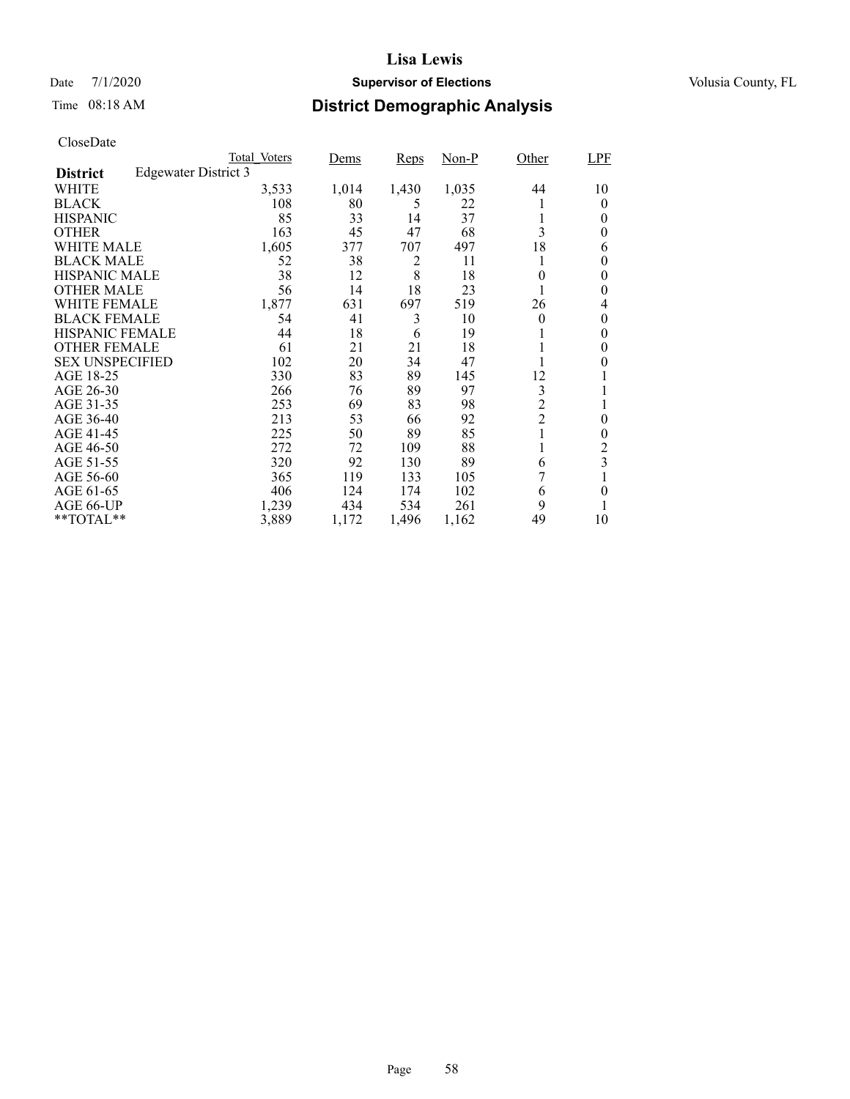## Date 7/1/2020 **Supervisor of Elections Supervisor of Elections** Volusia County, FL

# Time 08:18 AM **District Demographic Analysis**

|                        |                      | Total Voters | Dems  | Reps  | $Non-P$ | Other          | LPF                     |
|------------------------|----------------------|--------------|-------|-------|---------|----------------|-------------------------|
| <b>District</b>        | Edgewater District 3 |              |       |       |         |                |                         |
| WHITE                  |                      | 3,533        | 1,014 | 1,430 | 1,035   | 44             | 10                      |
| <b>BLACK</b>           |                      | 108          | 80    | 5     | 22      |                | 0                       |
| <b>HISPANIC</b>        |                      | 85           | 33    | 14    | 37      |                | 0                       |
| <b>OTHER</b>           |                      | 163          | 45    | 47    | 68      | 3              | 0                       |
| WHITE MALE             |                      | 1,605        | 377   | 707   | 497     | 18             | 6                       |
| <b>BLACK MALE</b>      |                      | 52           | 38    | 2     | 11      |                | 0                       |
| <b>HISPANIC MALE</b>   |                      | 38           | 12    | 8     | 18      | 0              | 0                       |
| <b>OTHER MALE</b>      |                      | 56           | 14    | 18    | 23      |                | 0                       |
| WHITE FEMALE           |                      | 1,877        | 631   | 697   | 519     | 26             | 4                       |
| <b>BLACK FEMALE</b>    |                      | 54           | 41    | 3     | 10      | $\theta$       | $\theta$                |
| <b>HISPANIC FEMALE</b> |                      | 44           | 18    | 6     | 19      |                | 0                       |
| <b>OTHER FEMALE</b>    |                      | 61           | 21    | 21    | 18      |                | 0                       |
| <b>SEX UNSPECIFIED</b> |                      | 102          | 20    | 34    | 47      |                | 0                       |
| AGE 18-25              |                      | 330          | 83    | 89    | 145     | 12             |                         |
| AGE 26-30              |                      | 266          | 76    | 89    | 97      | 3              |                         |
| AGE 31-35              |                      | 253          | 69    | 83    | 98      | $\overline{c}$ |                         |
| AGE 36-40              |                      | 213          | 53    | 66    | 92      | $\overline{c}$ | 0                       |
| AGE 41-45              |                      | 225          | 50    | 89    | 85      |                | $\theta$                |
| AGE 46-50              |                      | 272          | 72    | 109   | 88      |                | 2                       |
| AGE 51-55              |                      | 320          | 92    | 130   | 89      | 6              | $\overline{\mathbf{3}}$ |
| AGE 56-60              |                      | 365          | 119   | 133   | 105     |                |                         |
| AGE 61-65              |                      | 406          | 124   | 174   | 102     | 6              | $\theta$                |
| AGE 66-UP              |                      | 1,239        | 434   | 534   | 261     | 9              |                         |
| **TOTAL**              |                      | 3,889        | 1,172 | 1,496 | 1,162   | 49             | 10                      |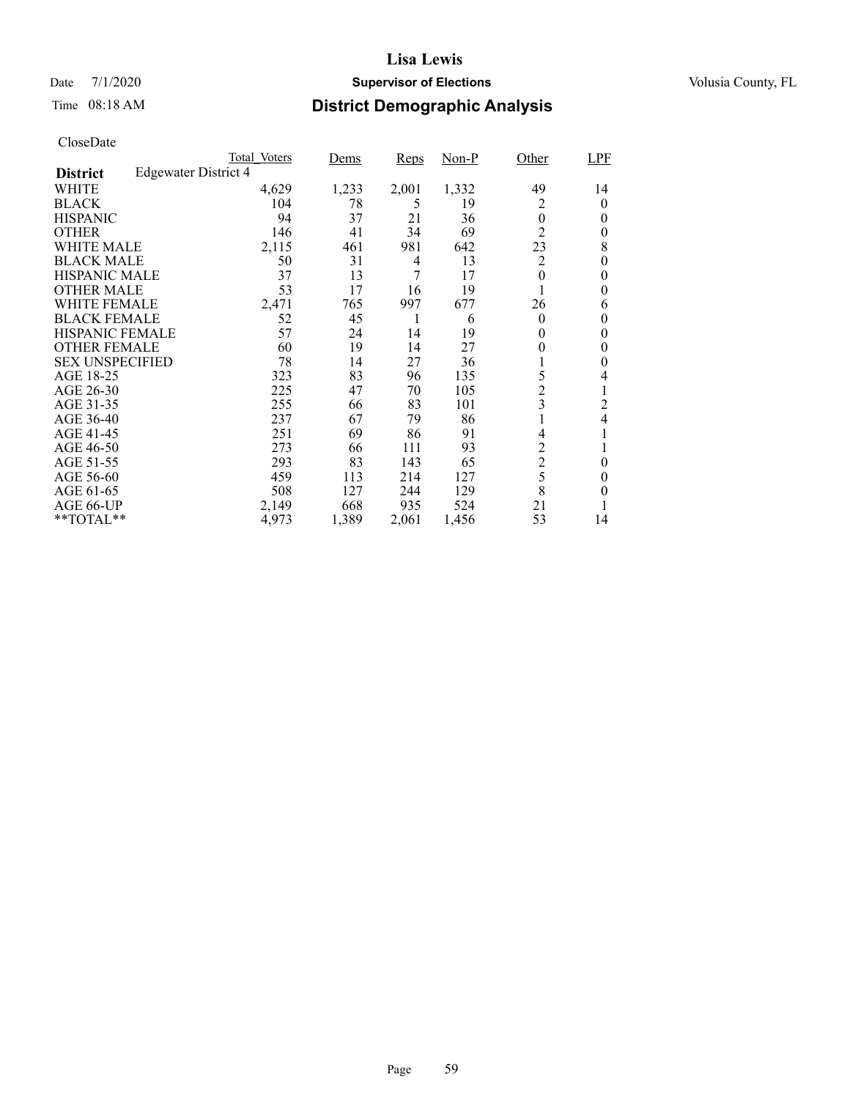## Date 7/1/2020 **Supervisor of Elections Supervisor of Elections** Volusia County, FL

# Time 08:18 AM **District Demographic Analysis**

|                        |                             | Total Voters | Dems  | Reps  | $Non-P$ | Other          | LPF                      |
|------------------------|-----------------------------|--------------|-------|-------|---------|----------------|--------------------------|
| <b>District</b>        | <b>Edgewater District 4</b> |              |       |       |         |                |                          |
| WHITE                  |                             | 4,629        | 1,233 | 2,001 | 1,332   | 49             | 14                       |
| <b>BLACK</b>           |                             | 104          | 78    | 5     | 19      | 2              | 0                        |
| <b>HISPANIC</b>        |                             | 94           | 37    | 21    | 36      | $\overline{0}$ | 0                        |
| <b>OTHER</b>           |                             | 146          | 41    | 34    | 69      | $\overline{2}$ | 0                        |
| WHITE MALE             |                             | 2,115        | 461   | 981   | 642     | 23             | 8                        |
| <b>BLACK MALE</b>      |                             | 50           | 31    | 4     | 13      | $\overline{2}$ | 0                        |
| <b>HISPANIC MALE</b>   |                             | 37           | 13    | 7     | 17      | $\overline{0}$ | 0                        |
| <b>OTHER MALE</b>      |                             | 53           | 17    | 16    | 19      |                | 0                        |
| WHITE FEMALE           |                             | 2,471        | 765   | 997   | 677     | 26             | 6                        |
| <b>BLACK FEMALE</b>    |                             | 52           | 45    | 1     | 6       | $\theta$       | $\theta$                 |
| <b>HISPANIC FEMALE</b> |                             | 57           | 24    | 14    | 19      | 0              | 0                        |
| <b>OTHER FEMALE</b>    |                             | 60           | 19    | 14    | 27      | 0              | 0                        |
| <b>SEX UNSPECIFIED</b> |                             | 78           | 14    | 27    | 36      |                | 0                        |
| AGE 18-25              |                             | 323          | 83    | 96    | 135     | 5              | 4                        |
| AGE 26-30              |                             | 225          | 47    | 70    | 105     | $\overline{c}$ | 1                        |
| AGE 31-35              |                             | 255          | 66    | 83    | 101     | 3              | 2                        |
| AGE 36-40              |                             | 237          | 67    | 79    | 86      |                | $\overline{\mathcal{L}}$ |
| AGE 41-45              |                             | 251          | 69    | 86    | 91      | 4              |                          |
| AGE 46-50              |                             | 273          | 66    | 111   | 93      | 2              |                          |
| AGE 51-55              |                             | 293          | 83    | 143   | 65      | $\overline{c}$ | $\theta$                 |
| AGE 56-60              |                             | 459          | 113   | 214   | 127     | 5              | 0                        |
| AGE 61-65              |                             | 508          | 127   | 244   | 129     | 8              | 0                        |
| AGE 66-UP              |                             | 2,149        | 668   | 935   | 524     | 21             |                          |
| **TOTAL**              |                             | 4,973        | 1,389 | 2,061 | 1,456   | 53             | 14                       |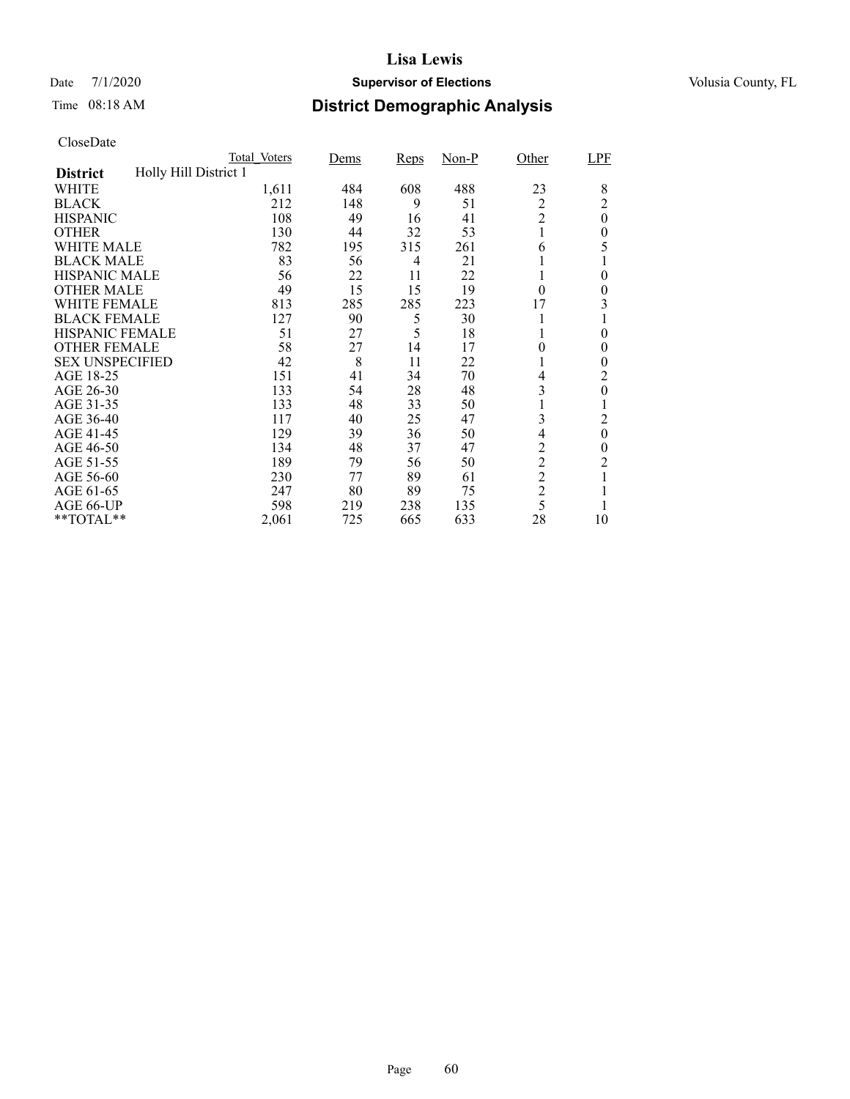## Date 7/1/2020 **Supervisor of Elections Supervisor of Elections** Volusia County, FL

# Time 08:18 AM **District Demographic Analysis**

|                        |                       | Total Voters | Dems | Reps | $Non-P$ | Other          | LPF              |
|------------------------|-----------------------|--------------|------|------|---------|----------------|------------------|
| <b>District</b>        | Holly Hill District 1 |              |      |      |         |                |                  |
| WHITE                  |                       | 1,611        | 484  | 608  | 488     | 23             | 8                |
| <b>BLACK</b>           |                       | 212          | 148  | 9    | 51      | 2              | $\overline{c}$   |
| <b>HISPANIC</b>        |                       | 108          | 49   | 16   | 41      | $\overline{2}$ | $\boldsymbol{0}$ |
| <b>OTHER</b>           |                       | 130          | 44   | 32   | 53      | 1              | $\theta$         |
| WHITE MALE             |                       | 782          | 195  | 315  | 261     | 6              | 5                |
| <b>BLACK MALE</b>      |                       | 83           | 56   | 4    | 21      |                |                  |
| <b>HISPANIC MALE</b>   |                       | 56           | 22   | 11   | 22      |                | $\theta$         |
| <b>OTHER MALE</b>      |                       | 49           | 15   | 15   | 19      | $\theta$       | $\overline{0}$   |
| WHITE FEMALE           |                       | 813          | 285  | 285  | 223     | 17             | 3                |
| <b>BLACK FEMALE</b>    |                       | 127          | 90   | 5    | 30      |                |                  |
| <b>HISPANIC FEMALE</b> |                       | 51           | 27   | 5    | 18      |                | $\theta$         |
| <b>OTHER FEMALE</b>    |                       | 58           | 27   | 14   | 17      | $\theta$       | $\theta$         |
| <b>SEX UNSPECIFIED</b> |                       | 42           | 8    | 11   | 22      |                | $\theta$         |
| AGE 18-25              |                       | 151          | 41   | 34   | 70      | 4              | 2                |
| AGE 26-30              |                       | 133          | 54   | 28   | 48      | 3              | $\overline{0}$   |
| AGE 31-35              |                       | 133          | 48   | 33   | 50      |                |                  |
| AGE 36-40              |                       | 117          | 40   | 25   | 47      | 3              | 2                |
| AGE 41-45              |                       | 129          | 39   | 36   | 50      | 4              | $\boldsymbol{0}$ |
| AGE 46-50              |                       | 134          | 48   | 37   | 47      | $\overline{c}$ | 0                |
| AGE 51-55              |                       | 189          | 79   | 56   | 50      | $\overline{c}$ | $\overline{c}$   |
| AGE 56-60              |                       | 230          | 77   | 89   | 61      | $\overline{2}$ |                  |
| AGE 61-65              |                       | 247          | 80   | 89   | 75      | $\overline{2}$ |                  |
| AGE 66-UP              |                       | 598          | 219  | 238  | 135     | 5              |                  |
| **TOTAL**              |                       | 2,061        | 725  | 665  | 633     | 28             | 10               |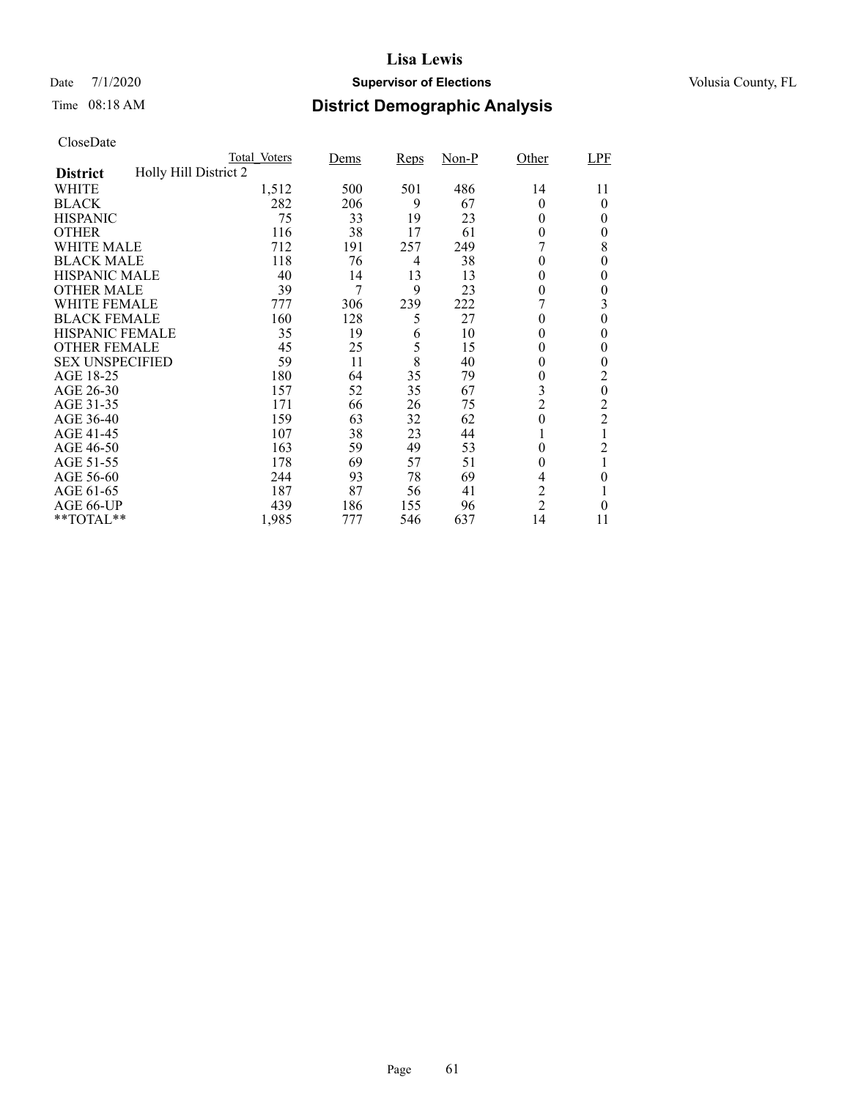## Date 7/1/2020 **Supervisor of Elections Supervisor of Elections** Volusia County, FL

# Time 08:18 AM **District Demographic Analysis**

|                        |                       | Total Voters | Dems | Reps | $Non-P$ | Other            | LPF            |
|------------------------|-----------------------|--------------|------|------|---------|------------------|----------------|
| <b>District</b>        | Holly Hill District 2 |              |      |      |         |                  |                |
| WHITE                  |                       | 1,512        | 500  | 501  | 486     | 14               | 11             |
| <b>BLACK</b>           |                       | 282          | 206  | 9    | 67      | $\theta$         | 0              |
| <b>HISPANIC</b>        |                       | 75           | 33   | 19   | 23      | $\Omega$         | $\theta$       |
| <b>OTHER</b>           |                       | 116          | 38   | 17   | 61      | $\theta$         | 0              |
| WHITE MALE             |                       | 712          | 191  | 257  | 249     |                  | 8              |
| <b>BLACK MALE</b>      |                       | 118          | 76   | 4    | 38      | $\theta$         | 0              |
| <b>HISPANIC MALE</b>   |                       | 40           | 14   | 13   | 13      | 0                | 0              |
| <b>OTHER MALE</b>      |                       | 39           | 7    | 9    | 23      | 0                | 0              |
| WHITE FEMALE           |                       | 777          | 306  | 239  | 222     |                  | 3              |
| <b>BLACK FEMALE</b>    |                       | 160          | 128  | 5    | 27      | $\theta$         | $\overline{0}$ |
| <b>HISPANIC FEMALE</b> |                       | 35           | 19   | 6    | 10      | 0                | 0              |
| <b>OTHER FEMALE</b>    |                       | 45           | 25   | 5    | 15      | 0                | $\theta$       |
| <b>SEX UNSPECIFIED</b> |                       | 59           | 11   | 8    | 40      | $\theta$         | $\theta$       |
| AGE 18-25              |                       | 180          | 64   | 35   | 79      | 0                | 2              |
| AGE 26-30              |                       | 157          | 52   | 35   | 67      | 3                | $\overline{0}$ |
| AGE 31-35              |                       | 171          | 66   | 26   | 75      | $\overline{2}$   | $\overline{2}$ |
| AGE 36-40              |                       | 159          | 63   | 32   | 62      | $\boldsymbol{0}$ | $\overline{c}$ |
| AGE 41-45              |                       | 107          | 38   | 23   | 44      |                  |                |
| AGE 46-50              |                       | 163          | 59   | 49   | 53      | $\theta$         | 2              |
| AGE 51-55              |                       | 178          | 69   | 57   | 51      | 0                | 1              |
| AGE 56-60              |                       | 244          | 93   | 78   | 69      | 4                | 0              |
| AGE 61-65              |                       | 187          | 87   | 56   | 41      | 2                |                |
| AGE 66-UP              |                       | 439          | 186  | 155  | 96      | $\overline{2}$   | 0              |
| **TOTAL**              |                       | 1,985        | 777  | 546  | 637     | 14               | 11             |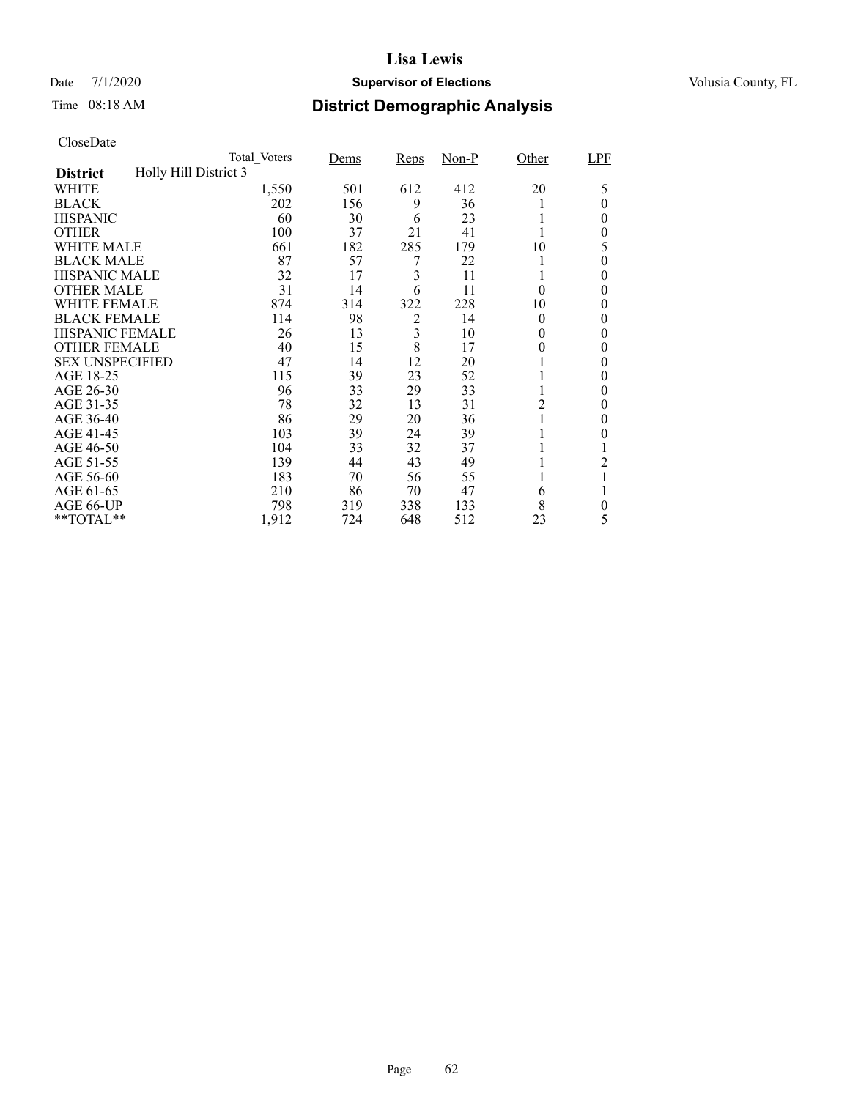## Date 7/1/2020 **Supervisor of Elections Supervisor of Elections** Volusia County, FL

# Time 08:18 AM **District Demographic Analysis**

|                        |                       | Total Voters | Dems | <b>Reps</b> | $Non-P$ | Other    | LPF |
|------------------------|-----------------------|--------------|------|-------------|---------|----------|-----|
| <b>District</b>        | Holly Hill District 3 |              |      |             |         |          |     |
| WHITE                  |                       | 1,550        | 501  | 612         | 412     | 20       | 5   |
| <b>BLACK</b>           |                       | 202          | 156  | 9           | 36      |          | 0   |
| <b>HISPANIC</b>        |                       | 60           | 30   | 6           | 23      |          | 0   |
| <b>OTHER</b>           |                       | 100          | 37   | 21          | 41      |          | 0   |
| WHITE MALE             |                       | 661          | 182  | 285         | 179     | 10       | 5   |
| <b>BLACK MALE</b>      |                       | 87           | 57   |             | 22      |          | 0   |
| <b>HISPANIC MALE</b>   |                       | 32           | 17   | 3           | 11      |          | 0   |
| <b>OTHER MALE</b>      |                       | 31           | 14   | 6           | 11      | $\theta$ | 0   |
| WHITE FEMALE           |                       | 874          | 314  | 322         | 228     | 10       | 0   |
| <b>BLACK FEMALE</b>    |                       | 114          | 98   | 2           | 14      | $\theta$ | 0   |
| <b>HISPANIC FEMALE</b> |                       | 26           | 13   | 3           | 10      | 0        | 0   |
| <b>OTHER FEMALE</b>    |                       | 40           | 15   | 8           | 17      | 0        | 0   |
| <b>SEX UNSPECIFIED</b> |                       | 47           | 14   | 12          | 20      |          | 0   |
| AGE 18-25              |                       | 115          | 39   | 23          | 52      |          | 0   |
| AGE 26-30              |                       | 96           | 33   | 29          | 33      | -1       | 0   |
| AGE 31-35              |                       | 78           | 32   | 13          | 31      | 2        | 0   |
| AGE 36-40              |                       | 86           | 29   | 20          | 36      |          | 0   |
| AGE 41-45              |                       | 103          | 39   | 24          | 39      |          | 0   |
| AGE 46-50              |                       | 104          | 33   | 32          | 37      |          |     |
| AGE 51-55              |                       | 139          | 44   | 43          | 49      |          | 2   |
| AGE 56-60              |                       | 183          | 70   | 56          | 55      |          |     |
| AGE 61-65              |                       | 210          | 86   | 70          | 47      | 6        |     |
| AGE 66-UP              |                       | 798          | 319  | 338         | 133     | 8        | 0   |
| **TOTAL**              |                       | 1,912        | 724  | 648         | 512     | 23       | 5   |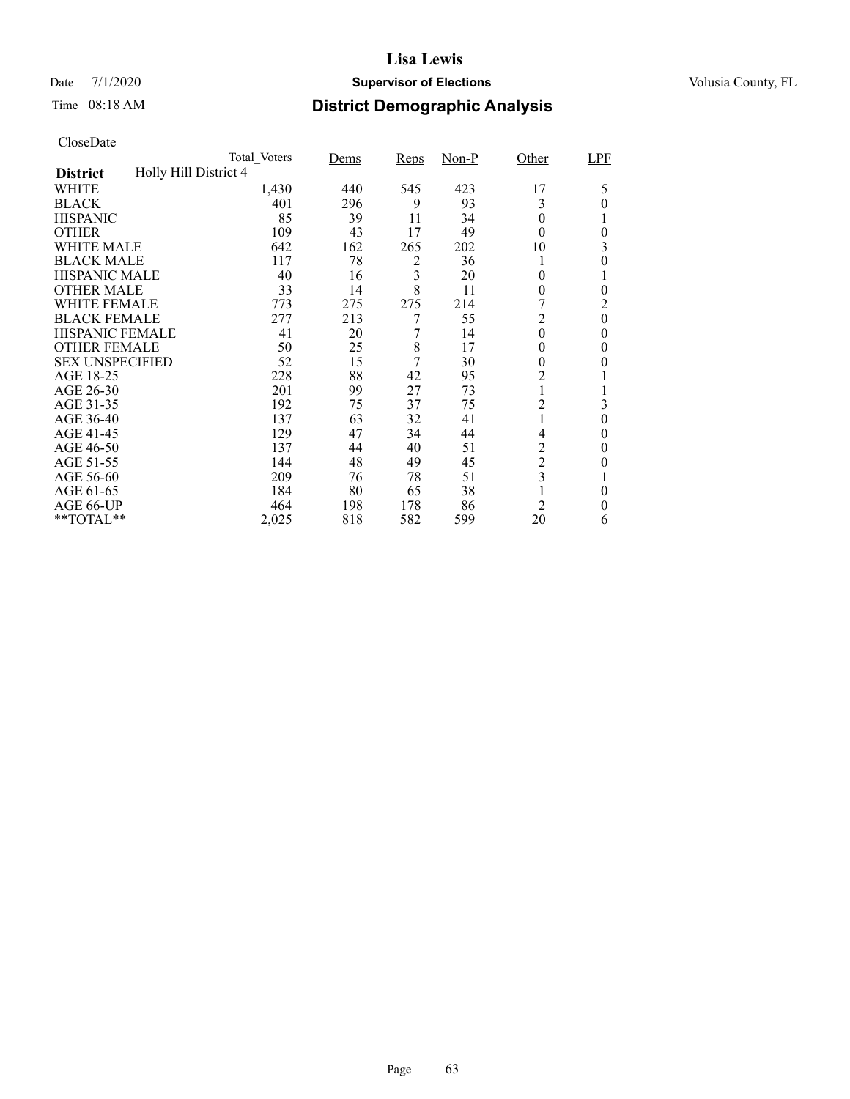## Date 7/1/2020 **Supervisor of Elections Supervisor of Elections** Volusia County, FL

# Time 08:18 AM **District Demographic Analysis**

|                        |                       | Total Voters | Dems | <b>Reps</b> | $Non-P$ | Other          | LPF      |
|------------------------|-----------------------|--------------|------|-------------|---------|----------------|----------|
| <b>District</b>        | Holly Hill District 4 |              |      |             |         |                |          |
| WHITE                  |                       | 1,430        | 440  | 545         | 423     | 17             | 5        |
| <b>BLACK</b>           |                       | 401          | 296  | 9           | 93      | 3              | 0        |
| <b>HISPANIC</b>        |                       | 85           | 39   | 11          | 34      | $\theta$       |          |
| <b>OTHER</b>           |                       | 109          | 43   | 17          | 49      | $\theta$       | $\theta$ |
| WHITE MALE             |                       | 642          | 162  | 265         | 202     | 10             | 3        |
| <b>BLACK MALE</b>      |                       | 117          | 78   | 2           | 36      |                | 0        |
| <b>HISPANIC MALE</b>   |                       | 40           | 16   | 3           | 20      | 0              |          |
| <b>OTHER MALE</b>      |                       | 33           | 14   | 8           | 11      | 0              | 0        |
| WHITE FEMALE           |                       | 773          | 275  | 275         | 214     |                | 2        |
| <b>BLACK FEMALE</b>    |                       | 277          | 213  | 7           | 55      | 2              | $\theta$ |
| <b>HISPANIC FEMALE</b> |                       | 41           | 20   | 7           | 14      | $\theta$       | 0        |
| <b>OTHER FEMALE</b>    |                       | 50           | 25   | 8           | 17      | $\theta$       | 0        |
| <b>SEX UNSPECIFIED</b> |                       | 52           | 15   | 7           | 30      | $\theta$       | $_{0}$   |
| AGE 18-25              |                       | 228          | 88   | 42          | 95      | 2              |          |
| AGE 26-30              |                       | 201          | 99   | 27          | 73      |                | 1        |
| AGE 31-35              |                       | 192          | 75   | 37          | 75      | 2              | 3        |
| AGE 36-40              |                       | 137          | 63   | 32          | 41      |                | $\theta$ |
| AGE 41-45              |                       | 129          | 47   | 34          | 44      | 4              | 0        |
| AGE 46-50              |                       | 137          | 44   | 40          | 51      | $\overline{c}$ | 0        |
| AGE 51-55              |                       | 144          | 48   | 49          | 45      | $\overline{c}$ | $_{0}$   |
| AGE 56-60              |                       | 209          | 76   | 78          | 51      | 3              |          |
| AGE 61-65              |                       | 184          | 80   | 65          | 38      |                | $\theta$ |
| AGE 66-UP              |                       | 464          | 198  | 178         | 86      | $\overline{c}$ | 0        |
| **TOTAL**              |                       | 2,025        | 818  | 582         | 599     | 20             | 6        |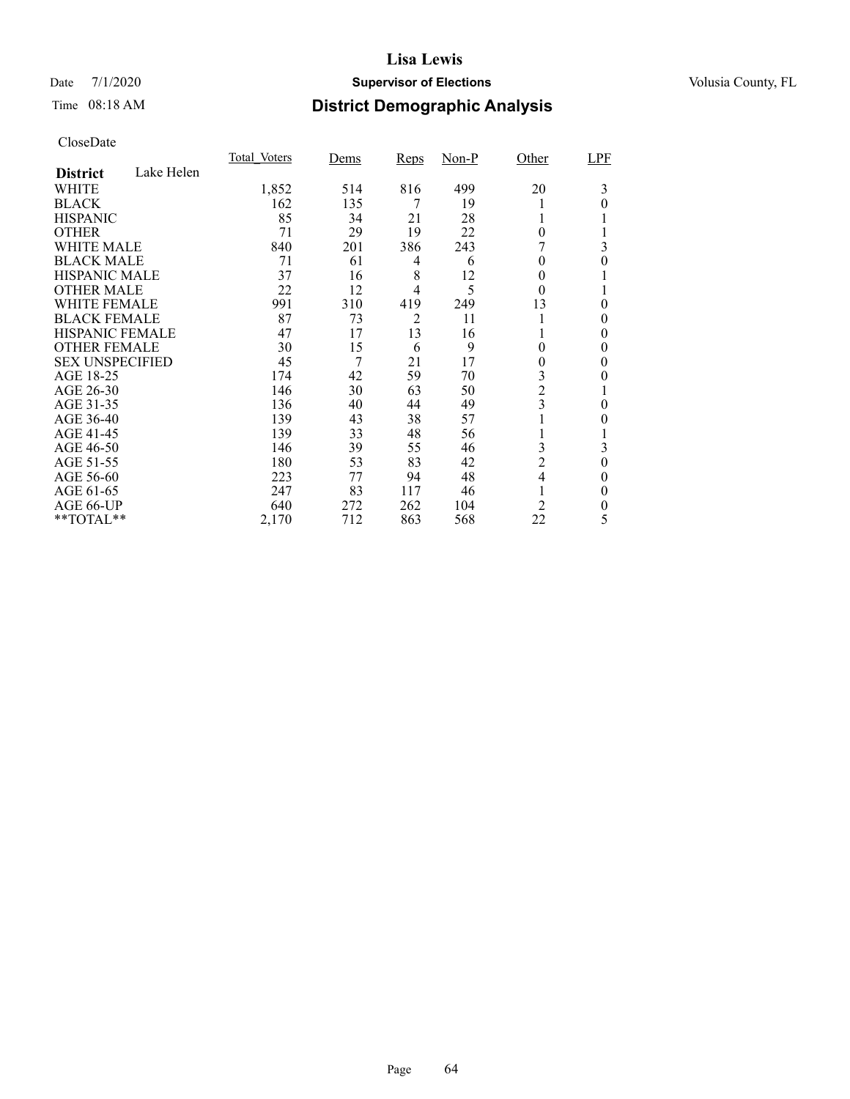## Date 7/1/2020 **Supervisor of Elections Supervisor of Elections** Volusia County, FL

# Time 08:18 AM **District Demographic Analysis**

|                        |            | Total Voters | Dems | Reps | $Non-P$ | Other          | LPF      |
|------------------------|------------|--------------|------|------|---------|----------------|----------|
| <b>District</b>        | Lake Helen |              |      |      |         |                |          |
| WHITE                  |            | 1,852        | 514  | 816  | 499     | 20             | 3        |
| <b>BLACK</b>           |            | 162          | 135  | 7    | 19      |                | 0        |
| <b>HISPANIC</b>        |            | 85           | 34   | 21   | 28      |                |          |
| <b>OTHER</b>           |            | 71           | 29   | 19   | 22      | $\theta$       |          |
| WHITE MALE             |            | 840          | 201  | 386  | 243     |                | 3        |
| <b>BLACK MALE</b>      |            | 71           | 61   | 4    | 6       | 0              | 0        |
| <b>HISPANIC MALE</b>   |            | 37           | 16   | 8    | 12      | 0              |          |
| <b>OTHER MALE</b>      |            | 22           | 12   | 4    | 5       | $\theta$       |          |
| <b>WHITE FEMALE</b>    |            | 991          | 310  | 419  | 249     | 13             | 0        |
| <b>BLACK FEMALE</b>    |            | 87           | 73   | 2    | 11      |                | 0        |
| <b>HISPANIC FEMALE</b> |            | 47           | 17   | 13   | 16      |                | 0        |
| <b>OTHER FEMALE</b>    |            | 30           | 15   | 6    | 9       | $\theta$       | 0        |
| <b>SEX UNSPECIFIED</b> |            | 45           | 7    | 21   | 17      | 0              | 0        |
| AGE 18-25              |            | 174          | 42   | 59   | 70      | 3              | 0        |
| AGE 26-30              |            | 146          | 30   | 63   | 50      | $\overline{2}$ |          |
| AGE 31-35              |            | 136          | 40   | 44   | 49      | 3              | 0        |
| AGE 36-40              |            | 139          | 43   | 38   | 57      |                | 0        |
| AGE 41-45              |            | 139          | 33   | 48   | 56      |                |          |
| AGE 46-50              |            | 146          | 39   | 55   | 46      | 3              | 3        |
| AGE 51-55              |            | 180          | 53   | 83   | 42      | $\overline{c}$ | $\theta$ |
| AGE 56-60              |            | 223          | 77   | 94   | 48      | 4              | 0        |
| AGE 61-65              |            | 247          | 83   | 117  | 46      |                | $\theta$ |
| AGE 66-UP              |            | 640          | 272  | 262  | 104     | 2              | 0        |
| **TOTAL**              |            | 2,170        | 712  | 863  | 568     | 22             | 5        |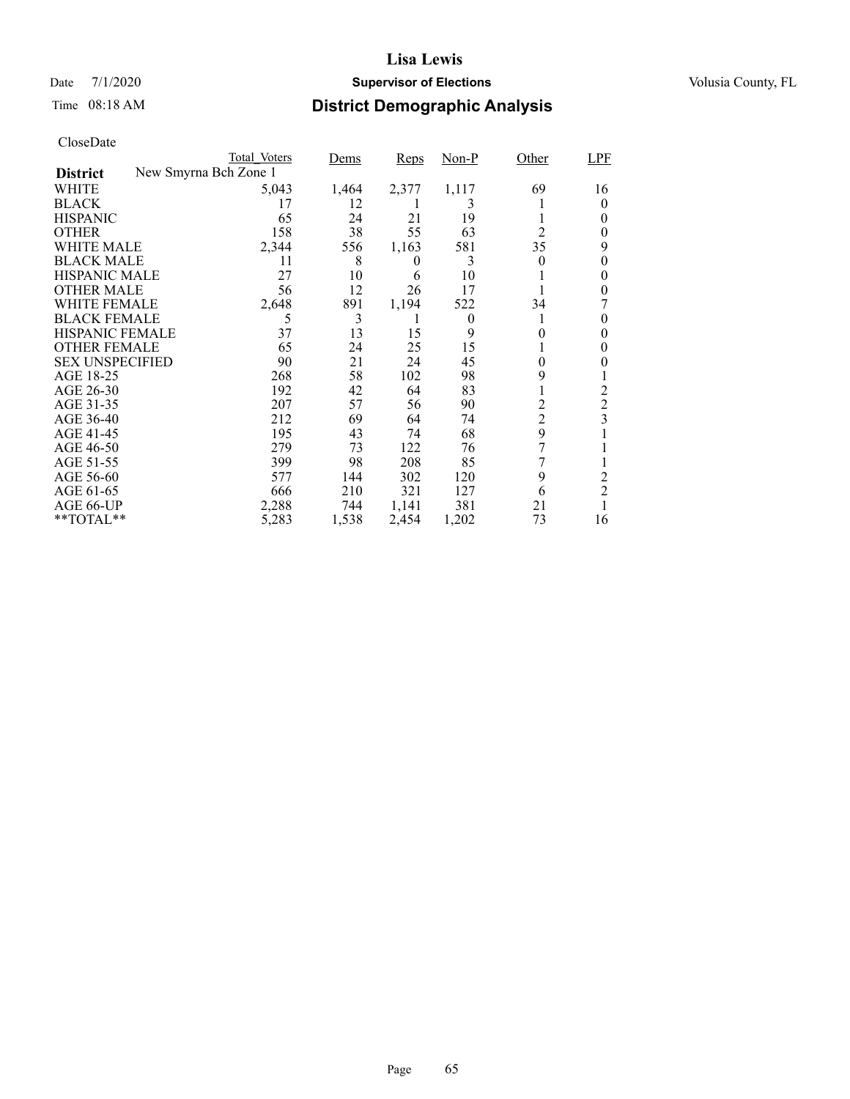## Date 7/1/2020 **Supervisor of Elections Supervisor of Elections** Volusia County, FL

# Time 08:18 AM **District Demographic Analysis**

|                        | Total Voters          | Dems  | Reps     | Non-P    | Other          | LPF            |
|------------------------|-----------------------|-------|----------|----------|----------------|----------------|
| <b>District</b>        | New Smyrna Bch Zone 1 |       |          |          |                |                |
| WHITE                  | 5,043                 | 1,464 | 2,377    | 1,117    | 69             | 16             |
| <b>BLACK</b>           | 17                    | 12    |          | 3        |                | 0              |
| <b>HISPANIC</b>        | 65                    | 24    | 21       | 19       |                | 0              |
| <b>OTHER</b>           | 158                   | 38    | 55       | 63       | 2              | 0              |
| WHITE MALE             | 2,344                 | 556   | 1,163    | 581      | 35             | 9              |
| <b>BLACK MALE</b>      | 11                    | 8     | $\theta$ | 3        | 0              | 0              |
| <b>HISPANIC MALE</b>   | 27                    | 10    | 6        | 10       |                | 0              |
| <b>OTHER MALE</b>      | 56                    | 12    | 26       | 17       |                | 0              |
| WHITE FEMALE           | 2,648                 | 891   | 1,194    | 522      | 34             |                |
| <b>BLACK FEMALE</b>    | 5                     | 3     | T        | $\theta$ |                | 0              |
| <b>HISPANIC FEMALE</b> | 37                    | 13    | 15       | 9        | $_{0}$         | 0              |
| <b>OTHER FEMALE</b>    | 65                    | 24    | 25       | 15       |                | 0              |
| <b>SEX UNSPECIFIED</b> | 90                    | 21    | 24       | 45       | 0              | 0              |
| AGE 18-25              | 268                   | 58    | 102      | 98       | 9              |                |
| AGE 26-30              | 192                   | 42    | 64       | 83       |                | 2              |
| AGE 31-35              | 207                   | 57    | 56       | 90       | $\overline{c}$ | $\overline{2}$ |
| AGE 36-40              | 212                   | 69    | 64       | 74       | $\overline{c}$ | 3              |
| AGE 41-45              | 195                   | 43    | 74       | 68       | 9              |                |
| AGE 46-50              | 279                   | 73    | 122      | 76       | 7              |                |
| AGE 51-55              | 399                   | 98    | 208      | 85       | 7              |                |
| AGE 56-60              | 577                   | 144   | 302      | 120      | 9              | 2              |
| AGE 61-65              | 666                   | 210   | 321      | 127      | 6              | $\overline{2}$ |
| AGE 66-UP              | 2,288                 | 744   | 1,141    | 381      | 21             |                |
| **TOTAL**              | 5,283                 | 1,538 | 2,454    | 1,202    | 73             | 16             |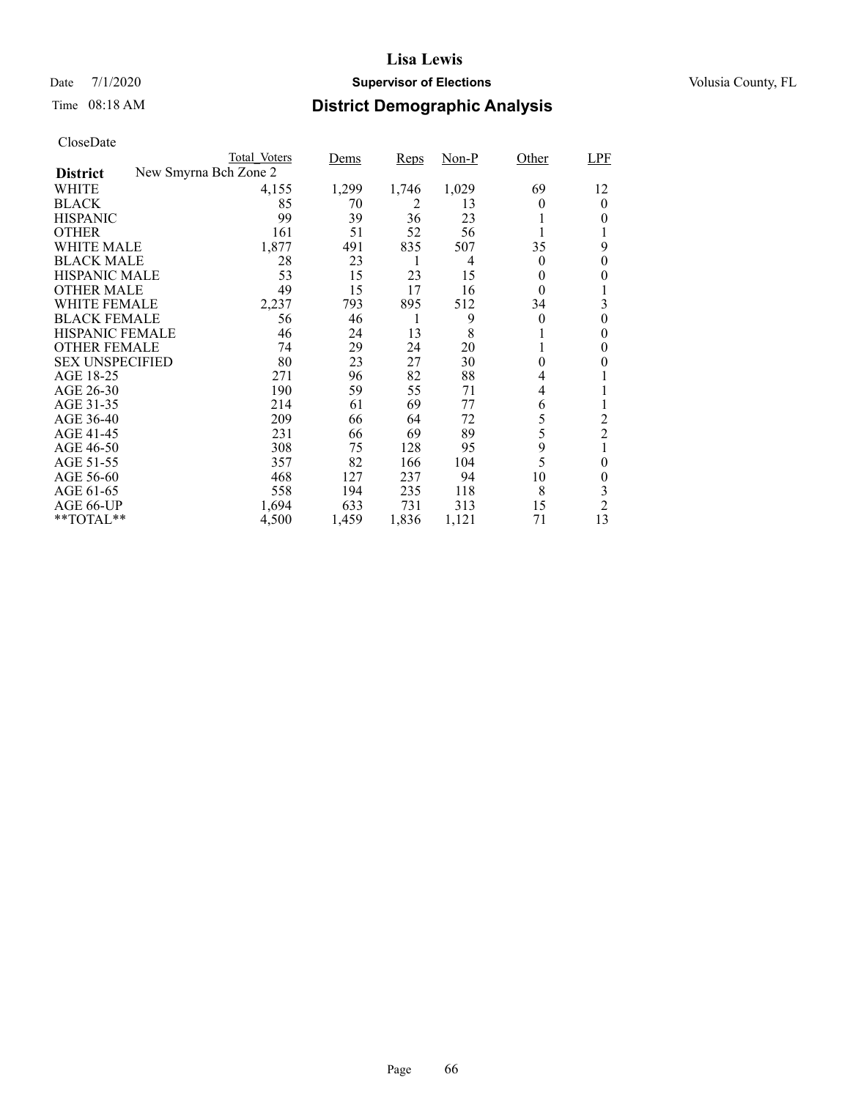## Date 7/1/2020 **Supervisor of Elections Supervisor of Elections** Volusia County, FL

# Time 08:18 AM **District Demographic Analysis**

| CloseDate |
|-----------|
|-----------|

| Total Voters | Dems                                | Reps  | $Non-P$  | Other            | LPF              |
|--------------|-------------------------------------|-------|----------|------------------|------------------|
|              |                                     |       |          |                  |                  |
| 4,155        | 1,299                               | 1,746 | 1,029    | 69               | 12               |
| 85           | 70                                  | 2     | 13       | 0                | $\overline{0}$   |
| 99           | 39                                  | 36    | 23       |                  | 0                |
| 161          | 51                                  | 52    | 56       |                  |                  |
| 1,877        | 491                                 | 835   | 507      | 35               | 9                |
| 28           | 23                                  | 1     | 4        | $\theta$         | 0                |
| 53           | 15                                  | 23    | 15       | 0                | 0                |
| 49           | 15                                  | 17    | 16       | $\theta$         |                  |
| 2,237        | 793                                 | 895   | 512      | 34               | 3                |
| 56           | 46                                  |       | 9        | $\theta$         | $\theta$         |
| 46           | 24                                  |       | 8        |                  | 0                |
| 74           | 29                                  | 24    | 20       |                  | 0                |
| 80           | 23                                  | 27    | 30       | $\boldsymbol{0}$ | 0                |
| 271          | 96                                  | 82    | 88       | 4                |                  |
| 190          | 59                                  | 55    | 71       | 4                |                  |
| 214          | 61                                  | 69    | 77       | 6                |                  |
| 209          | 66                                  | 64    | 72       | 5                | 2                |
|              | 66                                  |       |          |                  | $\overline{2}$   |
|              | 75                                  | 128   | 95       |                  |                  |
| 357          | 82                                  | 166   | 104      |                  | $\boldsymbol{0}$ |
| 468          | 127                                 | 237   | 94       | 10               | 0                |
| 558          | 194                                 | 235   | 118      | 8                | 3                |
| 1,694        | 633                                 | 731   | 313      | 15               | $\overline{2}$   |
| 4,500        | 1,459                               | 1,836 | 1,121    | 71               | 13               |
|              | New Smyrna Bch Zone 2<br>231<br>308 |       | 13<br>69 | 89               | 5<br>9<br>5      |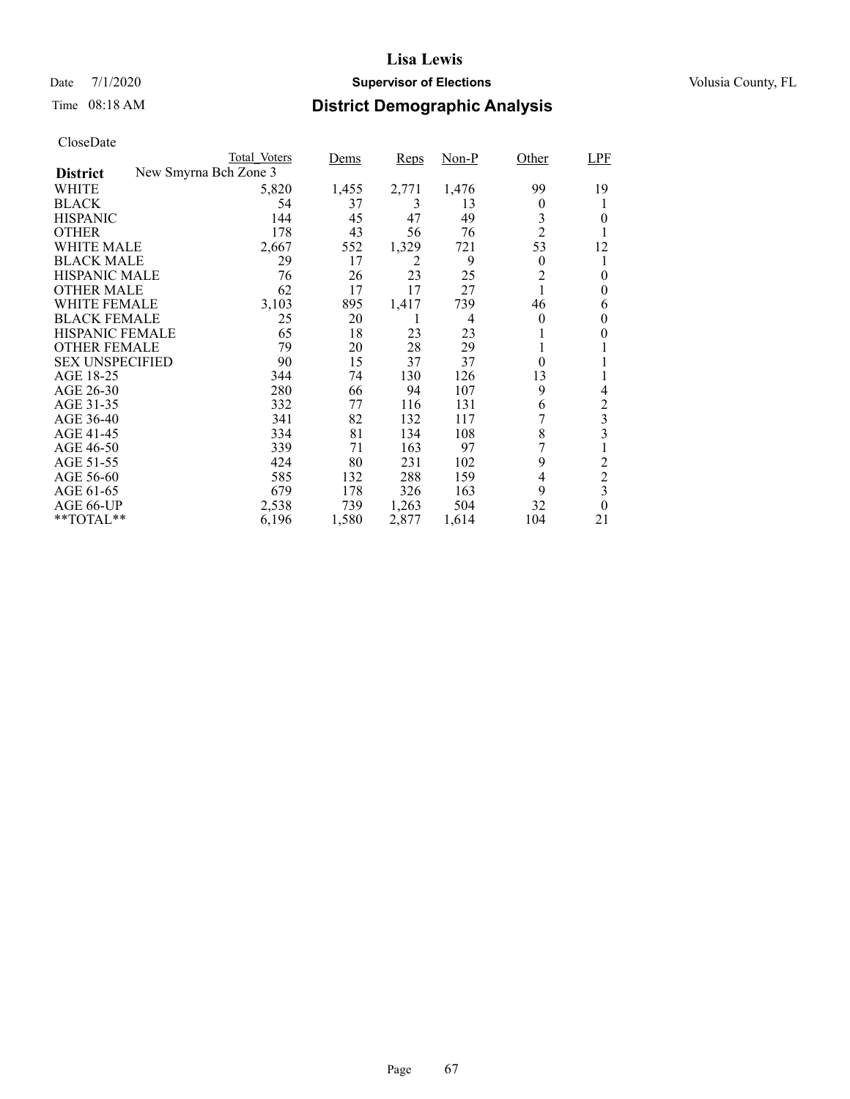## Date 7/1/2020 **Supervisor of Elections Supervisor of Elections** Volusia County, FL

# Time 08:18 AM **District Demographic Analysis**

|                        |                       | Total Voters | Dems  | Reps  | Non-P | Other          | <b>LPF</b>     |
|------------------------|-----------------------|--------------|-------|-------|-------|----------------|----------------|
| <b>District</b>        | New Smyrna Bch Zone 3 |              |       |       |       |                |                |
| WHITE                  |                       | 5,820        | 1,455 | 2,771 | 1,476 | 99             | 19             |
| <b>BLACK</b>           |                       | 54           | 37    | 3     | 13    | 0              |                |
| <b>HISPANIC</b>        |                       | 144          | 45    | 47    | 49    | 3              | $\theta$       |
| <b>OTHER</b>           |                       | 178          | 43    | 56    | 76    | $\overline{2}$ |                |
| WHITE MALE             |                       | 2,667        | 552   | 1,329 | 721   | 53             | 12             |
| <b>BLACK MALE</b>      |                       | 29           | 17    | 2     | 9     | $\overline{0}$ |                |
| <b>HISPANIC MALE</b>   |                       | 76           | 26    | 23    | 25    | $\overline{c}$ | 0              |
| <b>OTHER MALE</b>      |                       | 62           | 17    | 17    | 27    | 1              | 0              |
| WHITE FEMALE           |                       | 3,103        | 895   | 1,417 | 739   | 46             | 6              |
| <b>BLACK FEMALE</b>    |                       | 25           | 20    |       | 4     | $\theta$       | $\theta$       |
| <b>HISPANIC FEMALE</b> |                       | 65           | 18    | 23    | 23    |                | 0              |
| <b>OTHER FEMALE</b>    |                       | 79           | 20    | 28    | 29    |                |                |
| <b>SEX UNSPECIFIED</b> |                       | 90           | 15    | 37    | 37    | $\theta$       |                |
| AGE 18-25              |                       | 344          | 74    | 130   | 126   | 13             |                |
| AGE 26-30              |                       | 280          | 66    | 94    | 107   | 9              | 4              |
| AGE 31-35              |                       | 332          | 77    | 116   | 131   | 6              | 2              |
| AGE 36-40              |                       | 341          | 82    | 132   | 117   |                | 3              |
| AGE 41-45              |                       | 334          | 81    | 134   | 108   | 8              | 3              |
| AGE 46-50              |                       | 339          | 71    | 163   | 97    |                |                |
| AGE 51-55              |                       | 424          | 80    | 231   | 102   | 9              | $\overline{c}$ |
| AGE 56-60              |                       | 585          | 132   | 288   | 159   | 4              | $\overline{2}$ |
| AGE 61-65              |                       | 679          | 178   | 326   | 163   | 9              | 3              |
| AGE 66-UP              |                       | 2,538        | 739   | 1,263 | 504   | 32             | $\theta$       |
| $*$ $*$ TOTAL $*$ $*$  |                       | 6,196        | 1,580 | 2,877 | 1,614 | 104            | 21             |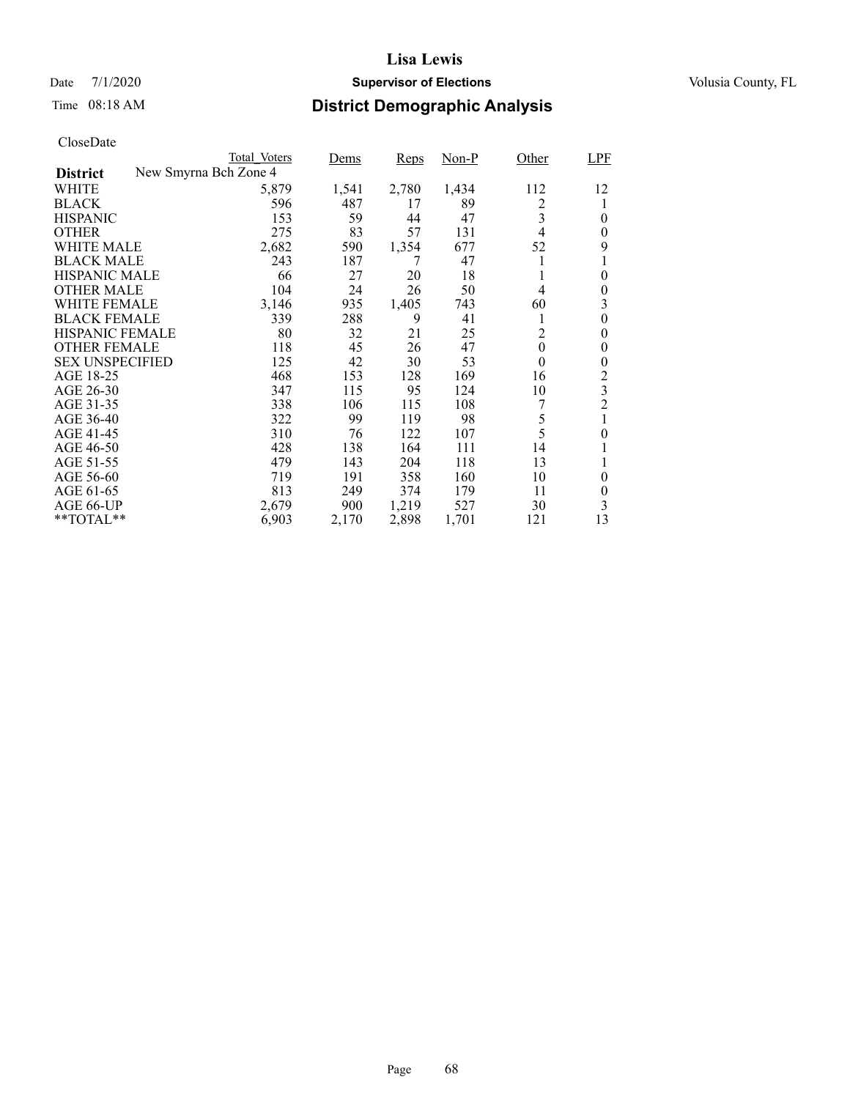## Date 7/1/2020 **Supervisor of Elections Supervisor of Elections** Volusia County, FL

# Time 08:18 AM **District Demographic Analysis**

|                        |                       | Total Voters | <u>Dems</u> | Reps  | $Non-P$ | Other    | <b>LPF</b>     |
|------------------------|-----------------------|--------------|-------------|-------|---------|----------|----------------|
| <b>District</b>        | New Smyrna Bch Zone 4 |              |             |       |         |          |                |
| WHITE                  |                       | 5,879        | 1,541       | 2,780 | 1,434   | 112      | 12             |
| <b>BLACK</b>           |                       | 596          | 487         | 17    | 89      | 2        | 1              |
| <b>HISPANIC</b>        |                       | 153          | 59          | 44    | 47      | 3        | 0              |
| <b>OTHER</b>           |                       | 275          | 83          | 57    | 131     | 4        | 0              |
| WHITE MALE             |                       | 2,682        | 590         | 1,354 | 677     | 52       | 9              |
| <b>BLACK MALE</b>      |                       | 243          | 187         | 7     | 47      | 1        | 1              |
| <b>HISPANIC MALE</b>   |                       | 66           | 27          | 20    | 18      | 1        | $\theta$       |
| <b>OTHER MALE</b>      |                       | 104          | 24          | 26    | 50      | 4        | 0              |
| WHITE FEMALE           |                       | 3,146        | 935         | 1,405 | 743     | 60       | 3              |
| <b>BLACK FEMALE</b>    |                       | 339          | 288         | 9     | 41      | 1        | 0              |
| <b>HISPANIC FEMALE</b> |                       | 80           | 32          | 21    | 25      | 2        | 0              |
| <b>OTHER FEMALE</b>    |                       | 118          | 45          | 26    | 47      | $\theta$ | $\theta$       |
| <b>SEX UNSPECIFIED</b> |                       | 125          | 42          | 30    | 53      | $\theta$ | 0              |
| AGE 18-25              |                       | 468          | 153         | 128   | 169     | 16       | 2              |
| AGE 26-30              |                       | 347          | 115         | 95    | 124     | 10       | 3              |
| AGE 31-35              |                       | 338          | 106         | 115   | 108     |          | $\overline{2}$ |
| AGE 36-40              |                       | 322          | 99          | 119   | 98      | 5        | 1              |
| AGE 41-45              |                       | 310          | 76          | 122   | 107     | 5        | 0              |
| AGE 46-50              |                       | 428          | 138         | 164   | 111     | 14       |                |
| AGE 51-55              |                       | 479          | 143         | 204   | 118     | 13       | 1              |
| AGE 56-60              |                       | 719          | 191         | 358   | 160     | 10       | 0              |
| AGE 61-65              |                       | 813          | 249         | 374   | 179     | 11       | 0              |
| AGE 66-UP              |                       | 2,679        | 900         | 1,219 | 527     | 30       | 3              |
| **TOTAL**              |                       | 6,903        | 2,170       | 2,898 | 1,701   | 121      | 13             |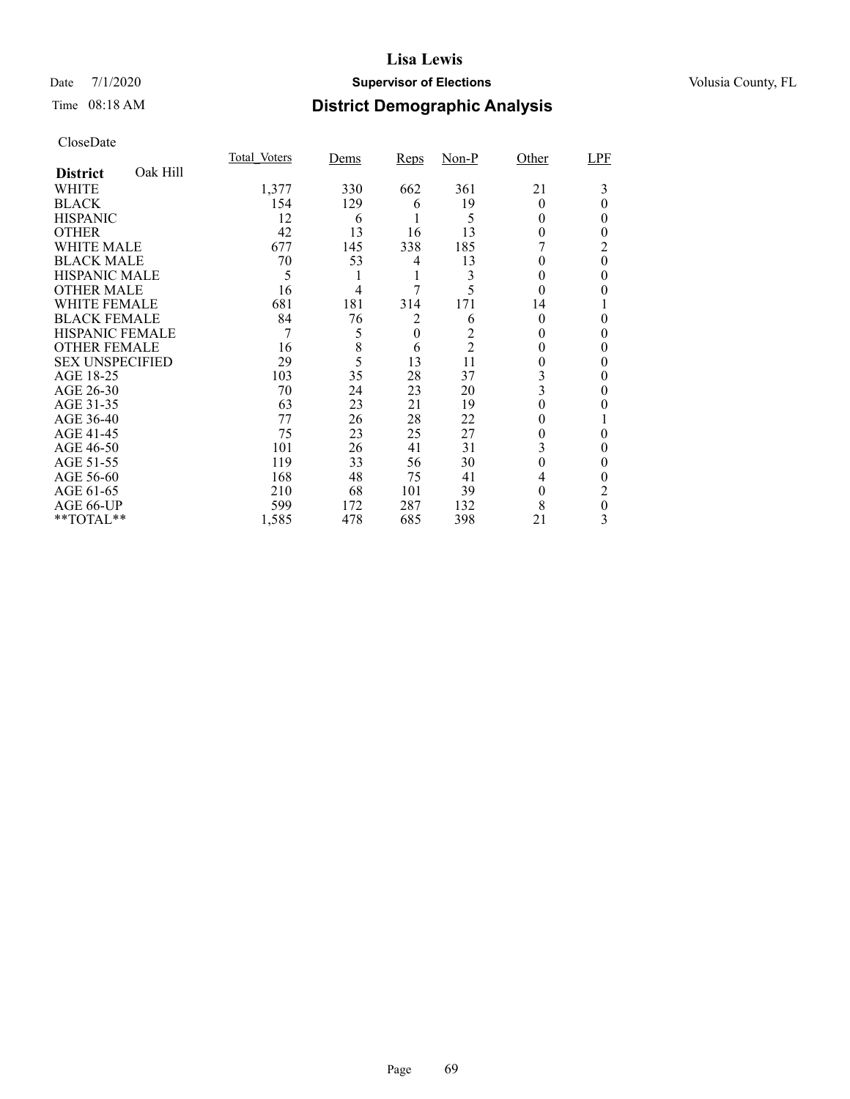## Date 7/1/2020 **Supervisor of Elections Supervisor of Elections** Volusia County, FL

# Time 08:18 AM **District Demographic Analysis**

|                        |          | Total Voters | Dems           | Reps             | $Non-P$        | Other    | LPF      |
|------------------------|----------|--------------|----------------|------------------|----------------|----------|----------|
| <b>District</b>        | Oak Hill |              |                |                  |                |          |          |
| WHITE                  |          | 1,377        | 330            | 662              | 361            | 21       | 3        |
| <b>BLACK</b>           |          | 154          | 129            | 6                | 19             | $\Omega$ | 0        |
| <b>HISPANIC</b>        |          | 12           | 6              |                  | 5              | 0        | 0        |
| <b>OTHER</b>           |          | 42           | 13             | 16               | 13             | 0        | 0        |
| WHITE MALE             |          | 677          | 145            | 338              | 185            |          | 2        |
| <b>BLACK MALE</b>      |          | 70           | 53             | 4                | 13             | 0        | $\theta$ |
| <b>HISPANIC MALE</b>   |          | 5            |                | 1                | 3              | 0        | 0        |
| <b>OTHER MALE</b>      |          | 16           | $\overline{4}$ | 7                | 5              | $\theta$ | 0        |
| <b>WHITE FEMALE</b>    |          | 681          | 181            | 314              | 171            | 14       |          |
| <b>BLACK FEMALE</b>    |          | 84           | 76             | 2                | 6              | $\Omega$ | 0        |
| HISPANIC FEMALE        |          | 7            | 5              | $\boldsymbol{0}$ |                |          | 0        |
| <b>OTHER FEMALE</b>    |          | 16           | 8              | 6                | $\overline{2}$ | $\theta$ | 0        |
| <b>SEX UNSPECIFIED</b> |          | 29           | 5              | 13               | 11             | 0        | 0        |
| AGE 18-25              |          | 103          | 35             | 28               | 37             | 3        | 0        |
| AGE 26-30              |          | 70           | 24             | 23               | 20             | 3        | 0        |
| AGE 31-35              |          | 63           | 23             | 21               | 19             |          |          |
| AGE 36-40              |          | 77           | 26             | 28               | 22             | 0        |          |
| AGE 41-45              |          | 75           | 23             | 25               | 27             |          | 0        |
| AGE 46-50              |          | 101          | 26             | 41               | 31             | 3        | 0        |
| AGE 51-55              |          | 119          | 33             | 56               | 30             | $\theta$ | 0        |
| AGE 56-60              |          | 168          | 48             | 75               | 41             | 4        | 0        |
| AGE 61-65              |          | 210          | 68             | 101              | 39             | $\theta$ | 2        |
| AGE 66-UP              |          | 599          | 172            | 287              | 132            | 8        | 0        |
| **TOTAL**              |          | 1,585        | 478            | 685              | 398            | 21       | 3        |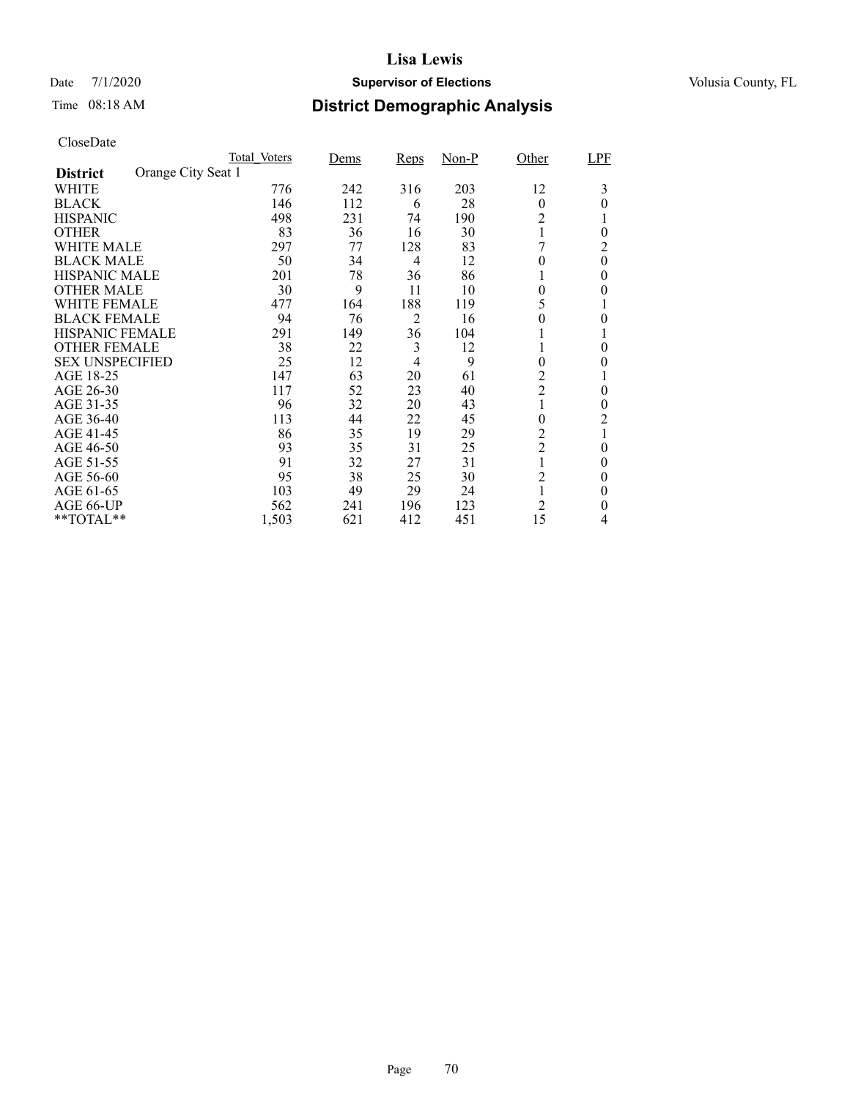## Date 7/1/2020 **Supervisor of Elections Supervisor of Elections** Volusia County, FL

# Time 08:18 AM **District Demographic Analysis**

|                        |                    | Total Voters | Dems | <b>Reps</b> | $Non-P$ | Other          | LPF      |
|------------------------|--------------------|--------------|------|-------------|---------|----------------|----------|
| <b>District</b>        | Orange City Seat 1 |              |      |             |         |                |          |
| WHITE                  |                    | 776          | 242  | 316         | 203     | 12             | 3        |
| <b>BLACK</b>           |                    | 146          | 112  | 6           | 28      | $\theta$       | 0        |
| <b>HISPANIC</b>        |                    | 498          | 231  | 74          | 190     | 2              |          |
| <b>OTHER</b>           |                    | 83           | 36   | 16          | 30      |                | $\theta$ |
| WHITE MALE             |                    | 297          | 77   | 128         | 83      |                | 2        |
| <b>BLACK MALE</b>      |                    | 50           | 34   | 4           | 12      | 0              | $\theta$ |
| <b>HISPANIC MALE</b>   |                    | 201          | 78   | 36          | 86      |                | 0        |
| <b>OTHER MALE</b>      |                    | 30           | 9    | 11          | 10      | $\theta$       | 0        |
| WHITE FEMALE           |                    | 477          | 164  | 188         | 119     |                |          |
| <b>BLACK FEMALE</b>    |                    | 94           | 76   | 2           | 16      | 0              | 0        |
| <b>HISPANIC FEMALE</b> |                    | 291          | 149  | 36          | 104     |                |          |
| <b>OTHER FEMALE</b>    |                    | 38           | 22   | 3           | 12      |                | 0        |
| <b>SEX UNSPECIFIED</b> |                    | 25           | 12   | 4           | 9       | $\theta$       | $_{0}$   |
| AGE 18-25              |                    | 147          | 63   | 20          | 61      | 2              |          |
| AGE 26-30              |                    | 117          | 52   | 23          | 40      | $\overline{2}$ | $\theta$ |
| AGE 31-35              |                    | 96           | 32   | 20          | 43      |                | 0        |
| AGE 36-40              |                    | 113          | 44   | 22          | 45      | 0              | 2        |
| AGE 41-45              |                    | 86           | 35   | 19          | 29      | $\overline{c}$ |          |
| AGE 46-50              |                    | 93           | 35   | 31          | 25      | $\overline{2}$ | $\theta$ |
| AGE 51-55              |                    | 91           | 32   | 27          | 31      |                | 0        |
| AGE 56-60              |                    | 95           | 38   | 25          | 30      | 2              | 0        |
| AGE 61-65              |                    | 103          | 49   | 29          | 24      |                | $\theta$ |
| AGE 66-UP              |                    | 562          | 241  | 196         | 123     | $\overline{c}$ | 0        |
| **TOTAL**              |                    | 1,503        | 621  | 412         | 451     | 15             | 4        |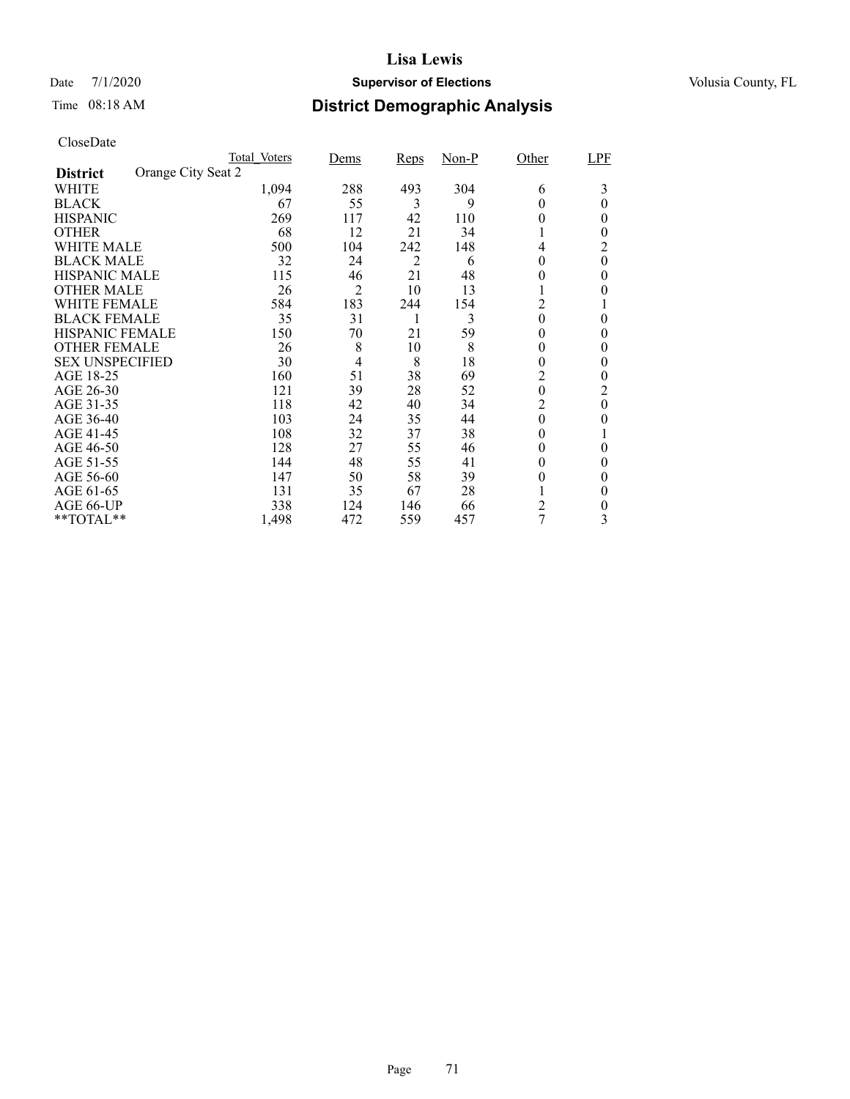## Date 7/1/2020 **Supervisor of Elections Supervisor of Elections** Volusia County, FL

# Time 08:18 AM **District Demographic Analysis**

|                        |                    | Total Voters | Dems           | <b>Reps</b>    | $Non-P$ | Other            | LPF      |
|------------------------|--------------------|--------------|----------------|----------------|---------|------------------|----------|
| <b>District</b>        | Orange City Seat 2 |              |                |                |         |                  |          |
| WHITE                  |                    | 1,094        | 288            | 493            | 304     | 6                | 3        |
| <b>BLACK</b>           |                    | 67           | 55             | 3              | 9       | 0                | 0        |
| <b>HISPANIC</b>        |                    | 269          | 117            | 42             | 110     | 0                | 0        |
| <b>OTHER</b>           |                    | 68           | 12             | 21             | 34      |                  | $_{0}$   |
| WHITE MALE             |                    | 500          | 104            | 242            | 148     | 4                | 2        |
| <b>BLACK MALE</b>      |                    | 32           | 24             | $\overline{2}$ | 6       | 0                | $\theta$ |
| <b>HISPANIC MALE</b>   |                    | 115          | 46             | 21             | 48      | $\theta$         | $\theta$ |
| <b>OTHER MALE</b>      |                    | 26           | 2              | 10             | 13      |                  | 0        |
| WHITE FEMALE           |                    | 584          | 183            | 244            | 154     | $\overline{c}$   |          |
| <b>BLACK FEMALE</b>    |                    | 35           | 31             |                | 3       | $\theta$         | $\theta$ |
| <b>HISPANIC FEMALE</b> |                    | 150          | 70             | 21             | 59      | 0                | 0        |
| <b>OTHER FEMALE</b>    |                    | 26           | 8              | 10             | 8       | $^{(1)}$         | $\theta$ |
| <b>SEX UNSPECIFIED</b> |                    | 30           | $\overline{4}$ | 8              | 18      | 0                | $\theta$ |
| AGE 18-25              |                    | 160          | 51             | 38             | 69      | 2                | 0        |
| AGE 26-30              |                    | 121          | 39             | 28             | 52      | $\boldsymbol{0}$ | 2        |
| AGE 31-35              |                    | 118          | 42             | 40             | 34      | 2                | $\theta$ |
| AGE 36-40              |                    | 103          | 24             | 35             | 44      | $\boldsymbol{0}$ | 0        |
| AGE 41-45              |                    | 108          | 32             | 37             | 38      | 0                |          |
| AGE 46-50              |                    | 128          | 27             | 55             | 46      | $\theta$         | $\theta$ |
| AGE 51-55              |                    | 144          | 48             | 55             | 41      | $_{0}$           | 0        |
| AGE 56-60              |                    | 147          | 50             | 58             | 39      | 0                | $\theta$ |
| AGE 61-65              |                    | 131          | 35             | 67             | 28      |                  | $\theta$ |
| AGE 66-UP              |                    | 338          | 124            | 146            | 66      | $\overline{c}$   | 0        |
| **TOTAL**              |                    | 1,498        | 472            | 559            | 457     | 7                | 3        |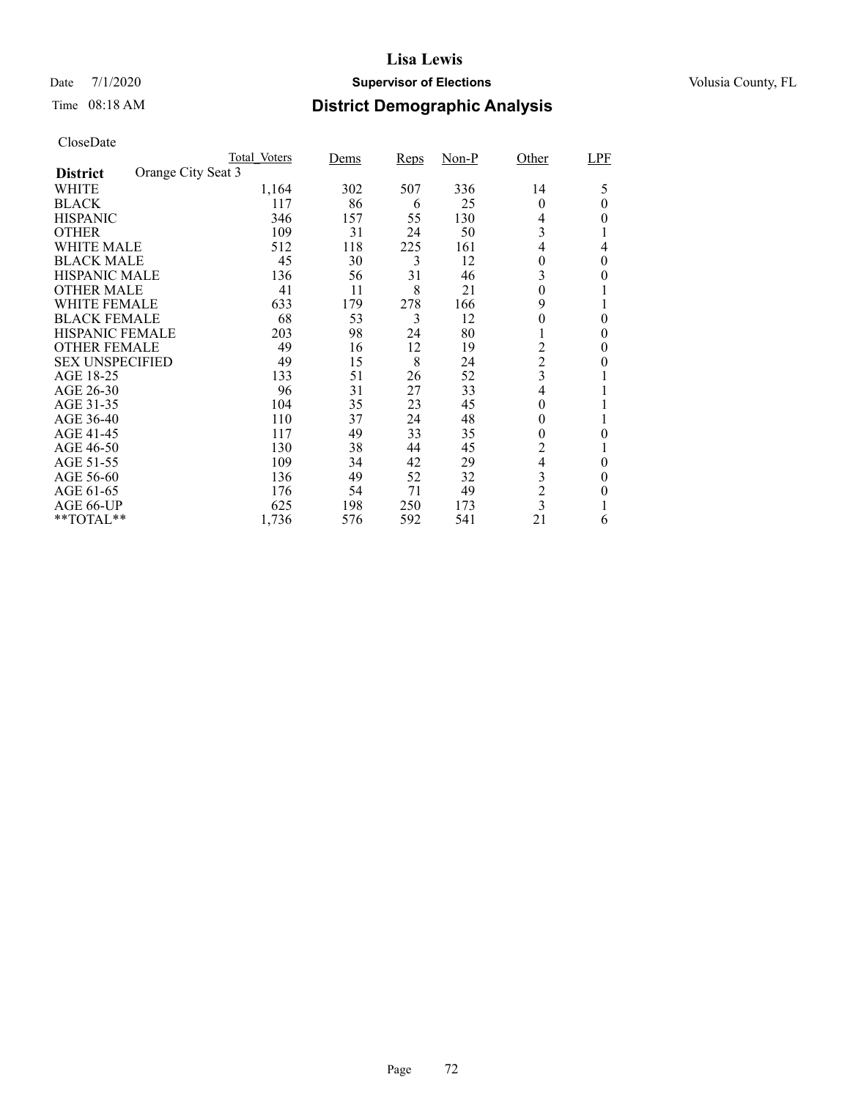## Date 7/1/2020 **Supervisor of Elections Supervisor of Elections** Volusia County, FL

# Time 08:18 AM **District Demographic Analysis**

|                        |                    | Total Voters | Dems | <b>Reps</b> | $Non-P$ | Other                   | LPF          |
|------------------------|--------------------|--------------|------|-------------|---------|-------------------------|--------------|
| <b>District</b>        | Orange City Seat 3 |              |      |             |         |                         |              |
| WHITE                  |                    | 1,164        | 302  | 507         | 336     | 14                      | 5            |
| <b>BLACK</b>           |                    | 117          | 86   | 6           | 25      | $\theta$                | 0            |
| <b>HISPANIC</b>        |                    | 346          | 157  | 55          | 130     | 4                       | $_{0}$       |
| <b>OTHER</b>           |                    | 109          | 31   | 24          | 50      | 3                       |              |
| WHITE MALE             |                    | 512          | 118  | 225         | 161     | 4                       | 4            |
| <b>BLACK MALE</b>      |                    | 45           | 30   | 3           | 12      | 0                       | 0            |
| <b>HISPANIC MALE</b>   |                    | 136          | 56   | 31          | 46      | 3                       | 0            |
| <b>OTHER MALE</b>      |                    | 41           | 11   | 8           | 21      | $\theta$                |              |
| WHITE FEMALE           |                    | 633          | 179  | 278         | 166     | 9                       |              |
| <b>BLACK FEMALE</b>    |                    | 68           | 53   | 3           | 12      | 0                       | $\theta$     |
| <b>HISPANIC FEMALE</b> |                    | 203          | 98   | 24          | 80      |                         | 0            |
| <b>OTHER FEMALE</b>    |                    | 49           | 16   | 12          | 19      | 2                       | $\theta$     |
| <b>SEX UNSPECIFIED</b> |                    | 49           | 15   | 8           | 24      | $\overline{c}$          | $\mathbf{0}$ |
| AGE 18-25              |                    | 133          | 51   | 26          | 52      | 3                       |              |
| AGE 26-30              |                    | 96           | 31   | 27          | 33      | 4                       |              |
| AGE 31-35              |                    | 104          | 35   | 23          | 45      | $\theta$                |              |
| AGE 36-40              |                    | 110          | 37   | 24          | 48      | 0                       |              |
| AGE 41-45              |                    | 117          | 49   | 33          | 35      | 0                       | 0            |
| AGE 46-50              |                    | 130          | 38   | 44          | 45      | $\overline{2}$          |              |
| AGE 51-55              |                    | 109          | 34   | 42          | 29      | $\overline{\mathbf{4}}$ | 0            |
| AGE 56-60              |                    | 136          | 49   | 52          | 32      | 3                       | 0            |
| AGE 61-65              |                    | 176          | 54   | 71          | 49      | $\overline{c}$          | 0            |
| AGE 66-UP              |                    | 625          | 198  | 250         | 173     | $\overline{3}$          |              |
| **TOTAL**              |                    | 1,736        | 576  | 592         | 541     | 21                      | 6            |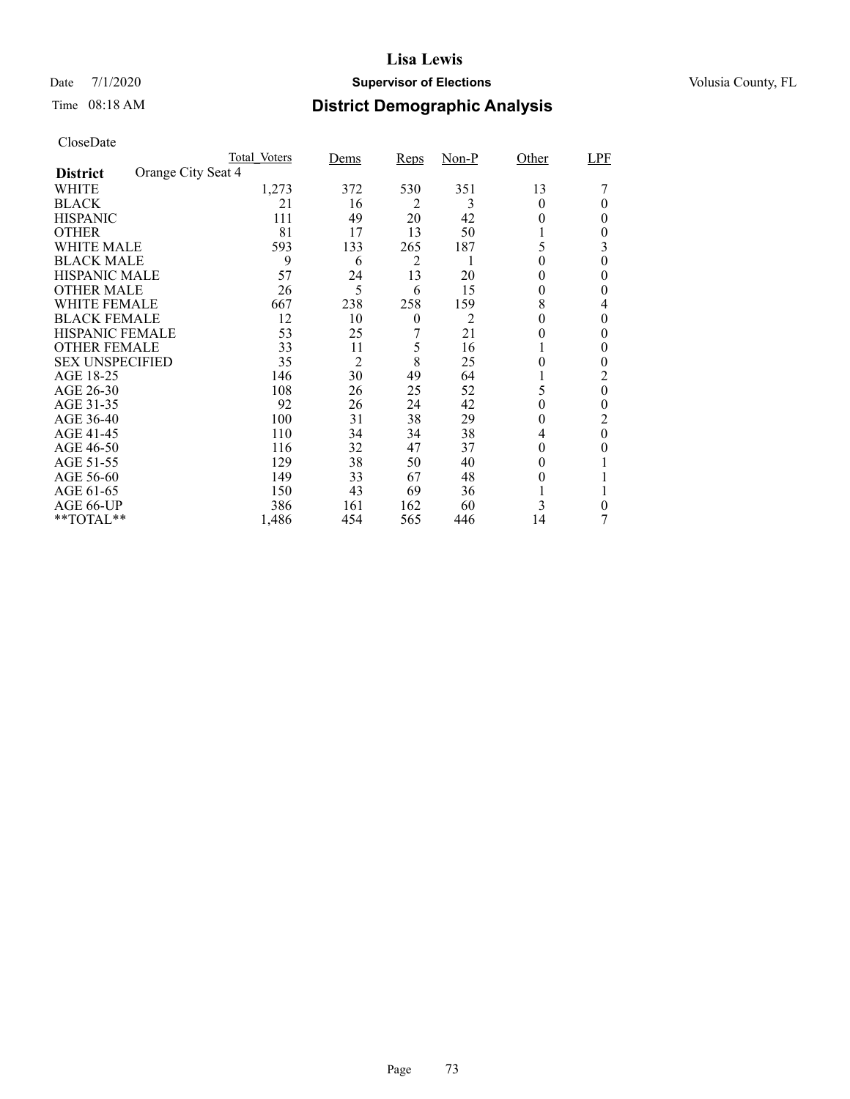## Date 7/1/2020 **Supervisor of Elections Supervisor of Elections** Volusia County, FL

# Time 08:18 AM **District Demographic Analysis**

|                        |                    | Total Voters | Dems           | Reps     | $Non-P$ | Other    | LPF      |
|------------------------|--------------------|--------------|----------------|----------|---------|----------|----------|
| <b>District</b>        | Orange City Seat 4 |              |                |          |         |          |          |
| WHITE                  |                    | 1,273        | 372            | 530      | 351     | 13       |          |
| <b>BLACK</b>           |                    | 21           | 16             | 2        | 3       | 0        | 0        |
| <b>HISPANIC</b>        |                    | 111          | 49             | 20       | 42      | $_{0}$   | 0        |
| <b>OTHER</b>           |                    | 81           | 17             | 13       | 50      |          | 0        |
| WHITE MALE             |                    | 593          | 133            | 265      | 187     | 5        | 3        |
| <b>BLACK MALE</b>      |                    | 9            | 6              | 2        | 1       | $\theta$ | 0        |
| <b>HISPANIC MALE</b>   |                    | 57           | 24             | 13       | 20      | $^{(1)}$ | 0        |
| <b>OTHER MALE</b>      |                    | 26           | 5              | 6        | 15      | 0        | 0        |
| WHITE FEMALE           |                    | 667          | 238            | 258      | 159     | 8        | 4        |
| <b>BLACK FEMALE</b>    |                    | 12           | 10             | $\theta$ | 2       | 0        | 0        |
| <b>HISPANIC FEMALE</b> |                    | 53           | 25             |          | 21      |          | 0        |
| <b>OTHER FEMALE</b>    |                    | 33           | 11             | 5        | 16      |          | 0        |
| <b>SEX UNSPECIFIED</b> |                    | 35           | $\overline{2}$ | 8        | 25      | 0        | 0        |
| AGE 18-25              |                    | 146          | 30             | 49       | 64      |          | 2        |
| AGE 26-30              |                    | 108          | 26             | 25       | 52      | 5        | 0        |
| AGE 31-35              |                    | 92           | 26             | 24       | 42      | 0        | 0        |
| AGE 36-40              |                    | 100          | 31             | 38       | 29      | 0        | 2        |
| AGE 41-45              |                    | 110          | 34             | 34       | 38      | 4        | $\theta$ |
| AGE 46-50              |                    | 116          | 32             | 47       | 37      | 0        | 0        |
| AGE 51-55              |                    | 129          | 38             | 50       | 40      | $_{0}$   |          |
| AGE 56-60              |                    | 149          | 33             | 67       | 48      | $_{0}$   |          |
| AGE 61-65              |                    | 150          | 43             | 69       | 36      |          |          |
| AGE 66-UP              |                    | 386          | 161            | 162      | 60      | 3        | 0        |
| **TOTAL**              |                    | 1,486        | 454            | 565      | 446     | 14       |          |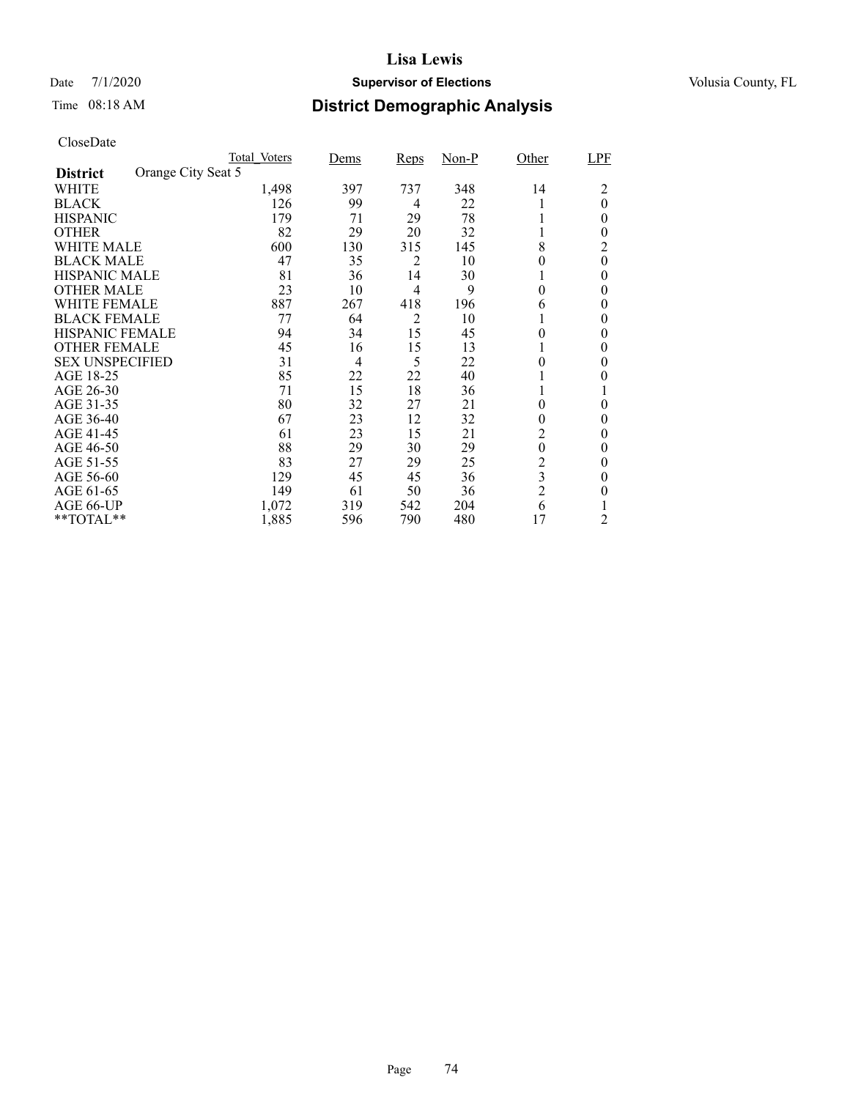## Date 7/1/2020 **Supervisor of Elections Supervisor of Elections** Volusia County, FL

# Time 08:18 AM **District Demographic Analysis**

|                        |                    | Total Voters | Dems           | Reps           | $Non-P$ | Other            | LPF              |
|------------------------|--------------------|--------------|----------------|----------------|---------|------------------|------------------|
| <b>District</b>        | Orange City Seat 5 |              |                |                |         |                  |                  |
| WHITE                  |                    | 1,498        | 397            | 737            | 348     | 14               | 2                |
| <b>BLACK</b>           |                    | 126          | 99             | 4              | 22      |                  | $\overline{0}$   |
| <b>HISPANIC</b>        |                    | 179          | 71             | 29             | 78      |                  | $\theta$         |
| <b>OTHER</b>           |                    | 82           | 29             | 20             | 32      |                  | $\theta$         |
| WHITE MALE             |                    | 600          | 130            | 315            | 145     | 8                | 2                |
| <b>BLACK MALE</b>      |                    | 47           | 35             | 2              | 10      | 0                | $\boldsymbol{0}$ |
| <b>HISPANIC MALE</b>   |                    | 81           | 36             | 14             | 30      |                  | 0                |
| <b>OTHER MALE</b>      |                    | 23           | 10             | $\overline{4}$ | 9       | 0                | 0                |
| WHITE FEMALE           |                    | 887          | 267            | 418            | 196     | 6                | 0                |
| <b>BLACK FEMALE</b>    |                    | 77           | 64             | 2              | 10      |                  | 0                |
| <b>HISPANIC FEMALE</b> |                    | 94           | 34             | 15             | 45      | 0                | 0                |
| <b>OTHER FEMALE</b>    |                    | 45           | 16             | 15             | 13      |                  | 0                |
| <b>SEX UNSPECIFIED</b> |                    | 31           | $\overline{4}$ | 5              | 22      | 0                | 0                |
| AGE 18-25              |                    | 85           | 22             | 22             | 40      |                  | 0                |
| AGE 26-30              |                    | 71           | 15             | 18             | 36      |                  |                  |
| AGE 31-35              |                    | 80           | 32             | 27             | 21      | 0                | 0                |
| AGE 36-40              |                    | 67           | 23             | 12             | 32      | $\boldsymbol{0}$ | 0                |
| AGE 41-45              |                    | 61           | 23             | 15             | 21      | $\overline{2}$   | 0                |
| AGE 46-50              |                    | 88           | 29             | 30             | 29      | $\boldsymbol{0}$ | $\theta$         |
| AGE 51-55              |                    | 83           | 27             | 29             | 25      | $\frac{2}{3}$    | 0                |
| AGE 56-60              |                    | 129          | 45             | 45             | 36      |                  | 0                |
| AGE 61-65              |                    | 149          | 61             | 50             | 36      | $\overline{c}$   | $\theta$         |
| AGE 66-UP              |                    | 1,072        | 319            | 542            | 204     | 6                |                  |
| **TOTAL**              |                    | 1,885        | 596            | 790            | 480     | 17               | 2                |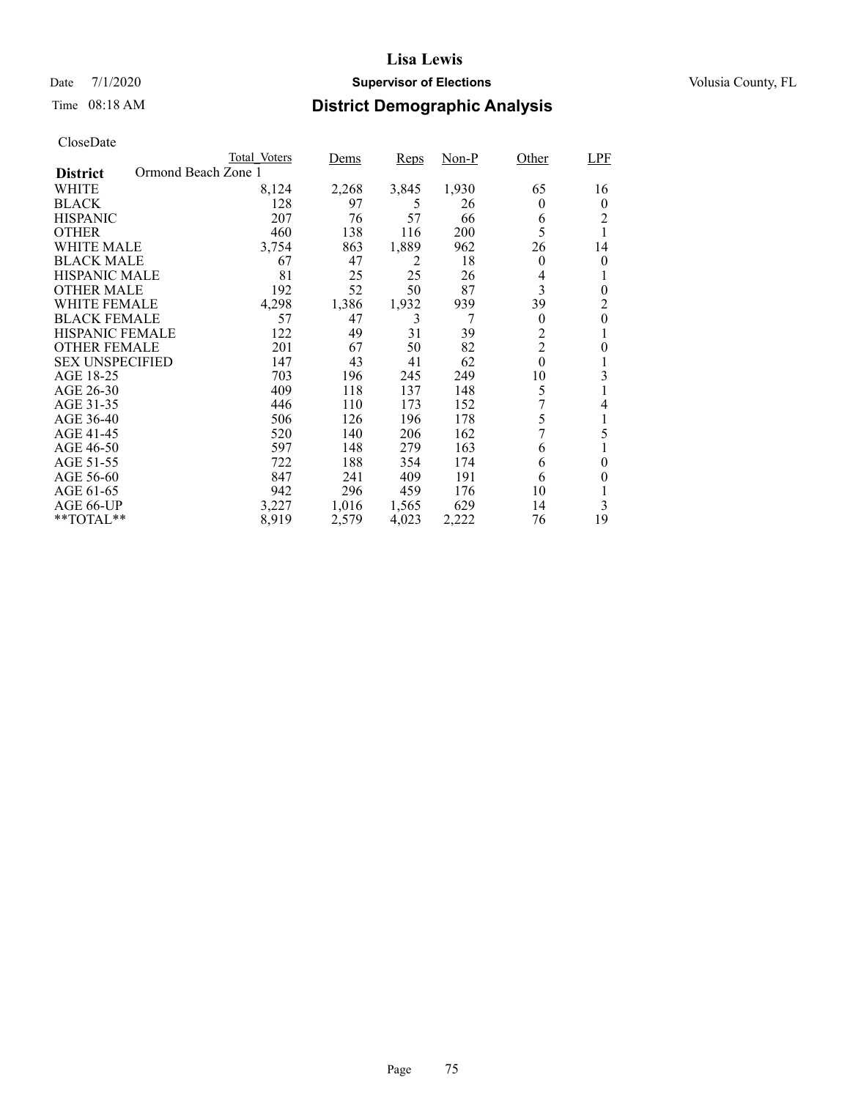## Date 7/1/2020 **Supervisor of Elections Supervisor of Elections** Volusia County, FL

# Time 08:18 AM **District Demographic Analysis**

|                                        | Total Voters | Dems  | Reps  | Non-P | Other            | <b>LPF</b> |
|----------------------------------------|--------------|-------|-------|-------|------------------|------------|
| Ormond Beach Zone 1<br><b>District</b> |              |       |       |       |                  |            |
| WHITE                                  | 8,124        | 2,268 | 3,845 | 1,930 | 65               | 16         |
| <b>BLACK</b>                           | 128          | 97    | 5     | 26    | 0                | $\theta$   |
| <b>HISPANIC</b>                        | 207          | 76    | 57    | 66    | 6                | 2          |
| <b>OTHER</b>                           | 460          | 138   | 116   | 200   | 5                |            |
| WHITE MALE                             | 3,754        | 863   | 1,889 | 962   | 26               | 14         |
| <b>BLACK MALE</b>                      | 67           | 47    | 2     | 18    | $\theta$         | 0          |
| <b>HISPANIC MALE</b>                   | 81           | 25    | 25    | 26    | 4                |            |
| <b>OTHER MALE</b>                      | 192          | 52    | 50    | 87    | 3                | $\theta$   |
| WHITE FEMALE                           | 4,298        | 1,386 | 1,932 | 939   | 39               | 2          |
| <b>BLACK FEMALE</b>                    | 57           | 47    | 3     | 7     | $\theta$         | $\theta$   |
| <b>HISPANIC FEMALE</b>                 | 122          | 49    | 31    | 39    | $\overline{2}$   | 1          |
| <b>OTHER FEMALE</b>                    | 201          | 67    | 50    | 82    | $\overline{2}$   | 0          |
| <b>SEX UNSPECIFIED</b>                 | 147          | 43    | 41    | 62    | $\boldsymbol{0}$ |            |
| AGE 18-25                              | 703          | 196   | 245   | 249   | 10               | 3          |
| AGE 26-30                              | 409          | 118   | 137   | 148   | 5                |            |
| AGE 31-35                              | 446          | 110   | 173   | 152   | 7                | 4          |
| AGE 36-40                              | 506          | 126   | 196   | 178   | 5                |            |
| AGE 41-45                              | 520          | 140   | 206   | 162   | 7                | 5          |
| AGE 46-50                              | 597          | 148   | 279   | 163   | 6                |            |
| AGE 51-55                              | 722          | 188   | 354   | 174   | 6                | $\theta$   |
| AGE 56-60                              | 847          | 241   | 409   | 191   | 6                | 0          |
| AGE 61-65                              | 942          | 296   | 459   | 176   | 10               |            |
| AGE 66-UP                              | 3,227        | 1,016 | 1,565 | 629   | 14               | 3          |
| $*$ $TOTAL**$                          | 8,919        | 2,579 | 4,023 | 2,222 | 76               | 19         |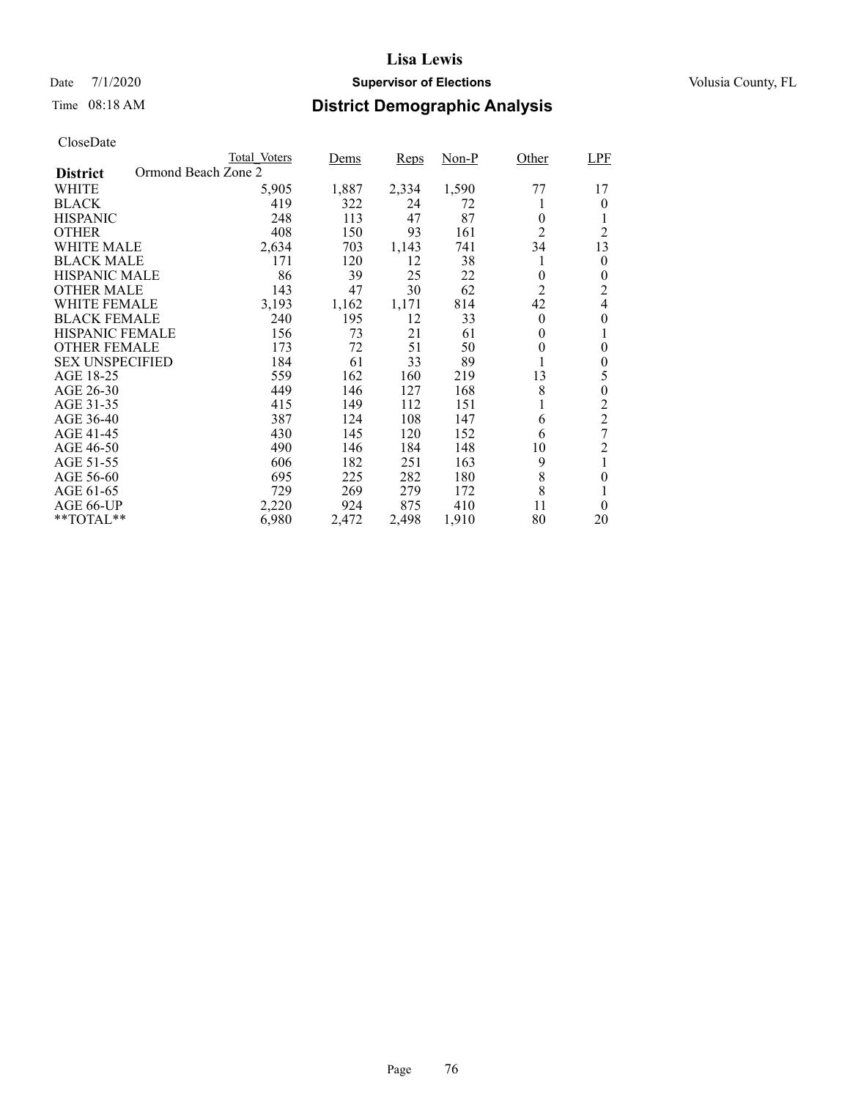## Date 7/1/2020 **Supervisor of Elections Supervisor of Elections** Volusia County, FL

# Time 08:18 AM **District Demographic Analysis**

|                        | <b>Total Voters</b> | Dems  | Reps  | Non-P | Other          | <b>LPF</b>     |
|------------------------|---------------------|-------|-------|-------|----------------|----------------|
| <b>District</b>        | Ormond Beach Zone 2 |       |       |       |                |                |
| WHITE                  | 5,905               | 1,887 | 2,334 | 1,590 | 77             | 17             |
| <b>BLACK</b>           | 419                 | 322   | 24    | 72    |                | 0              |
| <b>HISPANIC</b>        | 248                 | 113   | 47    | 87    | $\theta$       | 1              |
| <b>OTHER</b>           | 408                 | 150   | 93    | 161   | $\overline{2}$ | $\overline{c}$ |
| WHITE MALE             | 2,634               | 703   | 1,143 | 741   | 34             | 13             |
| <b>BLACK MALE</b>      | 171                 | 120   | 12    | 38    | 1              | $\theta$       |
| <b>HISPANIC MALE</b>   | 86                  | 39    | 25    | 22    | $\overline{0}$ | 0              |
| <b>OTHER MALE</b>      | 143                 | 47    | 30    | 62    | $\overline{2}$ | 2              |
| <b>WHITE FEMALE</b>    | 3,193               | 1,162 | 1,171 | 814   | 42             | 4              |
| <b>BLACK FEMALE</b>    | 240                 | 195   | 12    | 33    | $\theta$       | 0              |
| <b>HISPANIC FEMALE</b> | 156                 | 73    | 21    | 61    | $\theta$       | 1              |
| <b>OTHER FEMALE</b>    | 173                 | 72    | 51    | 50    | $\theta$       | 0              |
| <b>SEX UNSPECIFIED</b> | 184                 | 61    | 33    | 89    |                | 0              |
| AGE 18-25              | 559                 | 162   | 160   | 219   | 13             | 5              |
| AGE 26-30              | 449                 | 146   | 127   | 168   | 8              | $\overline{0}$ |
| AGE 31-35              | 415                 | 149   | 112   | 151   |                | $\overline{c}$ |
| AGE 36-40              | 387                 | 124   | 108   | 147   | 6              | $\overline{2}$ |
| AGE 41-45              | 430                 | 145   | 120   | 152   | 6              | 7              |
| AGE 46-50              | 490                 | 146   | 184   | 148   | 10             | $\overline{c}$ |
| AGE 51-55              | 606                 | 182   | 251   | 163   | 9              |                |
| AGE 56-60              | 695                 | 225   | 282   | 180   | 8              | $\theta$       |
| AGE 61-65              | 729                 | 269   | 279   | 172   | 8              |                |
| AGE 66-UP              | 2,220               | 924   | 875   | 410   | 11             | $\theta$       |
| **TOTAL**              | 6,980               | 2,472 | 2,498 | 1,910 | 80             | 20             |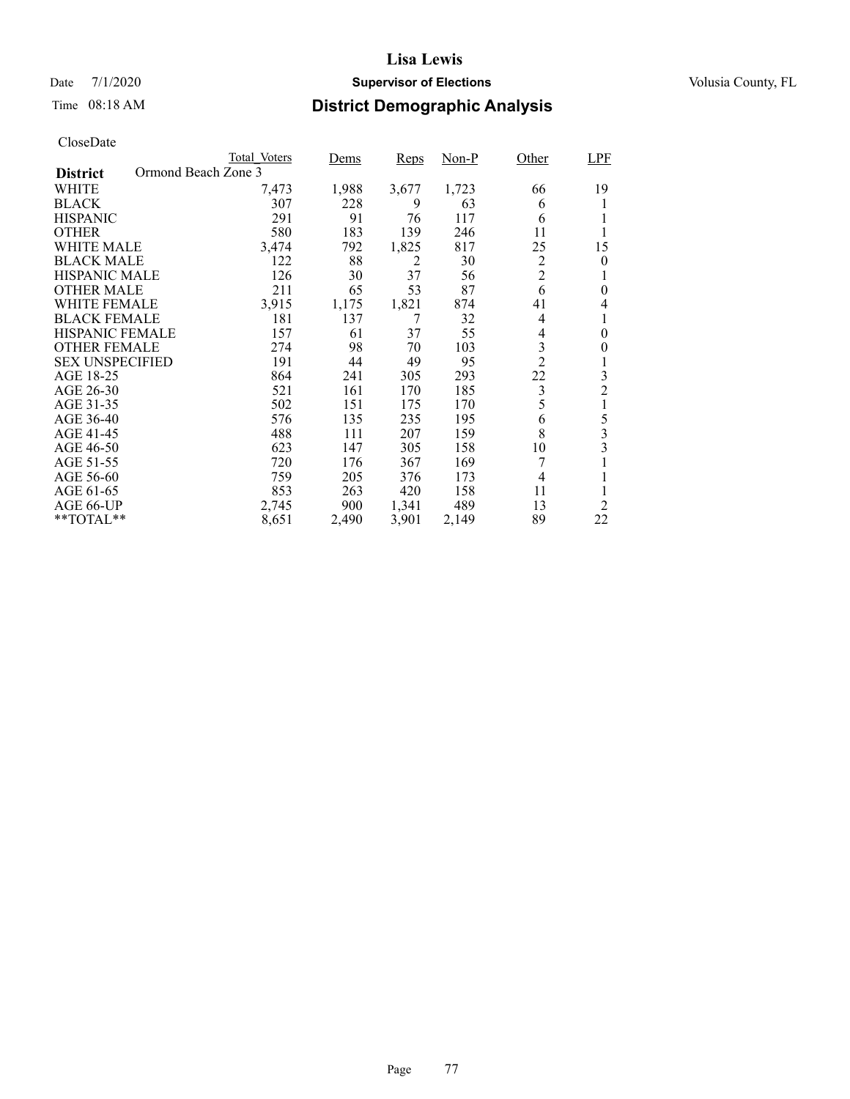## Date 7/1/2020 **Supervisor of Elections Supervisor of Elections** Volusia County, FL

# Time 08:18 AM **District Demographic Analysis**

|                        |                     | Total Voters | Dems  | Reps  | Non-P | Other          | <b>LPF</b>     |
|------------------------|---------------------|--------------|-------|-------|-------|----------------|----------------|
| <b>District</b>        | Ormond Beach Zone 3 |              |       |       |       |                |                |
| WHITE                  |                     | 7,473        | 1,988 | 3,677 | 1,723 | 66             | 19             |
| <b>BLACK</b>           |                     | 307          | 228   | 9     | 63    | 6              |                |
| <b>HISPANIC</b>        |                     | 291          | 91    | 76    | 117   | 6              |                |
| <b>OTHER</b>           |                     | 580          | 183   | 139   | 246   | 11             |                |
| WHITE MALE             |                     | 3,474        | 792   | 1,825 | 817   | 25             | 15             |
| <b>BLACK MALE</b>      |                     | 122          | 88    | 2     | 30    | $\overline{2}$ | $\theta$       |
| <b>HISPANIC MALE</b>   |                     | 126          | 30    | 37    | 56    | $\overline{c}$ |                |
| <b>OTHER MALE</b>      |                     | 211          | 65    | 53    | 87    | 6              | 0              |
| WHITE FEMALE           |                     | 3,915        | 1,175 | 1,821 | 874   | 41             | 4              |
| <b>BLACK FEMALE</b>    |                     | 181          | 137   | 7     | 32    | 4              |                |
| <b>HISPANIC FEMALE</b> |                     | 157          | 61    | 37    | 55    | 4              | $\theta$       |
| <b>OTHER FEMALE</b>    |                     | 274          | 98    | 70    | 103   | 3              | $\theta$       |
| <b>SEX UNSPECIFIED</b> |                     | 191          | 44    | 49    | 95    | $\overline{2}$ | 1              |
| AGE 18-25              |                     | 864          | 241   | 305   | 293   | 22             | 3              |
| AGE 26-30              |                     | 521          | 161   | 170   | 185   | $\mathfrak{Z}$ | $\overline{c}$ |
| AGE 31-35              |                     | 502          | 151   | 175   | 170   | 5              |                |
| AGE 36-40              |                     | 576          | 135   | 235   | 195   | 6              | 5              |
| AGE 41-45              |                     | 488          | 111   | 207   | 159   | 8              | 3              |
| AGE 46-50              |                     | 623          | 147   | 305   | 158   | 10             | 3              |
| AGE 51-55              |                     | 720          | 176   | 367   | 169   | 7              | 1              |
| AGE 56-60              |                     | 759          | 205   | 376   | 173   | 4              |                |
| AGE 61-65              |                     | 853          | 263   | 420   | 158   | 11             |                |
| AGE 66-UP              |                     | 2,745        | 900   | 1,341 | 489   | 13             | $\overline{2}$ |
| $*$ $TOTAL**$          |                     | 8,651        | 2,490 | 3,901 | 2,149 | 89             | 22             |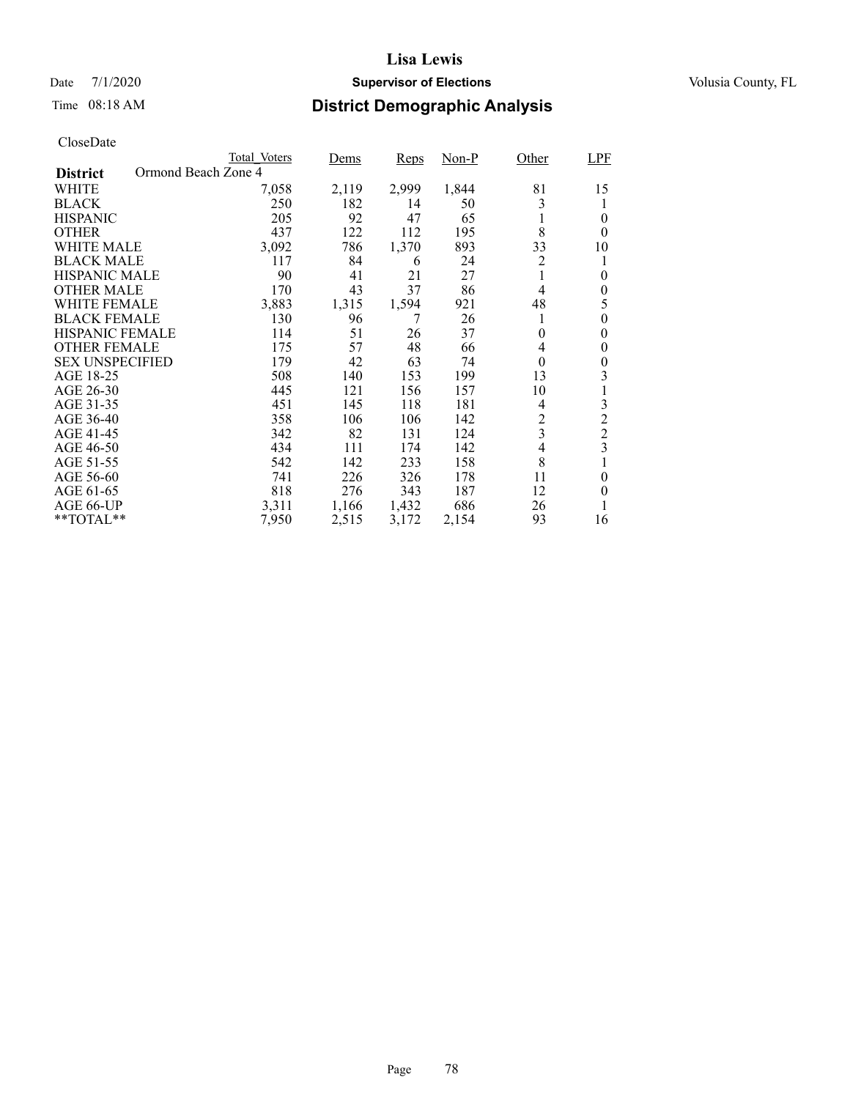## Date 7/1/2020 **Supervisor of Elections Supervisor of Elections** Volusia County, FL

# Time 08:18 AM **District Demographic Analysis**

|                                        | Total Voters | Dems  | Reps  | Non-P | Other                    | <b>LPF</b>     |
|----------------------------------------|--------------|-------|-------|-------|--------------------------|----------------|
| Ormond Beach Zone 4<br><b>District</b> |              |       |       |       |                          |                |
| WHITE                                  | 7,058        | 2,119 | 2,999 | 1,844 | 81                       | 15             |
| <b>BLACK</b>                           | 250          | 182   | 14    | 50    | 3                        |                |
| <b>HISPANIC</b>                        | 205          | 92    | 47    | 65    | 1                        | 0              |
| <b>OTHER</b>                           | 437          | 122   | 112   | 195   | 8                        | $\theta$       |
| WHITE MALE                             | 3,092        | 786   | 1,370 | 893   | 33                       | 10             |
| <b>BLACK MALE</b>                      | 117          | 84    | 6     | 24    | 2                        | 1              |
| <b>HISPANIC MALE</b>                   | 90           | 41    | 21    | 27    |                          | $\theta$       |
| <b>OTHER MALE</b>                      | 170          | 43    | 37    | 86    | 4                        | $\theta$       |
| WHITE FEMALE                           | 3,883        | 1,315 | 1,594 | 921   | 48                       | 5              |
| <b>BLACK FEMALE</b>                    | 130          | 96    | 7     | 26    | 1                        | 0              |
| <b>HISPANIC FEMALE</b>                 | 114          | 51    | 26    | 37    | $\theta$                 | 0              |
| <b>OTHER FEMALE</b>                    | 175          | 57    | 48    | 66    | 4                        | 0              |
| <b>SEX UNSPECIFIED</b>                 | 179          | 42    | 63    | 74    | $\theta$                 | 0              |
| AGE 18-25                              | 508          | 140   | 153   | 199   | 13                       | 3              |
| AGE 26-30                              | 445          | 121   | 156   | 157   | 10                       |                |
| AGE 31-35                              | 451          | 145   | 118   | 181   | 4                        | 3              |
| AGE 36-40                              | 358          | 106   | 106   | 142   | 2                        | $\overline{c}$ |
| AGE 41-45                              | 342          | 82    | 131   | 124   | 3                        | $\overline{2}$ |
| AGE 46-50                              | 434          | 111   | 174   | 142   | $\overline{\mathcal{L}}$ | 3              |
| AGE 51-55                              | 542          | 142   | 233   | 158   | 8                        |                |
| AGE 56-60                              | 741          | 226   | 326   | 178   | 11                       | $\theta$       |
| AGE 61-65                              | 818          | 276   | 343   | 187   | 12                       | $\theta$       |
| AGE 66-UP                              | 3,311        | 1,166 | 1,432 | 686   | 26                       |                |
| **TOTAL**                              | 7,950        | 2,515 | 3,172 | 2,154 | 93                       | 16             |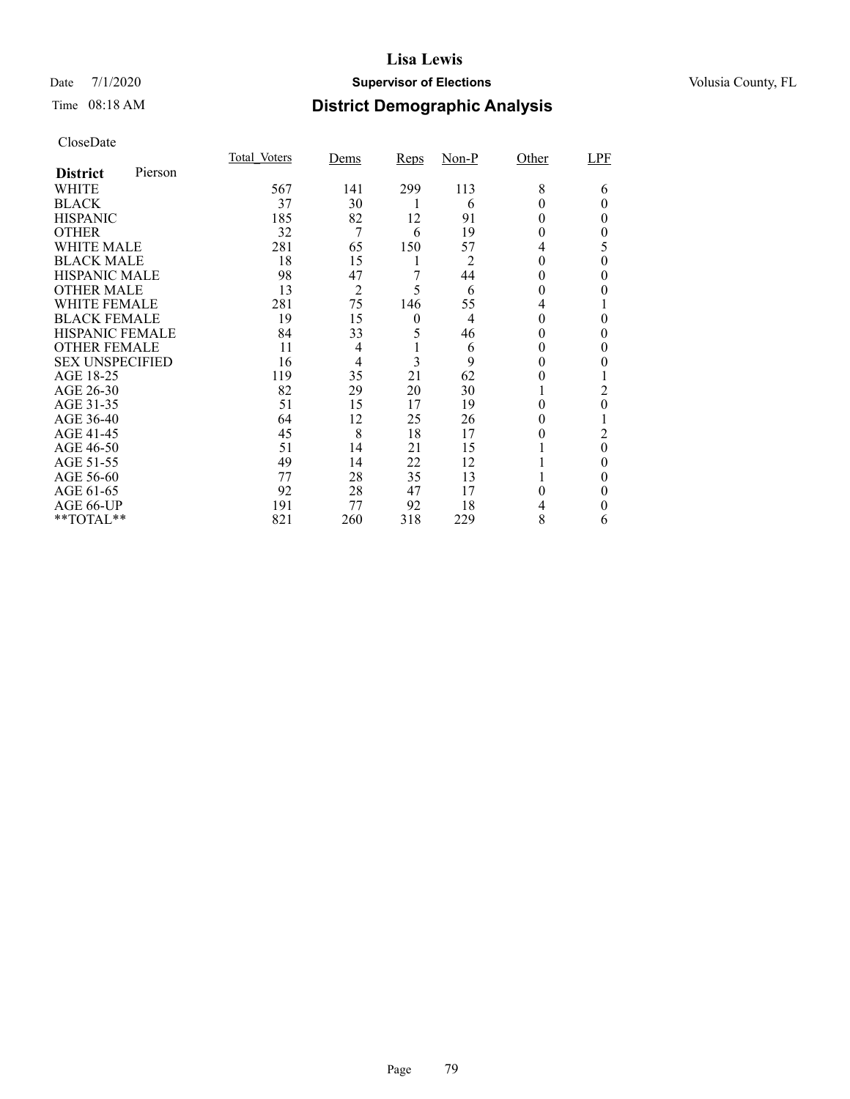## Date 7/1/2020 **Supervisor of Elections Supervisor of Elections** Volusia County, FL

# Time 08:18 AM **District Demographic Analysis**

|                        |         | Total Voters | Dems           | <b>Reps</b>    | $Non-P$        | Other | LPF      |
|------------------------|---------|--------------|----------------|----------------|----------------|-------|----------|
| <b>District</b>        | Pierson |              |                |                |                |       |          |
| WHITE                  |         | 567          | 141            | 299            | 113            | 8     | 6        |
| <b>BLACK</b>           |         | 37           | 30             |                | 6              |       | 0        |
| <b>HISPANIC</b>        |         | 185          | 82             | 12             | 91             | 0     | 0        |
| <b>OTHER</b>           |         | 32           | 7              | 6              | 19             | 0     | 0        |
| WHITE MALE             |         | 281          | 65             | 150            | 57             | 4     | 5        |
| <b>BLACK MALE</b>      |         | 18           | 15             | 1              | 2              | 0     | 0        |
| <b>HISPANIC MALE</b>   |         | 98           | 47             | 7              | 44             | 0     | 0        |
| <b>OTHER MALE</b>      |         | 13           | $\overline{2}$ | 5              | 6              | 0     | 0        |
| <b>WHITE FEMALE</b>    |         | 281          | 75             | 146            | 55             | 4     |          |
| <b>BLACK FEMALE</b>    |         | 19           | 15             | $\overline{0}$ | $\overline{4}$ | 0     | 0        |
| HISPANIC FEMALE        |         | 84           | 33             | 5              | 46             | 0     | 0        |
| <b>OTHER FEMALE</b>    |         | 11           | 4              |                | 6              | 0     | 0        |
| <b>SEX UNSPECIFIED</b> |         | 16           | 4              | 3              | 9              | 0     | 0        |
| AGE 18-25              |         | 119          | 35             | 21             | 62             | 0     |          |
| AGE 26-30              |         | 82           | 29             | 20             | 30             |       | 2        |
| AGE 31-35              |         | 51           | 15             | 17             | 19             | 0     | 0        |
| AGE 36-40              |         | 64           | 12             | 25             | 26             | 0     |          |
| AGE 41-45              |         | 45           | 8              | 18             | 17             |       | 2        |
| AGE 46-50              |         | 51           | 14             | 21             | 15             |       | $\theta$ |
| AGE 51-55              |         | 49           | 14             | 22             | 12             |       | 0        |
| AGE 56-60              |         | 77           | 28             | 35             | 13             |       | 0        |
| AGE 61-65              |         | 92           | 28             | 47             | 17             | 0     | 0        |
| AGE 66-UP              |         | 191          | 77             | 92             | 18             |       | 0        |
| **TOTAL**              |         | 821          | 260            | 318            | 229            | 8     | 6        |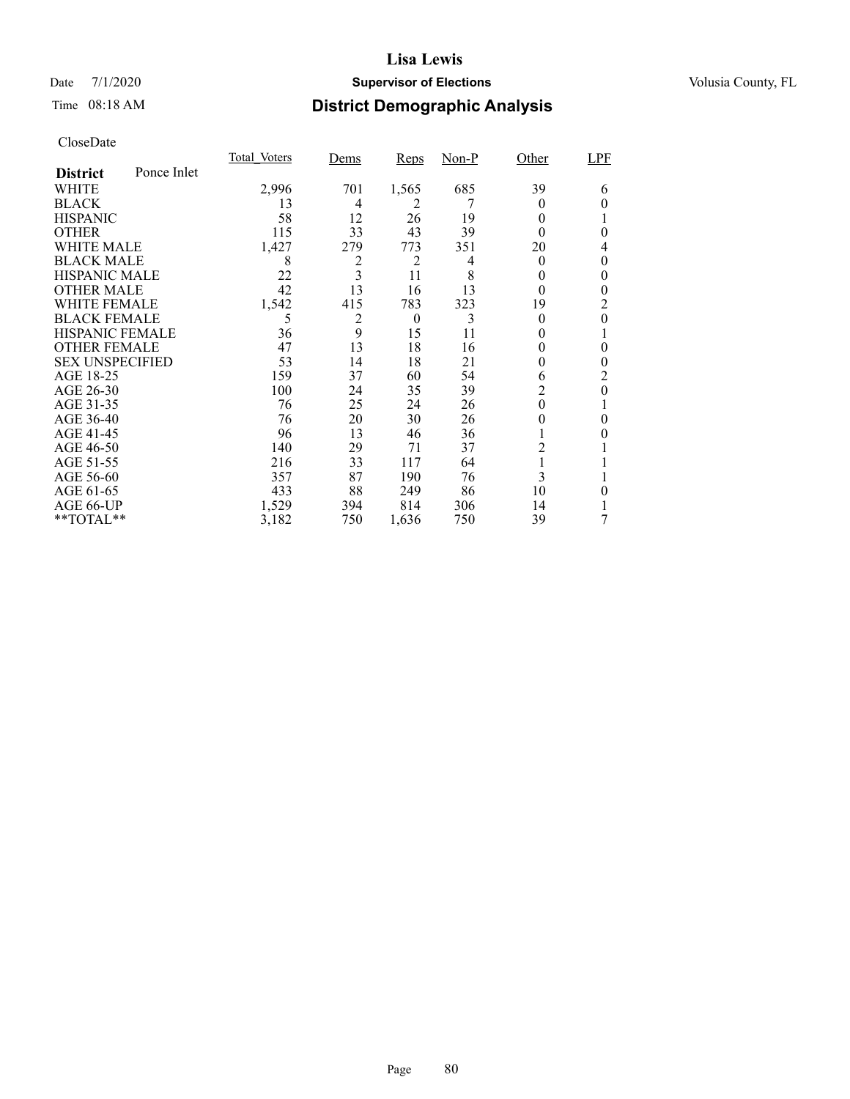## Date 7/1/2020 **Supervisor of Elections Supervisor of Elections** Volusia County, FL

# Time 08:18 AM **District Demographic Analysis**

|                        |             | <b>Total Voters</b> | Dems | Reps     | $Non-P$ | Other          | LPF |
|------------------------|-------------|---------------------|------|----------|---------|----------------|-----|
| <b>District</b>        | Ponce Inlet |                     |      |          |         |                |     |
| WHITE                  |             | 2,996               | 701  | 1,565    | 685     | 39             | 6   |
| <b>BLACK</b>           |             | 13                  | 4    | 2        |         | $_{0}$         | 0   |
| <b>HISPANIC</b>        |             | 58                  | 12   | 26       | 19      | $\Omega$       |     |
| <b>OTHER</b>           |             | 115                 | 33   | 43       | 39      | $\Omega$       | 0   |
| WHITE MALE             |             | 1,427               | 279  | 773      | 351     | 20             | 4   |
| <b>BLACK MALE</b>      |             | 8                   | 2    | 2        | 4       | $\theta$       | 0   |
| <b>HISPANIC MALE</b>   |             | 22                  | 3    | 11       | 8       | 0              | 0   |
| <b>OTHER MALE</b>      |             | 42                  | 13   | 16       | 13      | $\theta$       | 0   |
| <b>WHITE FEMALE</b>    |             | 1,542               | 415  | 783      | 323     | 19             | 2   |
| <b>BLACK FEMALE</b>    |             | 5                   | 2    | $\theta$ | 3       | $\theta$       | 0   |
| <b>HISPANIC FEMALE</b> |             | 36                  | 9    | 15       | 11      | $_{0}$         |     |
| <b>OTHER FEMALE</b>    |             | 47                  | 13   | 18       | 16      | $_{0}$         | 0   |
| <b>SEX UNSPECIFIED</b> |             | 53                  | 14   | 18       | 21      | $_{0}$         | 0   |
| AGE 18-25              |             | 159                 | 37   | 60       | 54      | 6              | 2   |
| AGE 26-30              |             | 100                 | 24   | 35       | 39      | $\overline{2}$ | 0   |
| AGE 31-35              |             | 76                  | 25   | 24       | 26      | $\theta$       |     |
| AGE 36-40              |             | 76                  | 20   | 30       | 26      | 0              | 0   |
| AGE 41-45              |             | 96                  | 13   | 46       | 36      |                |     |
| AGE 46-50              |             | 140                 | 29   | 71       | 37      | 2              |     |
| AGE 51-55              |             | 216                 | 33   | 117      | 64      | 1              |     |
| AGE 56-60              |             | 357                 | 87   | 190      | 76      | 3              |     |
| AGE 61-65              |             | 433                 | 88   | 249      | 86      | 10             | 0   |
| AGE 66-UP              |             | 1,529               | 394  | 814      | 306     | 14             |     |
| **TOTAL**              |             | 3,182               | 750  | 1,636    | 750     | 39             | 7   |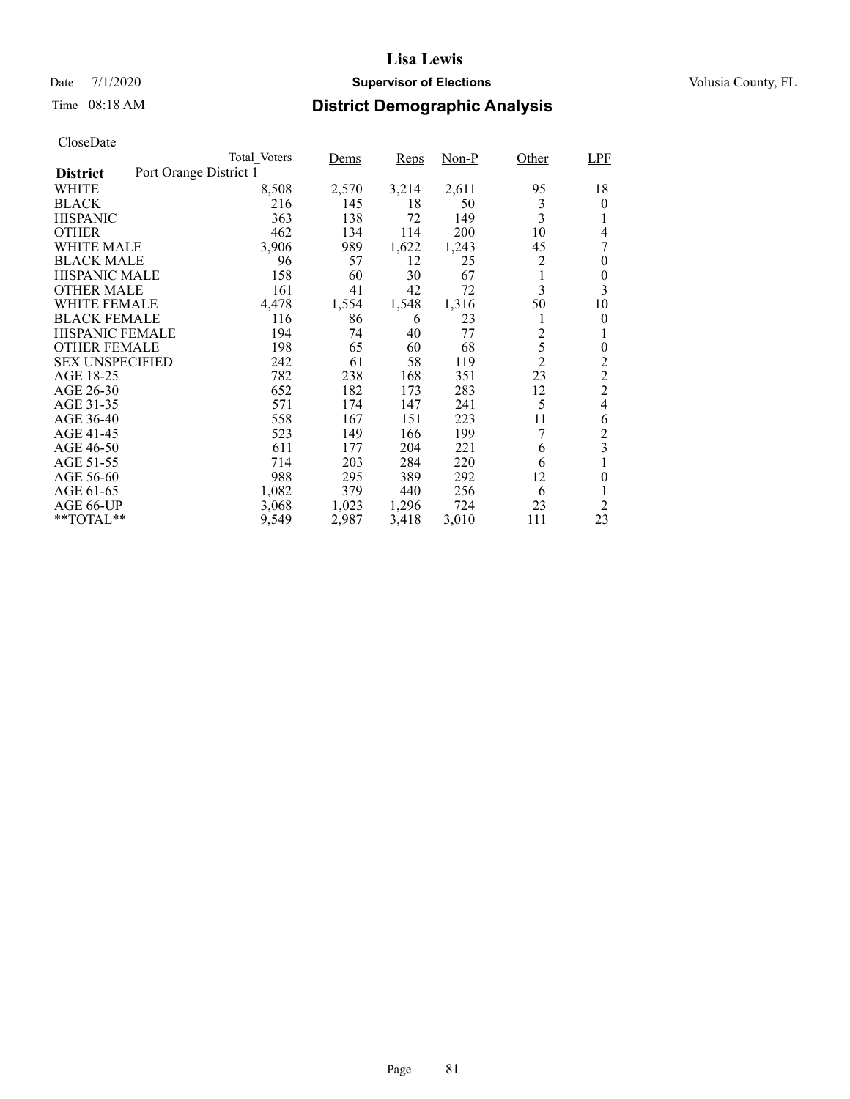## Date 7/1/2020 **Supervisor of Elections Supervisor of Elections** Volusia County, FL

# Time 08:18 AM **District Demographic Analysis**

|                        |                        | Total Voters | Dems  | Reps  | Non-P | Other          | LPF            |
|------------------------|------------------------|--------------|-------|-------|-------|----------------|----------------|
| <b>District</b>        | Port Orange District 1 |              |       |       |       |                |                |
| WHITE                  |                        | 8,508        | 2,570 | 3,214 | 2,611 | 95             | 18             |
| <b>BLACK</b>           |                        | 216          | 145   | 18    | 50    | 3              | $\theta$       |
| <b>HISPANIC</b>        |                        | 363          | 138   | 72    | 149   | 3              | 1              |
| <b>OTHER</b>           |                        | 462          | 134   | 114   | 200   | 10             | 4              |
| WHITE MALE             |                        | 3,906        | 989   | 1,622 | 1,243 | 45             | 7              |
| <b>BLACK MALE</b>      |                        | 96           | 57    | 12    | 25    | 2              | $\theta$       |
| <b>HISPANIC MALE</b>   |                        | 158          | 60    | 30    | 67    |                | 0              |
| <b>OTHER MALE</b>      |                        | 161          | 41    | 42    | 72    | 3              | 3              |
| WHITE FEMALE           |                        | 4,478        | 1,554 | 1,548 | 1,316 | 50             | 10             |
| <b>BLACK FEMALE</b>    |                        | 116          | 86    | 6     | 23    |                | $\theta$       |
| <b>HISPANIC FEMALE</b> |                        | 194          | 74    | 40    | 77    | $\overline{c}$ | 1              |
| <b>OTHER FEMALE</b>    |                        | 198          | 65    | 60    | 68    | 5              | $\theta$       |
| <b>SEX UNSPECIFIED</b> |                        | 242          | 61    | 58    | 119   | $\overline{c}$ | $\overline{c}$ |
| AGE 18-25              |                        | 782          | 238   | 168   | 351   | 23             | $\overline{c}$ |
| AGE 26-30              |                        | 652          | 182   | 173   | 283   | 12             | $\overline{c}$ |
| AGE 31-35              |                        | 571          | 174   | 147   | 241   | 5              | $\overline{4}$ |
| AGE 36-40              |                        | 558          | 167   | 151   | 223   | 11             | 6              |
| AGE 41-45              |                        | 523          | 149   | 166   | 199   | 7              | $\overline{c}$ |
| AGE 46-50              |                        | 611          | 177   | 204   | 221   | 6              | 3              |
| AGE 51-55              |                        | 714          | 203   | 284   | 220   | 6              |                |
| AGE 56-60              |                        | 988          | 295   | 389   | 292   | 12             | $\theta$       |
| AGE 61-65              |                        | 1,082        | 379   | 440   | 256   | 6              | 1              |
| AGE 66-UP              |                        | 3,068        | 1,023 | 1,296 | 724   | 23             | $\overline{2}$ |
| $*$ $TOTAL**$          |                        | 9,549        | 2,987 | 3,418 | 3,010 | 111            | 23             |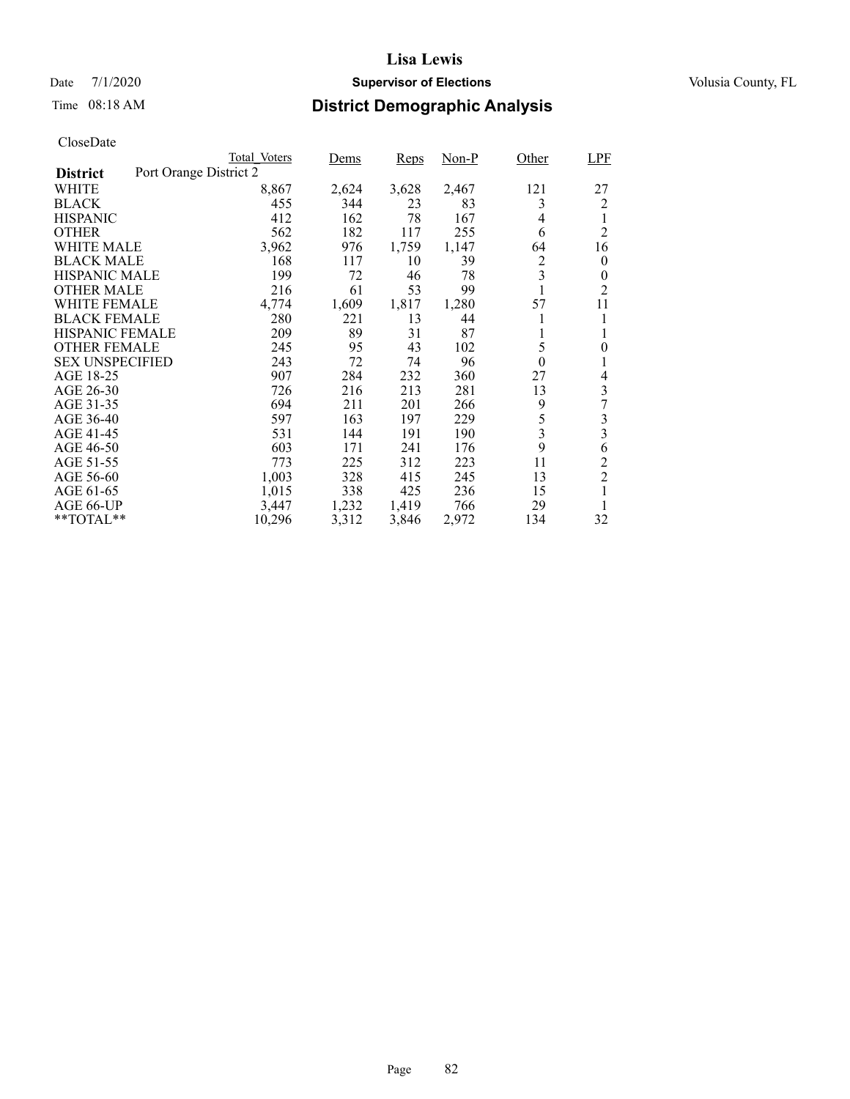## Date 7/1/2020 **Supervisor of Elections Supervisor of Elections** Volusia County, FL

# Time 08:18 AM **District Demographic Analysis**

|                        |                        | Total Voters | Dems  | Reps  | Non-P | Other    | <b>LPF</b>     |
|------------------------|------------------------|--------------|-------|-------|-------|----------|----------------|
| <b>District</b>        | Port Orange District 2 |              |       |       |       |          |                |
| WHITE                  |                        | 8,867        | 2,624 | 3,628 | 2,467 | 121      | 27             |
| <b>BLACK</b>           |                        | 455          | 344   | 23    | 83    | 3        | 2              |
| <b>HISPANIC</b>        |                        | 412          | 162   | 78    | 167   | 4        | 1              |
| <b>OTHER</b>           |                        | 562          | 182   | 117   | 255   | 6        | $\overline{2}$ |
| WHITE MALE             |                        | 3,962        | 976   | 1,759 | 1,147 | 64       | 16             |
| <b>BLACK MALE</b>      |                        | 168          | 117   | 10    | 39    | 2        | $\overline{0}$ |
| <b>HISPANIC MALE</b>   |                        | 199          | 72    | 46    | 78    | 3        | 0              |
| <b>OTHER MALE</b>      |                        | 216          | 61    | 53    | 99    |          | $\overline{2}$ |
| WHITE FEMALE           |                        | 4,774        | 1,609 | 1,817 | 1,280 | 57       | 11             |
| <b>BLACK FEMALE</b>    |                        | 280          | 221   | 13    | 44    |          |                |
| <b>HISPANIC FEMALE</b> |                        | 209          | 89    | 31    | 87    | 1        |                |
| <b>OTHER FEMALE</b>    |                        | 245          | 95    | 43    | 102   | 5        | $\overline{0}$ |
| <b>SEX UNSPECIFIED</b> |                        | 243          | 72    | 74    | 96    | $\theta$ |                |
| AGE 18-25              |                        | 907          | 284   | 232   | 360   | 27       | 4              |
| AGE 26-30              |                        | 726          | 216   | 213   | 281   | 13       | 3              |
| AGE 31-35              |                        | 694          | 211   | 201   | 266   | 9        | 7              |
| AGE 36-40              |                        | 597          | 163   | 197   | 229   | 5        | 3              |
| AGE 41-45              |                        | 531          | 144   | 191   | 190   | 3        | 3              |
| AGE 46-50              |                        | 603          | 171   | 241   | 176   | 9        | 6              |
| AGE 51-55              |                        | 773          | 225   | 312   | 223   | 11       | $\overline{c}$ |
| AGE 56-60              |                        | 1,003        | 328   | 415   | 245   | 13       | $\overline{2}$ |
| AGE 61-65              |                        | 1,015        | 338   | 425   | 236   | 15       |                |
| AGE 66-UP              |                        | 3,447        | 1,232 | 1,419 | 766   | 29       |                |
| $*$ $TOTAL**$          |                        | 10,296       | 3,312 | 3,846 | 2,972 | 134      | 32             |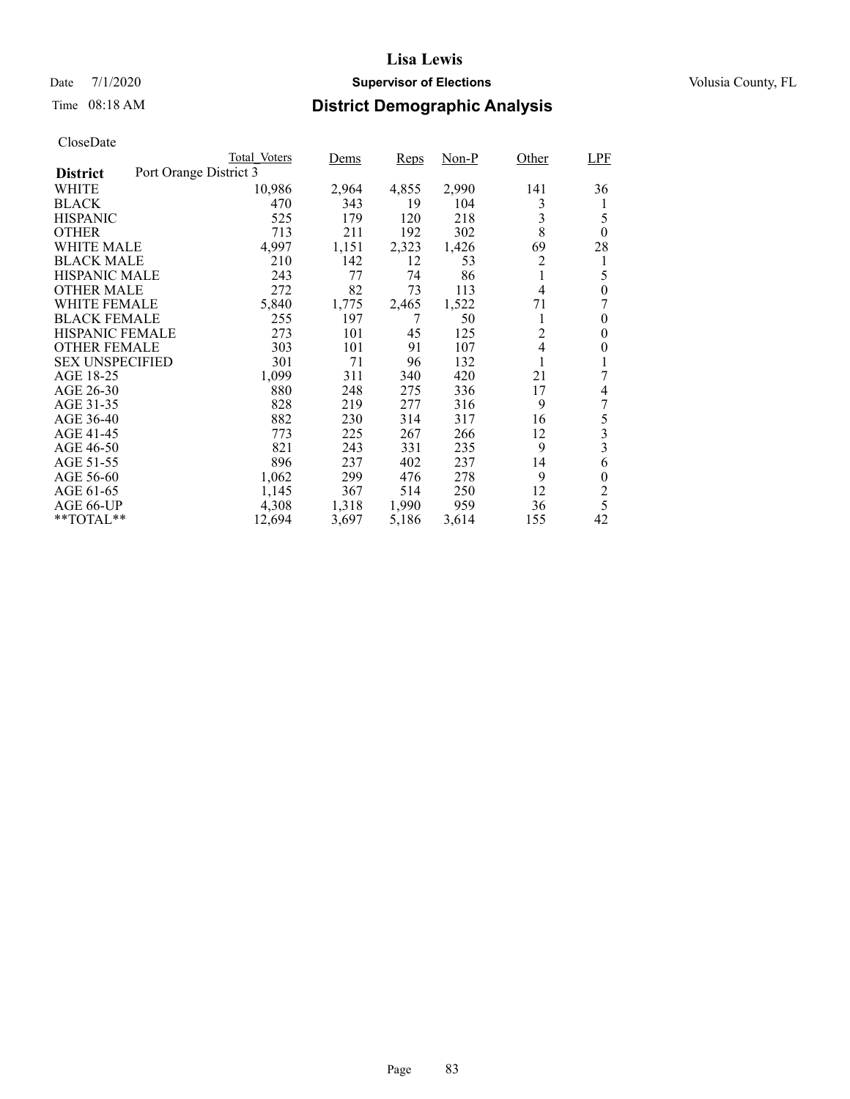## Date 7/1/2020 **Supervisor of Elections Supervisor of Elections** Volusia County, FL

# Time 08:18 AM **District Demographic Analysis**

|                        |                        | Total Voters | Dems  | Reps  | Non-P | Other          | <b>LPF</b>       |
|------------------------|------------------------|--------------|-------|-------|-------|----------------|------------------|
| <b>District</b>        | Port Orange District 3 |              |       |       |       |                |                  |
| WHITE                  |                        | 10,986       | 2,964 | 4,855 | 2,990 | 141            | 36               |
| <b>BLACK</b>           |                        | 470          | 343   | 19    | 104   | 3              | 1                |
| <b>HISPANIC</b>        |                        | 525          | 179   | 120   | 218   | 3              | 5                |
| <b>OTHER</b>           |                        | 713          | 211   | 192   | 302   | 8              | $\theta$         |
| WHITE MALE             |                        | 4,997        | 1,151 | 2,323 | 1,426 | 69             | 28               |
| <b>BLACK MALE</b>      |                        | 210          | 142   | 12    | 53    | 2              | 1                |
| <b>HISPANIC MALE</b>   |                        | 243          | 77    | 74    | 86    |                | 5                |
| <b>OTHER MALE</b>      |                        | 272          | 82    | 73    | 113   | $\overline{4}$ | $\theta$         |
| WHITE FEMALE           |                        | 5,840        | 1,775 | 2,465 | 1,522 | 71             | 7                |
| <b>BLACK FEMALE</b>    |                        | 255          | 197   | 7     | 50    | 1              | 0                |
| <b>HISPANIC FEMALE</b> |                        | 273          | 101   | 45    | 125   | $\overline{2}$ | 0                |
| <b>OTHER FEMALE</b>    |                        | 303          | 101   | 91    | 107   | $\overline{4}$ | $\boldsymbol{0}$ |
| <b>SEX UNSPECIFIED</b> |                        | 301          | 71    | 96    | 132   |                |                  |
| AGE 18-25              |                        | 1,099        | 311   | 340   | 420   | 21             | 7                |
| AGE 26-30              |                        | 880          | 248   | 275   | 336   | 17             | 4                |
| AGE 31-35              |                        | 828          | 219   | 277   | 316   | 9              | 7                |
| AGE 36-40              |                        | 882          | 230   | 314   | 317   | 16             | 5                |
| AGE 41-45              |                        | 773          | 225   | 267   | 266   | 12             | 3                |
| AGE 46-50              |                        | 821          | 243   | 331   | 235   | 9              | 3                |
| AGE 51-55              |                        | 896          | 237   | 402   | 237   | 14             | 6                |
| AGE 56-60              |                        | 1,062        | 299   | 476   | 278   | 9              | $\boldsymbol{0}$ |
| AGE 61-65              |                        | 1,145        | 367   | 514   | 250   | 12             | $\overline{c}$   |
| AGE 66-UP              |                        | 4,308        | 1,318 | 1,990 | 959   | 36             | 5                |
| $*$ $TOTAL**$          |                        | 12,694       | 3,697 | 5,186 | 3,614 | 155            | 42               |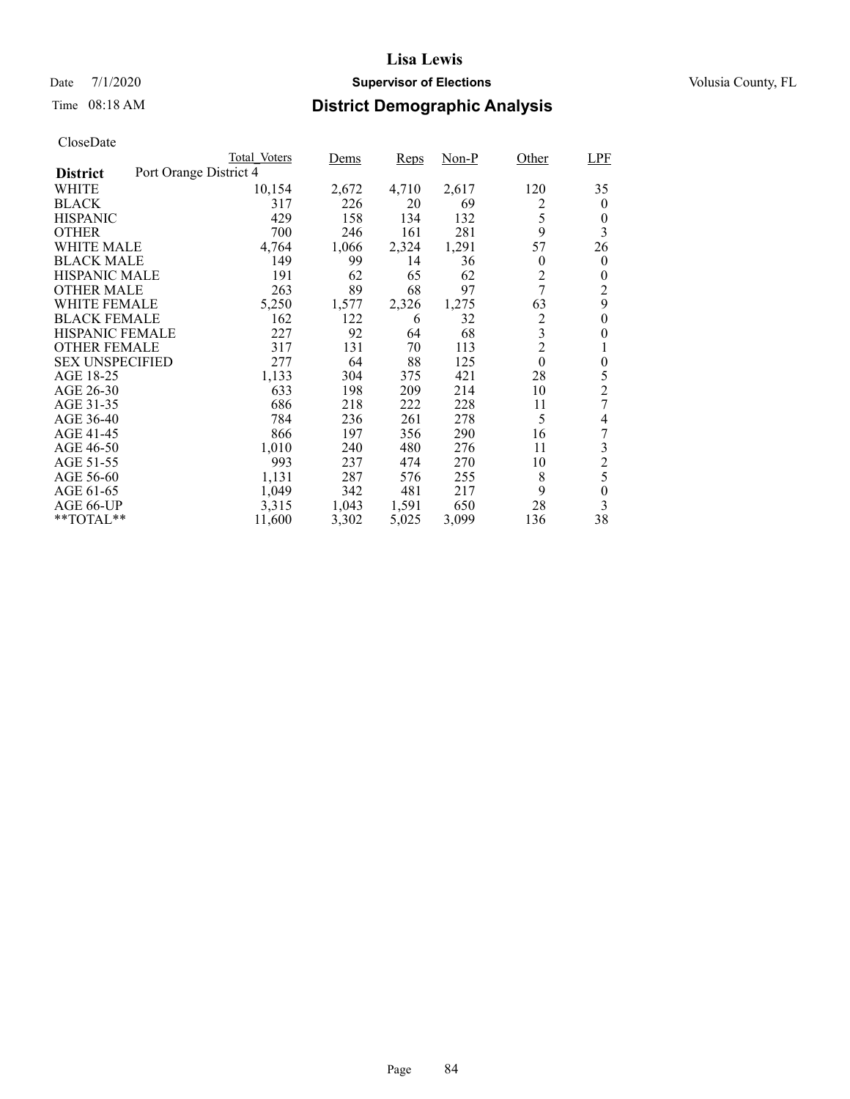## Date 7/1/2020 **Supervisor of Elections Supervisor of Elections** Volusia County, FL

# Time 08:18 AM **District Demographic Analysis**

|                        | Total Voters           | Dems  | Reps  | Non-P | Other            | <b>LPF</b>       |
|------------------------|------------------------|-------|-------|-------|------------------|------------------|
| <b>District</b>        | Port Orange District 4 |       |       |       |                  |                  |
| WHITE                  | 10,154                 | 2,672 | 4,710 | 2,617 | 120              | 35               |
| <b>BLACK</b>           | 317                    | 226   | 20    | 69    | 2                | $\theta$         |
| <b>HISPANIC</b>        | 429                    | 158   | 134   | 132   | 5                | $\theta$         |
| <b>OTHER</b>           | 700                    | 246   | 161   | 281   | 9                | 3                |
| WHITE MALE             | 4,764                  | 1,066 | 2,324 | 1,291 | 57               | 26               |
| <b>BLACK MALE</b>      | 149                    | 99    | 14    | 36    | $\boldsymbol{0}$ | $\theta$         |
| <b>HISPANIC MALE</b>   | 191                    | 62    | 65    | 62    | $\overline{c}$   | $\boldsymbol{0}$ |
| <b>OTHER MALE</b>      | 263                    | 89    | 68    | 97    | 7                | $\overline{2}$   |
| <b>WHITE FEMALE</b>    | 5,250                  | 1,577 | 2,326 | 1,275 | 63               | 9                |
| <b>BLACK FEMALE</b>    | 162                    | 122   | 6     | 32    | $\overline{c}$   | $\theta$         |
| <b>HISPANIC FEMALE</b> | 227                    | 92    | 64    | 68    | 3                | $\theta$         |
| <b>OTHER FEMALE</b>    | 317                    | 131   | 70    | 113   | $\overline{2}$   |                  |
| <b>SEX UNSPECIFIED</b> | 277                    | 64    | 88    | 125   | $\mathbf{0}$     | $\boldsymbol{0}$ |
| AGE 18-25              | 1,133                  | 304   | 375   | 421   | 28               | 5                |
| AGE 26-30              | 633                    | 198   | 209   | 214   | 10               | $\overline{c}$   |
| AGE 31-35              | 686                    | 218   | 222   | 228   | 11               | 7                |
| AGE 36-40              | 784                    | 236   | 261   | 278   | 5                | 4                |
| AGE 41-45              | 866                    | 197   | 356   | 290   | 16               | 7                |
| AGE 46-50              | 1,010                  | 240   | 480   | 276   | 11               | 3                |
| AGE 51-55              | 993                    | 237   | 474   | 270   | 10               | $\overline{c}$   |
| AGE 56-60              | 1,131                  | 287   | 576   | 255   | 8                | 5                |
| AGE 61-65              | 1,049                  | 342   | 481   | 217   | 9                | $\theta$         |
| AGE 66-UP              | 3,315                  | 1,043 | 1,591 | 650   | 28               | 3                |
| **TOTAL**              | 11,600                 | 3,302 | 5,025 | 3,099 | 136              | 38               |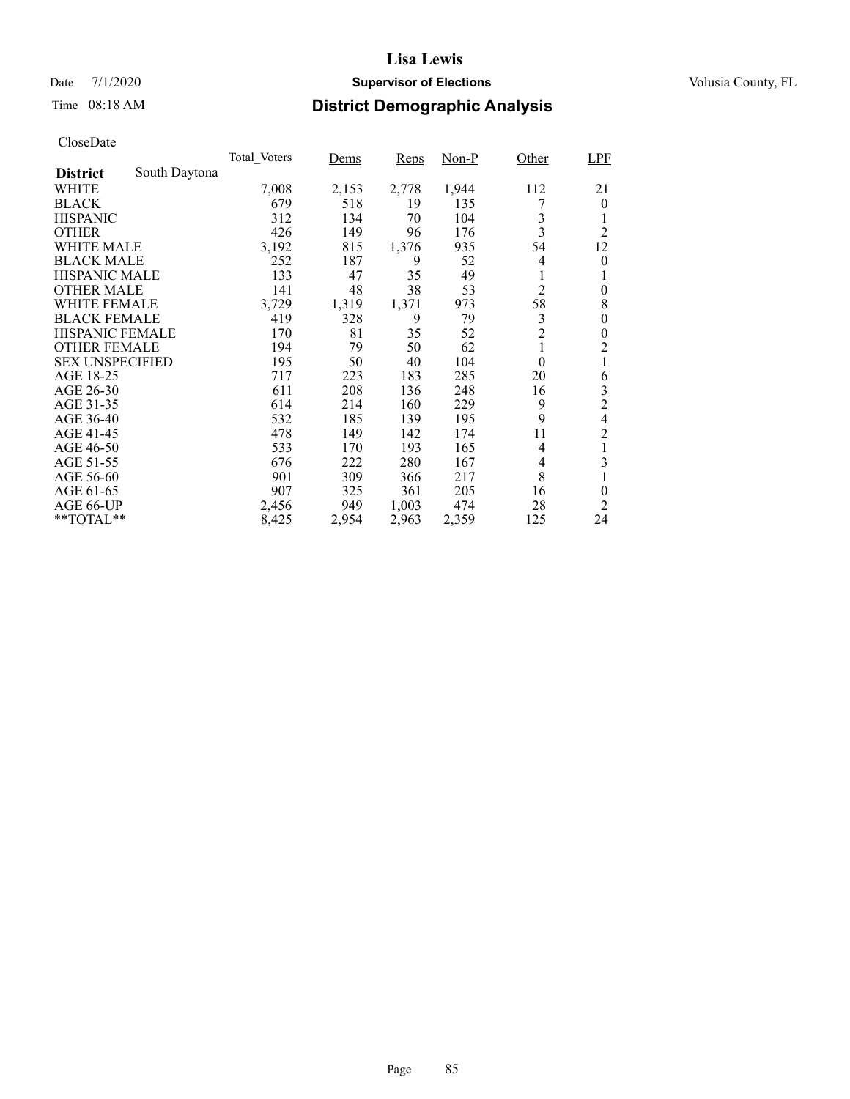## Date 7/1/2020 **Supervisor of Elections Supervisor of Elections** Volusia County, FL

# Time 08:18 AM **District Demographic Analysis**

|                        |               | Total Voters | Dems  | Reps  | $Non-P$ | Other          | <b>LPF</b>     |
|------------------------|---------------|--------------|-------|-------|---------|----------------|----------------|
| <b>District</b>        | South Daytona |              |       |       |         |                |                |
| WHITE                  |               | 7,008        | 2,153 | 2,778 | 1,944   | 112            | 21             |
| <b>BLACK</b>           |               | 679          | 518   | 19    | 135     |                | $\theta$       |
| <b>HISPANIC</b>        |               | 312          | 134   | 70    | 104     | 3              | 1              |
| <b>OTHER</b>           |               | 426          | 149   | 96    | 176     | 3              | $\overline{2}$ |
| WHITE MALE             |               | 3,192        | 815   | 1,376 | 935     | 54             | 12             |
| <b>BLACK MALE</b>      |               | 252          | 187   | 9     | 52      | 4              | 0              |
| <b>HISPANIC MALE</b>   |               | 133          | 47    | 35    | 49      | 1              | 1              |
| <b>OTHER MALE</b>      |               | 141          | 48    | 38    | 53      | $\overline{2}$ | $\theta$       |
| WHITE FEMALE           |               | 3,729        | 1,319 | 1,371 | 973     | 58             | 8              |
| <b>BLACK FEMALE</b>    |               | 419          | 328   | 9     | 79      | 3              | 0              |
| <b>HISPANIC FEMALE</b> |               | 170          | 81    | 35    | 52      | $\overline{2}$ | 0              |
| <b>OTHER FEMALE</b>    |               | 194          | 79    | 50    | 62      | 1              | $\overline{2}$ |
| <b>SEX UNSPECIFIED</b> |               | 195          | 50    | 40    | 104     | $\theta$       | 1              |
| AGE 18-25              |               | 717          | 223   | 183   | 285     | 20             | 6              |
| AGE 26-30              |               | 611          | 208   | 136   | 248     | 16             | 3              |
| AGE 31-35              |               | 614          | 214   | 160   | 229     | 9              | $\overline{c}$ |
| AGE 36-40              |               | 532          | 185   | 139   | 195     | 9              | 4              |
| AGE 41-45              |               | 478          | 149   | 142   | 174     | 11             | $\overline{c}$ |
| AGE 46-50              |               | 533          | 170   | 193   | 165     | 4              | 1              |
| AGE 51-55              |               | 676          | 222   | 280   | 167     | 4              | 3              |
| AGE 56-60              |               | 901          | 309   | 366   | 217     | 8              | 1              |
| AGE 61-65              |               | 907          | 325   | 361   | 205     | 16             | $\theta$       |
| AGE 66-UP              |               | 2,456        | 949   | 1,003 | 474     | 28             | 2              |
| $*$ $TOTAL**$          |               | 8,425        | 2,954 | 2,963 | 2,359   | 125            | 24             |